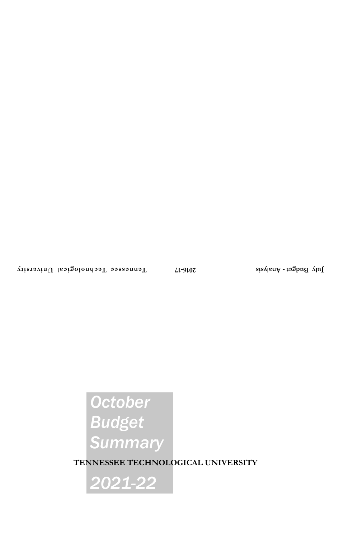# *October Budget Summary*

**TENNESSEE TECHNOLOGICAL UNIVERSITY**

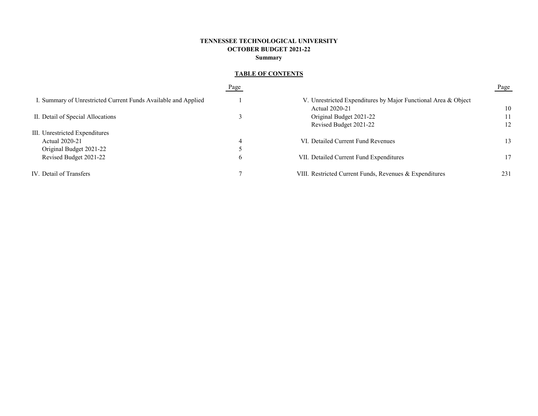## **TENNESSEE TECHNOLOGICAL UNIVERSITY OCTOBER BUDGET 2021-22 Summary**

# **TABLE OF CONTENTS**

|                                                                | Page          |                                                                | Page |
|----------------------------------------------------------------|---------------|----------------------------------------------------------------|------|
| I. Summary of Unrestricted Current Funds Available and Applied |               | V. Unrestricted Expenditures by Major Functional Area & Object |      |
|                                                                |               | Actual 2020-21                                                 | 10   |
| II. Detail of Special Allocations                              |               | Original Budget 2021-22                                        | 11   |
|                                                                |               | Revised Budget 2021-22                                         | 12   |
| III. Unrestricted Expenditures                                 |               |                                                                |      |
| Actual 2020-21                                                 |               | VI. Detailed Current Fund Revenues                             | 13   |
| Original Budget 2021-22                                        |               |                                                                |      |
| Revised Budget 2021-22                                         | $\mathfrak b$ | VII. Detailed Current Fund Expenditures                        | 17   |
| IV. Detail of Transfers                                        |               | VIII. Restricted Current Funds, Revenues & Expenditures        | 231  |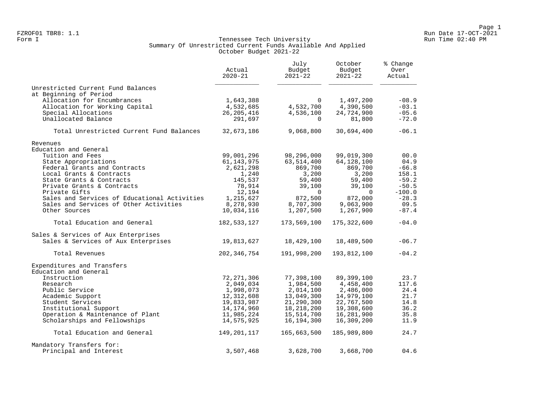#### Form I Georgian Communication of the Communication of the Tennessee Tech University Communication Run Time 02:40 PM Summary Of Unrestricted Current Funds Available And Applied October Budget 2021-22

|                                              | Actual<br>$2020 - 21$ | July<br>Budget<br>$2021 - 22$ | October<br>Budget<br>$2021 - 22$ | % Change<br>Over<br>Actual |  |
|----------------------------------------------|-----------------------|-------------------------------|----------------------------------|----------------------------|--|
| Unrestricted Current Fund Balances           |                       |                               |                                  |                            |  |
| at Beginning of Period                       |                       |                               |                                  |                            |  |
| Allocation for Encumbrances                  | 1,643,388             | $\Omega$                      | 1,497,200                        | $-08.9$                    |  |
| Allocation for Working Capital               | 4,532,685             | 4,532,700                     | 4,390,500                        | $-03.1$                    |  |
| Special Allocations                          | 26, 205, 416          | 4,536,100                     | 24,724,900                       | $-05.6$                    |  |
| Unallocated Balance                          | 291,697               | $\Omega$                      | 81,800                           | $-72.0$                    |  |
| Total Unrestricted Current Fund Balances     | 32,673,186            | 9,068,800                     | 30,694,400                       | $-06.1$                    |  |
| Revenues                                     |                       |                               |                                  |                            |  |
| Education and General                        |                       |                               |                                  |                            |  |
| Tuition and Fees                             | 99,001,296            | 98,296,000                    | 99,019,300                       | 00.0                       |  |
| State Appropriations                         | 61, 143, 975          | 63,514,400                    | 64,128,100                       | 04.9                       |  |
| Federal Grants and Contracts                 | 2,621,298             | 869,700                       | 869,700                          | $-66.8$                    |  |
| Local Grants & Contracts                     | 1,240                 | 3,200                         | 3,200                            | 158.1                      |  |
| State Grants & Contracts                     | 145,537               | 59,400                        | 59,400                           | $-59.2$                    |  |
| Private Grants & Contracts                   | 78,914                | 39,100                        | 39,100                           | $-50.5$                    |  |
| Private Gifts                                | 12,194                | $\Omega$                      | $\Omega$                         | $-100.0$                   |  |
| Sales and Services of Educational Activities | 1,215,627             | 872,500                       | 872,000                          | $-28.3$                    |  |
| Sales and Services of Other Activities       | 8,278,930             | 8,707,300                     | 9,063,900                        | 09.5                       |  |
| Other Sources                                | 10,034,116            | 1,207,500                     | 1,267,900                        | $-87.4$                    |  |
| Total Education and General                  | 182,533,127           | 173,569,100                   | 175,322,600                      | $-04.0$                    |  |
| Sales & Services of Aux Enterprises          |                       |                               |                                  |                            |  |
| Sales & Services of Aux Enterprises          | 19,813,627            | 18,429,100                    | 18,489,500                       | $-06.7$                    |  |
| Total Revenues                               | 202,346,754           | 191,998,200                   | 193,812,100                      | $-04.2$                    |  |
| Expenditures and Transfers                   |                       |                               |                                  |                            |  |
| Education and General                        |                       |                               |                                  |                            |  |
| Instruction                                  | 72, 271, 306          | 77,398,100                    | 89,399,100                       | 23.7                       |  |
| Research                                     | 2,049,034             | 1,984,500                     | 4,458,400                        | 117.6                      |  |
| Public Service                               | 1,998,073             | 2,014,100                     | 2,486,000                        | 24.4                       |  |
| Academic Support                             | 12,312,608            | 13,049,300                    | 14,979,100                       | 21.7                       |  |
| Student Services                             | 19,833,987            | 21,290,300                    | 22,767,500                       | 14.8                       |  |
| Institutional Support                        | 14,174,960            | 18,218,200                    | 19,308,600                       | 36.2                       |  |
| Operation & Maintenance of Plant             | 11,985,224            | 15,514,700                    | 16,281,900                       | 35.8                       |  |
| Scholarships and Fellowships                 | 14,575,925            | 16,194,300                    | 16,309,200                       | 11.9                       |  |
| Total Education and General                  | 149,201,117           | 165,663,500                   | 185,989,800                      | 24.7                       |  |
| Mandatory Transfers for:                     |                       |                               |                                  |                            |  |
| Principal and Interest                       | 3,507,468             | 3,628,700                     | 3,668,700                        | 04.6                       |  |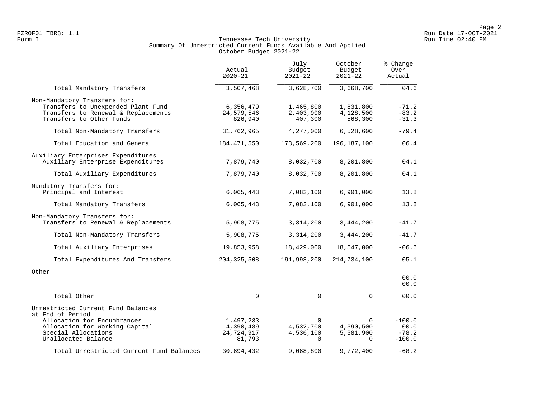#### Form I Georgian Communication of the Communication of the Tennessee Tech University Communication Run Time 02:40 PM Summary Of Unrestricted Current Funds Available And Applied October Budget 2021-22

|                                                                                                                                                                       | Actual<br>$2020 - 21$                          | July<br>Budget<br>$2021 - 22$                  | October<br>Budget<br>$2021 - 22$               | % Change<br>Over<br>Actual              |
|-----------------------------------------------------------------------------------------------------------------------------------------------------------------------|------------------------------------------------|------------------------------------------------|------------------------------------------------|-----------------------------------------|
| Total Mandatory Transfers                                                                                                                                             | 3,507,468                                      | 3,628,700                                      | 3,668,700                                      | 04.6                                    |
| Non-Mandatory Transfers for:<br>Transfers to Unexpended Plant Fund<br>Transfers to Renewal & Replacements<br>Transfers to Other Funds                                 | 6,356,479<br>24,579,546<br>826,940             | 1,465,800<br>2,403,900<br>407,300              | 1,831,800<br>4,128,500<br>568,300              | $-71.2$<br>$-83.2$<br>$-31.3$           |
| Total Non-Mandatory Transfers                                                                                                                                         | 31,762,965                                     | 4,277,000                                      | 6,528,600                                      | $-79.4$                                 |
| Total Education and General                                                                                                                                           | 184, 471, 550                                  | 173,569,200                                    | 196, 187, 100                                  | 06.4                                    |
| Auxiliary Enterprises Expenditures<br>Auxiliary Enterprise Expenditures                                                                                               | 7,879,740                                      | 8,032,700                                      | 8,201,800                                      | 04.1                                    |
| Total Auxiliary Expenditures                                                                                                                                          | 7,879,740                                      | 8,032,700                                      | 8,201,800                                      | 04.1                                    |
| Mandatory Transfers for:<br>Principal and Interest                                                                                                                    | 6,065,443                                      | 7,082,100                                      | 6,901,000                                      | 13.8                                    |
| Total Mandatory Transfers                                                                                                                                             | 6,065,443                                      | 7,082,100                                      | 6,901,000                                      | 13.8                                    |
| Non-Mandatory Transfers for:<br>Transfers to Renewal & Replacements                                                                                                   | 5,908,775                                      | 3,314,200                                      | 3,444,200                                      | $-41.7$                                 |
| Total Non-Mandatory Transfers                                                                                                                                         | 5,908,775                                      | 3,314,200                                      | 3,444,200                                      | $-41.7$                                 |
| Total Auxiliary Enterprises                                                                                                                                           | 19,853,958                                     | 18,429,000                                     | 18,547,000                                     | $-06.6$                                 |
| Total Expenditures And Transfers                                                                                                                                      | 204, 325, 508                                  | 191,998,200                                    | 214,734,100                                    | 05.1                                    |
| Other                                                                                                                                                                 |                                                |                                                |                                                | 00.0<br>00.0                            |
| Total Other                                                                                                                                                           | 0                                              | $\mathbf 0$                                    | $\mathbf 0$                                    | 00.0                                    |
| Unrestricted Current Fund Balances<br>at End of Period<br>Allocation for Encumbrances<br>Allocation for Working Capital<br>Special Allocations<br>Unallocated Balance | 1,497,233<br>4,390,489<br>24,724,917<br>81,793 | $\Omega$<br>4,532,700<br>4,536,100<br>$\Omega$ | $\Omega$<br>4,390,500<br>5,381,900<br>$\Omega$ | $-100.0$<br>00.0<br>$-78.2$<br>$-100.0$ |
| Total Unrestricted Current Fund Balances                                                                                                                              | 30,694,432                                     | 9,068,800                                      | 9,772,400                                      | $-68.2$                                 |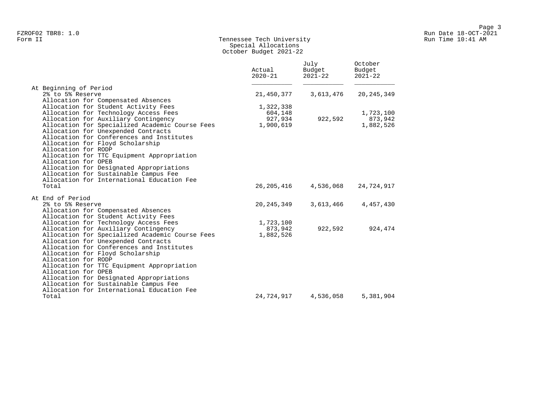## Form II Tennessee Tech University Run Time 10:41 AM Special Allocations October Budget 2021-22

|                                                                                                                                                                                                                                                                                                                                                              | Actual<br>$2020 - 21$ | July<br>Budget<br>$2021 - 22$ | October<br>Budget<br>$2021 - 22$ |
|--------------------------------------------------------------------------------------------------------------------------------------------------------------------------------------------------------------------------------------------------------------------------------------------------------------------------------------------------------------|-----------------------|-------------------------------|----------------------------------|
| At Beginning of Period<br>2% to 5% Reserve                                                                                                                                                                                                                                                                                                                   | 21,450,377            | 3,613,476                     | 20, 245, 349                     |
| Allocation for Compensated Absences                                                                                                                                                                                                                                                                                                                          |                       |                               |                                  |
| Allocation for Student Activity Fees                                                                                                                                                                                                                                                                                                                         | 1,322,338             |                               |                                  |
| Allocation for Technology Access Fees                                                                                                                                                                                                                                                                                                                        | 604,148               |                               | 1,723,100                        |
| Allocation for Auxiliary Contingency<br>Allocation for Specialized Academic Course Fees                                                                                                                                                                                                                                                                      | 927,934<br>1,900,619  | 922,592                       | 873,942<br>1,882,526             |
| Allocation for Unexpended Contracts<br>Allocation for Conferences and Institutes<br>Allocation for Floyd Scholarship<br>Allocation for RODP<br>Allocation for TTC Equipment Appropriation<br>Allocation for OPEB<br>Allocation for Designated Appropriations<br>Allocation for Sustainable Campus Fee<br>Allocation for International Education Fee<br>Total | 26,205,416            | 4,536,068                     | 24,724,917                       |
| At End of Period                                                                                                                                                                                                                                                                                                                                             |                       |                               |                                  |
| 2% to 5% Reserve                                                                                                                                                                                                                                                                                                                                             | 20,245,349            | 3,613,466                     | 4,457,430                        |
| Allocation for Compensated Absences                                                                                                                                                                                                                                                                                                                          |                       |                               |                                  |
| Allocation for Student Activity Fees                                                                                                                                                                                                                                                                                                                         |                       |                               |                                  |
| Allocation for Technology Access Fees                                                                                                                                                                                                                                                                                                                        | 1,723,100             |                               |                                  |
| Allocation for Auxiliary Contingency<br>Allocation for Specialized Academic Course Fees                                                                                                                                                                                                                                                                      | 873,942<br>1,882,526  | 922,592                       | 924,474                          |
| Allocation for Unexpended Contracts                                                                                                                                                                                                                                                                                                                          |                       |                               |                                  |
| Allocation for Conferences and Institutes                                                                                                                                                                                                                                                                                                                    |                       |                               |                                  |
| Allocation for Floyd Scholarship                                                                                                                                                                                                                                                                                                                             |                       |                               |                                  |
| Allocation for RODP                                                                                                                                                                                                                                                                                                                                          |                       |                               |                                  |
| Allocation for TTC Equipment Appropriation                                                                                                                                                                                                                                                                                                                   |                       |                               |                                  |
| Allocation for OPEB                                                                                                                                                                                                                                                                                                                                          |                       |                               |                                  |
| Allocation for Designated Appropriations<br>Allocation for Sustainable Campus Fee                                                                                                                                                                                                                                                                            |                       |                               |                                  |
| Allocation for International Education Fee                                                                                                                                                                                                                                                                                                                   |                       |                               |                                  |
| Total                                                                                                                                                                                                                                                                                                                                                        | 24,724,917            | 4,536,058                     | 5,381,904                        |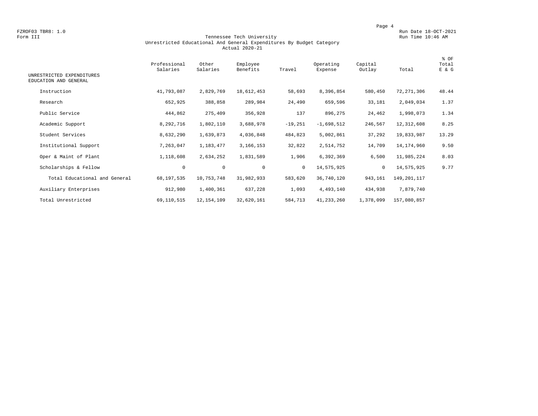FZROF03 TBR8: 1.0<br>Form III Run Date 18-OCT-2021 Run Date 18-OCT-2021<br>Run Time 10:46 AM Run Time 10:46 AM

#### Form III Tennessee Tech University Run Time 10:46 AM Unrestricted Educational And General Expenditures By Budget Category Actual 2020-21

| UNRESTRICTED EXPENDITURES<br>EDUCATION AND GENERAL | Professional<br>Salaries | Other<br>Salaries | Employee<br>Benefits | Travel    | Operating<br>Expense | Capital<br>Outlay | Total       | % OF<br>Total<br>E & G |
|----------------------------------------------------|--------------------------|-------------------|----------------------|-----------|----------------------|-------------------|-------------|------------------------|
| Instruction                                        | 41,793,087               | 2,829,769         | 18,612,453           | 58,693    | 8,396,854            | 580,450           | 72,271,306  | 48.44                  |
| Research                                           | 652,925                  | 388,858           | 289,984              | 24,490    | 659,596              | 33,181            | 2,049,034   | 1.37                   |
| Public Service                                     | 444,862                  | 275,409           | 356,928              | 137       | 896,275              | 24,462            | 1,998,073   | 1.34                   |
| Academic Support                                   | 8,292,716                | 1,802,110         | 3,688,978            | $-19,251$ | $-1,698,512$         | 246,567           | 12,312,608  | 8.25                   |
| Student Services                                   | 8,632,290                | 1,639,873         | 4,036,848            | 484,823   | 5,002,861            | 37,292            | 19,833,987  | 13.29                  |
| Institutional Support                              | 7,263,047                | 1,183,477         | 3,166,153            | 32,822    | 2,514,752            | 14,709            | 14,174,960  | 9.50                   |
| Oper & Maint of Plant                              | 1,118,608                | 2,634,252         | 1,831,589            | 1,906     | 6,392,369            | 6,500             | 11,985,224  | 8.03                   |
| Scholarships & Fellow                              | $\mathbf 0$              | $\mathbf 0$       | $\mathbf 0$          | $\circ$   | 14,575,925           | $\circ$           | 14,575,925  | 9.77                   |
| Total Educational and General                      | 68, 197, 535             | 10,753,748        | 31,982,933           | 583,620   | 36,740,120           | 943,161           | 149,201,117 |                        |
| Auxiliary Enterprises                              | 912,980                  | 1,400,361         | 637,228              | 1,093     | 4,493,140            | 434,938           | 7,879,740   |                        |
| Total Unrestricted                                 | 69,110,515               | 12, 154, 109      | 32,620,161           | 584,713   | 41, 233, 260         | 1,378,099         | 157,080,857 |                        |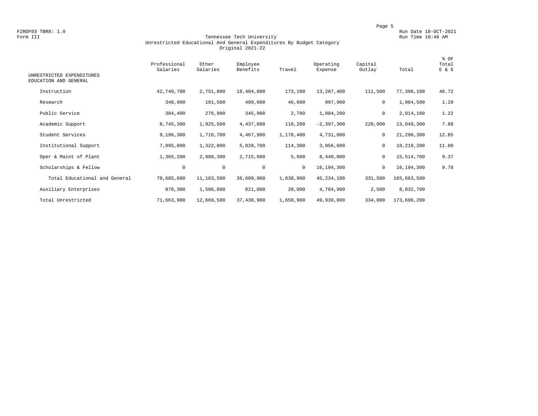FZROF03 TBR8: 1.0<br>Form III Run Date 18-OCT-2021 Run Date 18-OCT-2021<br>Run Time 10:46 AM

#### Form III Tennessee Tech University Run Time 10:46 AM Unrestricted Educational And General Expenditures By Budget Category Original 2021-22

| UNRESTRICTED EXPENDITURES     | Professional<br>Salaries | Other<br>Salaries | Employee<br>Benefits | Travel       | Operating<br>Expense | Capital<br>Outlay | Total       | % OF<br>Total<br>E & G |
|-------------------------------|--------------------------|-------------------|----------------------|--------------|----------------------|-------------------|-------------|------------------------|
| EDUCATION AND GENERAL         |                          |                   |                      |              |                      |                   |             |                        |
| Instruction                   | 42,749,700               | 2,751,800         | 18,404,600           | 173,100      | 13,207,400           | 111,500           | 77,398,100  | 46.72                  |
| Research                      | 348,900                  | 181,500           | 409,600              | 46,600       | 997,900              | 0                 | 1,984,500   | 1.20                   |
| Public Service                | 384,400                  | 276,900           | 345,900              | 2,700        | 1,004,200            | $\mathsf{O}$      | 2,014,100   | 1.22                   |
| Academic Support              | 8,745,300                | 1,925,500         | 4,437,600            | 118,200      | $-2, 397, 300$       | 220,000           | 13,049,300  | 7.88                   |
| Student Services              | 9,196,300                | 1,716,700         | 4,467,900            | 1,178,400    | 4,731,000            | $\mathbf 0$       | 21,290,300  | 12.85                  |
| Institutional Support         | 7,895,800                | 1,322,800         | 5,828,700            | 114,300      | 3,056,600            | $\mathsf{O}$      | 18,218,200  | 11.00                  |
| Oper & Maint of Plant         | 1,365,200                | 2,988,300         | 2,715,600            | 5,600        | 8,440,000            | 0                 | 15,514,700  | 9.37                   |
| Scholarships & Fellow         | $\mathbf 0$              | $\circ$           | $\mathbf 0$          | $\mathbf{0}$ | 16,194,300           | $\mathbf 0$       | 16,194,300  | 9.78                   |
| Total Educational and General | 70,685,600               | 11,163,500        | 36,609,900           | 1,638,900    | 45, 234, 100         | 331,500           | 165,663,500 |                        |
| Auxiliary Enterprises         | 978,300                  | 1,506,000         | 821,000              | 20,000       | 4,704,900            | 2,500             | 8,032,700   |                        |
| Total Unrestricted            | 71,663,900               | 12,669,500        | 37,430,900           | 1,658,900    | 49,939,000           | 334,000           | 173,696,200 |                        |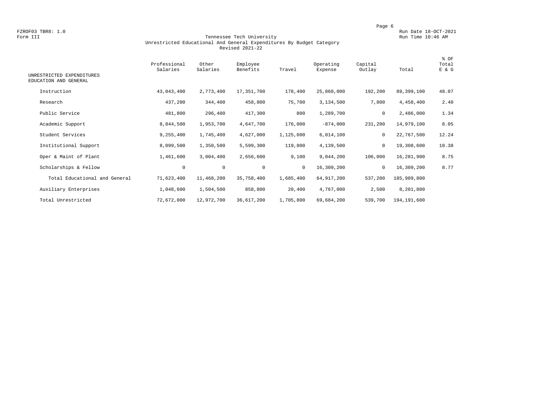FZROF03 TBR8: 1.0<br>Form III Run Date 18-OCT-2021 Run Date 18-OCT-2021<br>Run Time 10:46 AM

#### Form III Tennessee Tech University Run Time 10:46 AM Unrestricted Educational And General Expenditures By Budget Category Revised 2021-22

| UNRESTRICTED EXPENDITURES<br>EDUCATION AND GENERAL | Professional<br>Salaries | Other<br>Salaries | Employee<br>Benefits | Travel       | Operating<br>Expense | Capital<br>Outlay | Total       | % OF<br>Total<br>E & G |
|----------------------------------------------------|--------------------------|-------------------|----------------------|--------------|----------------------|-------------------|-------------|------------------------|
| Instruction                                        | 43,043,400               | 2,773,400         | 17,351,700           | 178,400      | 25,860,000           | 192,200           | 89,399,100  | 48.07                  |
| Research                                           | 437,200                  | 344,400           | 458,800              | 75,700       | 3,134,500            | 7,800             | 4,458,400   | 2.40                   |
| Public Service                                     | 481,800                  | 296,400           | 417,300              | 800          | 1,289,700            | 0                 | 2,486,000   | 1.34                   |
| Academic Support                                   | 8,844,500                | 1,953,700         | 4,647,700            | 176,000      | $-874,000$           | 231,200           | 14,979,100  | 8.05                   |
| Student Services                                   | 9,255,400                | 1,745,400         | 4,627,000            | 1,125,600    | 6,014,100            | $\mathbf 0$       | 22,767,500  | 12.24                  |
| Institutional Support                              | 8,099,500                | 1,350,500         | 5,599,300            | 119,800      | 4,139,500            | $\mathbf 0$       | 19,308,600  | 10.38                  |
| Oper & Maint of Plant                              | 1,461,600                | 3,004,400         | 2,656,600            | 9,100        | 9,044,200            | 106,000           | 16,281,900  | 8.75                   |
| Scholarships & Fellow                              | $\mathbf 0$              | $\circ$           | $\mathbf 0$          | $\mathbf{0}$ | 16,309,200           | 0                 | 16,309,200  | 8.77                   |
| Total Educational and General                      | 71,623,400               | 11,468,200        | 35,758,400           | 1,685,400    | 64, 917, 200         | 537,200           | 185,989,800 |                        |
| Auxiliary Enterprises                              | 1,048,600                | 1,504,500         | 858,800              | 20,400       | 4,767,000            | 2,500             | 8,201,800   |                        |
| Total Unrestricted                                 | 72,672,000               | 12,972,700        | 36,617,200           | 1,705,800    | 69,684,200           | 539,700           | 194,191,600 |                        |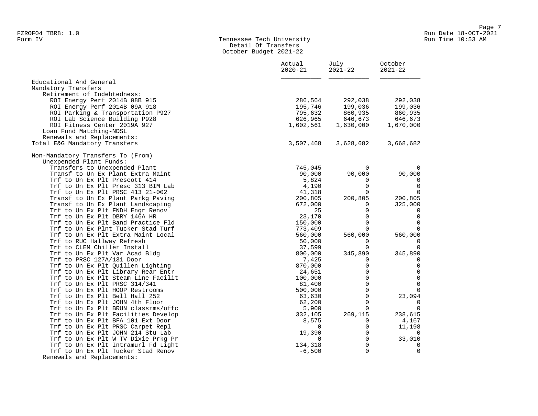#### Form IV Tennessee Tech University Run Time 10:53 AM Detail Of Transfers October Budget 2021-22

|                                                                            | Actual<br>$2020 - 21$ | July<br>$2021 - 22$             | October<br>$2021 - 22$        |  |
|----------------------------------------------------------------------------|-----------------------|---------------------------------|-------------------------------|--|
| Educational And General                                                    |                       |                                 |                               |  |
| Mandatory Transfers                                                        |                       |                                 |                               |  |
| Retirement of Indebtedness:                                                |                       |                                 |                               |  |
| ROI Energy Perf 2014B 08B 915                                              | 286,564               | 292,038                         | 292,038                       |  |
| ROI Energy Perf 2014B 09A 918                                              | 195,746               | 199,036                         | 199,036                       |  |
| ROI Parking & Transportation P927                                          | 795,632               | 860,935                         | 860,935                       |  |
| ROI Lab Science Building P928                                              | 626,965               |                                 | 646,673                       |  |
| ROI Fitness Center 2019A 927                                               | 1,602,561             | 860,935<br>646,673<br>1,630,000 | 1,670,000                     |  |
| Loan Fund Matching-NDSL                                                    |                       |                                 |                               |  |
| Renewals and Replacements:                                                 |                       |                                 |                               |  |
| Total E&G Mandatory Transfers                                              | 3,507,468             | 3,628,682                       | 3,668,682                     |  |
| Non-Mandatory Transfers To (From)                                          |                       |                                 |                               |  |
| Unexpended Plant Funds:                                                    |                       |                                 |                               |  |
| Transfers to Unexpended Plant                                              | 745,045               | $\mathbf{0}$                    | $\mathbf 0$                   |  |
| Transf to Un Ex Plant Extra Maint                                          | 90,000                | 90,000                          | 90,000                        |  |
| Trf to Un Ex Plt Prescott 414                                              | 5,824                 | 0                               | $\mathbf 0$                   |  |
| Trf to Un Ex Plt Presc 313 BIM Lab                                         | 4,190                 | $\Omega$                        | $\mathbf 0$                   |  |
| Trf to Un Ex Plt PRSC 413 21-002                                           | 41,318                | $\Omega$                        | $\mathbf 0$                   |  |
| Transf to Un Ex Plant Parkg Paving                                         | 200,805               | 200,805                         | 200,805                       |  |
| Transf to Un Ex Plant Landscaping                                          | 672,000               | 0                               | 325,000                       |  |
| Trf to Un Ex Plt FNDH Engr Renov                                           | 25                    | $\Omega$                        | 0                             |  |
| Trf to Un Ex Plt DBRY 146A HR                                              | 23,170                | $\mathbf 0$                     | $\overline{0}$                |  |
| Trf to Un Ex Plt Band Practice Fld                                         | 150,000               | $\mathbf 0$                     | $\overline{0}$                |  |
| Trf to Un Ex Plnt Tucker Stad Turf                                         | 773,409               | $\Omega$                        | $\Omega$                      |  |
| Trf to Un Ex Plt Extra Maint Local                                         | 560,000               | 560,000                         | 560,000                       |  |
| Trf to RUC Hallway Refresh                                                 | 50,000                | 0                               | 0                             |  |
| Trf to CLEM Chiller Install                                                | 37,599                | $\Omega$                        | $\mathbf 0$                   |  |
| Trf to Un Ex Plt Var Acad Bldg                                             | 800,000               | 345,890                         | 345,890                       |  |
| Trf to PRSC 127A/131 Door                                                  | 7,425                 | 0                               | 0                             |  |
| Trf to Un Ex Plt Quillen Lighting                                          | 870,000               | $\Omega$                        | $\overline{0}$                |  |
| Trf to Un Ex Plt Library Rear Entr                                         | 24,651                | $\mathbf 0$<br>$\Omega$         | $\mathbf 0$                   |  |
| Trf to Un Ex Plt Steam Line Facilit                                        | 100,000               |                                 | $\mathbf 0$<br>$\overline{0}$ |  |
| Trf to Un Ex Plt PRSC 314/341                                              | 81,400                | $\Omega$<br>$\Omega$            |                               |  |
| Trf to Un Ex Plt HOOP Restrooms                                            | 500,000               |                                 | $\Omega$                      |  |
| Trf to Un Ex Plt Bell Hall 252                                             | 63,630                | $\mathbf 0$                     | 23,094                        |  |
| Trf to Un Ex Plt JOHN 4th Floor                                            | 62,200                | $\mathbf 0$<br>$\Omega$         | 0<br>$\overline{0}$           |  |
| Trf to Un Ex Plt BRUN classrms/offc                                        | 5,900                 |                                 |                               |  |
| Trf to Un Ex Plt Facilities Develop                                        | 332,105               | 269,115                         | 238,615                       |  |
| Trf to Un Ex Plt BFA 101 Ext Door<br>Trf to Un Ex Plt PRSC Carpet Repl     | 8,575<br>$\Omega$     | 0<br>$\Omega$                   | 4,167<br>11,198               |  |
|                                                                            | 19,390                | $\mathbf 0$                     | $\mathbf 0$                   |  |
| Trf to Un Ex Plt JOHN 214 Stu Lab                                          | 0                     | $\Omega$                        |                               |  |
| Trf to Un Ex Plt W TV Dixie Prkg Pr<br>Trf to Un Ex Plt Intramurl Fd Light | 134,318               | $\mathbf 0$                     | 33,010<br>$\mathbf 0$         |  |
| Trf to Un Ex Plt Tucker Stad Renov                                         | $-6,500$              | $\Omega$                        | $\mathbf 0$                   |  |
| Renewals and Replacements:                                                 |                       |                                 |                               |  |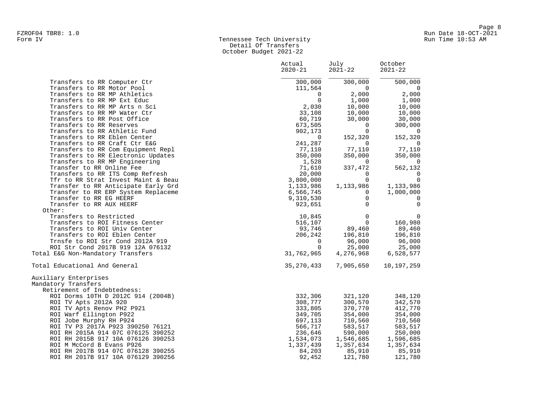## Form IV Tennessee Tech University Run Time 10:53 AM Detail Of Transfers October Budget 2021-22

|                                     | Actual<br>$2020 - 21$ | July<br>2021-22 | October<br>$2021 - 22$   |  |
|-------------------------------------|-----------------------|-----------------|--------------------------|--|
| Transfers to RR Computer Ctr        | 300,000               | 300,000         | 500,000                  |  |
| Transfers to RR Motor Pool          | 111,564               | $\overline{0}$  | $\overline{0}$           |  |
| Transfers to RR MP Athletics        | $\overline{0}$        | 2,000           | 2,000                    |  |
| Transfers to RR MP Ext Educ         | $\overline{0}$        | 1,000           | 1,000                    |  |
| Transfers to RR MP Arts n Sci       | 2,030                 | 10,000          | 10,000                   |  |
| Transfers to RR MP Water Ctr        | 33,108                | 10,000          | 10,000                   |  |
| Transfers to RR Post Office         | 60,719                | 30,000          | 30,000                   |  |
| Transfers to RR Reserves            | 673,505               | $\mathbf{0}$    | 300,000                  |  |
| Transfers to RR Athletic Fund       | 902,173               | $\Omega$        | $\Omega$                 |  |
| Transfers to RR Eblen Center        | $\overline{0}$        | 152,320         | 152,320                  |  |
| Transfers to RR Craft Ctr E&G       | 241,287               | $\Omega$        | $\mathbf 0$              |  |
| Transfers to RR Com Equipment Repl  | 77,110                | 77,110          | 77,110                   |  |
| Transfers to RR Electronic Updates  | 350,000               | 350,000         | 350,000                  |  |
| Transfers to RR MP Engineering      | 1,528                 | $\mathbf{0}$    | $\overline{\phantom{0}}$ |  |
| Transfer to RR Online Fee           | 71,610                | 337,472         | 562,132                  |  |
| Transfers to RR ITS Comp Refresh    | 20,000                | $\mathbf{0}$    | $\mathbf 0$              |  |
| Tfr to RR Strat Invest Maint & Beau | 3,800,000             | $\Omega$        | $\mathbf 0$              |  |
| Transfer to RR Anticipate Early Grd | 1,133,986             | 1,133,986       | 1,133,986                |  |
| Transfer to RR ERP System Replaceme | 6,566,745             | $\Omega$        | 1,000,000                |  |
| Transfer to RR EG HEERF             | 9,310,530             | 0               | 0                        |  |
| Transfer to RR AUX HEERF            | 923,651               | $\Omega$        | $\mathbf 0$              |  |
| Other:                              |                       |                 |                          |  |
| Transfers to Restricted             | 10,845                | $\Omega$        | $\mathbf 0$              |  |
| Transfers to ROI Fitness Center     | 516,107               | $\Omega$        | 160,980                  |  |
| Transfers to ROI Univ Center        | 93,746                | 89,460          | 89,460                   |  |
| Transfers to ROI Eblen Center       | 206,242               | 196,810         | 196,810                  |  |
| Trnsfe to ROI Str Cond 2012A 919    | $\Omega$              | 96,000          | 96,000                   |  |
| ROI Str Cond 2017B 919 12A 076132   | $\Omega$              | 25,000          | 25,000                   |  |
| Total E&G Non-Mandatory Transfers   | 31,762,965            | 4,276,968       | 6,528,577                |  |
| Total Educational And General       | 35,270,433            | 7,905,650       | 10,197,259               |  |
| Auxiliary Enterprises               |                       |                 |                          |  |
| Mandatory Transfers                 |                       |                 |                          |  |
| Retirement of Indebtedness:         |                       |                 |                          |  |
| ROI Dorms 10TH D 2012C 914 (2004B)  | 332,306               | 321,120         | 348,120                  |  |
| ROI TV Apts 2012A 920               | 308,777               | 300,570         | 342,570                  |  |
| ROI TV Apts Renov PH2 P921          | 333,805               | 370,770         | 412,770                  |  |
| ROI Warf Ellington P922             | 349,705               | 354,000         | 354,000                  |  |
| ROI Jobe Murphy RH P924             | 697,113               | 710,560         | 710,560                  |  |
| ROI TV P3 2017A P923 390250 76121   | 566,717               | 583,517         | 583,517                  |  |
| ROI RH 2015A 914 07C 076125 390252  | 236,646               | 590,000         | 250,000                  |  |
| ROI RH 2015B 917 10A 076126 390253  | 1,534,073             | 1,546,685       | 1,596,685                |  |
| ROI M McCord B Evans P926           | 1,337,439             | 1,357,634       | 1,357,634                |  |
| ROI RH 2017B 914 07C 076128 390255  | 84,203                | 85,910          | 85,910                   |  |
| ROI RH 2017B 917 10A 076129 390256  | 92,452                | 121,780         | 121,780                  |  |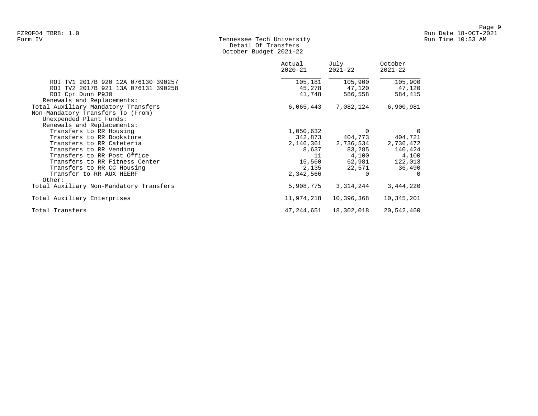## Form IV Tennessee Tech University Run Time 10:53 AM Detail Of Transfers October Budget 2021-22

|                                         | Actual<br>2020-21 | July<br>$2021 - 22$ | October<br>$2021 - 22$ |
|-----------------------------------------|-------------------|---------------------|------------------------|
| ROI TV1 2017B 920 12A 076130 390257     | 105,181           | 105,900             | 105,900                |
| ROI TV2 2017B 921 13A 076131 390258     | 45,278            | 47,120              | 47,120                 |
| ROI Cpr Dunn P930                       | 41,748            | 586,558             | 584,415                |
| Renewals and Replacements:              |                   |                     |                        |
| Total Auxiliary Mandatory Transfers     | 6,065,443         | 7,082,124           | 6,900,981              |
| Non-Mandatory Transfers To (From)       |                   |                     |                        |
| Unexpended Plant Funds:                 |                   |                     |                        |
| Renewals and Replacements:              |                   |                     |                        |
| Transfers to RR Housing                 | 1,050,632         | $\Omega$            | 0                      |
| Transfers to RR Bookstore               | 342,873           | 404,773             | 404,721                |
| Transfers to RR Cafeteria               | 2,146,361         | 2,736,534           | 2,736,472              |
| Transfers to RR Vending                 | 8,637             | 83,285              | 140,424                |
| Transfers to RR Post Office             | 11                | 4,100               | 4,100                  |
| Transfers to RR Fitness Center          | 15,560            | 62,981              | 122,013                |
| Transfers to RR CC Housing              | 2,135             | 22,571              | 36,490                 |
| Transfer to RR AUX HEERF                | 2,342,566         | $\Omega$            | $\Omega$               |
| Other:                                  |                   |                     |                        |
| Total Auxiliary Non-Mandatory Transfers | 5,908,775         | 3,314,244           | 3,444,220              |
| Total Auxiliary Enterprises             | 11,974,218        | 10,396,368          | 10,345,201             |
| Total Transfers                         | 47,244,651        | 18,302,018          | 20,542,460             |
|                                         |                   |                     |                        |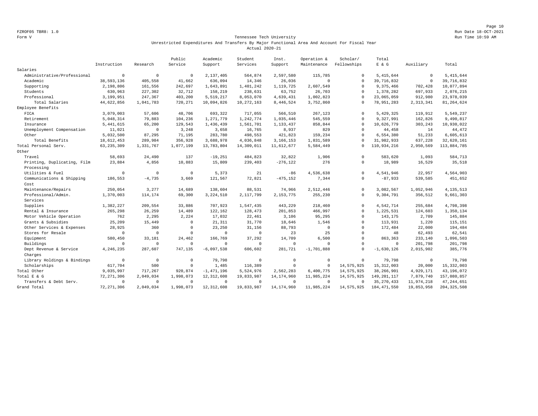Page 10 FZROF05 TBR8: 1.0 Run Date 18-OCT-2021

#### Form V Tennessee Tech University Run Time 10:59 AM Unrestricted Expenditures And Transfers By Major Functional Area And Account For Fiscal Year Actual 2020-21

|                             |              |              | Public    | Academic     | Student     | Inst.        | Operation &    | Scholar/    | Total         |             |               |
|-----------------------------|--------------|--------------|-----------|--------------|-------------|--------------|----------------|-------------|---------------|-------------|---------------|
|                             | Instruction  | Research     | Service   | Support      | Services    | Support      | Maintenance    | Fellowships | E & G         | Auxiliary   | Total         |
| Salaries                    |              |              |           |              |             |              |                |             |               |             |               |
| Administrative/Professional | $\mathbb O$  | $\mathbb O$  | $\Omega$  | 2,137,405    | 564,874     | 2,597,580    | 115,785        | $\mathbf 0$ | 5, 415, 644   | $\mathbf 0$ | 5, 415, 644   |
| Academic                    | 38,593,136   | 405,558      | 41,662    | 636,094      | 14,346      | 26,036       | $\overline{0}$ | $\Omega$    | 39, 716, 832  | $\mathbf 0$ | 39,716,832    |
| Supporting                  | 2,198,806    | 161,556      | 242,697   | 1,643,891    | 1,401,242   | 1,119,725    | 2,607,549      | $\Omega$    | 9,375,466     | 702,428     | 10,077,894    |
| Students                    | 630,963      | 227,302      | 32,712    | 158,219      | 238,631     | 63,752       | 26,703         | $\Omega$    | 1,378,282     | 697,933     | 2,076,215     |
| Professional                | 3,199,951    | 247,367      | 403,200   | 5,519,217    | 8,053,070   | 4,639,431    | 1,002,823      | $\Omega$    | 23,065,059    | 912,980     | 23,978,039    |
| Total Salaries              | 44,622,856   | 1,041,783    | 720,271   | 10,094,826   | 10,272,163  | 8,446,524    | 3,752,860      | $\Omega$    | 78, 951, 283  | 2, 313, 341 | 81, 264, 624  |
| Employee Benefits           |              |              |           |              |             |              |                |             |               |             |               |
| FICA                        | 3,079,003    | 57,606       | 48,706    | 693,322      | 717,055     | 566,510      | 267,123        | $\Omega$    | 5,429,325     | 119,912     | 5,549,237     |
| Retirement                  | 5,048,314    | 79,883       | 104,236   | 1,271,779    | 1,242,774   | 1,035,446    | 545,559        | $\Omega$    | 9,327,991     | 162,826     | 9,490,817     |
| Insurance                   | 5, 441, 615  | 65,200       | 129,543   | 1,436,439    | 1,561,701   | 1,133,437    | 858,844        | $\Omega$    | 10,626,779    | 303,243     | 10,930,022    |
| Unemployment Compensation   | 11,021       | $\mathbf 0$  | 3,248     | 3,658        | 16,765      | 8,937        | 829            | $\Omega$    | 44,458        | 14          | 44,472        |
| Other                       | 5,032,500    | 87,295       | 71,195    | 283,780      | 498,553     | 421,823      | 159,234        | $\Omega$    | 6,554,380     | 51,233      | 6,605,613     |
| Total Benefits              | 18,612,453   | 289,984      | 356,928   | 3,688,978    | 4,036,848   | 3, 166, 153  | 1,831,589      | $\Omega$    | 31,982,933    | 637,228     | 32,620,161    |
| Total Personal Serv.        | 63, 235, 309 | 1,331,767    | 1,077,199 | 13,783,804   | 14,309,011  | 11,612,677   | 5,584,449      | $\Omega$    | 110,934,216   | 2,950,569   | 113,884,785   |
| Other                       |              |              |           |              |             |              |                |             |               |             |               |
| Travel                      | 58,693       | 24,490       | 137       | $-19,251$    | 484,823     | 32,822       | 1,906          | $\Omega$    | 583,620       | 1,093       | 584,713       |
| Printing, Duplicating, Film | 23,884       | 4,856        | 10,883    | 15,809       | 239,403     | $-276, 122$  | 276            | $\mathbf 0$ | 18,989        | 16,529      | 35,518        |
| Processing                  |              |              |           |              |             |              |                |             |               |             |               |
| Utilities & Fuel            | $\Omega$     | $\Omega$     | $\Omega$  | 5,373        | 21          | $-86$        | 4,536,638      | $\Omega$    | 4,541,946     | 22,957      | 4,564,903     |
| Communications & Shipping   | 186,553      | $-4,735$     | 3,669     | 121,567      | 72,821      | $-475, 152$  | 7,344          | $\Omega$    | $-87,933$     | 539,585     | 451,652       |
| Cost                        |              |              |           |              |             |              |                |             |               |             |               |
| Maintenance/Repairs         | 250,054      | 3,277        | 14,689    | 138,604      | 88,531      | 74,966       | 2,512,446      | $\mathbf 0$ | 3,082,567     | 1,052,946   | 4, 135, 513   |
| Professional/Admin.         | 1,370,003    | 114,174      | 69,300    | 3,224,510    | 2,117,799   | 2, 153, 775  | 255,230        | $\Omega$    | 9,304,791     | 356,512     | 9,661,303     |
| Services                    |              |              |           |              |             |              |                |             |               |             |               |
| Supplies                    | 1,382,227    | 209,554      | 33,886    | 707,923      | 1,547,435   | 443,229      | 218,460        | $\mathbf 0$ | 4,542,714     | 255,684     | 4,798,398     |
| Rental & Insurance          | 265,298      | 26,259       | 14,489    | 122,162      | 128,473     | 201,853      | 466,997        | $\Omega$    | 1,225,531     | 124,603     | 1,350,134     |
| Motor Vehicle Operation     | 762          | 2,295        | 2,224     | 17,032       | 22,461      | 3,106        | 95,295         | $\Omega$    | 143,175       | 2,709       | 145,884       |
| Grants & Subsidies          | 25,209       | 15,449       | $\Omega$  | 21, 311      | 31,770      | 18,646       | 1,546          | $\Omega$    | 113,931       | 1,220       | 115,151       |
| Other Services & Expenses   | 28,925       | 360          | $\Omega$  | 23,250       | 31,156      | 88,793       | $\mathbf 0$    | $\Omega$    | 172,484       | 22,000      | 194,484       |
| Stores for Resale           | $\mathbf 0$  | $\circ$      | $\Omega$  | $\mathbf 0$  | $\mathbf 0$ | 23           | 25             | $\Omega$    | 48            | 62,493      | 62,541        |
| Equipment                   | 580,450      | 33,181       | 24,462    | 166,769      | 37,292      | 14,709       | 6,500          | $\Omega$    | 863,363       | 233,140     | 1,096,503     |
| Buildings                   | $^{\circ}$   | $\mathbf{0}$ | $\Omega$  | $\mathbf 0$  | $\mathbf 0$ | $^{\circ}$   | $\Omega$       | $\Omega$    | $^{\circ}$    | 201,798     | 201,798       |
| Dept Revenue & Service      | 4,246,235    | 287,607      | 747,135   | $-6,097,538$ | 606,602     | 281,721      | $-1,701,888$   | $\Omega$    | $-1,630,126$  | 2,015,902   | 385,776       |
| Charges                     |              |              |           |              |             |              |                |             |               |             |               |
| Library Holdings & Bindings | $\mathbf 0$  | $\mathbf 0$  | $\Omega$  | 79,798       | $\circ$     | $\mathbf 0$  | $\Omega$       | $\Omega$    | 79.798        | $\mathbf 0$ | 79,798        |
| Scholarships                | 617,704      | 500          | $\Omega$  | 1,485        | 116,389     | $\Omega$     | $\mathbb O$    | 14,575,925  | 15, 312, 003  | 20,000      | 15, 332, 003  |
| Total Other                 | 9,035,997    | 717,267      | 920,874   | $-1,471,196$ | 5,524,976   | 2,562,283    | 6,400,775      | 14,575,925  | 38,266,901    | 4,929,171   | 43,196,072    |
| Total E & G                 | 72, 271, 306 | 2,049,034    | 1,998,073 | 12, 312, 608 | 19,833,987  | 14, 174, 960 | 11,985,224     | 14,575,925  | 149, 201, 117 | 7,879,740   | 157,080,857   |
| Transfers & Debt Serv.      | $\mathbf 0$  | $\mathbf 0$  | $\circ$   | $^{\circ}$   | $\Omega$    | $^{\circ}$   | $\overline{0}$ | $\Omega$    | 35, 270, 433  | 11,974,218  | 47, 244, 651  |
| Grand Total                 | 72, 271, 306 | 2,049,034    | 1,998,073 | 12, 312, 608 | 19,833,987  | 14, 174, 960 | 11,985,224     | 14,575,925  | 184, 471, 550 | 19,853,958  | 204, 325, 508 |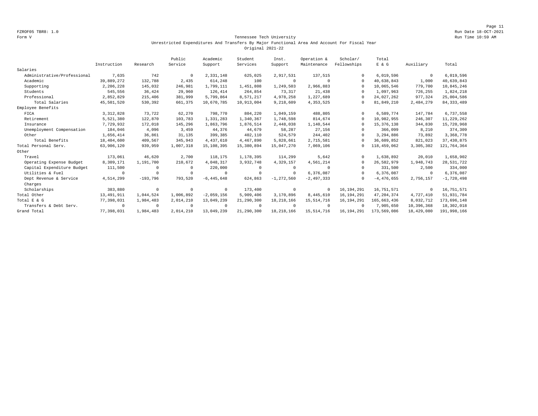Page 11 FZROF05 TBR8: 1.0 Run Date 18-OCT-2021

#### Form V Tennessee Tech University Run Time 10:59 AM Unrestricted Expenditures And Transfers By Major Functional Area And Account For Fiscal Year Original 2021-22

|                             |              |            | Public     | Academic       | Student    | Inst.          | Operation &  | Scholar/     | Total        |             |              |
|-----------------------------|--------------|------------|------------|----------------|------------|----------------|--------------|--------------|--------------|-------------|--------------|
|                             | Instruction  | Research   | Service    | Support        | Services   | Support        | Maintenance  | Fellowships  | E & G        | Auxiliary   | Total        |
| Salaries                    |              |            |            |                |            |                |              |              |              |             |              |
| Administrative/Professional | 7,635        | 742        | $^{\circ}$ | 2,331,148      | 625,025    | 2,917,531      | 137,515      | $\Omega$     | 6,019,596    | $\mathbf 0$ | 6,019,596    |
| Academic                    | 39,889,272   | 132,788    | 2,435      | 614,248        | 100        | $\Omega$       | $\Omega$     | $\cap$       | 40,638,843   | 1,000       | 40,639,843   |
| Supporting                  | 2,206,228    | 145,032    | 246,981    | 1,799,111      | 1,451,808  | 1,249,503      | 2,966,883    | $\Omega$     | 10,065,546   | 779,700     | 10,845,246   |
| Students                    | 545,556      | 36,424     | 29,960     | 126,414        | 264,854    | 73,317         | 21,438       | $\Omega$     | 1,097,963    | 726,255     | 1,824,218    |
| Professional                | 2,852,829    | 215,406    | 381,999    | 5,799,864      | 8,571,217  | 4,978,258      | 1,227,689    | $\cap$       | 24,027,262   | 977,324     | 25,004,586   |
| Total Salaries              | 45,501,520   | 530,392    | 661,375    | 10,670,785     | 10,913,004 | 9,218,609      | 4,353,525    | $\Omega$     | 81,849,210   | 2,484,279   | 84, 333, 489 |
| Employee Benefits           |              |            |            |                |            |                |              |              |              |             |              |
| FICA                        | 3, 312, 828  | 73,722     | 62,270     | 798,770        | 804,220    | 1,049,159      | 488,805      | $\Omega$     | 6.589.774    | 147,784     | 6,737,558    |
| Retirement                  | 5,521,380    | 122,870    | 103,783    | 1,331,283      | 1,340,367  | 1,748,598      | 814,674      | $\Omega$     | 10,982,955   | 246,307     | 11,229,262   |
| Insurance                   | 7,729,932    | 172,018    | 145,296    | 1,863,796      | 1,876,514  | 2,448,038      | 1,140,544    | $\Omega$     | 15, 376, 138 | 344,830     | 15,720,968   |
| Unemployment Compensation   | 184,046      | 4,096      | 3,459      | 44,376         | 44,679     | 58,287         | 27,156       | $\cap$       | 366,099      | 8,210       | 374,309      |
| Other                       | 1,656,414    | 36,861     | 31,135     | 399,385        | 402,110    | 524,579        | 244,402      | $\Omega$     | 3,294,886    | 73,892      | 3,368,778    |
| Total Benefits              | 18,404,600   | 409,567    | 345,943    | 4, 437, 610    | 4,467,890  | 5,828,661      | 2,715,581    | $\Omega$     | 36,609,852   | 821,023     | 37, 430, 875 |
| Total Personal Serv.        | 63,906,120   | 939,959    | 1,007,318  | 15,108,395     | 15,380,894 | 15,047,270     | 7,069,106    | $^{\circ}$   | 118,459,062  | 3,305,302   | 121,764,364  |
| Other                       |              |            |            |                |            |                |              |              |              |             |              |
| Travel                      | 173,061      | 46,620     | 2,700      | 118,175        | 1,178,395  | 114,299        | 5,642        | $\Omega$     | 1,638,892    | 20,010      | 1,658,902    |
| Operating Expense Budget    | 8,309,171    | 1,191,700  | 210,672    | 4,048,317      | 3,932,748  | 4,329,157      | 4,561,214    | $\Omega$     | 26,582,979   | 1,948,743   | 28,531,722   |
| Capital Expenditure Budget  | 111,500      | 0          | $\Omega$   | 220,000        | 0          | $\Omega$       | $^{\circ}$   | $\Omega$     | 331,500      | 2,500       | 334,000      |
| Utilities & Fuel            | $\Omega$     | $\Omega$   |            | $^{\circ}$     | $\Omega$   | $\Omega$       | 6,376,087    | $\Omega$     | 6,376,087    | $^{\circ}$  | 6,376,087    |
| Dept Revenue & Service      | 4,514,299    | $-193,796$ | 793,520    | $-6, 445, 648$ | 624,863    | $-1, 272, 560$ | $-2,497,333$ | $\Omega$     | $-4,476,655$ | 2,756,157   | $-1,720,498$ |
| Charges                     |              |            |            |                |            |                |              |              |              |             |              |
| Scholarships                | 383,880      | $^{\circ}$ | $\cup$     | $^{\circ}$     | 173,400    | $^{\circ}$     | $^{\circ}$   | 16, 194, 291 | 16,751,571   | $\circ$     | 16,751,571   |
| Total Other                 | 13, 491, 911 | 1,044,524  | 1,006,892  | $-2,059,156$   | 5,909,406  | 3,170,896      | 8,445,610    | 16, 194, 291 | 47, 204, 374 | 4,727,410   | 51,931,784   |
| Total E & G                 | 77,398,031   | 1,984,483  | 2,014,210  | 13,049,239     | 21,290,300 | 18, 218, 166   | 15, 514, 716 | 16, 194, 291 | 165,663,436  | 8,032,712   | 173,696,148  |
| Transfers & Debt Serv.      | $\Omega$     | $^{\circ}$ |            | $^{\circ}$     | $\Omega$   | $\Omega$       | $\Omega$     | $\Omega$     | 7,905,650    | 10,396,368  | 18,302,018   |
| Grand Total                 | 77.398.031   | 1,984,483  | 2,014,210  | 13,049,239     | 21,290,300 | 18, 218, 166   | 15,514,716   | 16, 194, 291 | 173,569,086  | 18,429,080  | 191,998,166  |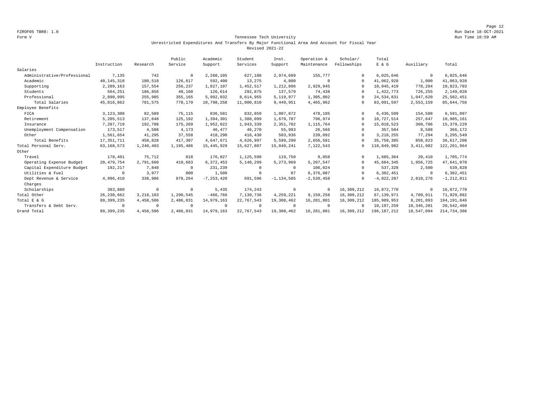Page 12 FZROF05 TBR8: 1.0 Run Date 18-OCT-2021

#### Form V Tennessee Tech University Run Time 10:59 AM Unrestricted Expenditures And Transfers By Major Functional Area And Account For Fiscal Year Revised 2021-22

|                             |              |             | Public     | Academic       | Student    | Inst.          | Operation &  | Scholar/    | Total        |             |                |
|-----------------------------|--------------|-------------|------------|----------------|------------|----------------|--------------|-------------|--------------|-------------|----------------|
|                             | Instruction  | Research    | Service    | Support        | Services   | Support        | Maintenance  | Fellowships | E & G        | Auxiliary   | Total          |
| Salaries                    |              |             |            |                |            |                |              |             |              |             |                |
| Administrative/Professional | 7,135        | 742         | $^{\circ}$ | 2,260,105      | 627,188    | 2,974,699      | 155,777      | $\cap$      | 6,025,646    | $\mathbf 0$ | 6,025,646      |
| Academic                    | 40, 145, 318 | 180,518     | 126,617    | 592,400        | 13,275     | 4,800          | $\Omega$     | $\Omega$    | 41,062,928   | 1,000       | 41,063,928     |
| Supporting                  | 2,209,163    | 157,554     | 256,237    | 1,827,107      | 1,452,517  | 1,212,896      | 2,929,945    | $\Omega$    | 10,045,419   | 778,284     | 10,823,703     |
| Students                    | 564,251      | 186,856     | 40,160     | 126,614        | 292,875    | 137,579        | 74,438       | $\Omega$    | 1,422,773    | 726,255     | 2,149,028      |
| Professional                | 2,890,995    | 255,905     | 355,165    | 5,992,032      | 8,614,955  | 5,119,977      | 1,305,802    | $\Omega$    | 24,534,831   | 1,047,620   | 25,582,451     |
| Total Salaries              | 45, 816, 862 | 781,575     | 778,179    | 10,798,258     | 11,000,810 | 9,449,951      | 4,465,962    | $\Omega$    | 83,091,597   | 2,553,159   | 85,644,756     |
| Employee Benefits           |              |             |            |                |            |                |              |             |              |             |                |
| FICA                        | 3,123,308    | 82,589      | 75,115     | 836,581        | 832,859    | 1,007,872      | 478,185      | $\Omega$    | 6,436,509    | 154,588     | 6,591,097      |
| Retirement                  | 5,205,513    | 137,648     | 125,192    | 1,394,301      | 1,388,099  | 1,679,787      | 796,974      | $\cap$      | 10,727,514   | 257,647     | 10,985,161     |
| Insurance                   | 7,287,719    | 192,708     | 175,269    | 1,952,022      | 1,943,339  | 2,351,702      | 1,115,764    | $\Omega$    | 15,018,523   | 360,706     | 15, 379, 229   |
| Unemployment Compensation   | 173,517      | 4,588       | 4,173      | 46,477         | 46,270     | 55,993         | 26,566       |             | 357,584      | 8,588       | 366,172        |
| Other                       | 1,561,654    | 41,295      | 37,558     | 418,290        | 416,430    | 503,936        | 239,092      | $\Omega$    | 3, 218, 255  | 77,294      | 3,295,549      |
| Total Benefits              | 17, 351, 711 | 458,828     | 417,307    | 4,647,671      | 4,626,997  | 5,599,290      | 2,656,581    | $\Omega$    | 35,758,385   | 858,823     | 36,617,208     |
| Total Personal Serv.        | 63, 168, 573 | 1,240,403   | 1,195,486  | 15, 445, 929   | 15,627,807 | 15,049,241     | 7,122,543    | $\Omega$    | 118,849,982  | 3, 411, 982 | 122, 261, 964  |
| Other                       |              |             |            |                |            |                |              |             |              |             |                |
| Travel                      | 178,401      | 75,712      | 818        | 176,027        | 1,125,598  | 119,750        | 9,058        | $\Omega$    | 1,685,364    | 20,410      | 1,705,774      |
| Operating Expense Budget    | 20, 479, 754 | 2,791,660   | 410,663    | 6,372,453      | 5,148,299  | 5,273,969      | 5,207,547    | $\cap$      | 45.684.345   | 1,956,725   | 47,641,070     |
| Capital Expenditure Budget  | 192,217      | 7,848       | $\Omega$   | 231,239        | $\Omega$   | $\Omega$       | 106,024      | $\Omega$    | 537,328      | 2,500       | 539,828        |
| Utilities & Fuel            | $\cap$       | 3,977       | 800        | 1,500          | $\Omega$   | 87             | 6,376,087    | $\Omega$    | 6,382,451    | $\mathbf 0$ | 6,382,451      |
| Dept Revenue & Service      | 4,996,410    | 338,906     | 878,264    | $-7, 253, 420$ | 691,596    | $-1, 134, 585$ | $-2,539,458$ | $\Omega$    | $-4,022,287$ | 2,810,276   | $-1, 212, 011$ |
| Charges                     |              |             |            |                |            |                |              |             |              |             |                |
| Scholarships                | 383,880      | $^{\circ}$  | $\Omega$   | 5,435          | 174,243    | $^{\circ}$     | $^{\circ}$   | 16,309,212  | 16,872,770   | 0           | 16,872,770     |
| Total Other                 | 26, 230, 662 | 3, 218, 103 | 1,290,545  | $-466,766$     | 7,139,736  | 4,259,221      | 9,159,258    | 16,309,212  | 67,139,971   | 4,789,911   | 71,929,882     |
| Total E & G                 | 89, 399, 235 | 4,458,506   | 2,486,031  | 14,979,163     | 22,767,543 | 19,308,462     | 16,281,801   | 16,309,212  | 185,989,953  | 8,201,893   | 194, 191, 846  |
| Transfers & Debt Serv.      | $\Omega$     | $^{\circ}$  | $\Omega$   | $^{\circ}$     | $^{\circ}$ | $\Omega$       | $\Omega$     | $\cap$      | 10,197,259   | 10,345,201  | 20,542,460     |
| Grand Total                 | 89, 399, 235 | 4,458,506   | 2,486,031  | 14,979,163     | 22.767.543 | 19,308,462     | 16,281,801   | 16,309,212  | 196.187.212  | 18,547,094  | 214,734,306    |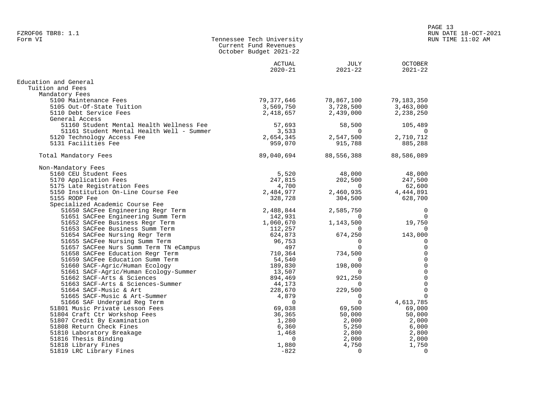| Form VI | Tennessee Tech University |
|---------|---------------------------|
|         | Current Fund Revenues     |
|         | October Budget 2021-22    |
|         |                           |

|                                           | <b>ACTUAL</b><br>$2020 - 21$ | JULY<br>$2021 - 22$ | <b>OCTOBER</b><br>$2021 - 22$ |
|-------------------------------------------|------------------------------|---------------------|-------------------------------|
| Education and General                     |                              |                     |                               |
| Tuition and Fees                          |                              |                     |                               |
|                                           |                              |                     |                               |
| Mandatory Fees                            |                              |                     |                               |
| 5100 Maintenance Fees                     | 79,377,646                   | 78,867,100          | 79,183,350                    |
| 5105 Out-Of-State Tuition                 | 3,569,750                    | 3,728,500           | 3,463,000                     |
| 5110 Debt Service Fees                    | 2,418,657                    | 2,439,000           | 2,238,250                     |
| General Access                            |                              |                     |                               |
| 51160 Student Mental Health Wellness Fee  | 57,693                       | 58,500              | 105,489                       |
| 51161 Student Mental Health Well - Summer | 3,533                        | $\Omega$            | $\Omega$                      |
| 5120 Technology Access Fee                | 2,654,345                    | 2,547,500           | 2,710,712                     |
| 5131 Facilities Fee                       | 959,070                      | 915,788             | 885,288                       |
| Total Mandatory Fees                      | 89,040,694                   | 88,556,388          | 88,586,089                    |
| Non-Mandatory Fees                        |                              |                     |                               |
| 5160 CEU Student Fees                     | 5,520                        | 48,000              | 48,000                        |
| 5170 Application Fees                     | 247,815                      | 202,500             | 247,500                       |
| 5175 Late Registration Fees               | 4,700                        | $\overline{0}$      | 62,600                        |
| 5150 Institution On-Line Course Fee       | 2,484,977                    | 2,460,935           | 4,444,891                     |
| 5155 RODP Fee                             | 328,728                      | 304,500             | 628,700                       |
| Specialized Academic Course Fee           |                              |                     |                               |
| 51650 SACFee Engineering Regr Term        | 2,488,844                    | 2,585,750           | $\Omega$                      |
| 51651 SACFee Engineering Summ Term        | 142,931                      | $\Omega$            | $\Omega$                      |
| 51652 SACFee Business Regr Term           | 1,060,670                    | 1,143,500           | 19,750                        |
| 51653 SACFee Business Summ Term           | 112,257                      | $\Omega$            | $\Omega$                      |
| 51654 SACFee Nursing Regr Term            | 624,873                      | 674,250             | 143,000                       |
| 51655 SACFee Nursing Summ Term            | 96,753                       | $\Omega$            |                               |
| 51657 SACFee Nurs Summ Term TN eCampus    | 497                          | $\Omega$            |                               |
| 51658 SACFee Education Regr Term          | 710,364                      | 734,500             | $\Omega$                      |
| 51659 SACFee Education Summ Term          | 54,540                       | $\Omega$            | 0                             |
| 51660 SACF-Agric/Human Ecology            | 189,830                      | 198,000             | $\mathbf 0$                   |
| 51661 SACF-Agric/Human Ecology-Summer     | 13,507                       | $\Omega$            | 0                             |
| 51662 SACF-Arts & Sciences                | 894,469                      | 921,250             | 0                             |
| 51663 SACF-Arts & Sciences-Summer         | 44,173                       | $\Omega$            | $\mathbf 0$                   |
| 51664 SACF-Music & Art                    | 228,670                      | 229,500             | $\Omega$                      |
| 51665 SACF-Music & Art-Summer             | 4,879                        | $\Omega$            | $\Omega$                      |
| 51666 SAF Undergrad Reg Term              | $\overline{0}$               | $\mathbf 0$         | 4,613,785                     |
| 51801 Music Private Lesson Fees           | 69,038                       | 69,500              | 69,000                        |
| 51804 Craft Ctr Workshop Fees             | 36,365                       | 50,000              | 50,000                        |
| 51807 Credit By Examination               | 1,280                        | 2,000               | 2,000                         |
| 51808 Return Check Fines                  |                              |                     |                               |
| 51810 Laboratory Breakage                 | 6,360<br>1,468               | 5,250               | 6,000<br>2,800                |
|                                           |                              | 2,800               |                               |
| 51816 Thesis Binding                      | $\Omega$                     | 2,000               | 2,000                         |
| 51818 Library Fines                       | 1,880                        | 4,750               | 1,750                         |
| 51819 LRC Library Fines                   | $-822$                       | $\Omega$            | $\Omega$                      |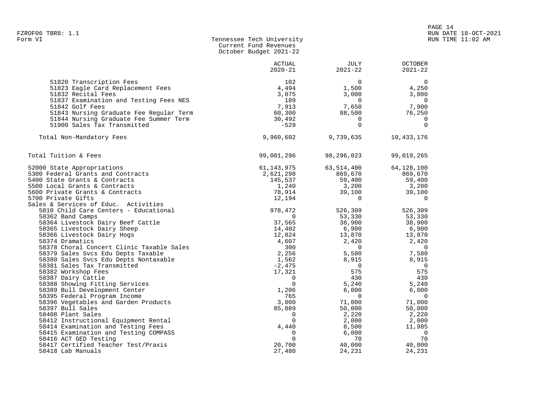| Form VI | Tennessee Tech University |  |
|---------|---------------------------|--|
|         | Current Fund Revenues     |  |
|         | October Budget 2021-22    |  |

|                                                                             | ACTUAL<br>$2020 - 21$ | JULY<br>$2021 - 22$  | <b>OCTOBER</b><br>$2021 - 22$     |
|-----------------------------------------------------------------------------|-----------------------|----------------------|-----------------------------------|
| 51820 Transcription Fees                                                    | 102                   | $\mathbf 0$          | $\mathbf 0$                       |
| 51823 Eagle Card Replacement Fees                                           | 4,494                 | 1,500                | 4,250                             |
| 51832 Recital Fees                                                          | 3,075                 | 3,000                | 3,000                             |
| 51837 Examination and Testing Fees NES                                      | 189                   | $\mathbf 0$          | $\overline{0}$                    |
| 51842 Golf Fees                                                             | 7,913                 | 7,650                | 7,900                             |
| 51843 Nursing Graduate Fee Regular Term                                     | 60,300                | 88,500               | 76,250                            |
| 51844 Nursing Graduate Fee Summer Term                                      | 30,492                | $\mathbf 0$          | 0                                 |
| 51900 Sales Tax Transmitted                                                 | $-529$                | $\Omega$             | $\Omega$                          |
| Total Non-Mandatory Fees                                                    | 9,960,602             | 9,739,635            | 10,433,176                        |
| Total Tuition & Fees                                                        | 99,001,296            | 98,296,023           | 99,019,265                        |
| 52000 State Appropriations                                                  | 61,143,975            | 63,514,400           | 64,128,100                        |
| 5300 Federal Grants and Contracts                                           | 2,621,298             | 869,670              | 869,670                           |
| 5400 State Grants & Contracts                                               | 145,537               | 59,400               | 59,400                            |
| 5500 Local Grants & Contracts                                               | 1,240                 | 3,200                | 3,200                             |
| 5600 Private Grants & Contracts                                             | 78,914                | 39,100               | 39,100                            |
| 5700 Private Gifts                                                          | 12,194                | $\mathbf 0$          | $\mathbf 0$                       |
| Sales & Services of Educ. Activities                                        |                       |                      |                                   |
| 5810 Child Care Centers - Educational                                       | 978,472               | 526,309              | 526,309                           |
| 58362 Band Camps                                                            | $\mathbf 0$           | 53,330               | 53,330                            |
| 58364 Livestock Dairy Beef Cattle                                           | 37,565                | 38,900               | 38,900                            |
| 58365 Livestock Dairy Sheep                                                 | 14,402                | 6,900                | 6,900                             |
| 58366 Livestock Dairy Hogs                                                  | 12,824                | 13,870               | 13,870                            |
| 58374 Dramatics                                                             | 4,607                 | 2,420                | 2,420                             |
| 58378 Choral Concert Clinic Taxable Sales                                   | 300                   | $\mathbf 0$          | $\overline{0}$                    |
| 58379 Sales Svcs Edu Depts Taxable<br>58380 Sales Svcs Edu Depts Nontaxable | 2,256<br>1,562        | 5,580                | 7,580                             |
| 58381 Sales Tax Transmitted                                                 | $-2,475$              | 8,915<br>$\mathbf 0$ | 8,915<br>$\overline{\phantom{0}}$ |
| 58382 Workshop Fees                                                         | 17,321                | 575                  | 575                               |
| 58387 Dairy Cattle                                                          | $\mathbf 0$           | 430                  | 430                               |
| 58388 Showing Fitting Services                                              | $\mathbf 0$           | 5,240                | 5,240                             |
| 58389 Bull Development Center                                               | 1,206                 | 6,000                | 6,000                             |
| 58395 Federal Program Income                                                | 765                   | 0                    | $\overline{0}$                    |
| 58396 Vegetables and Garden Products                                        | 3,000                 | 71,000               | 71,000                            |
| 58397 Bull Sales                                                            | 85,089                | 50,000               | 50,000                            |
| 58408 Plant Sales                                                           | $\mathbf 0$           | 2,220                | 2,220                             |
| 58412 Instructional Equipment Rental                                        | $\Omega$              | 2,000                | 2,000                             |
| 58414 Examination and Testing Fees                                          | 4,440                 | 8,500                | 11,985                            |
| 58415 Examination and Testing COMPASS                                       | $\mathbf 0$           | 6,000                | $\overline{\phantom{0}}$          |
| 58416 ACT GED Testing                                                       | $\Omega$              | 70                   | 70                                |
| 58417 Certified Teacher Test/Praxis                                         | 20,700                | 40,000               | 40,000                            |
| 58418 Lab Manuals                                                           | 27,480                | 24,231               | 24,231                            |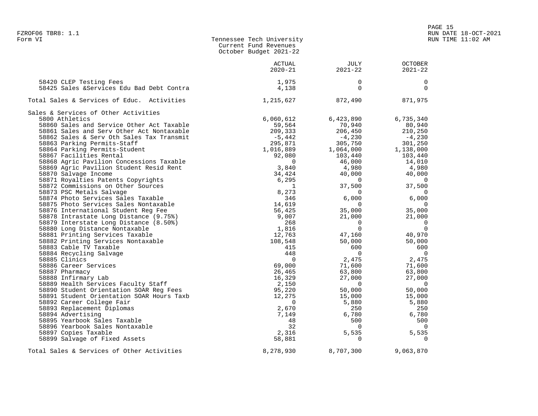| FZROF06 TBR8: 1.1<br>Form VI                                                                                                                                                                                                 | Tennessee Tech University<br>Current Fund Revenues<br>October Budget 2021-22                                                                           |                                                                        | PAGE 15                                      | RUN DATE 18-OCT-2021<br>RUN TIME 11:02 AM |
|------------------------------------------------------------------------------------------------------------------------------------------------------------------------------------------------------------------------------|--------------------------------------------------------------------------------------------------------------------------------------------------------|------------------------------------------------------------------------|----------------------------------------------|-------------------------------------------|
|                                                                                                                                                                                                                              | ACTUAL<br>$2020 - 21$                                                                                                                                  | JULY<br>2021-22                                                        | OCTOBER<br>$2021 - 22$                       |                                           |
| 58420 CLEP Testing Fees<br>58425 Sales & Services Edu Bad Debt Contra                                                                                                                                                        | 1,975<br>4,138                                                                                                                                         |                                                                        | 0<br>$\Omega$                                |                                           |
| Total Sales & Services of Educ. Activities                                                                                                                                                                                   | 1,215,627 872,490                                                                                                                                      |                                                                        | 871,975                                      |                                           |
| Sales & Services of Other Activities<br>5800 Athletics<br>58860 Sales and Service Other Act Taxable<br>58861 Sales and Serv Other Act Nontaxable<br>58862 Sales & Serv Oth Sales Tax Transmit<br>58863 Parking Permits-Staff | 6,060,612<br>59,564 70,940 80,940<br>209,333 206,450 210,250<br>$-5,442$ $-4,230$ $-4,230$<br>295,871 305,750 301,250<br>1,016,889 1,064,000 1,138,000 | 6,423,890                                                              | 6,735,340                                    |                                           |
| 58864 Parking Permits-Student<br>58867 Facilities Rental<br>58868 Agric Pavilion Concessions Taxable<br>58869 Agric Pavilion Student Resid Rent<br>58870 Salvage Income                                                      | $\Omega$<br>34,424                                                                                                                                     | 92,080 103,440 103,440<br>46,000 14,010<br>3,840 4,980 4,980<br>40,000 | 40,000                                       |                                           |
| 58871 Royalties Patents Copyrights<br>58872 Commissions on Other Sources<br>58873 PSC Metals Salvage<br>58874 Photo Services Sales Taxable<br>58875 Photo Services Sales Nontaxable                                          | 6,295<br>1<br>8,273<br>346<br>14,619                                                                                                                   | $\overline{0}$<br>37,500<br>$\Omega$<br>6,000 6<br>$\overline{0}$      | 0<br>37,500<br>$\Omega$<br>6,000<br>$\Omega$ |                                           |
| 58876 International Student Reg Fee<br>58878 Intrastate Long Distance (9.75%)                                                                                                                                                | 56,425<br>9,007                                                                                                                                        | 35,000<br>21,000                                                       | 35,000<br>21,000                             |                                           |

 58879 Interstate Long Distance (8.50%) 268 0 0 58880 Long Distance Nontaxable 1,816 0 0 58881 Printing Services Taxable 12,763 47,160 40,970 58882 Printing Services Nontaxable 108,548 50,000 50,000 58883 Cable TV Taxable 415 600 600 58884 Recycling Salvage 448 0 0 58885 Clinics 0 2,475 2,475 58886 Career Services 69,000 71,600 71,600 58887 Pharmacy 26,465 63,800 63,800 58888 Infirmary Lab 16,329 27,000 27,000 58889 Health Services Faculty Staff 2,150 0 0 58890 Student Orientation SOAR Reg Fees 95,220 50,000 50,000 58891 Student Orientation SOAR Hours Taxb 12,275 15,000 15,000 58892 Career College Fair 0 5,880 5,880 58893 Replacement Diplomas 2,670 250 250 58894 Advertising 7,149 6,780 6,780 58895 Yearbook Sales Taxable 48 500 500 58896 Yearbook Sales Nontaxable 32 0 0 58897 Copies Taxable 2,316 5,535 5,535 58899 Salvage of Fixed Assets 58,881 0 0 Total Sales & Services of Other Activities  $8,278,930$   $8,707,300$   $9,063,870$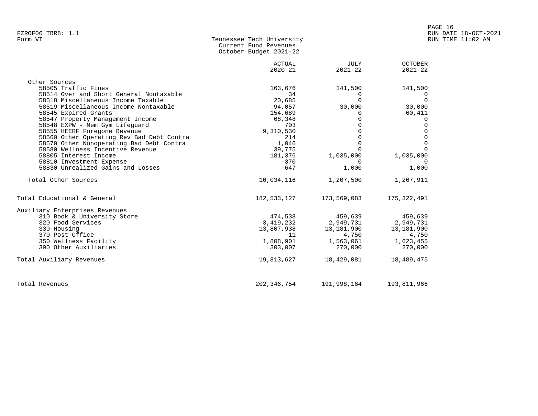| Form VI | Tennessee Tech University |
|---------|---------------------------|
|         | Current Fund Revenues     |
|         | October Budget 2021-22    |

|                                           | <b>ACTUAL</b><br>$2020 - 21$ | JULY<br>$2021 - 22$ | <b>OCTOBER</b><br>$2021 - 22$ |
|-------------------------------------------|------------------------------|---------------------|-------------------------------|
| Other Sources                             |                              |                     |                               |
| 58505 Traffic Fines                       | 163,676                      | 141,500             | 141,500                       |
| 58514 Over and Short General Nontaxable   | 34                           | $\Omega$            | <sup>()</sup>                 |
| 58518 Miscellaneous Income Taxable        | 20,685                       | $\Omega$            | $\Omega$                      |
| 58519 Miscellaneous Income Nontaxable     | 94,057                       | 30,000              | 30,000                        |
| 58545 Expired Grants                      | 154,689                      | $\Omega$            | 60,411                        |
| 58547 Property Management Income          | 68,348                       | $\Omega$            | $\Omega$                      |
| 58548 EXPW - Mem Gym Lifequard            | 703                          | $\Omega$            | $\Omega$                      |
| 58555 HEERF Foregone Revenue              | 9,310,530                    | $\Omega$            | $\Omega$                      |
| 58560 Other Operating Rev Bad Debt Contra | 214                          | $\Omega$            | $\mathbf 0$                   |
| 58570 Other Nonoperating Bad Debt Contra  | 1,046                        | $\Omega$            | $\overline{0}$                |
| 58580 Wellness Incentive Revenue          | 39,775                       | $\Omega$            | $\cap$                        |
| 58805 Interest Income                     | 181,376                      | 1,035,000           | 1,035,000                     |
| 58810 Investment Expense                  | $-370$                       | $\Omega$            | $\Omega$                      |
| 58830 Unrealized Gains and Losses         | $-647$                       | 1,000               | 1,000                         |
| Total Other Sources                       | 10,034,116                   | 1,207,500           | 1,267,911                     |
| Total Educational & General               | 182,533,127                  | 173,569,083         | 175,322,491                   |
| Auxiliary Enterprises Revenues            |                              |                     |                               |
| 310 Book & University Store               | 474,538                      | 459,639             | 459,639                       |
| 320 Food Services                         | 3,419,232                    | 2,949,731           | 2,949,731                     |
| 330 Housing                               | 13,807,938                   | 13,181,900          | 13,181,900                    |
| 370 Post Office                           | 11                           | 4,750               | 4,750                         |
| 350 Wellness Facility                     | 1,808,901                    | 1,563,061           | 1,623,455                     |
| 390 Other Auxiliaries                     | 303,007                      | 270,000             | 270,000                       |
| Total Auxiliary Revenues                  | 19,813,627                   | 18,429,081          | 18,489,475                    |
| Total Revenues                            | 202, 346, 754                | 191,998,164         | 193,811,966                   |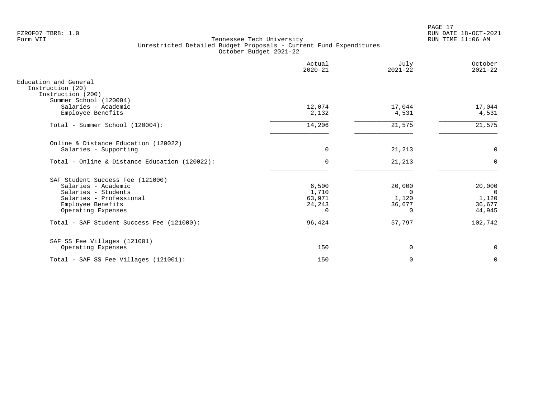PAGE 17 FZROF07 TBR8: 1.0 RUN DATE 18-OCT-2021

|                                                                                                                                                      | Actual<br>$2020 - 21$                          | July<br>$2021 - 22$                               | October<br>$2021 - 22$                                |
|------------------------------------------------------------------------------------------------------------------------------------------------------|------------------------------------------------|---------------------------------------------------|-------------------------------------------------------|
| Education and General<br>Instruction (20)<br>Instruction (200)<br>Summer School (120004)                                                             |                                                |                                                   |                                                       |
| Salaries - Academic<br>Employee Benefits                                                                                                             | 12,074<br>2,132                                | 17,044<br>4,531                                   | 17,044<br>4,531                                       |
| Total - Summer School (120004):                                                                                                                      | 14,206                                         | 21,575                                            | 21,575                                                |
| Online & Distance Education (120022)<br>Salaries - Supporting                                                                                        | $\mathbf 0$                                    | 21,213                                            | 0                                                     |
| Total - Online & Distance Education (120022):                                                                                                        | $\Omega$                                       | 21,213                                            | $\Omega$                                              |
| SAF Student Success Fee (121000)<br>Salaries - Academic<br>Salaries - Students<br>Salaries - Professional<br>Employee Benefits<br>Operating Expenses | 6,500<br>1,710<br>63,971<br>24,243<br>$\Omega$ | 20,000<br>$\Omega$<br>1,120<br>36,677<br>$\Omega$ | 20,000<br>$\overline{0}$<br>1,120<br>36,677<br>44,945 |
| Total - SAF Student Success Fee (121000):                                                                                                            | 96,424                                         | 57,797                                            | 102,742                                               |
| SAF SS Fee Villages (121001)<br>Operating Expenses                                                                                                   | 150                                            | $\mathbf 0$                                       | $\mathbf 0$                                           |
| Total - SAF SS Fee Villages (121001):                                                                                                                | 150                                            | $\mathbf 0$                                       | $\mathbf 0$                                           |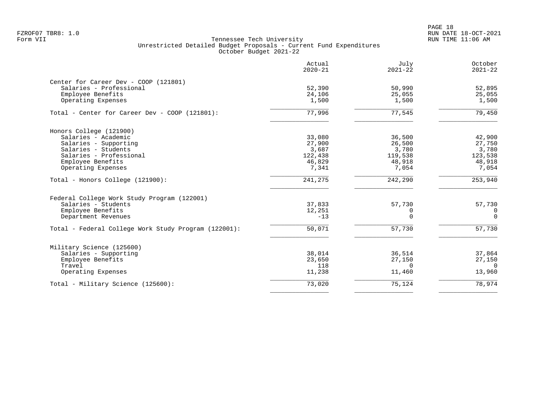PAGE 18 FZROF07 TBR8: 1.0 RUN DATE 18-OCT-2021

|                                                                  | Actual<br>$2020 - 21$ | July<br>$2021 - 22$ | October<br>$2021 - 22$ |
|------------------------------------------------------------------|-----------------------|---------------------|------------------------|
| Center for Career Dev - COOP (121801)<br>Salaries - Professional | 52,390                | 50,990              | 52,895                 |
| Employee Benefits<br>Operating Expenses                          | 24,106<br>1,500       | 25,055<br>1,500     | 25,055<br>1,500        |
| Total - Center for Career Dev - COOP (121801):                   | 77,996                | 77,545              | 79,450                 |
| Honors College (121900)                                          |                       |                     |                        |
| Salaries - Academic                                              | 33,080                | 36,500              | 42,900                 |
| Salaries - Supporting                                            | 27,900                | 26,500              | 27,750                 |
| Salaries - Students<br>Salaries - Professional                   | 3,687                 | 3,780               | 3,780                  |
| Employee Benefits                                                | 122,438<br>46,829     | 119,538<br>48,918   | 123,538<br>48,918      |
| Operating Expenses                                               | 7,341                 | 7,054               | 7,054                  |
| Total - Honors College (121900):                                 | 241,275               | 242,290             | 253,940                |
| Federal College Work Study Program (122001)                      |                       |                     |                        |
| Salaries - Students                                              | 37,833                | 57,730              | 57,730                 |
| Employee Benefits                                                | 12,251                | 0                   | 0                      |
| Department Revenues                                              | $-13$                 | $\Omega$            | $\Omega$               |
| Total - Federal College Work Study Program (122001):             | 50,071                | 57,730              | 57,730                 |
| Military Science (125600)                                        |                       |                     |                        |
| Salaries - Supporting                                            | 38,014                | 36,514              | 37,864                 |
| Employee Benefits                                                | 23,650                | 27,150              | 27,150                 |
| Travel                                                           | 118                   | $\Omega$            | $\Omega$               |
| Operating Expenses                                               | 11,238                | 11,460              | 13,960                 |
| Total - Military Science (125600):                               | 73,020                | 75,124              | 78,974                 |
|                                                                  |                       |                     |                        |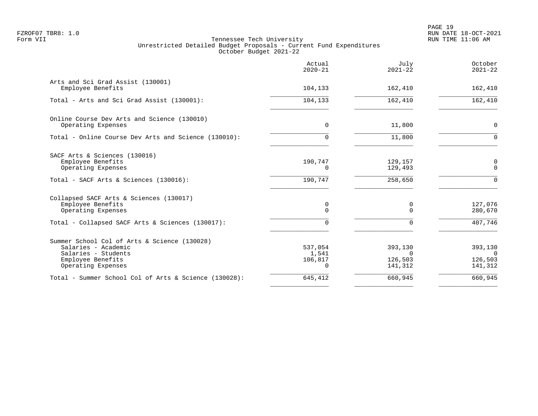PAGE 19 FZROF07 TBR8: 1.0 RUN DATE 18-OCT-2021

|                                                                                                                                       | Actual<br>$2020 - 21$            | July<br>$2021 - 22$                       | October<br>$2021 - 22$                          |
|---------------------------------------------------------------------------------------------------------------------------------------|----------------------------------|-------------------------------------------|-------------------------------------------------|
| Arts and Sci Grad Assist (130001)<br>Employee Benefits                                                                                | 104,133                          | 162,410                                   | 162,410                                         |
| Total - Arts and Sci Grad Assist (130001):                                                                                            | 104,133                          | 162,410                                   | 162,410                                         |
| Online Course Dev Arts and Science (130010)<br>Operating Expenses                                                                     | $\Omega$                         | 11,800                                    | 0                                               |
| Total - Online Course Dev Arts and Science (130010):                                                                                  | $\Omega$                         | 11,800                                    | $\Omega$                                        |
| SACF Arts & Sciences (130016)<br>Employee Benefits<br>Operating Expenses                                                              | 190,747<br>$\Omega$              | 129,157<br>129,493                        | 0<br>$\mathbf 0$                                |
| Total - SACF Arts & Sciences (130016):                                                                                                | 190,747                          | 258,650                                   | $\Omega$                                        |
| Collapsed SACF Arts & Sciences (130017)<br>Employee Benefits<br>Operating Expenses                                                    | 0<br>$\Omega$                    | 0<br>$\Omega$                             | 127,076<br>280,670                              |
| Total - Collapsed SACF Arts & Sciences (130017):                                                                                      | $\Omega$                         | $\Omega$                                  | 407,746                                         |
| Summer School Col of Arts & Science (130028)<br>Salaries - Academic<br>Salaries - Students<br>Employee Benefits<br>Operating Expenses | 537,054<br>1,541<br>106,817<br>0 | 393,130<br>$\Omega$<br>126,503<br>141,312 | 393,130<br>$\overline{0}$<br>126,503<br>141,312 |
| Total - Summer School Col of Arts & Science (130028):                                                                                 | 645,412                          | 660,945                                   | 660,945                                         |
|                                                                                                                                       |                                  |                                           |                                                 |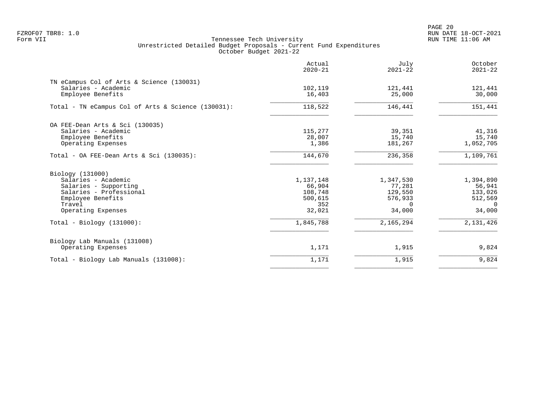PAGE 20 FZROF07 TBR8: 1.0 RUN DATE 18-OCT-2021

|                                                                                       | Actual<br>$2020 - 21$ | July<br>$2021 - 22$ | October<br>$2021 - 22$ |
|---------------------------------------------------------------------------------------|-----------------------|---------------------|------------------------|
| TN eCampus Col of Arts & Science (130031)<br>Salaries - Academic<br>Employee Benefits | 102,119<br>16,403     | 121,441<br>25,000   | 121,441<br>30,000      |
| Total - TN eCampus Col of Arts & Science (130031):                                    | 118,522               | 146,441             | 151,441                |
| OA FEE-Dean Arts & Sci (130035)                                                       |                       |                     |                        |
| Salaries - Academic                                                                   | 115,277               | 39,351              | 41,316                 |
| Employee Benefits                                                                     | 28,007                | 15,740              | 15,740                 |
| Operating Expenses                                                                    | 1,386                 | 181,267             | 1,052,705              |
| Total - OA FEE-Dean Arts & Sci $(130035)$ :                                           | 144,670               | 236,358             | 1,109,761              |
| Biology (131000)                                                                      |                       |                     |                        |
| Salaries - Academic                                                                   | 1,137,148             | 1,347,530           | 1,394,890              |
| Salaries - Supporting                                                                 | 66,904                | 77,281              | 56,941                 |
| Salaries - Professional                                                               | 108,748               | 129,550             | 133,026                |
| Employee Benefits                                                                     | 500,615               | 576,933             | 512,569                |
| Travel                                                                                | 352                   | $\Omega$            | $\Omega$               |
| Operating Expenses                                                                    | 32,021                | 34,000              | 34,000                 |
| $Total - Biology (131000):$                                                           | 1,845,788             | 2,165,294           | 2,131,426              |
| Biology Lab Manuals (131008)                                                          |                       |                     |                        |
| Operating Expenses                                                                    | 1,171                 | 1,915               | 9,824                  |
| Total - Biology Lab Manuals (131008):                                                 | 1,171                 | 1,915               | 9,824                  |
|                                                                                       |                       |                     |                        |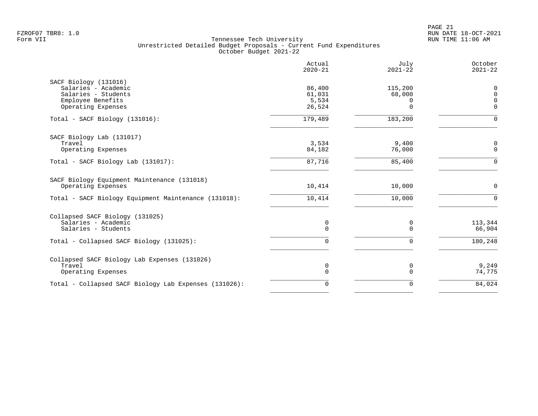|                                                                                                                | Actual<br>$2020 - 21$               | July<br>$2021 - 22$                | October<br>$2021 - 22$                   |
|----------------------------------------------------------------------------------------------------------------|-------------------------------------|------------------------------------|------------------------------------------|
| SACF Biology (131016)<br>Salaries - Academic<br>Salaries - Students<br>Employee Benefits<br>Operating Expenses | 86,400<br>61,031<br>5,534<br>26,524 | 115,200<br>68,000<br>0<br>$\Omega$ | 0<br>$\Omega$<br>$\mathbf 0$<br>$\Omega$ |
| Total - SACF Biology (131016):                                                                                 | 179,489                             | 183,200                            | $\Omega$                                 |
| SACF Biology Lab (131017)<br>Travel<br>Operating Expenses                                                      | 3,534<br>84,182                     | 9,400<br>76,000                    | 0<br>$\mathbf{0}$                        |
| Total - SACF Biology Lab (131017):                                                                             | 87,716                              | 85,400                             | $\Omega$                                 |
| SACF Biology Equipment Maintenance (131018)<br>Operating Expenses                                              | 10,414                              | 10,000                             | $\mathbf 0$                              |
| Total - SACF Biology Equipment Maintenance (131018):                                                           | 10,414                              | 10,000                             | $\Omega$                                 |
| Collapsed SACF Biology (131025)<br>Salaries - Academic<br>Salaries - Students                                  | 0<br>$\Omega$                       | 0<br>$\Omega$                      | 113,344<br>66,904                        |
| Total - Collapsed SACF Biology (131025):                                                                       | $\Omega$                            | $\Omega$                           | 180,248                                  |
| Collapsed SACF Biology Lab Expenses (131026)<br>Travel<br>Operating Expenses                                   | 0<br>$\mathbf 0$                    | 0<br>$\Omega$                      | 9,249<br>74,775                          |
| Total - Collapsed SACF Biology Lab Expenses (131026):                                                          | 0                                   | $\Omega$                           | 84,024                                   |
|                                                                                                                |                                     |                                    |                                          |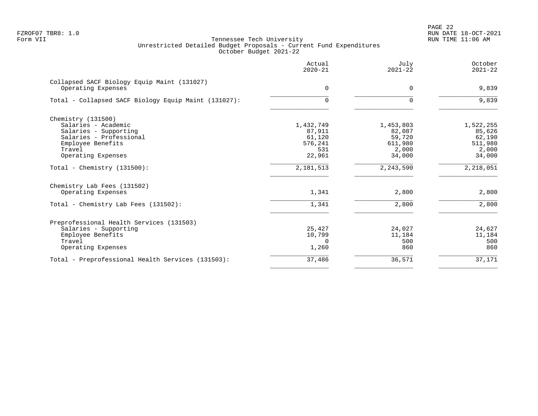|                                                                   | Actual<br>$2020 - 21$ | July<br>$2021 - 22$ | October<br>$2021 - 22$ |
|-------------------------------------------------------------------|-----------------------|---------------------|------------------------|
| Collapsed SACF Biology Equip Maint (131027)<br>Operating Expenses | $\Omega$              | $\Omega$            | 9,839                  |
|                                                                   |                       |                     |                        |
| Total - Collapsed SACF Biology Equip Maint (131027):              | 0                     | $\Omega$            | 9,839                  |
| Chemistry (131500)                                                |                       |                     |                        |
| Salaries - Academic                                               | 1,432,749             | 1,453,803           | 1,522,255              |
| Salaries - Supporting                                             | 87,911                | 82,087              | 85,626                 |
| Salaries - Professional                                           | 61,120                | 59,720              | 62,190                 |
| Employee Benefits                                                 | 576,241               | 611,980             | 511,980                |
| Travel                                                            | 531                   | 2,000               | 2,000                  |
| Operating Expenses                                                | 22,961                | 34,000              | 34,000                 |
| Total - Chemistry $(131500)$ :                                    | 2, 181, 513           | 2, 243, 590         | 2,218,051              |
| Chemistry Lab Fees (131502)                                       |                       |                     |                        |
| Operating Expenses                                                | 1,341                 | 2,800               | 2,800                  |
| Total - Chemistry Lab Fees (131502):                              | 1,341                 | 2,800               | 2,800                  |
| Preprofessional Health Services (131503)                          |                       |                     |                        |
| Salaries - Supporting                                             | 25,427                | 24,027              | 24,627                 |
| Employee Benefits                                                 | 10,799                | 11,184              | 11,184                 |
| Travel                                                            | 0                     | 500                 | 500                    |
| Operating Expenses                                                | 1,260                 | 860                 | 860                    |
| Total - Preprofessional Health Services (131503):                 | 37,486                | 36,571              | 37,171                 |
|                                                                   |                       |                     |                        |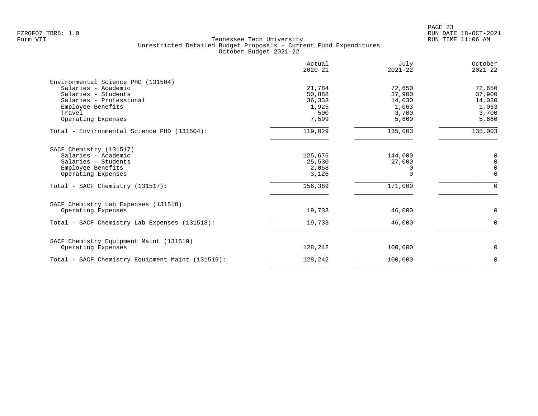|                                                                                                                                                                  | Actual<br>$2020 - 21$                               | July<br>$2021 - 22$                                   | October<br>$2021 - 22$                                |
|------------------------------------------------------------------------------------------------------------------------------------------------------------------|-----------------------------------------------------|-------------------------------------------------------|-------------------------------------------------------|
| Environmental Science PHD (131504)<br>Salaries - Academic<br>Salaries - Students<br>Salaries - Professional<br>Employee Benefits<br>Travel<br>Operating Expenses | 21,784<br>50,888<br>36,333<br>1,925<br>500<br>7,599 | 72,650<br>37,900<br>14,030<br>1,063<br>3,700<br>5,660 | 72,650<br>37,900<br>14,030<br>1,063<br>3,700<br>5,660 |
| Total - Environmental Science PHD (131504):                                                                                                                      | 119,029                                             | 135,003                                               | 135,003                                               |
| SACF Chemistry (131517)<br>Salaries - Academic<br>Salaries - Students<br>Employee Benefits<br>Operating Expenses                                                 | 125,675<br>25,530<br>2,058<br>3,126                 | 144,000<br>27,000<br>$\Omega$<br>$\Omega$             | 0<br>$\mathbf 0$<br>$\mathbf 0$<br>$\mathbf 0$        |
| Total - SACF Chemistry (131517):                                                                                                                                 | 156,389                                             | 171,000                                               | $\Omega$                                              |
| SACF Chemistry Lab Expenses (131518)<br>Operating Expenses<br>Total - SACF Chemistry Lab Expenses (131518):                                                      | 19,733<br>19,733                                    | 46,000<br>46,000                                      | $\mathbf 0$<br>$\Omega$                               |
| SACF Chemistry Equipment Maint (131519)<br>Operating Expenses                                                                                                    | 128,242                                             | 100,000                                               | 0                                                     |
| Total - SACF Chemistry Equipment Maint (131519):                                                                                                                 | 128,242                                             | 100,000                                               | $\mathbf 0$                                           |
|                                                                                                                                                                  |                                                     |                                                       |                                                       |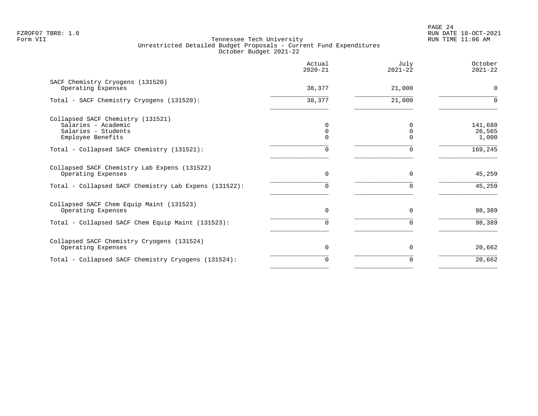|                                                                                                      | Actual<br>$2020 - 21$ | July<br>$2021 - 22$ | October<br>$2021 - 22$     |
|------------------------------------------------------------------------------------------------------|-----------------------|---------------------|----------------------------|
| SACF Chemistry Cryogens (131520)<br>Operating Expenses                                               | 38,377                | 21,000              | $\Omega$                   |
| Total - SACF Chemistry Cryogens (131520):                                                            | 38,377                | 21,000              | $\Omega$                   |
| Collapsed SACF Chemistry (131521)<br>Salaries - Academic<br>Salaries - Students<br>Employee Benefits | 0<br>0<br>$\Omega$    |                     | 141,680<br>26,565<br>1,000 |
| Total - Collapsed SACF Chemistry (131521):                                                           | $\Omega$              | $\Omega$            | 169,245                    |
| Collapsed SACF Chemistry Lab Expens (131522)<br>Operating Expenses                                   | $\Omega$              | $\Omega$            | 45,259                     |
| Total - Collapsed SACF Chemistry Lab Expens (131522):                                                | 0                     |                     | 45,259                     |
| Collapsed SACF Chem Equip Maint (131523)<br>Operating Expenses                                       | $\Omega$              | $\Omega$            | 98,389                     |
| Total - Collapsed SACF Chem Equip Maint (131523):                                                    | $\cap$                | U                   | 98,389                     |
| Collapsed SACF Chemistry Cryogens (131524)<br>Operating Expenses                                     | $\Omega$              | $\Omega$            | 20,662                     |
| Total - Collapsed SACF Chemistry Cryogens (131524):                                                  | $\Omega$              |                     | 20,662                     |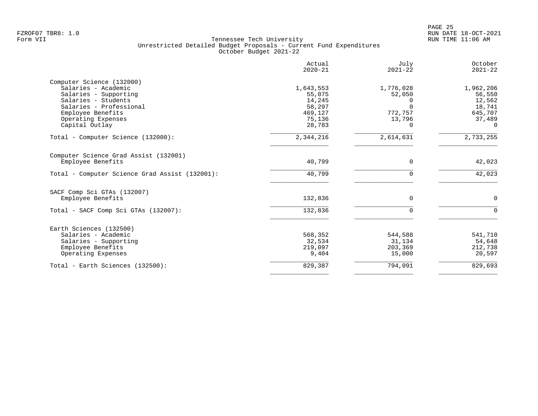|                                                | Actual<br>$2020 - 21$ | July<br>$2021 - 22$ | October<br>$2021 - 22$ |
|------------------------------------------------|-----------------------|---------------------|------------------------|
| Computer Science (132000)                      |                       |                     |                        |
| Salaries - Academic                            | 1,643,553             | 1,776,028           | 1,962,206              |
| Salaries - Supporting                          | 55,075                | 52,050              | 56,550                 |
| Salaries - Students                            | 14,245                | 0                   | 12,562                 |
| Salaries - Professional                        | 58,297                |                     | 18,741                 |
| Employee Benefits                              | 469,127               | 772,757             | 645,707                |
| Operating Expenses                             | 75,136                | 13,796              | 37,489                 |
| Capital Outlay                                 | 28,783                | $\Omega$            | $\Omega$               |
| Total - Computer Science (132000):             | 2,344,216             | 2,614,631           | 2,733,255              |
| Computer Science Grad Assist (132001)          |                       |                     |                        |
| Employee Benefits                              | 40,799                | 0                   | 42,023                 |
| Total - Computer Science Grad Assist (132001): | 40,799                | 0                   | 42,023                 |
| SACF Comp Sci GTAs (132007)                    |                       |                     |                        |
| Employee Benefits                              | 132,836               | $\Omega$            | $\Omega$               |
| Total - SACF Comp Sci GTAs (132007):           | 132,836               | $\Omega$            | $\Omega$               |
|                                                |                       |                     |                        |
| Earth Sciences (132500)<br>Salaries - Academic | 568,352               | 544,588             | 541,710                |
|                                                | 32,534                | 31,134              | 54,648                 |
| Salaries - Supporting<br>Employee Benefits     | 219,097               | 203,369             | 212,738                |
| Operating Expenses                             | 9,404                 | 15,000              | 20,597                 |
|                                                |                       |                     |                        |
| Total - Earth Sciences (132500):               | 829,387               | 794,091             | 829,693                |
|                                                |                       |                     |                        |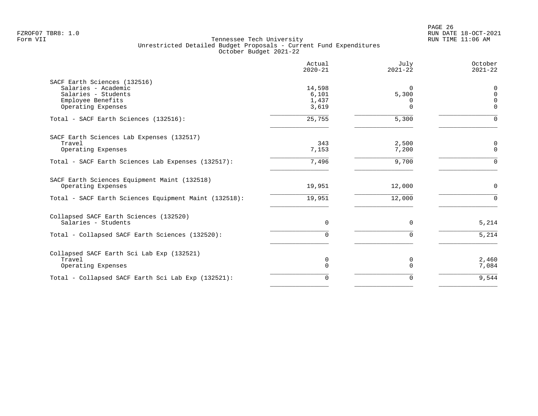|                                                       | Actual<br>$2020 - 21$ | July<br>$2021 - 22$ | October<br>$2021 - 22$ |
|-------------------------------------------------------|-----------------------|---------------------|------------------------|
| SACF Earth Sciences (132516)                          |                       |                     |                        |
| Salaries - Academic                                   | 14,598                | $\Omega$            | $\mathbf 0$            |
| Salaries - Students                                   | 6,101                 | 5,300               | $\mathbf 0$            |
| Employee Benefits                                     | 1,437                 | $\Omega$            | $\Omega$               |
| Operating Expenses                                    | 3,619                 | $\Omega$            | $\Omega$               |
| Total - SACF Earth Sciences (132516):                 | 25,755                | 5,300               | $\Omega$               |
| SACF Earth Sciences Lab Expenses (132517)             |                       |                     |                        |
| Travel                                                | 343                   | 2,500               | $\mathbf 0$            |
| Operating Expenses                                    | 7,153                 | 7,200               | $\mathbf 0$            |
| Total - SACF Earth Sciences Lab Expenses (132517):    | 7,496                 | 9,700               | $\Omega$               |
| SACF Earth Sciences Equipment Maint (132518)          |                       |                     |                        |
| Operating Expenses                                    | 19,951                | 12,000              | $\mathbf 0$            |
| Total - SACF Earth Sciences Equipment Maint (132518): | 19,951                | 12,000              | $\Omega$               |
| Collapsed SACF Earth Sciences (132520)                |                       |                     |                        |
| Salaries - Students                                   | $\mathbf 0$           | $\mathbf 0$         | 5,214                  |
| Total - Collapsed SACF Earth Sciences (132520):       | $\Omega$              | $\Omega$            | 5,214                  |
| Collapsed SACF Earth Sci Lab Exp (132521)             |                       |                     |                        |
| Travel                                                | 0                     | 0                   | 2,460                  |
| Operating Expenses                                    | $\mathbf 0$           | $\Omega$            | 7,084                  |
| Total - Collapsed SACF Earth Sci Lab Exp (132521):    | $\mathbf 0$           | 0                   | 9,544                  |
|                                                       |                       |                     |                        |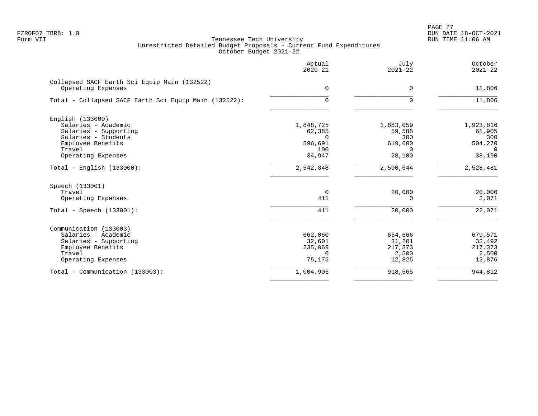PAGE 27 FZROF07 TBR8: 1.0 RUN DATE 18-OCT-2021

|                                                                                                                                              | Actual<br>$2020 - 21$                                       | July<br>$2021 - 22$                                         | October<br>$2021 - 22$                                      |
|----------------------------------------------------------------------------------------------------------------------------------------------|-------------------------------------------------------------|-------------------------------------------------------------|-------------------------------------------------------------|
| Collapsed SACF Earth Sci Equip Main (132522)<br>Operating Expenses                                                                           | 0                                                           | 0                                                           | 11,806                                                      |
| Total - Collapsed SACF Earth Sci Equip Main (132522):                                                                                        | 0                                                           | 0                                                           | 11,806                                                      |
| English (133000)<br>Salaries - Academic<br>Salaries - Supporting<br>Salaries - Students<br>Employee Benefits<br>Travel<br>Operating Expenses | 1,848,725<br>62,385<br>$\Omega$<br>596,691<br>100<br>34,947 | 1,883,059<br>59,585<br>300<br>619,600<br>$\Omega$<br>28,100 | 1,923,816<br>61,905<br>300<br>504,270<br>$\Omega$<br>38,190 |
| $Total - English (133000):$                                                                                                                  | 2,542,848                                                   | 2,590,644                                                   | 2,528,481                                                   |
| Speech (133001)<br>Travel<br>Operating Expenses<br>Total - Speech $(133001)$ :                                                               | $\overline{0}$<br>411<br>411                                | 20,000<br>$\Omega$<br>20,000                                | 20,000<br>2,071<br>22,071                                   |
| Communication (133003)<br>Salaries - Academic<br>Salaries - Supporting<br>Employee Benefits<br>Travel<br>Operating Expenses                  | 662,060<br>32,601<br>235,069<br>$\Omega$<br>75,175          | 654,666<br>31,201<br>217,373<br>2,500<br>12,825             | 679,571<br>32,492<br>217,373<br>2,500<br>12,876             |
| Total - Communication (133003):                                                                                                              | 1,004,905                                                   | 918,565                                                     | 944,812                                                     |
|                                                                                                                                              |                                                             |                                                             |                                                             |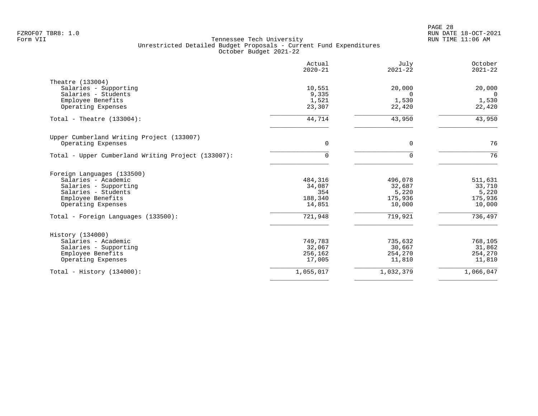|                                                    | Actual<br>$2020 - 21$ | July<br>$2021 - 22$ | October<br>$2021 - 22$ |
|----------------------------------------------------|-----------------------|---------------------|------------------------|
| Theatre (133004)                                   |                       |                     |                        |
| Salaries - Supporting                              | 10,551                | 20,000              | 20,000                 |
| Salaries - Students                                | 9,335                 | $\Omega$            | $\Omega$               |
| Employee Benefits                                  | 1,521                 | 1,530               | 1,530                  |
| Operating Expenses                                 | 23,307                | 22,420              | 22,420                 |
| Total - Theatre $(133004)$ :                       | 44,714                | 43,950              | 43,950                 |
| Upper Cumberland Writing Project (133007)          |                       |                     |                        |
| Operating Expenses                                 | $\Omega$              | $\Omega$            | 76                     |
| Total - Upper Cumberland Writing Project (133007): | $\Omega$              | $\Omega$            | 76                     |
| Foreign Languages (133500)                         |                       |                     |                        |
| Salaries - Academic                                | 484,316               | 496,078             | 511,631                |
| Salaries - Supporting                              | 34,087                | 32,687              | 33,710                 |
| Salaries - Students                                | 354                   | 5,220               | 5,220                  |
| Employee Benefits<br>Operating Expenses            | 188,340<br>14,851     | 175,936<br>10,000   | 175,936<br>10,000      |
|                                                    |                       |                     |                        |
| Total - Foreign Languages (133500):                | 721,948               | 719,921             | 736,497                |
| History (134000)                                   |                       |                     |                        |
| Salaries - Academic                                | 749,783               | 735,632             | 768,105                |
| Salaries - Supporting                              | 32,067                | 30,667              | 31,862                 |
| Employee Benefits                                  | 256,162               | 254,270             | 254,270                |
| Operating Expenses                                 | 17,005                | 11,810              | 11,810                 |
| Total - History $(134000)$ :                       | 1,055,017             | 1,032,379           | 1,066,047              |
|                                                    |                       |                     |                        |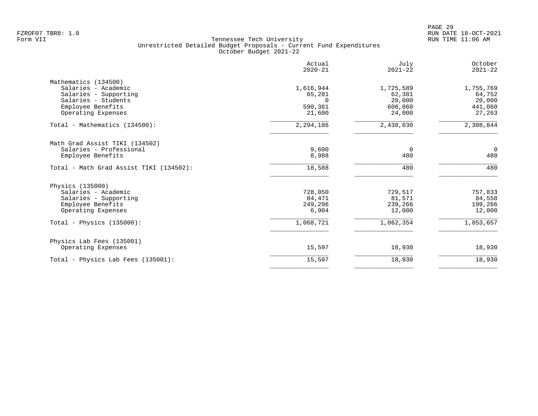|                                         | Actual<br>$2020 - 21$ | July<br>$2021 - 22$ | October<br>$2021 - 22$ |
|-----------------------------------------|-----------------------|---------------------|------------------------|
| Mathematics (134500)                    |                       |                     |                        |
| Salaries - Academic                     | 1,616,944             | 1,725,589           | 1,755,769              |
| Salaries - Supporting                   | 65,281                | 62,381              | 64,752                 |
| Salaries - Students                     | $\Omega$              | 20,000              | 20,000                 |
| Employee Benefits                       | 590,361               | 606,060             | 441,060                |
| Operating Expenses                      | 21,600                | 24,000              | 27,263                 |
| Total - Mathematics (134500):           | 2,294,186             | 2,438,030           | 2,308,844              |
| Math Grad Assist TIKI (134502)          |                       |                     |                        |
| Salaries - Professional                 | 9,600                 | 0                   | $\mathbf 0$            |
| Employee Benefits                       | 8,988                 | 480                 | 480                    |
| Total - Math Grad Assist TIKI (134502): | 18,588                | 480                 | 480                    |
| Physics (135000)                        |                       |                     |                        |
| Salaries - Academic                     | 728,050               | 729,517             | 757,833                |
| Salaries - Supporting                   | 84,471                | 81,571              | 84,558                 |
| Employee Benefits                       | 249,296               | 239,266             | 199,266                |
| Operating Expenses                      | 6,904                 | 12,000              | 12,000                 |
| Total - Physics $(135000)$ :            | 1,068,721             | 1,062,354           | 1,053,657              |
| Physics Lab Fees (135001)               |                       |                     |                        |
| Operating Expenses                      | 15,597                | 18,930              | 18,930                 |
| Total - Physics Lab Fees (135001):      | 15,597                | 18,930              | 18,930                 |
|                                         |                       |                     |                        |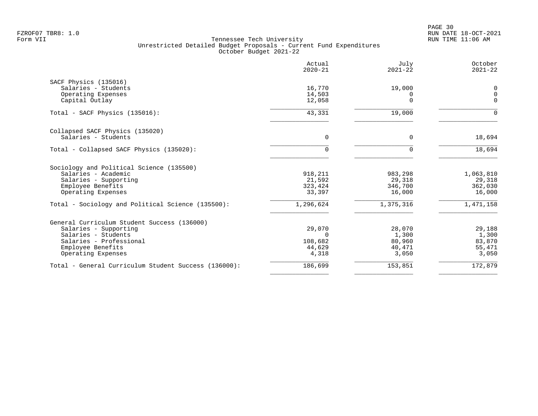PAGE 30 FZROF07 TBR8: 1.0 RUN DATE 18-OCT-2021

|                                                                 | Actual<br>$2020 - 21$ | July<br>$2021 - 22$ | October<br>$2021 - 22$ |
|-----------------------------------------------------------------|-----------------------|---------------------|------------------------|
| SACF Physics (135016)                                           |                       |                     |                        |
| Salaries - Students                                             | 16,770                | 19,000              | 0                      |
| Operating Expenses                                              | 14,503                | 0                   | 0                      |
| Capital Outlay                                                  | 12,058                | $\Omega$            | $\Omega$               |
| Total - SACF Physics (135016):                                  | 43,331                | 19,000              | $\Omega$               |
| Collapsed SACF Physics (135020)                                 |                       |                     |                        |
| Salaries - Students                                             | $\Omega$              | $\Omega$            | 18,694                 |
| Total - Collapsed SACF Physics (135020):                        |                       | $\Omega$            | 18,694                 |
|                                                                 |                       |                     |                        |
| Sociology and Political Science (135500)<br>Salaries - Academic | 918,211               | 983,298             | 1,063,810              |
| Salaries - Supporting                                           | 21,592                | 29,318              | 29,318                 |
| Employee Benefits                                               | 323,424               | 346,700             | 362,030                |
| Operating Expenses                                              | 33,397                | 16,000              | 16,000                 |
| Total - Sociology and Political Science (135500):               | 1,296,624             | 1,375,316           | 1,471,158              |
| General Curriculum Student Success (136000)                     |                       |                     |                        |
| Salaries - Supporting                                           | 29,070                | 28,070              | 29,188                 |
| Salaries - Students                                             | $\cap$                | 1,300               | 1,300                  |
| Salaries - Professional                                         | 108,682               | 80,960              | 83,870                 |
| Employee Benefits                                               | 44,629                | 40,471              | 55,471                 |
| Operating Expenses                                              | 4,318                 | 3,050               | 3,050                  |
| Total - General Curriculum Student Success (136000):            | 186,699               | 153,851             | 172,879                |
|                                                                 |                       |                     |                        |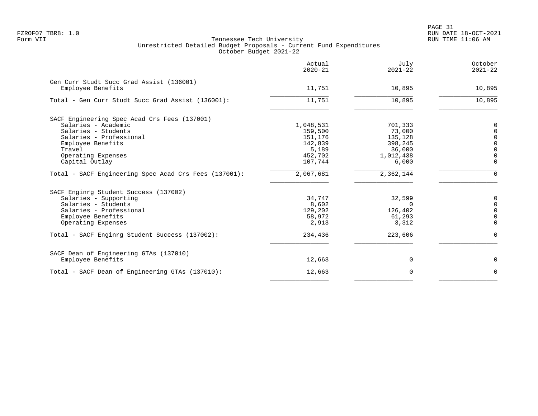|                                                       | Actual<br>$2020 - 21$ | July<br>$2021 - 22$ | October<br>$2021 - 22$ |
|-------------------------------------------------------|-----------------------|---------------------|------------------------|
| Gen Curr Studt Succ Grad Assist (136001)              |                       |                     |                        |
| Employee Benefits                                     | 11,751                | 10,895              | 10,895                 |
| Total - Gen Curr Studt Succ Grad Assist (136001):     | 11,751                | 10,895              | 10,895                 |
| SACF Engineering Spec Acad Crs Fees (137001)          |                       |                     |                        |
| Salaries - Academic                                   | 1,048,531             | 701,333             | 0                      |
| Salaries - Students                                   | 159,500               | 73,000              | $\Omega$               |
| Salaries - Professional                               | 151,176               | 135,128             | $\Omega$               |
| Employee Benefits                                     | 142,839               | 398,245             | $\Omega$               |
| Travel                                                | 5,189                 | 36,000              | $\Omega$               |
| Operating Expenses                                    | 452,702               | 1,012,438           | $\Omega$               |
| Capital Outlay                                        | 107,744               | 6,000               | $\Omega$               |
| Total - SACF Engineering Spec Acad Crs Fees (137001): | 2,067,681             | 2,362,144           | $\Omega$               |
| SACF Enginrg Student Success (137002)                 |                       |                     |                        |
| Salaries - Supporting                                 | 34,747                | 32,599              | 0                      |
| Salaries - Students                                   | 8,602                 | $\Omega$            | $\mathbf 0$            |
| Salaries - Professional                               | 129,202               | 126,402             | $\Omega$               |
| Employee Benefits                                     | 58,972                | 61,293              | $\mathbf 0$            |
| Operating Expenses                                    | 2,913                 | 3,312               | $\Omega$               |
| Total - SACF Enginrg Student Success (137002):        | 234,436               | 223,606             | $\mathbf 0$            |
| SACF Dean of Engineering GTAs (137010)                |                       |                     |                        |
| Employee Benefits                                     | 12,663                | 0                   | 0                      |
| Total - SACF Dean of Engineering GTAs (137010):       | 12,663                | 0                   | $\Omega$               |
|                                                       |                       |                     |                        |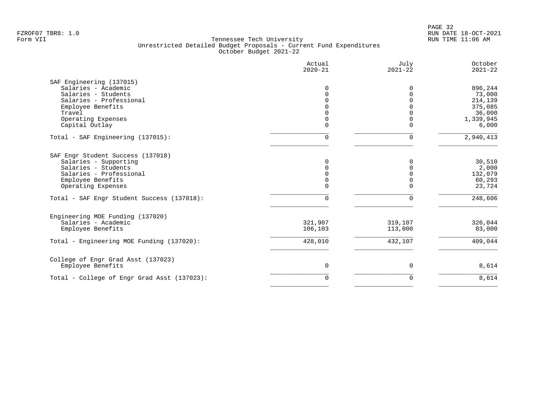|                                             | Actual<br>$2020 - 21$ | July<br>$2021 - 22$ | October<br>$2021 - 22$ |
|---------------------------------------------|-----------------------|---------------------|------------------------|
| SAF Engineering (137015)                    |                       |                     |                        |
| Salaries - Academic                         | $\Omega$              | <sup>0</sup>        | 896,244                |
| Salaries - Students                         | $\Omega$              | $\Omega$            | 73,000                 |
| Salaries - Professional                     |                       |                     | 214,139                |
| Employee Benefits                           |                       |                     | 375,085                |
| Travel                                      | $\Omega$              |                     | 36,000                 |
| Operating Expenses                          | $\Omega$              |                     | 1,339,945              |
| Capital Outlay                              | 0                     | $\Omega$            | 6,000                  |
| Total - SAF Engineering (137015):           | 0                     | $\Omega$            | 2,940,413              |
| SAF Engr Student Success (137018)           |                       |                     |                        |
| Salaries - Supporting                       | 0                     | <sup>0</sup>        | 30,510                 |
| Salaries - Students                         |                       |                     | 2,000                  |
| Salaries - Professional                     |                       |                     | 132,079                |
| Employee Benefits                           | 0                     | $\Omega$            | 60,293                 |
| Operating Expenses                          | 0                     | $\Omega$            | 23,724                 |
| Total - SAF Engr Student Success (137018):  | 0                     | $\mathbf 0$         | 248,606                |
| Engineering MOE Funding (137020)            |                       |                     |                        |
| Salaries - Academic                         | 321,907               | 319,107             | 326,044                |
| Employee Benefits                           | 106,103               | 113,000             | 83,000                 |
| Total - Engineering MOE Funding (137020):   | 428,010               | 432,107             | 409,044                |
| College of Engr Grad Asst (137023)          |                       |                     |                        |
| Employee Benefits                           | 0                     | 0                   | 8,614                  |
| Total - College of Engr Grad Asst (137023): | $\Omega$              | 0                   | 8,614                  |
|                                             |                       |                     |                        |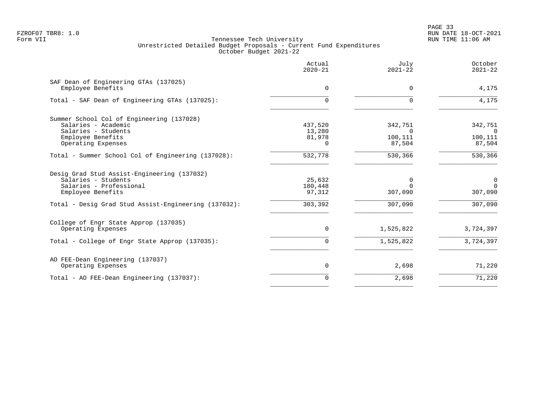PAGE 33 FZROF07 TBR8: 1.0 RUN DATE 18-OCT-2021

|                                                            | Actual<br>$2020 - 21$ | July<br>$2021 - 22$     | October<br>$2021 - 22$     |
|------------------------------------------------------------|-----------------------|-------------------------|----------------------------|
| SAF Dean of Engineering GTAs (137025)<br>Employee Benefits | 0                     | $\Omega$                | 4,175                      |
| Total - SAF Dean of Engineering GTAs (137025):             | $\Omega$              |                         | 4,175                      |
| Summer School Col of Engineering (137028)                  |                       |                         |                            |
| Salaries - Academic<br>Salaries - Students                 | 437,520<br>13,280     | 342,751<br><sup>n</sup> | 342,751<br>- 0             |
| Employee Benefits                                          | 81,978                | 100,111                 | 100,111                    |
| Operating Expenses                                         | $\Omega$              | 87,504                  | 87,504                     |
| Total - Summer School Col of Engineering (137028):         | 532,778               | 530,366                 | 530,366                    |
| Desig Grad Stud Assist-Engineering (137032)                |                       |                         |                            |
| Salaries - Students<br>Salaries - Professional             | 25,632<br>180,448     | 0<br>$\Omega$           | $\overline{0}$<br>$\Omega$ |
| Employee Benefits                                          | 97,312                | 307,090                 | 307,090                    |
| Total - Desig Grad Stud Assist-Engineering (137032):       | 303,392               | 307,090                 | 307,090                    |
| College of Engr State Approp (137035)                      |                       |                         |                            |
| Operating Expenses                                         | 0                     | 1,525,822               | 3,724,397                  |
| Total - College of Engr State Approp (137035):             | 0                     | 1,525,822               | 3,724,397                  |
| AO FEE-Dean Engineering (137037)                           |                       |                         |                            |
| Operating Expenses                                         | 0                     | 2,698                   | 71,220                     |
| Total - AO FEE-Dean Engineering (137037):                  | 0                     | 2,698                   | 71,220                     |
|                                                            |                       |                         |                            |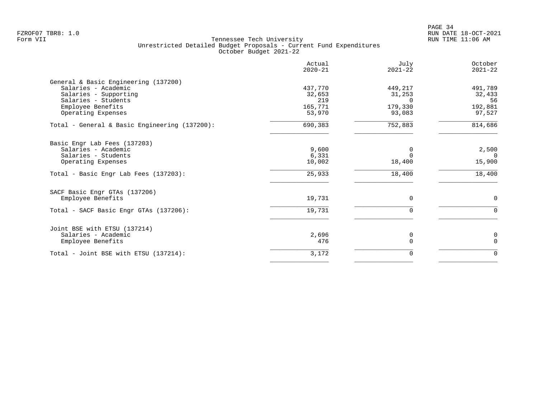|                                               | Actual<br>$2020 - 21$ | July<br>$2021 - 22$ | October<br>$2021 - 22$ |
|-----------------------------------------------|-----------------------|---------------------|------------------------|
| General & Basic Engineering (137200)          |                       |                     |                        |
| Salaries - Academic                           | 437,770               | 449,217             | 491,789                |
| Salaries - Supporting                         | 32,653                | 31,253              | 32,433                 |
| Salaries - Students                           | 219                   | $\Omega$            | 56                     |
| Employee Benefits                             | 165,771               | 179,330             | 192,881                |
| Operating Expenses                            | 53,970                | 93,083              | 97,527                 |
| Total - General & Basic Engineering (137200): | 690,383               | 752,883             | 814,686                |
| Basic Engr Lab Fees (137203)                  |                       |                     |                        |
| Salaries - Academic                           | 9,600                 | 0                   | 2,500                  |
| Salaries - Students                           | 6,331                 | $\Omega$            | $\Omega$               |
| Operating Expenses                            | 10,002                | 18,400              | 15,900                 |
| Total - Basic Engr Lab Fees (137203):         | 25,933                | 18,400              | 18,400                 |
| SACF Basic Engr GTAs (137206)                 |                       |                     |                        |
| Employee Benefits                             | 19,731                | $\mathbf 0$         | $\mathbf 0$            |
| Total - SACF Basic Engr GTAs (137206):        | 19,731                | $\mathbf 0$         | $\Omega$               |
| Joint BSE with ETSU (137214)                  |                       |                     |                        |
| Salaries - Academic                           | 2,696                 | 0                   | 0                      |
| Employee Benefits                             | 476                   | $\Omega$            | $\mathbf 0$            |
| Total - Joint BSE with ETSU (137214):         | 3,172                 | 0                   | $\mathbf 0$            |
|                                               |                       |                     |                        |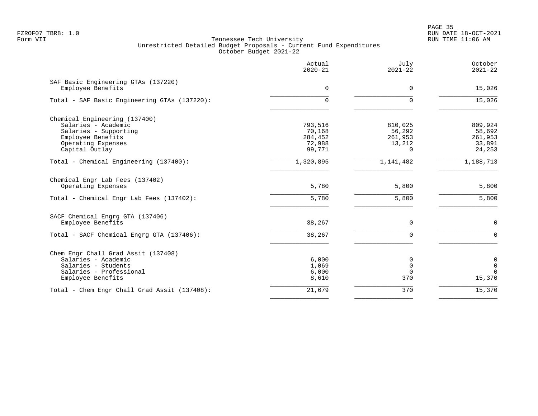en and the state of the state of the state of the state of the state of the state of the state of the state of the state of the state of the state of the state of the state of the state of the state of the state of the sta FZROF07 TBR8: 1.0 RUN DATE 18-OCT-2021

|                                                          | Actual<br>$2020 - 21$ | July<br>$2021 - 22$ | October<br>$2021 - 22$ |
|----------------------------------------------------------|-----------------------|---------------------|------------------------|
| SAF Basic Engineering GTAs (137220)<br>Employee Benefits | 0                     | $\Omega$            | 15,026                 |
| Total - SAF Basic Engineering GTAs (137220):             | $\Omega$              | $\Omega$            | 15,026                 |
| Chemical Engineering (137400)                            |                       |                     |                        |
| Salaries - Academic                                      | 793,516               | 810,025             | 809,924                |
| Salaries - Supporting                                    | 70,168                | 56,292              | 58,692                 |
| Employee Benefits                                        | 284,452               | 261,953             | 261,953                |
| Operating Expenses                                       | 72,988                | 13,212              | 33,891                 |
| Capital Outlay                                           | 99,771                | 0                   | 24,253                 |
| Total - Chemical Engineering (137400):                   | 1,320,895             | 1,141,482           | 1,188,713              |
| Chemical Engr Lab Fees (137402)                          |                       |                     |                        |
| Operating Expenses                                       | 5,780                 | 5,800               | 5,800                  |
| Total - Chemical Engr Lab Fees (137402):                 | 5,780                 | 5,800               | 5,800                  |
| SACF Chemical Engrg GTA (137406)                         |                       |                     |                        |
| Employee Benefits                                        | 38,267                | 0                   | $\mathbf 0$            |
| Total - SACF Chemical Engrg GTA (137406):                | 38,267                | $\Omega$            | $\Omega$               |
| Chem Engr Chall Grad Assit (137408)                      |                       |                     |                        |
| Salaries - Academic                                      | 6,000                 | 0                   | 0                      |
| Salaries - Students                                      | 1,069                 | $\Omega$            | $\overline{0}$         |
| Salaries - Professional                                  | 6,000                 | $\Omega$            | $\Omega$               |
| Employee Benefits                                        | 8,610                 | 370                 | 15,370                 |
| Total - Chem Engr Chall Grad Assit (137408):             | 21,679                | 370                 | 15,370                 |
|                                                          |                       |                     |                        |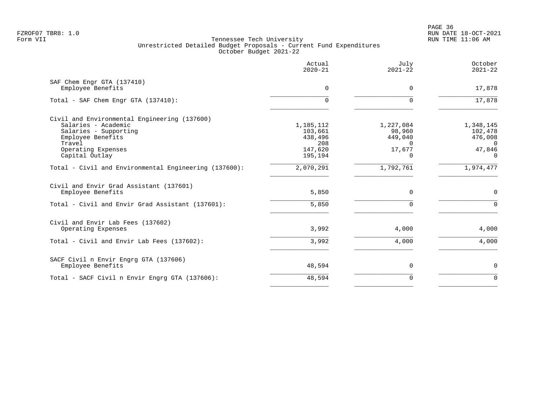en and the state of the state of the state of the state of the state of the state of the state of the state of the state of the state of the state of the state of the state of the state of the state of the state of the sta FZROF07 TBR8: 1.0 RUN DATE 18-OCT-2021

|                                                                                              | Actual<br>$2020 - 21$ | July<br>$2021 - 22$ | October<br>$2021 - 22$ |
|----------------------------------------------------------------------------------------------|-----------------------|---------------------|------------------------|
| SAF Chem Engr GTA (137410)<br>Employee Benefits                                              | $\Omega$              | $\Omega$            | 17,878                 |
| Total - SAF Chem Engr GTA (137410):                                                          |                       |                     | 17,878                 |
| Civil and Environmental Engineering (137600)<br>Salaries - Academic<br>Salaries - Supporting | 1,185,112<br>103,661  | 1,227,084<br>98,960 | 1,348,145<br>102,478   |
| Employee Benefits<br>Travel                                                                  | 438,496<br>208        | 449,040             | 476,008<br>$\Omega$    |
| Operating Expenses<br>Capital Outlay                                                         | 147,620<br>195,194    | 17,677<br>$\Omega$  | 47,846<br>$\Omega$     |
| Total - Civil and Environmental Engineering (137600):                                        | 2,070,291             | 1,792,761           | 1,974,477              |
| Civil and Envir Grad Assistant (137601)<br>Employee Benefits                                 | 5,850                 | $\mathbf 0$         | 0                      |
| Total - Civil and Envir Grad Assistant (137601):                                             | 5,850                 | $\Omega$            | $\mathbf 0$            |
| Civil and Envir Lab Fees (137602)<br>Operating Expenses                                      | 3,992                 | 4,000               | 4,000                  |
| Total - Civil and Envir Lab Fees (137602):                                                   | 3,992                 | 4,000               | 4,000                  |
| SACF Civil n Envir Engrg GTA (137606)<br>Employee Benefits                                   | 48,594                | $\mathbf 0$         | 0                      |
| Total - SACF Civil n Envir Engrg GTA (137606):                                               | 48,594                | $\Omega$            | $\Omega$               |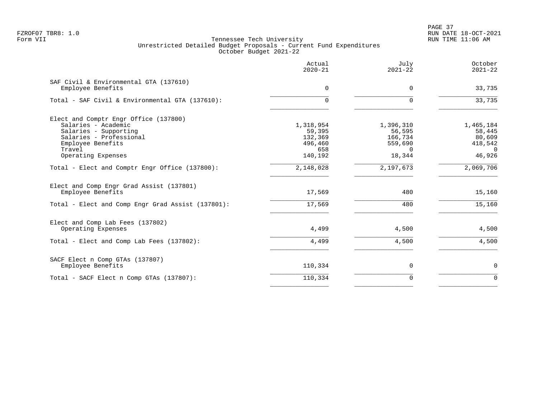PAGE 37 FZROF07 TBR8: 1.0 RUN DATE 18-OCT-2021

|                                                               | Actual<br>$2020 - 21$ | July<br>$2021 - 22$ | October<br>$2021 - 22$ |
|---------------------------------------------------------------|-----------------------|---------------------|------------------------|
| SAF Civil & Environmental GTA (137610)<br>Employee Benefits   | $\Omega$              | $\Omega$            | 33,735                 |
| Total - SAF Civil & Environmental GTA (137610):               | 0                     | $\Omega$            | 33,735                 |
| Elect and Comptr Engr Office (137800)                         |                       |                     |                        |
| Salaries - Academic                                           | 1,318,954             | 1,396,310           | 1,465,184              |
| Salaries - Supporting                                         | 59,395                | 56,595              | 58,445                 |
| Salaries - Professional                                       | 132,369               | 166,734             | 80,609                 |
| Employee Benefits                                             | 496,460               | 559,690             | 418,542                |
| Travel                                                        | 658                   | $\Omega$            | $\Omega$               |
| Operating Expenses                                            | 140,192               | 18,344              | 46,926                 |
| Total - Elect and Comptr Engr Office (137800):                | 2,148,028             | 2,197,673           | 2,069,706              |
| Elect and Comp Engr Grad Assist (137801)<br>Employee Benefits | 17,569                | 480                 | 15,160                 |
| Total - Elect and Comp Engr Grad Assist (137801):             | 17,569                | 480                 | 15,160                 |
| Elect and Comp Lab Fees (137802)                              |                       |                     |                        |
| Operating Expenses                                            | 4,499                 | 4,500               | 4,500                  |
| Total - Elect and Comp Lab Fees (137802):                     | 4,499                 | 4,500               | 4,500                  |
| SACF Elect n Comp GTAs (137807)                               |                       |                     |                        |
| Employee Benefits                                             | 110,334               | 0                   | $\mathbf 0$            |
| Total - SACF Elect n Comp GTAs (137807):                      | 110,334               | $\Omega$            | $\Omega$               |
|                                                               |                       |                     |                        |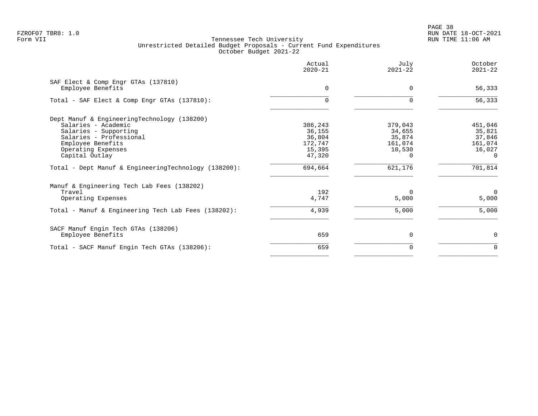|                                                                                                                                                                                     | Actual<br>$2020 - 21$                                      | July<br>$2021 - 22$                                          | October<br>$2021 - 22$                                       |
|-------------------------------------------------------------------------------------------------------------------------------------------------------------------------------------|------------------------------------------------------------|--------------------------------------------------------------|--------------------------------------------------------------|
| SAF Elect & Comp Engr GTAs (137810)<br>Employee Benefits                                                                                                                            | $\Omega$                                                   | $\Omega$                                                     | 56,333                                                       |
| Total - SAF Elect & Comp Engr GTAs (137810):                                                                                                                                        |                                                            | 0                                                            | 56,333                                                       |
| Dept Manuf & EngineeringTechnology (138200)<br>Salaries - Academic<br>Salaries - Supporting<br>Salaries - Professional<br>Employee Benefits<br>Operating Expenses<br>Capital Outlay | 386,243<br>36,155<br>36,804<br>172,747<br>15,395<br>47,320 | 379,043<br>34,655<br>35,874<br>161,074<br>10,530<br>$\Omega$ | 451,046<br>35,821<br>37,846<br>161,074<br>16,027<br>$\Omega$ |
| Total - Dept Manuf & EngineeringTechnology (138200):                                                                                                                                | 694,664                                                    | 621,176                                                      | 701,814                                                      |
| Manuf & Engineering Tech Lab Fees (138202)<br>Travel<br>Operating Expenses                                                                                                          | 192<br>4,747                                               | $\Omega$<br>5,000                                            | 0<br>5,000                                                   |
| Total - Manuf & Engineering Tech Lab Fees (138202):                                                                                                                                 | 4,939                                                      | 5,000                                                        | 5,000                                                        |
| SACF Manuf Engin Tech GTAs (138206)<br>Employee Benefits                                                                                                                            | 659                                                        | $\Omega$                                                     | 0                                                            |
| Total - SACF Manuf Engin Tech GTAs (138206):                                                                                                                                        | 659                                                        | $\Omega$                                                     | $\Omega$                                                     |
|                                                                                                                                                                                     |                                                            |                                                              |                                                              |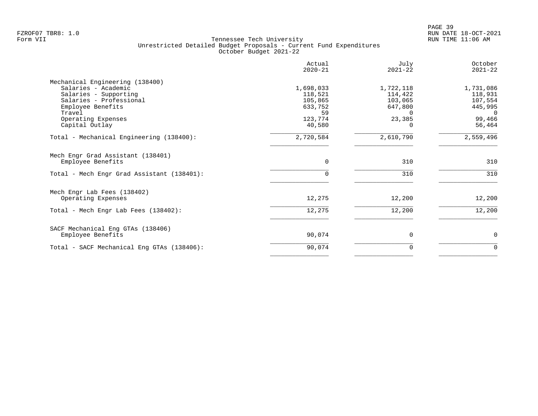|                                            | Actual<br>$2020 - 21$ | July<br>$2021 - 22$ | October<br>$2021 - 22$ |
|--------------------------------------------|-----------------------|---------------------|------------------------|
| Mechanical Engineering (138400)            |                       |                     |                        |
| Salaries - Academic                        | 1,698,033             | 1,722,118           | 1,731,086              |
| Salaries - Supporting                      | 118,521               | 114,422             | 118,931                |
| Salaries - Professional                    | 105,865               | 103,065             | 107,554                |
| Employee Benefits                          | 633,752               | 647,800             | 445,995                |
| Travel                                     | 59                    | 0                   | $\Omega$               |
| Operating Expenses                         | 123,774               | 23,385              | 99,466                 |
| Capital Outlay                             | 40,580                |                     | 56,464                 |
| Total - Mechanical Engineering (138400):   | 2,720,584             | 2,610,790           | 2,559,496              |
| Mech Engr Grad Assistant (138401)          |                       |                     |                        |
| Employee Benefits                          | $\Omega$              | 310                 | 310                    |
| Total - Mech Engr Grad Assistant (138401): |                       | 310                 | 310                    |
| Mech Engr Lab Fees (138402)                |                       |                     |                        |
| Operating Expenses                         | 12,275                | 12,200              | 12,200                 |
| Total - Mech Engr Lab Fees (138402):       | 12,275                | 12,200              | 12,200                 |
| SACF Mechanical Eng GTAs (138406)          |                       |                     |                        |
| Employee Benefits                          | 90,074                | $\Omega$            | 0                      |
| Total - SACF Mechanical Eng GTAs (138406): | 90,074                | 0                   | $\Omega$               |
|                                            |                       |                     |                        |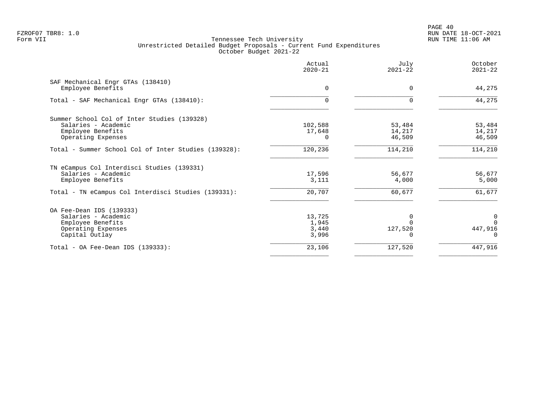PAGE 40 FZROF07 TBR8: 1.0 RUN DATE 18-OCT-2021

|                                                        | Actual<br>$2020 - 21$ | July<br>$2021 - 22$ | October<br>$2021 - 22$ |
|--------------------------------------------------------|-----------------------|---------------------|------------------------|
| SAF Mechanical Engr GTAs (138410)<br>Employee Benefits | $\Omega$              | $\Omega$            | 44,275                 |
| Total - SAF Mechanical Engr GTAs (138410):             |                       | 0                   | 44,275                 |
| Summer School Col of Inter Studies (139328)            |                       |                     |                        |
| Salaries - Academic                                    | 102,588               | 53,484              | 53,484                 |
| Employee Benefits                                      | 17,648                | 14,217              | 14,217                 |
| Operating Expenses                                     |                       | 46,509              | 46,509                 |
| Total - Summer School Col of Inter Studies (139328):   | 120,236               | 114,210             | 114,210                |
| TN eCampus Col Interdisci Studies (139331)             |                       |                     |                        |
| Salaries - Academic                                    | 17,596                | 56,677              | 56,677                 |
| Employee Benefits                                      | 3,111                 | 4,000               | 5,000                  |
| Total - TN eCampus Col Interdisci Studies (139331):    | 20,707                | 60,677              | 61,677                 |
| OA Fee-Dean IDS (139333)                               |                       |                     |                        |
| Salaries - Academic                                    | 13,725                | $\Omega$            | $\mathbf 0$            |
| Employee Benefits                                      | 1,945                 | U                   | $\Omega$               |
| Operating Expenses                                     | 3,440                 | 127,520             | 447,916                |
| Capital Outlay                                         | 3,996                 |                     | $\Omega$               |
| Total - OA Fee-Dean IDS $(139333)$ :                   | 23,106                | 127,520             | 447,916                |
|                                                        |                       |                     |                        |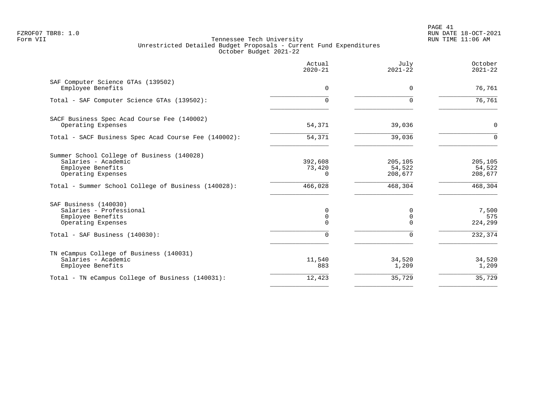PAGE 41 FZROF07 TBR8: 1.0 RUN DATE 18-OCT-2021

|                                                                                                                                                                     | Actual<br>$2020 - 21$                    | July<br>$2021 - 22$                             | October<br>$2021 - 22$                  |
|---------------------------------------------------------------------------------------------------------------------------------------------------------------------|------------------------------------------|-------------------------------------------------|-----------------------------------------|
| SAF Computer Science GTAs (139502)<br>Employee Benefits                                                                                                             | $\Omega$                                 | $\Omega$                                        | 76,761                                  |
| Total - SAF Computer Science GTAs (139502):                                                                                                                         | 0                                        | $\Omega$                                        | 76,761                                  |
| SACF Business Spec Acad Course Fee (140002)<br>Operating Expenses                                                                                                   | 54,371                                   | 39,036                                          | $\mathbf 0$                             |
| Total - SACF Business Spec Acad Course Fee (140002):                                                                                                                | 54,371                                   | 39,036                                          | $\Omega$                                |
| Summer School College of Business (140028)<br>Salaries - Academic<br>Employee Benefits<br>Operating Expenses<br>Total - Summer School College of Business (140028): | 392,608<br>73,420<br>$\Omega$<br>466,028 | 205,105<br>54,522<br>208,677<br>468,304         | 205,105<br>54,522<br>208,677<br>468,304 |
| SAF Business (140030)<br>Salaries - Professional<br>Employee Benefits<br>Operating Expenses<br>Total - SAF Business (140030):                                       | 0<br>0<br>0<br>$\Omega$                  | $\Omega$<br>$\mathbf 0$<br>$\Omega$<br>$\Omega$ | 7,500<br>575<br>224,299<br>232,374      |
| TN eCampus College of Business (140031)<br>Salaries - Academic<br>Employee Benefits                                                                                 | 11,540<br>883                            | 34,520<br>1,209                                 | 34,520<br>1,209                         |
| Total - TN eCampus College of Business (140031):                                                                                                                    | 12,423                                   | 35,729                                          | 35,729                                  |
|                                                                                                                                                                     |                                          |                                                 |                                         |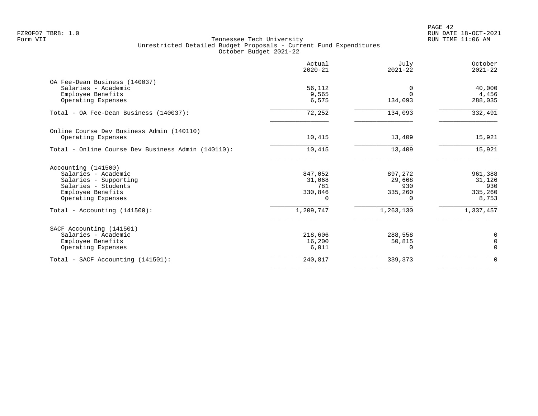PAGE 42 FZROF07 TBR8: 1.0 RUN DATE 18-OCT-2021

| Actual<br>$2020 - 21$ | July<br>$2021 - 22$                 | October<br>$2021 - 22$     |
|-----------------------|-------------------------------------|----------------------------|
|                       |                                     |                            |
| 56,112                | 0                                   | 40,000                     |
| 9,565                 | $\Omega$                            | 4,456                      |
| 6,575                 | 134,093                             | 288,035                    |
| 72,252                | 134,093                             | 332,491                    |
|                       |                                     |                            |
| 10,415                | 13,409                              | 15,921                     |
| 10,415                | 13,409                              | 15,921                     |
|                       |                                     |                            |
| 847,052               | 897,272                             | 961,388                    |
| 31,068                | 29,668                              | 31,126                     |
|                       |                                     | 930                        |
|                       |                                     | 335,260                    |
|                       |                                     | 8,753                      |
| 1,209,747             | 1,263,130                           | 1,337,457                  |
|                       |                                     |                            |
| 218,606               | 288,558                             | 0                          |
| 16,200                | 50,815                              | $\mathbf 0$                |
|                       | $\Omega$                            | $\mathbf 0$                |
| 240,817               | 339,373                             | $\mathbf 0$                |
|                       | 781<br>330,846<br>$\Omega$<br>6,011 | 930<br>335,260<br>$\Omega$ |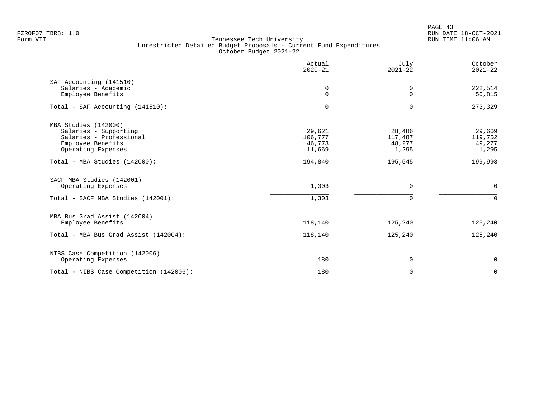PAGE 43 FZROF07 TBR8: 1.0 RUN DATE 18-OCT-2021

|                                                | Actual<br>$2020 - 21$ | July<br>$2021 - 22$ | October<br>$2021 - 22$ |
|------------------------------------------------|-----------------------|---------------------|------------------------|
| SAF Accounting (141510)<br>Salaries - Academic | 0<br>$\Omega$         | 0<br>$\Omega$       | 222,514                |
| Employee Benefits                              |                       |                     | 50,815                 |
| Total - SAF Accounting (141510):               | $\Omega$              | $\Omega$            | 273,329                |
| MBA Studies (142000)                           |                       |                     |                        |
| Salaries - Supporting                          | 29,621                | 28,486              | 29,669                 |
| Salaries - Professional<br>Employee Benefits   | 106,777<br>46,773     | 117,487<br>48,277   | 119,752<br>49,277      |
| Operating Expenses                             | 11,669                | 1,295               | 1,295                  |
| Total - MBA Studies (142000):                  | 194,840               | 195,545             | 199,993                |
| SACF MBA Studies (142001)                      |                       |                     |                        |
| Operating Expenses                             | 1,303                 | $\Omega$            | $\mathbf 0$            |
| Total - SACF MBA Studies (142001):             | 1,303                 |                     | $\Omega$               |
| MBA Bus Grad Assist (142004)                   |                       |                     |                        |
| Employee Benefits                              | 118,140               | 125,240             | 125,240                |
| Total - MBA Bus Grad Assist (142004):          | 118,140               | 125,240             | 125,240                |
| NIBS Case Competition (142006)                 |                       |                     |                        |
| Operating Expenses                             | 180                   | $\mathbf 0$         | 0                      |
| Total - NIBS Case Competition (142006):        | 180                   | $\Omega$            | $\mathbf 0$            |
|                                                |                       |                     |                        |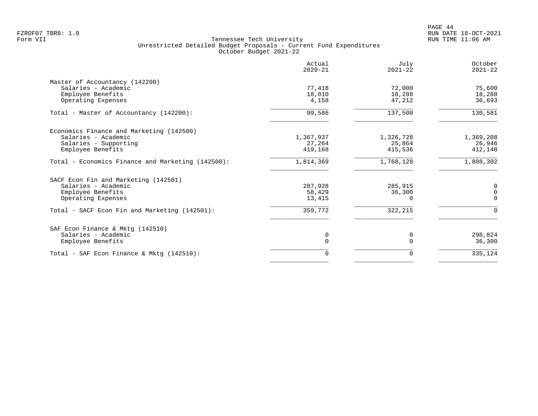|                                                   | Actual<br>$2020 - 21$ | July<br>$2021 - 22$ | October<br>$2021 - 22$ |
|---------------------------------------------------|-----------------------|---------------------|------------------------|
| Master of Accountancy (142200)                    |                       |                     |                        |
| Salaries - Academic                               | 77,418                | 72,000              | 75,600                 |
| Employee Benefits                                 | 18,010                | 18,288              | 18,288                 |
| Operating Expenses                                | 4,158                 | 47,212              | 36,693                 |
| Total - Master of Accountancy (142200):           | 99,586                | 137,500             | 130,581                |
| Economics Finance and Marketing (142500)          |                       |                     |                        |
| Salaries - Academic                               | 1,367,937             | 1,326,728           | 1,369,208              |
| Salaries - Supporting                             | 27,264                | 25,864              | 26,946                 |
| Employee Benefits                                 | 419,168               | 415,536             | 412,148                |
| Total - Economics Finance and Marketing (142500): | 1,814,369             | 1,768,128           | 1,808,302              |
| SACF Econ Fin and Marketing (142501)              |                       |                     |                        |
| Salaries - Academic                               | 287,928               | 285,915             | 0                      |
| Employee Benefits                                 | 58,429                | 36,300              | $\mathbf 0$            |
| Operating Expenses                                | 13,415                | O                   | $\Omega$               |
| Total - SACF Econ Fin and Marketing (142501):     | 359,772               | 322,215             | $\Omega$               |
| SAF Econ Finance & Mktq (142510)                  |                       |                     |                        |
| Salaries - Academic                               | 0                     | 0                   | 298,824                |
| Employee Benefits                                 | 0                     | $\Omega$            | 36,300                 |
| Total - SAF Econ Finance & Mktg (142510):         | 0                     | $\Omega$            | 335,124                |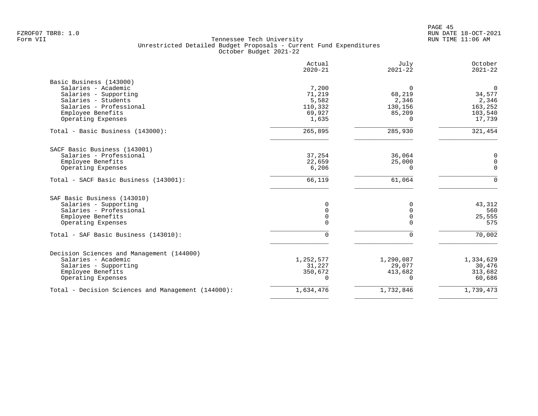|                                                    | Actual<br>$2020 - 21$ | July<br>$2021 - 22$ | October<br>$2021 - 22$ |
|----------------------------------------------------|-----------------------|---------------------|------------------------|
| Basic Business (143000)                            |                       |                     |                        |
| Salaries - Academic                                | 7,200                 | $\mathbf 0$         | $\mathbf 0$            |
| Salaries - Supporting                              | 71,219                | 68,219              | 34,577                 |
| Salaries - Students                                | 5,582                 | 2,346               | 2,346                  |
| Salaries - Professional                            | 110,332               | 130,156             | 163,252                |
| Employee Benefits                                  | 69,927                | 85,209              | 103,540                |
| Operating Expenses                                 | 1,635                 | $\Omega$            | 17,739                 |
| Total - Basic Business (143000):                   | 265,895               | 285,930             | 321,454                |
| SACF Basic Business (143001)                       |                       |                     |                        |
| Salaries - Professional                            | 37,254                | 36,064              | 0                      |
| Employee Benefits                                  | 22,659                | 25,000              | $\mathbf 0$            |
| Operating Expenses                                 | 6,206                 | 0                   | $\mathbf 0$            |
|                                                    |                       |                     |                        |
| Total - SACF Basic Business (143001):              | 66,119                | 61,064              | $\Omega$               |
| SAF Basic Business (143010)                        |                       |                     |                        |
| Salaries - Supporting                              | $\Omega$              | $\Omega$            | 43,312                 |
| Salaries - Professional                            | $\Omega$              | $\Omega$            | 560                    |
| Employee Benefits                                  | 0                     | $\mathbf 0$         | 25,555                 |
| Operating Expenses                                 | 0                     | $\Omega$            | 575                    |
| Total - SAF Basic Business (143010):               | 0                     | $\Omega$            | $\frac{1}{70,002}$     |
| Decision Sciences and Management (144000)          |                       |                     |                        |
| Salaries - Academic                                | 1,252,577             | 1,290,087           | 1,334,629              |
| Salaries - Supporting                              | 31,227                | 29,077              | 30,476                 |
| Employee Benefits                                  | 350,672               | 413,682             | 313,682                |
| Operating Expenses                                 | $\Omega$              | $\Omega$            | 60,686                 |
|                                                    |                       |                     |                        |
| Total - Decision Sciences and Management (144000): | 1,634,476             | 1,732,846           | 1,739,473              |
|                                                    |                       |                     |                        |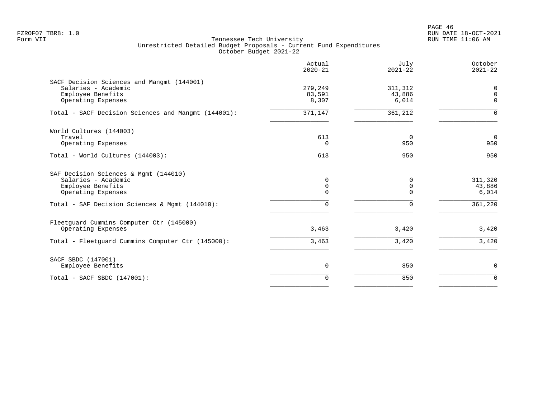PAGE 46 FZROF07 TBR8: 1.0 RUN DATE 18-OCT-2021

|                                                                                                                                                           | Actual<br>$2020 - 21$                          | July<br>$2021 - 22$        | October<br>$2021 - 22$                |
|-----------------------------------------------------------------------------------------------------------------------------------------------------------|------------------------------------------------|----------------------------|---------------------------------------|
| SACF Decision Sciences and Mangmt (144001)<br>Salaries - Academic<br>Employee Benefits<br>Operating Expenses                                              | 279,249<br>83,591<br>8,307                     | 311,312<br>43,886<br>6,014 | 0<br>$\mathbf 0$<br>$\mathbf 0$       |
| Total - SACF Decision Sciences and Mangmt (144001):                                                                                                       | 371,147                                        | 361,212                    | $\Omega$                              |
| World Cultures (144003)<br>Travel<br>Operating Expenses                                                                                                   | 613<br>$\Omega$                                | 0<br>950                   | $\overline{0}$<br>950                 |
| Total - World Cultures (144003):                                                                                                                          | 613                                            | 950                        | 950                                   |
| SAF Decision Sciences & Mgmt (144010)<br>Salaries - Academic<br>Employee Benefits<br>Operating Expenses<br>Total - SAF Decision Sciences & Mgmt (144010): | 0<br>$\mathsf 0$<br>$\mathbf 0$<br>$\mathbf 0$ | $\Omega$<br>0<br>O<br>0    | 311,320<br>43,886<br>6,014<br>361,220 |
| Fleetquard Cummins Computer Ctr (145000)<br>Operating Expenses                                                                                            | 3,463                                          | 3,420                      | 3,420                                 |
| Total - Fleetguard Cummins Computer Ctr (145000):                                                                                                         | 3,463                                          | 3,420                      | 3,420                                 |
| SACF SBDC (147001)<br>Employee Benefits                                                                                                                   | 0                                              | 850                        | 0                                     |
| Total - SACF SBDC (147001):                                                                                                                               | $\Omega$                                       | 850                        | $\Omega$                              |
|                                                                                                                                                           |                                                |                            |                                       |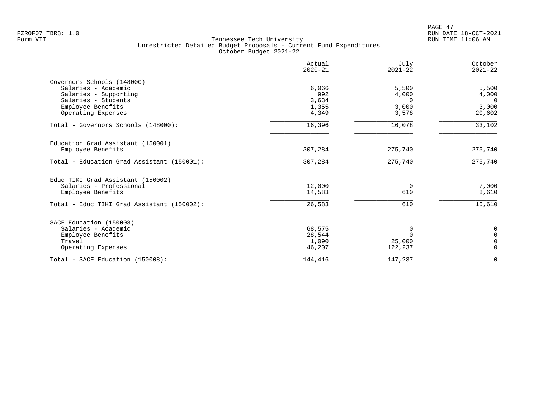PAGE 47 FZROF07 TBR8: 1.0 RUN DATE 18-OCT-2021

|                                            | Actual<br>$2020 - 21$ | July<br>$2021 - 22$ | October<br>$2021 - 22$ |
|--------------------------------------------|-----------------------|---------------------|------------------------|
| Governors Schools (148000)                 |                       |                     |                        |
| Salaries - Academic                        | 6,066                 | 5,500               | 5,500                  |
| Salaries - Supporting                      | 992                   | 4,000               | 4,000                  |
| Salaries - Students                        | 3,634                 | $\Omega$            | $\Omega$               |
| Employee Benefits<br>Operating Expenses    | 1,355<br>4,349        | 3,000<br>3,578      | 3,000<br>20,602        |
|                                            |                       |                     |                        |
| Total - Governors Schools (148000):        | 16,396                | 16,078              | 33,102                 |
| Education Grad Assistant (150001)          |                       |                     |                        |
| Employee Benefits                          | 307,284               | 275,740             | 275,740                |
| Total - Education Grad Assistant (150001): | 307,284               | 275,740             | 275,740                |
| Educ TIKI Grad Assistant (150002)          |                       |                     |                        |
| Salaries - Professional                    | 12,000                | 0                   | 7,000                  |
| Employee Benefits                          | 14,583                | 610                 | 8,610                  |
| Total - Educ TIKI Grad Assistant (150002): | 26,583                | 610                 | 15,610                 |
| SACF Education (150008)                    |                       |                     |                        |
| Salaries - Academic                        | 68,575                | 0                   | 0                      |
| Employee Benefits                          | 28,544                | $\Omega$            | $\mathbf 0$            |
| Travel                                     | 1,090                 | 25,000              | $\Omega$               |
| Operating Expenses                         | 46,207                | 122,237             | $\Omega$               |
| Total - SACF Education (150008):           | 144,416               | 147,237             | $\mathbf 0$            |
|                                            |                       |                     |                        |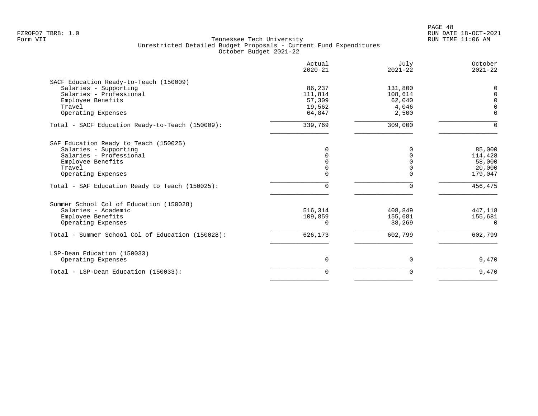|                                                  | Actual<br>$2020 - 21$ | July<br>$2021 - 22$ | October<br>$2021 - 22$ |
|--------------------------------------------------|-----------------------|---------------------|------------------------|
| SACF Education Ready-to-Teach (150009)           |                       |                     |                        |
| Salaries - Supporting                            | 86,237                | 131,800             | 0                      |
| Salaries - Professional                          | 111,814               | 108,614             | $\Omega$               |
| Employee Benefits                                | 57,309                | 62,040              | $\Omega$               |
| Travel                                           | 19,562                | 4,046               | $\Omega$               |
| Operating Expenses                               | 64,847                | 2,500               | $\Omega$               |
| Total - SACF Education Ready-to-Teach (150009):  | 339,769               | 309,000             | $\Omega$               |
| SAF Education Ready to Teach (150025)            |                       |                     |                        |
| Salaries - Supporting                            | 0                     | 0                   | 85,000                 |
| Salaries - Professional                          | $\Omega$              | $\Omega$            | 114,428                |
| Employee Benefits                                | $\Omega$              |                     | 58,000                 |
| Travel                                           | 0                     | $\Omega$            | 20,000                 |
| Operating Expenses                               | O                     | ∩                   | 179,047                |
| Total - SAF Education Ready to Teach (150025):   | 0                     | $\Omega$            | 456,475                |
| Summer School Col of Education (150028)          |                       |                     |                        |
| Salaries - Academic                              | 516,314               | 408,849             | 447,118                |
| Employee Benefits                                | 109,859               | 155,681             | 155,681                |
| Operating Expenses                               | $\Omega$              | 38,269              | $\Omega$               |
| Total - Summer School Col of Education (150028): | 626,173               | 602,799             | 602,799                |
| LSP-Dean Education (150033)                      |                       |                     |                        |
| Operating Expenses                               | $\mathbf 0$           | 0                   | 9,470                  |
| Total - LSP-Dean Education (150033):             | $\Omega$              | 0                   | 9,470                  |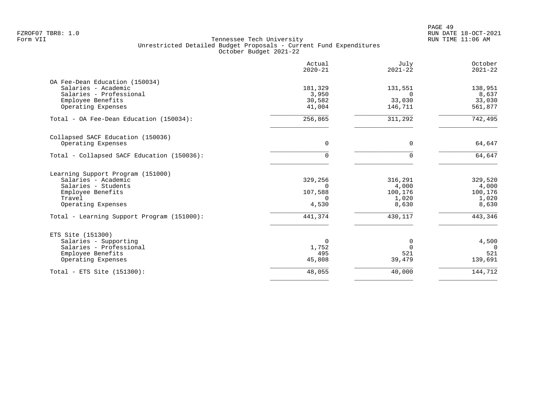|                                              | Actual<br>$2020 - 21$ | July<br>$2021 - 22$ | October<br>$2021 - 22$ |
|----------------------------------------------|-----------------------|---------------------|------------------------|
| OA Fee-Dean Education (150034)               |                       |                     |                        |
| Salaries - Academic                          | 181,329               | 131,551             | 138,951                |
| Salaries - Professional<br>Employee Benefits | 3,950<br>30,582       | $\Omega$<br>33,030  | 8,637<br>33,030        |
| Operating Expenses                           | 41,004                | 146,711             | 561,877                |
| Total - OA Fee-Dean Education (150034):      | 256,865               | 311,292             | 742,495                |
| Collapsed SACF Education (150036)            |                       |                     |                        |
| Operating Expenses                           | 0                     | 0                   | 64,647                 |
| Total - Collapsed SACF Education (150036):   | 0                     | $\Omega$            | 64,647                 |
| Learning Support Program (151000)            |                       |                     |                        |
| Salaries - Academic                          | 329,256               | 316,291             | 329,520                |
| Salaries - Students                          | $\Omega$              | 4,000               | 4,000                  |
| Employee Benefits<br>Travel                  | 107,588<br>$\cap$     | 100,176<br>1,020    | 100,176<br>1,020       |
| Operating Expenses                           | 4,530                 | 8,630               | 8,630                  |
| Total - Learning Support Program (151000):   | 441,374               | 430,117             | 443,346                |
| ETS Site (151300)                            |                       |                     |                        |
| Salaries - Supporting                        | 0                     | 0                   | 4,500                  |
| Salaries - Professional                      | 1,752                 | $\Omega$            | $\Omega$               |
| Employee Benefits<br>Operating Expenses      | 495<br>45,808         | 521<br>39,479       | 521<br>139,691         |
|                                              |                       |                     |                        |
| Total - ETS Site $(151300)$ :                | 48,055                | 40,000              | 144,712                |
|                                              |                       |                     |                        |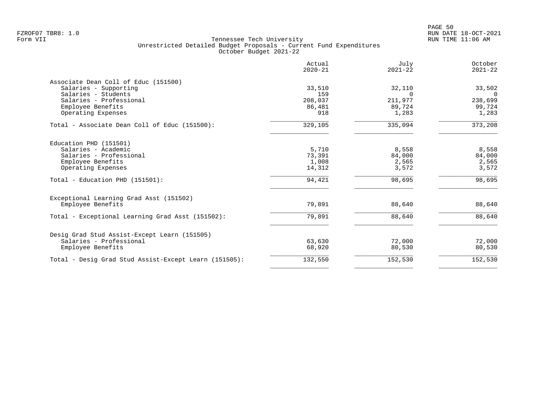| Actual<br>$2020 - 21$ | July<br>$2021 - 22$                         | October<br>$2021 - 22$                       |
|-----------------------|---------------------------------------------|----------------------------------------------|
|                       |                                             |                                              |
| 33,510                | 32,110                                      | 33,502                                       |
| 159                   | $\Omega$                                    | $\Omega$                                     |
|                       |                                             | 238,699                                      |
|                       |                                             | 99,724                                       |
|                       |                                             | 1,283                                        |
| 329,105               | 335,094                                     | 373,208                                      |
|                       |                                             |                                              |
| 5,710                 | 8,558                                       | 8,558                                        |
| 73,391                | 84,000                                      | 84,000                                       |
|                       |                                             | 2,565                                        |
|                       |                                             | 3,572                                        |
| 94,421                | 98,695                                      | 98,695                                       |
|                       |                                             |                                              |
| 79,891                | 88,640                                      | 88,640                                       |
| 79,891                | 88,640                                      | 88,640                                       |
|                       |                                             |                                              |
| 63,630                | 72,000                                      | 72,000                                       |
| 68,920                | 80,530                                      | 80,530                                       |
| 132,550               | 152,530                                     | 152,530                                      |
|                       | 208,037<br>86,481<br>918<br>1,008<br>14,312 | 211,977<br>89,724<br>1,283<br>2,565<br>3,572 |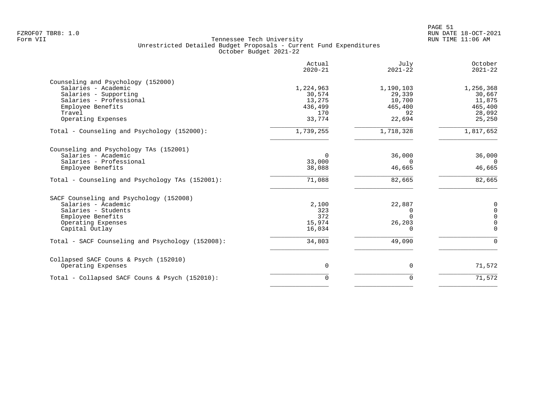|                                                  | Actual<br>$2020 - 21$ | July<br>$2021 - 22$ | October<br>$2021 - 22$ |
|--------------------------------------------------|-----------------------|---------------------|------------------------|
| Counseling and Psychology (152000)               |                       |                     |                        |
| Salaries - Academic                              | 1,224,963             | 1,190,103           | 1,256,368              |
| Salaries - Supporting                            | 30,574                | 29,339              | 30,667                 |
| Salaries - Professional                          | 13,275                | 10,700              | 11,875                 |
| Employee Benefits                                | 436,499               | 465,400             | 465,400                |
| Travel                                           | 170                   | 92                  | 28,092                 |
| Operating Expenses                               | 33,774                | 22,694              | 25,250                 |
| Total - Counseling and Psychology (152000):      | 1,739,255             | 1,718,328           | 1,817,652              |
| Counseling and Psychology TAs (152001)           |                       |                     |                        |
| Salaries - Academic                              | $\Omega$              | 36,000              | 36,000                 |
| Salaries - Professional                          | 33,000                | $\Omega$            | $\Omega$               |
| Employee Benefits                                | 38,088                | 46,665              | 46,665                 |
| Total - Counseling and Psychology TAs (152001):  | 71,088                | 82,665              | 82,665                 |
| SACF Counseling and Psychology (152008)          |                       |                     |                        |
| Salaries - Academic                              | 2,100                 | 22,887              | 0                      |
| Salaries - Students                              | 323                   | 0                   | $\mathbf 0$            |
| Employee Benefits                                | 372                   | $\Omega$            | $\mathbf 0$            |
| Operating Expenses                               | 15,974                | 26,203              | $\mathbf 0$            |
| Capital Outlay                                   | 16,034                | 0                   | $\mathbf 0$            |
| Total - SACF Counseling and Psychology (152008): | 34,803                | 49,090              | $\Omega$               |
|                                                  |                       |                     |                        |
| Collapsed SACF Couns & Psych (152010)            |                       |                     |                        |
| Operating Expenses                               | $\mathbf 0$           | 0                   | 71,572                 |
| Total - Collapsed SACF Couns & Psych (152010):   | $\mathbf 0$           | $\mathbf 0$         | 71,572                 |
|                                                  |                       |                     |                        |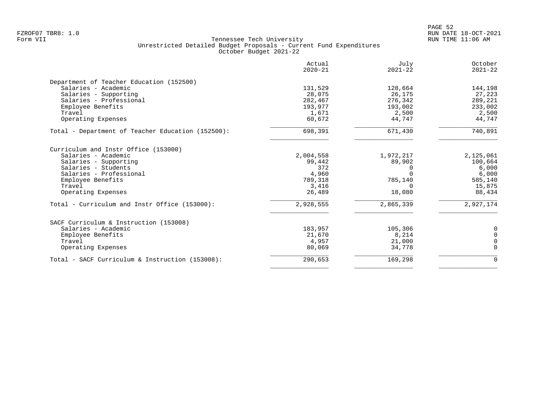|                                                   | Actual<br>$2020 - 21$ | July<br>$2021 - 22$ | October<br>$2021 - 22$ |
|---------------------------------------------------|-----------------------|---------------------|------------------------|
| Department of Teacher Education (152500)          |                       |                     |                        |
| Salaries - Academic                               | 131,529               | 128,664             | 144,198                |
| Salaries - Supporting                             | 28,075                | 26,175              | 27,223                 |
| Salaries - Professional                           | 282,467               | 276,342             | 289,221                |
| Employee Benefits                                 | 193,977               | 193,002             | 233,002                |
| Travel                                            | 1,671                 | 2,500               | 2,500                  |
| Operating Expenses                                | 60,672                | 44,747              | 44,747                 |
| Total - Department of Teacher Education (152500): | 698,391               | 671,430             | 740,891                |
| Curriculum and Instr Office (153000)              |                       |                     |                        |
| Salaries - Academic                               | 2,004,558             | 1,972,217           | 2,125,061              |
| Salaries - Supporting                             | 99,442                | 89,902              | 100,664                |
| Salaries - Students                               | 372                   |                     | 6,000                  |
| Salaries - Professional                           | 4,960                 |                     | 6,000                  |
| Employee Benefits                                 | 789,318               | 785,140             | 585,140                |
| Travel                                            | 3,416                 |                     | 15,875                 |
| Operating Expenses                                | 26,489                | 18,080              | 88,434                 |
| Total - Curriculum and Instr Office (153000):     | 2,928,555             | 2,865,339           | 2,927,174              |
| SACF Curriculum & Instruction (153008)            |                       |                     |                        |
| Salaries - Academic                               | 183,957               | 105,306             | 0                      |
| Employee Benefits                                 | 21,670                | 8,214               | $\mathbf 0$            |
| Travel                                            | 4,957                 | 21,000              | $\mathbf 0$            |
| Operating Expenses                                | 80,069                | 34,778              | $\Omega$               |
| Total - SACF Curriculum & Instruction (153008):   | 290,653               | 169,298             | $\mathbf 0$            |
|                                                   |                       |                     |                        |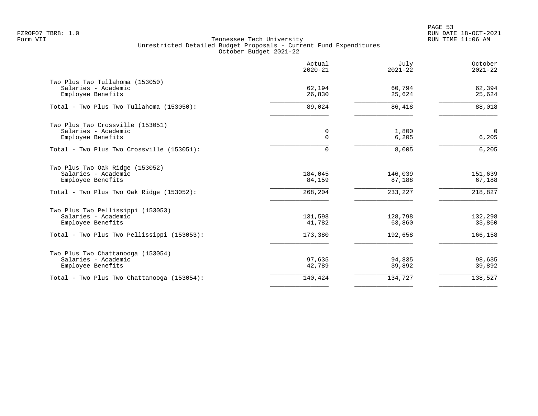|                                                                                                                         | Actual<br>$2020 - 21$        | July<br>$2021 - 22$          | October<br>$2021 - 22$       |
|-------------------------------------------------------------------------------------------------------------------------|------------------------------|------------------------------|------------------------------|
| Two Plus Two Tullahoma (153050)<br>Salaries - Academic<br>Employee Benefits                                             | 62,194<br>26,830             | 60,794<br>25,624             | 62,394<br>25,624             |
| Total - Two Plus Two Tullahoma (153050):                                                                                | 89,024                       | 86,418                       | 88,018                       |
| Two Plus Two Crossville (153051)<br>Salaries - Academic<br>Employee Benefits                                            | 0<br>$\mathbf 0$             | 1,800<br>6,205               | $\mathbf 0$<br>6,205         |
| Total - Two Plus Two Crossville (153051):                                                                               | 0                            | 8,005                        | 6, 205                       |
| Two Plus Two Oak Ridge (153052)<br>Salaries - Academic<br>Employee Benefits<br>Total - Two Plus Two Oak Ridge (153052): | 184,045<br>84,159<br>268,204 | 146,039<br>87,188<br>233,227 | 151,639<br>67,188<br>218,827 |
| Two Plus Two Pellissippi (153053)                                                                                       |                              |                              |                              |
| Salaries - Academic<br>Employee Benefits                                                                                | 131,598<br>41,782            | 128,798<br>63,860            | 132,298<br>33,860            |
| Total - Two Plus Two Pellissippi (153053):                                                                              | 173,380                      | 192,658                      | 166,158                      |
| Two Plus Two Chattanooga (153054)<br>Salaries - Academic<br>Employee Benefits                                           | 97,635<br>42,789             | 94,835<br>39,892             | 98,635<br>39,892             |
| Total - Two Plus Two Chattanooga (153054):                                                                              | 140,424                      | 134,727                      | 138,527                      |
|                                                                                                                         |                              |                              |                              |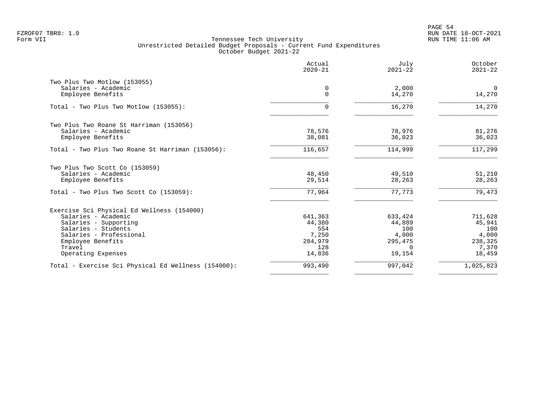PAGE 54 FZROF07 TBR8: 1.0 RUN DATE 18-OCT-2021

| Actual<br>$2020 - 21$ | July<br>$2021 - 22$                                          | October<br>$2021 - 22$                                            |
|-----------------------|--------------------------------------------------------------|-------------------------------------------------------------------|
|                       |                                                              |                                                                   |
| 0                     | 2,000                                                        | $\mathbf 0$                                                       |
| $\Omega$              | 14,270                                                       | 14,270                                                            |
| 0                     | 16,270                                                       | 14,270                                                            |
|                       |                                                              |                                                                   |
| 78,576                | 78,976                                                       | 81,276                                                            |
|                       |                                                              | 36,023                                                            |
| 116,657               | 114,999                                                      | 117,299                                                           |
|                       |                                                              |                                                                   |
| 48,450                | 49,510                                                       | 51,210                                                            |
|                       |                                                              | 28,263                                                            |
| 77,964                | 77,773                                                       | 79,473                                                            |
|                       |                                                              |                                                                   |
| 641,363               | 633,424                                                      | 711,628                                                           |
| 44,380                | 44,889                                                       | 45,941                                                            |
|                       |                                                              | 100                                                               |
|                       |                                                              | 4,000                                                             |
|                       |                                                              | 238,325                                                           |
|                       |                                                              | 7,370                                                             |
|                       |                                                              | 18,459                                                            |
| 993,490               | 997,042                                                      | 1,025,823                                                         |
|                       | 38,081<br>29,514<br>554<br>7,250<br>284,979<br>128<br>14,836 | 36,023<br>28,263<br>100<br>4,000<br>295,475<br>$\Omega$<br>19,154 |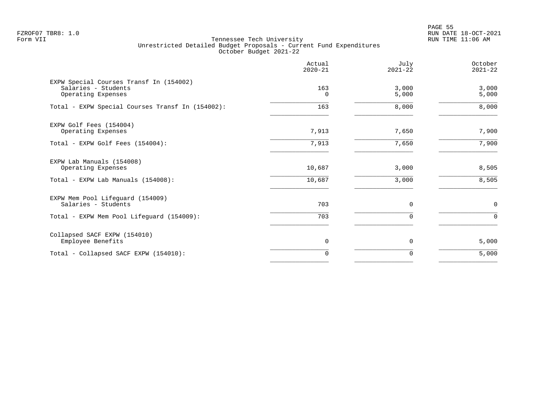en and the state of the state of the state of the state of the state of the state of the state of the state of the state of the state of the state of the state of the state of the state of the state of the state of the sta FZROF07 TBR8: 1.0 RUN DATE 18-OCT-2021

|                                                                                      | Actual<br>$2020 - 21$ | July<br>$2021 - 22$ | October<br>$2021 - 22$ |
|--------------------------------------------------------------------------------------|-----------------------|---------------------|------------------------|
| EXPW Special Courses Transf In (154002)<br>Salaries - Students<br>Operating Expenses | 163<br>$\Omega$       | 3,000<br>5,000      | 3,000<br>5,000         |
| Total - EXPW Special Courses Transf In (154002):                                     | 163                   | 8,000               | 8,000                  |
| EXPW Golf Fees (154004)<br>Operating Expenses                                        | 7,913                 | 7,650               | 7,900                  |
| Total - EXPW Golf Fees (154004):                                                     | 7,913                 | 7,650               | 7,900                  |
| EXPW Lab Manuals (154008)<br>Operating Expenses                                      | 10,687                | 3,000               | 8,505                  |
| Total - EXPW Lab Manuals (154008):                                                   | 10,687                | 3,000               | 8,505                  |
| EXPW Mem Pool Lifeguard (154009)<br>Salaries - Students                              | 703                   | $\mathbf 0$         | $\mathbf 0$            |
| Total - EXPW Mem Pool Lifeguard (154009):                                            | 703                   | $\Omega$            | $\Omega$               |
| Collapsed SACF EXPW (154010)<br>Employee Benefits                                    | $\mathbf 0$           | $\mathbf 0$         | 5,000                  |
| Total - Collapsed SACF EXPW (154010):                                                | 0                     | 0                   | 5,000                  |
|                                                                                      |                       |                     |                        |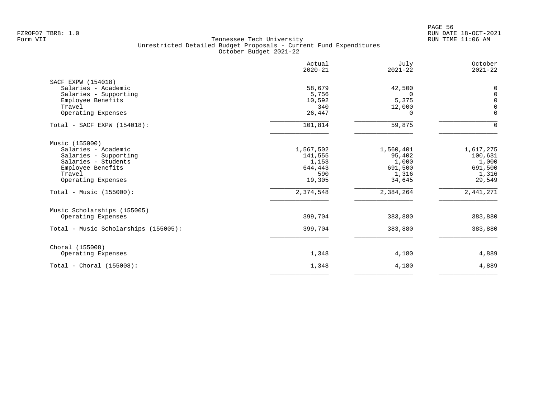| Actual<br>$2020 - 21$ | July<br>$2021 - 22$                                            | October<br>$2021 - 22$                                                       |
|-----------------------|----------------------------------------------------------------|------------------------------------------------------------------------------|
|                       |                                                                | 0                                                                            |
|                       |                                                                | $\mathbf 0$                                                                  |
|                       |                                                                | $\mathbf 0$                                                                  |
| 340                   |                                                                | $\Omega$                                                                     |
| 26,447                | $\Omega$                                                       | $\mathbf 0$                                                                  |
| 101,814               | 59,875                                                         | $\Omega$                                                                     |
|                       |                                                                |                                                                              |
| 1,567,502             | 1,560,401                                                      | 1,617,275                                                                    |
| 141,555               | 95,402                                                         | 100,631                                                                      |
|                       |                                                                | 1,000                                                                        |
|                       |                                                                | 691,500                                                                      |
|                       |                                                                | 1,316                                                                        |
|                       |                                                                | 29,549                                                                       |
| 2,374,548             | 2,384,264                                                      | 2,441,271                                                                    |
|                       |                                                                |                                                                              |
| 399,704               | 383,880                                                        | 383,880                                                                      |
| 399,704               | 383,880                                                        | 383,880                                                                      |
|                       |                                                                |                                                                              |
| 1,348                 | 4,180                                                          | 4,889                                                                        |
| 1,348                 | 4,180                                                          | 4,889                                                                        |
|                       | 58,679<br>5,756<br>10,592<br>1,153<br>644,443<br>590<br>19,305 | 42,500<br>$\Omega$<br>5,375<br>12,000<br>1,000<br>691,500<br>1,316<br>34,645 |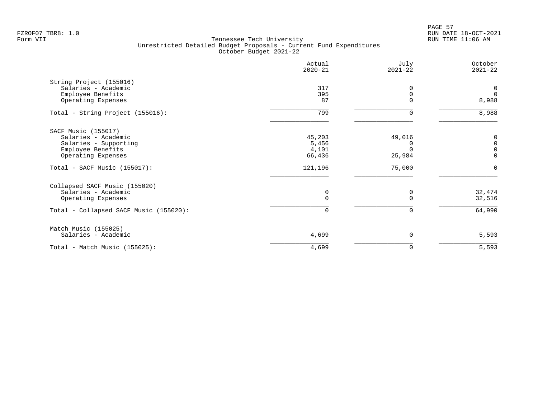PAGE 57 FZROF07 TBR8: 1.0 RUN DATE 18-OCT-2021

|                                                                                                                      | Actual<br>$2020 - 21$              | July<br>$2021 - 22$ | October<br>$2021 - 22$                   |
|----------------------------------------------------------------------------------------------------------------------|------------------------------------|---------------------|------------------------------------------|
| String Project (155016)<br>Salaries - Academic<br>Employee Benefits<br>Operating Expenses                            | 317<br>395<br>87                   |                     | $\mathsf{O}$<br>$\overline{0}$<br>8,988  |
| Total - String Project (155016):                                                                                     | 799                                | ∩                   | 8,988                                    |
| SACF Music (155017)<br>Salaries - Academic<br>Salaries - Supporting<br>Employee Benefits<br>Operating Expenses       | 45,203<br>5,456<br>4,101<br>66,436 | 49,016<br>25,984    | 0<br>$\mathbf 0$<br>$\Omega$<br>$\Omega$ |
| $Total - SACF Music (155017):$                                                                                       | 121,196                            | 75,000              | $\Omega$                                 |
| Collapsed SACF Music (155020)<br>Salaries - Academic<br>Operating Expenses<br>Total - Collapsed SACF Music (155020): | 0<br>$\Omega$<br>0                 | O<br>0              | 32,474<br>32,516<br>64,990               |
| Match Music (155025)<br>Salaries - Academic                                                                          | 4,699                              | $\Omega$            | 5,593                                    |
| Total - Match Music (155025):                                                                                        | 4,699                              | 0                   | 5,593                                    |
|                                                                                                                      |                                    |                     |                                          |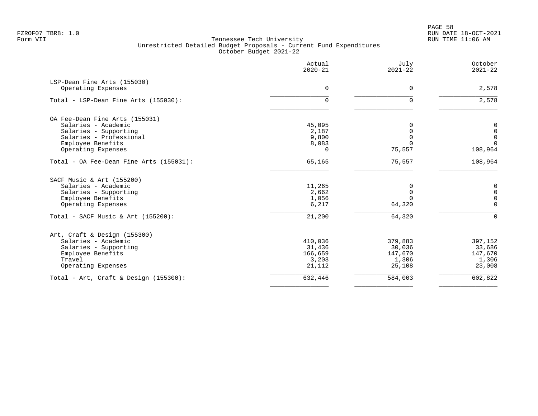PAGE 58 FZROF07 TBR8: 1.0 RUN DATE 18-OCT-2021

|                                          | Actual<br>$2020 - 21$ | July<br>$2021 - 22$ | October<br>$2021 - 22$ |
|------------------------------------------|-----------------------|---------------------|------------------------|
| LSP-Dean Fine Arts (155030)              |                       |                     |                        |
| Operating Expenses                       | $\mathbf 0$           | 0                   | 2,578                  |
| Total - LSP-Dean Fine Arts (155030):     | 0                     | $\Omega$            | 2,578                  |
| OA Fee-Dean Fine Arts (155031)           |                       |                     |                        |
| Salaries - Academic                      | 45,095                | $\Omega$            | 0                      |
| Salaries - Supporting                    | 2,187                 | $\Omega$            | $\mathbf 0$            |
| Salaries - Professional                  | 9,800                 | $\Omega$            | $\mathbf 0$            |
| Employee Benefits                        | 8,083                 |                     | $\Omega$               |
| Operating Expenses                       | $\Omega$              | 75,557              | 108,964                |
| Total - OA Fee-Dean Fine Arts (155031):  | 65,165                | 75,557              | 108,964                |
| SACF Music & Art (155200)                |                       |                     |                        |
| Salaries - Academic                      | 11,265                | 0                   | 0                      |
| Salaries - Supporting                    | 2,662                 | $\mathbf 0$         | $\mathbf 0$            |
| Employee Benefits                        | 1,056                 | $\Omega$            | $\mathbf 0$            |
| Operating Expenses                       | 6,217                 | 64,320              | $\mathbf 0$            |
| Total - SACF Music & Art $(155200)$ :    | 21,200                | 64,320              | $\mathbf 0$            |
| Art, Craft & Design (155300)             |                       |                     |                        |
| Salaries - Academic                      | 410,036               | 379,883             | 397,152                |
| Salaries - Supporting                    | 31,436                | 30,036              | 33,686                 |
| Employee Benefits                        | 166,659               | 147,670             | 147,670                |
| Travel                                   | 3,203                 | 1,306               | 1,306                  |
| Operating Expenses                       | 21,112                | 25,108              | 23,008                 |
| Total - Art, Craft & Design $(155300)$ : | 632,446               | 584,003             | 602,822                |
|                                          |                       |                     |                        |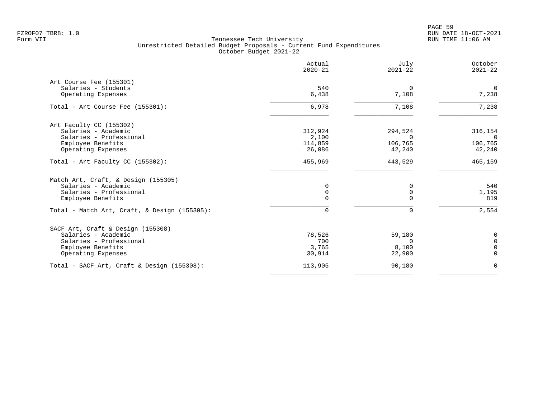PAGE 59 FZROF07 TBR8: 1.0 RUN DATE 18-OCT-2021

|                                               | Actual<br>$2020 - 21$ | July<br>$2021 - 22$ | October<br>$2021 - 22$ |
|-----------------------------------------------|-----------------------|---------------------|------------------------|
| Art Course Fee (155301)                       |                       |                     |                        |
| Salaries - Students<br>Operating Expenses     | 540<br>6,438          | $\Omega$<br>7,108   | $\mathbf 0$<br>7,238   |
| Total - Art Course Fee (155301):              | 6,978                 | 7,108               | 7,238                  |
| Art Faculty CC (155302)                       |                       |                     |                        |
| Salaries - Academic                           | 312,924               | 294,524             | 316,154                |
| Salaries - Professional                       | 2,100                 | $\Omega$            | $\Omega$               |
| Employee Benefits                             | 114,859               | 106,765             | 106,765                |
| Operating Expenses                            | 26,086                | 42,240              | 42,240                 |
| Total - Art Faculty CC (155302):              | 455,969               | 443,529             | 465,159                |
| Match Art, Craft, & Design (155305)           |                       |                     |                        |
| Salaries - Academic                           | 0                     | 0                   | 540                    |
| Salaries - Professional                       | $\mathbf 0$           | $\mathbf 0$         | 1,195                  |
| Employee Benefits                             | $\Omega$              | $\Omega$            | 819                    |
| Total - Match Art, Craft, & Design (155305):  | $\Omega$              | $\Omega$            | 2,554                  |
| SACF Art, Craft & Design (155308)             |                       |                     |                        |
| Salaries - Academic                           | 78,526                | 59,180              | 0                      |
| Salaries - Professional                       | 700                   | $\Omega$            | $\mathbf 0$            |
| Employee Benefits                             | 3,765                 | 8,100               | $\overline{0}$         |
| Operating Expenses                            | 30,914                | 22,900              | $\mathbf 0$            |
| Total - SACF Art, Craft & Design $(155308)$ : | 113,905               | 90,180              | $\mathbf 0$            |
|                                               |                       |                     |                        |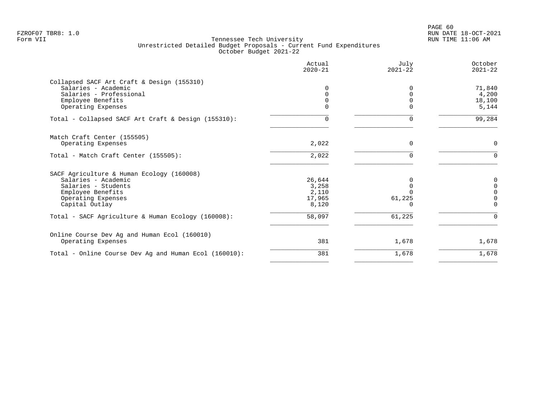|                                                       | Actual<br>$2020 - 21$ | July<br>$2021 - 22$ | October<br>$2021 - 22$ |
|-------------------------------------------------------|-----------------------|---------------------|------------------------|
| Collapsed SACF Art Craft & Design (155310)            |                       |                     |                        |
| Salaries - Academic                                   | 0                     | $\Omega$            | 71,840                 |
| Salaries - Professional                               | 0                     |                     | 4,200                  |
| Employee Benefits                                     | $\Omega$              | $\Omega$            | 18,100                 |
| Operating Expenses                                    | 0                     |                     | 5,144                  |
| Total - Collapsed SACF Art Craft & Design (155310):   | 0                     | 0                   | 99,284                 |
| Match Craft Center (155505)                           |                       |                     |                        |
| Operating Expenses                                    | 2,022                 | $\Omega$            | 0                      |
| Total - Match Craft Center (155505):                  | 2,022                 | $\Omega$            | $\Omega$               |
| SACF Agriculture & Human Ecology (160008)             |                       |                     |                        |
| Salaries - Academic                                   | 26,644                |                     | 0                      |
| Salaries - Students                                   | 3,258                 |                     | $\Omega$               |
| Employee Benefits                                     | 2,110                 |                     | $\Omega$               |
| Operating Expenses                                    | 17,965                | 61,225              | $\Omega$               |
| Capital Outlay                                        | 8,120                 |                     | $\Omega$               |
| Total - SACF Agriculture & Human Ecology (160008):    | 58,097                | 61,225              | $\Omega$               |
| Online Course Dev Ag and Human Ecol (160010)          |                       |                     |                        |
| Operating Expenses                                    | 381                   | 1,678               | 1,678                  |
| Total - Online Course Dev Ag and Human Ecol (160010): | 381                   | 1,678               | 1,678                  |
|                                                       |                       |                     |                        |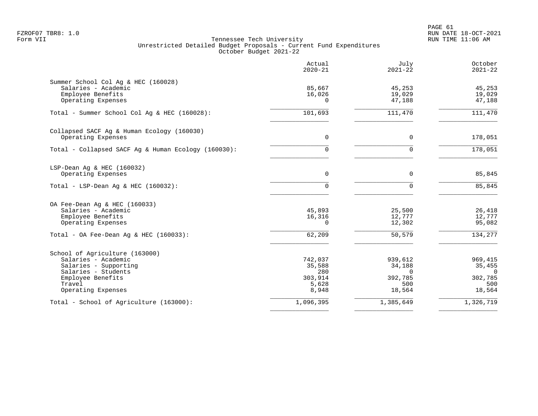|                                                     | Actual<br>$2020 - 21$ | July<br>$2021 - 22$ | October<br>$2021 - 22$ |
|-----------------------------------------------------|-----------------------|---------------------|------------------------|
| Summer School Col Aq & HEC (160028)                 |                       |                     |                        |
| Salaries - Academic                                 | 85,667                | 45,253              | 45,253                 |
| Employee Benefits                                   | 16,026                | 19,029              | 19,029                 |
| Operating Expenses                                  | $\Omega$              | 47,188              | 47,188                 |
| Total - Summer School Col Aq & HEC (160028):        | 101,693               | 111,470             | 111,470                |
| Collapsed SACF Ag & Human Ecology (160030)          |                       |                     |                        |
| Operating Expenses                                  | 0                     | $\mathbf 0$         | 178,051                |
| Total - Collapsed SACF Aq & Human Ecology (160030): | $\Omega$              | $\Omega$            | 178,051                |
| LSP-Dean Aq & HEC (160032)                          |                       |                     |                        |
| Operating Expenses                                  | 0                     | 0                   | 85,845                 |
| Total - LSP-Dean Aq & HEC $(160032)$ :              | $\Omega$              | $\Omega$            | 85,845                 |
| OA Fee-Dean Aq & HEC (160033)                       |                       |                     |                        |
| Salaries - Academic                                 | 45,893                | 25,500              | 26,418                 |
| Employee Benefits                                   | 16,316                | 12,777              | 12,777                 |
| Operating Expenses                                  | $\Omega$              | 12,302              | 95,082                 |
| Total - OA Fee-Dean Aq & HEC $(160033)$ :           | 62,209                | 50,579              | 134,277                |
| School of Agriculture (163000)                      |                       |                     |                        |
| Salaries - Academic                                 | 742,037               | 939,612             | 969,415                |
| Salaries - Supporting                               | 35,588                | 34,188              | 35,455                 |
| Salaries - Students                                 | 280                   | $\Omega$            | $\Omega$               |
| Employee Benefits                                   | 303,914               | 392,785             | 302,785                |
| Travel                                              | 5,628                 | 500                 | 500                    |
| Operating Expenses                                  | 8,948                 | 18,564              | 18,564                 |
| Total - School of Agriculture (163000):             | 1,096,395             | 1,385,649           | 1,326,719              |
|                                                     |                       |                     |                        |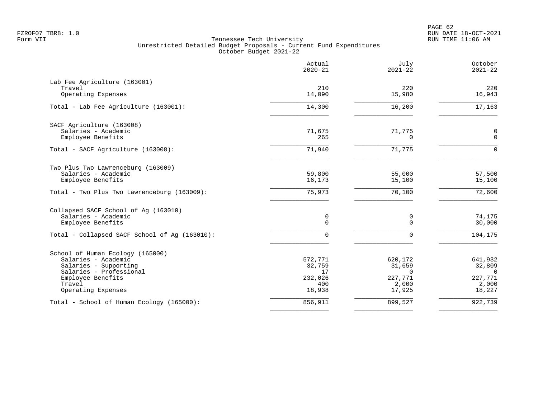|                                               | Actual<br>$2020 - 21$ | July<br>$2021 - 22$ | October<br>$2021 - 22$ |
|-----------------------------------------------|-----------------------|---------------------|------------------------|
| Lab Fee Agriculture (163001)                  |                       |                     |                        |
| Travel                                        | 210                   | 220                 | 220                    |
| Operating Expenses                            | 14,090                | 15,980              | 16,943                 |
| Total - Lab Fee Agriculture (163001):         | 14,300                | 16,200              | 17,163                 |
| SACF Agriculture (163008)                     |                       |                     |                        |
| Salaries - Academic                           | 71,675                | 71,775              | 0                      |
| Employee Benefits                             | 265                   | $\Omega$            | $\Omega$               |
| Total - SACF Agriculture (163008):            | 71,940                | 71,775              | $\cap$                 |
| Two Plus Two Lawrenceburg (163009)            |                       |                     |                        |
| Salaries - Academic                           | 59,800                | 55,000              | 57,500                 |
| Employee Benefits                             | 16,173                | 15,100              | 15,100                 |
| Total - Two Plus Two Lawrenceburg (163009):   | 75,973                | 70,100              | 72,600                 |
| Collapsed SACF School of Aq (163010)          |                       |                     |                        |
| Salaries - Academic                           | 0                     | 0                   | 74,175                 |
| Employee Benefits                             | $\mathbf 0$           | $\Omega$            | 30,000                 |
| Total - Collapsed SACF School of Ag (163010): | $\mathbf 0$           | $\mathbf 0$         | 104,175                |
| School of Human Ecology (165000)              |                       |                     |                        |
| Salaries - Academic                           | 572,771               | 620,172             | 641,932                |
| Salaries - Supporting                         | 32,759                | 31,659              | 32,809                 |
| Salaries - Professional                       | 17                    | $\Omega$            | $\Omega$               |
| Employee Benefits                             | 232,026               | 227,771             | 227,771                |
| Travel                                        | 400                   | 2,000               | 2,000                  |
| Operating Expenses                            | 18,938                | 17,925              | 18,227                 |
| Total - School of Human Ecology (165000):     | 856,911               | 899,527             | 922,739                |
|                                               |                       |                     |                        |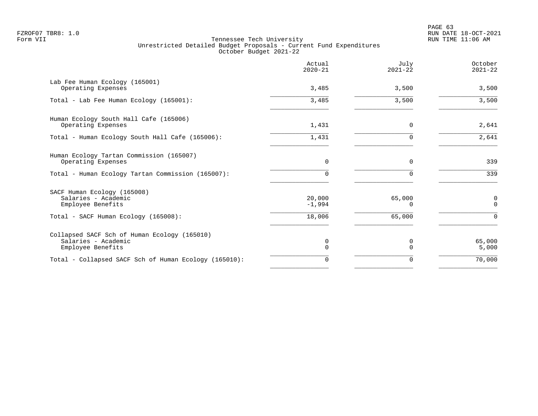|                                                                                          | Actual<br>$2020 - 21$ | July<br>$2021 - 22$ | October<br>$2021 - 22$     |
|------------------------------------------------------------------------------------------|-----------------------|---------------------|----------------------------|
| Lab Fee Human Ecology (165001)<br>Operating Expenses                                     | 3,485                 | 3,500               | 3,500                      |
| Total - Lab Fee Human Ecology (165001):                                                  | 3,485                 | 3,500               | 3,500                      |
| Human Ecology South Hall Cafe (165006)<br>Operating Expenses                             | 1,431                 | 0                   | 2,641                      |
| Total - Human Ecology South Hall Cafe (165006):                                          | 1,431                 | 0                   | 2,641                      |
| Human Ecology Tartan Commission (165007)<br>Operating Expenses                           | $\Omega$              | $\Omega$            | 339                        |
| Total - Human Ecology Tartan Commission (165007):                                        |                       |                     | 339                        |
| SACF Human Ecology (165008)<br>Salaries - Academic<br>Employee Benefits                  | 20,000<br>$-1,994$    | 65,000<br>0         | $\mathbf 0$<br>$\mathbf 0$ |
| Total - SACF Human Ecology (165008):                                                     | 18,006                | 65,000              | $\Omega$                   |
| Collapsed SACF Sch of Human Ecology (165010)<br>Salaries - Academic<br>Employee Benefits | 0<br>$\Omega$         | 0<br>$\cap$         | 65,000<br>5,000            |
| Total - Collapsed SACF Sch of Human Ecology (165010):                                    | 0                     | 0                   | 70,000                     |
|                                                                                          |                       |                     |                            |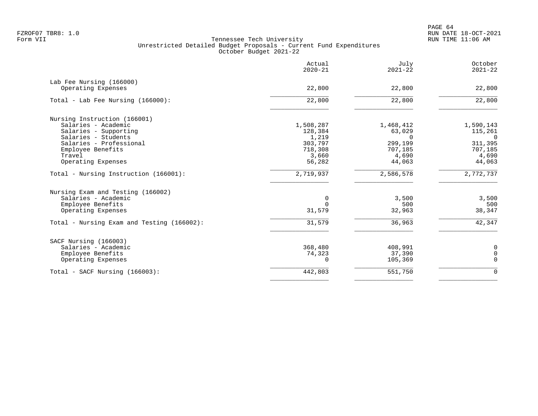PAGE 64 FZROF07 TBR8: 1.0 RUN DATE 18-OCT-2021

|                                                                                                     | Actual<br>$2020 - 21$                 | July<br>$2021 - 22$                   | October<br>$2021 - 22$                |
|-----------------------------------------------------------------------------------------------------|---------------------------------------|---------------------------------------|---------------------------------------|
| Lab Fee Nursing (166000)<br>Operating Expenses                                                      | 22,800                                | 22,800                                | 22,800                                |
| Total - Lab Fee Nursing (166000):                                                                   | 22,800                                | 22,800                                | 22,800                                |
| Nursing Instruction (166001)<br>Salaries - Academic<br>Salaries - Supporting<br>Salaries - Students | 1,508,287<br>128,384<br>1,219         | 1,468,412<br>63,029<br>$\Omega$       | 1,590,143<br>115,261<br>$\Omega$      |
| Salaries - Professional<br>Employee Benefits<br>Travel<br>Operating Expenses                        | 303,797<br>718,308<br>3,660<br>56,282 | 299,199<br>707,185<br>4,690<br>44,063 | 311,395<br>707,185<br>4,690<br>44,063 |
| Total - Nursing Instruction (166001):                                                               | 2,719,937                             | 2,586,578                             | 2,772,737                             |
| Nursing Exam and Testing (166002)<br>Salaries - Academic<br>Employee Benefits<br>Operating Expenses | 0<br>$\Omega$<br>31,579               | 3,500<br>500<br>32,963                | 3,500<br>500<br>38,347                |
| Total - Nursing Exam and Testing (166002):                                                          | 31,579                                | 36,963                                | 42,347                                |
| SACF Nursing (166003)<br>Salaries - Academic<br>Employee Benefits<br>Operating Expenses             | 368,480<br>74,323<br>$\Omega$         | 408,991<br>37,390<br>105,369          | 0<br>$\mathbf 0$<br>$\mathbf 0$       |
| Total - SACF Nursing (166003):                                                                      | 442,803                               | 551,750                               | $\mathbf 0$                           |
|                                                                                                     |                                       |                                       |                                       |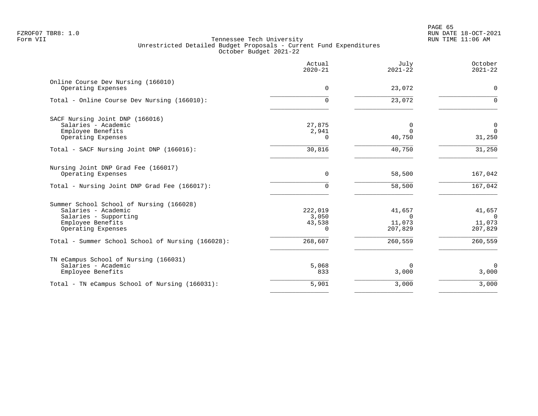PAGE 65 FZROF07 TBR8: 1.0 RUN DATE 18-OCT-2021

|                                                                                                                                     | Actual<br>$2020 - 21$                | July<br>$2021 - 22$                     | October<br>$2021 - 22$                  |
|-------------------------------------------------------------------------------------------------------------------------------------|--------------------------------------|-----------------------------------------|-----------------------------------------|
| Online Course Dev Nursing (166010)<br>Operating Expenses                                                                            | $\Omega$                             | 23,072                                  | $\mathbf 0$                             |
| Total - Online Course Dev Nursing (166010):                                                                                         | $\cap$                               | 23,072                                  | $\Omega$                                |
| SACF Nursing Joint DNP (166016)<br>Salaries - Academic<br>Employee Benefits                                                         | 27,875<br>2,941                      | 0<br>$\Omega$                           | $\mathbf 0$<br>$\Omega$                 |
| Operating Expenses                                                                                                                  | $\Omega$                             | 40,750                                  | 31,250                                  |
| Total - SACF Nursing Joint DNP (166016):                                                                                            | 30,816                               | 40,750                                  | 31,250                                  |
| Nursing Joint DNP Grad Fee (166017)<br>Operating Expenses                                                                           | $\Omega$                             | 58,500                                  | 167,042                                 |
| Total - Nursing Joint DNP Grad Fee (166017):                                                                                        | $\cap$                               | 58,500                                  | 167,042                                 |
| Summer School School of Nursing (166028)<br>Salaries - Academic<br>Salaries - Supporting<br>Employee Benefits<br>Operating Expenses | 222,019<br>3,050<br>43,538<br>$\cap$ | 41,657<br>$\Omega$<br>11,073<br>207,829 | 41,657<br>$\Omega$<br>11,073<br>207,829 |
| Total - Summer School School of Nursing (166028):                                                                                   | 268,607                              | 260,559                                 | 260,559                                 |
| TN eCampus School of Nursing (166031)<br>Salaries - Academic<br>Employee Benefits                                                   | 5,068<br>833                         | $\Omega$<br>3,000                       | $\mathbf 0$<br>3,000                    |
| Total - TN eCampus School of Nursing (166031):                                                                                      | 5,901                                | 3,000                                   | 3,000                                   |
|                                                                                                                                     |                                      |                                         |                                         |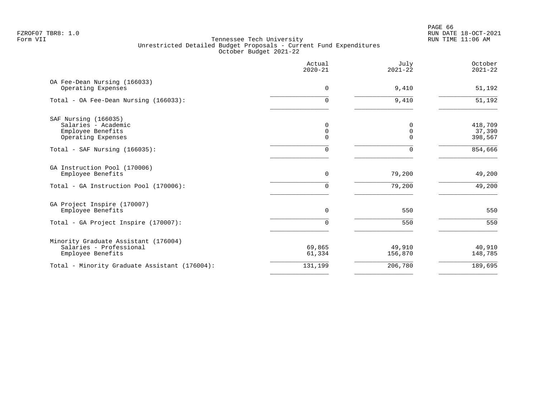PAGE 66 FZROF07 TBR8: 1.0 RUN DATE 18-OCT-2021

|                                                                                        | Actual<br>$2020 - 21$ | July<br>$2021 - 22$          | October<br>$2021 - 22$       |
|----------------------------------------------------------------------------------------|-----------------------|------------------------------|------------------------------|
| OA Fee-Dean Nursing (166033)<br>Operating Expenses                                     | 0                     | 9,410                        | 51,192                       |
| Total - OA Fee-Dean Nursing (166033):                                                  | 0                     | 9,410                        | 51,192                       |
| SAF Nursing (166035)<br>Salaries - Academic<br>Employee Benefits<br>Operating Expenses | 0<br>0<br>$\Omega$    | 0<br>$\mathbf 0$<br>$\Omega$ | 418,709<br>37,390<br>398,567 |
| Total - SAF Nursing $(166035)$ :                                                       | 0                     | $\Omega$                     | 854,666                      |
| GA Instruction Pool (170006)<br>Employee Benefits                                      | $\mathbf 0$           | 79,200                       | 49,200                       |
| Total - GA Instruction Pool (170006):                                                  | 0                     | 79,200                       | 49,200                       |
| GA Project Inspire (170007)<br>Employee Benefits                                       | $\Omega$              | 550                          | 550                          |
| Total - GA Project Inspire (170007):                                                   | $\Omega$              | 550                          | 550                          |
| Minority Graduate Assistant (176004)<br>Salaries - Professional<br>Employee Benefits   | 69,865<br>61,334      | 49,910<br>156,870            | 40,910<br>148,785            |
| Total - Minority Graduate Assistant (176004):                                          | 131,199               | 206,780                      | 189,695                      |
|                                                                                        |                       |                              |                              |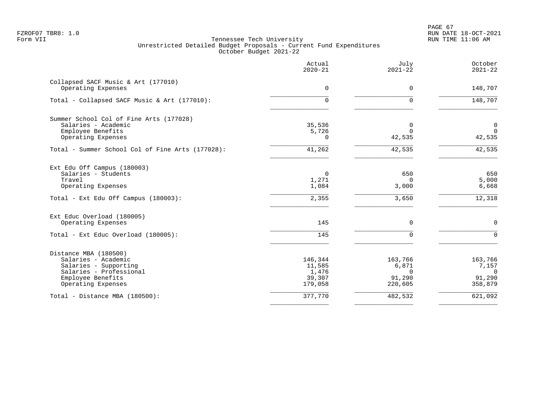PAGE 67 FZROF07 TBR8: 1.0 RUN DATE 18-OCT-2021

|                                                           | Actual<br>$2020 - 21$ | July<br>$2021 - 22$ | October<br>$2021 - 22$ |
|-----------------------------------------------------------|-----------------------|---------------------|------------------------|
| Collapsed SACF Music & Art (177010)<br>Operating Expenses | $\Omega$              | $\Omega$            | 148,707                |
|                                                           |                       |                     |                        |
| Total - Collapsed SACF Music & Art (177010):              | $\Omega$              | $\Omega$            | 148,707                |
| Summer School Col of Fine Arts (177028)                   |                       |                     |                        |
| Salaries - Academic                                       | 35,536                | 0                   | $\overline{0}$         |
| Employee Benefits                                         | 5,726                 | $\Omega$            | $\Omega$               |
| Operating Expenses                                        | $\Omega$              | 42,535              | 42,535                 |
| Total - Summer School Col of Fine Arts (177028):          | 41,262                | 42,535              | 42,535                 |
| Ext Edu Off Campus (180003)                               |                       |                     |                        |
| Salaries - Students                                       | $\Omega$              | 650                 | 650                    |
| Travel                                                    | 1,271                 | $\Omega$            | 5,000                  |
| Operating Expenses                                        | 1,084                 | 3,000               | 6,668                  |
| Total - Ext Edu Off Campus (180003):                      | 2,355                 | 3,650               | 12,318                 |
| Ext Educ Overload (180005)                                |                       |                     |                        |
| Operating Expenses                                        | 145                   | 0                   | $\mathbf 0$            |
| Total - Ext Educ Overload (180005):                       | 145                   | $\Omega$            | $\Omega$               |
| Distance MBA (180500)                                     |                       |                     |                        |
| Salaries - Academic                                       | 146,344               | 163,766             | 163,766                |
| Salaries - Supporting                                     | 11,585                | 6,871               | 7,157                  |
| Salaries - Professional                                   | 1,476                 | $\Omega$            | $\overline{0}$         |
| Employee Benefits                                         | 39,307                | 91,290              | 91,290                 |
| Operating Expenses                                        | 179,058               | 220,605             | 358,879                |
| Total - Distance MBA (180500):                            | 377,770               | 482,532             | 621,092                |
|                                                           |                       |                     |                        |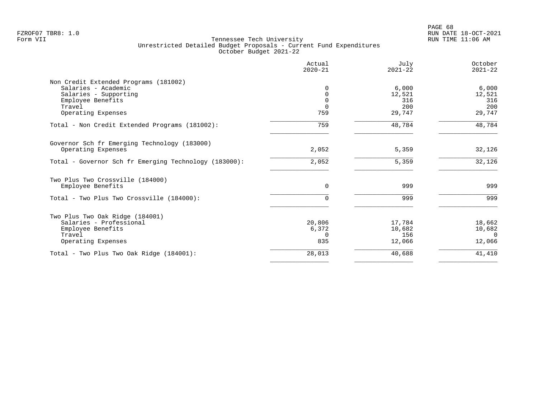|                                                       | Actual<br>$2020 - 21$ | July<br>$2021 - 22$ | October<br>$2021 - 22$ |
|-------------------------------------------------------|-----------------------|---------------------|------------------------|
| Non Credit Extended Programs (181002)                 |                       |                     |                        |
| Salaries - Academic                                   | $\Omega$              | 6,000               | 6,000                  |
| Salaries - Supporting                                 | 0                     | 12,521              | 12,521                 |
| Employee Benefits                                     | $\Omega$              | 316                 | 316                    |
| Travel                                                | $\Omega$              | 200                 | 200                    |
| Operating Expenses                                    | 759                   | 29,747              | 29,747                 |
| Total - Non Credit Extended Programs (181002):        | 759                   | 48,784              | 48,784                 |
| Governor Sch fr Emerging Technology (183000)          |                       |                     |                        |
| Operating Expenses                                    | 2,052                 | 5,359               | 32,126                 |
| Total - Governor Sch fr Emerging Technology (183000): | 2,052                 | 5,359               | 32,126                 |
| Two Plus Two Crossville (184000)                      |                       |                     |                        |
| Employee Benefits                                     | $\Omega$              | 999                 | 999                    |
| Total - Two Plus Two Crossville (184000):             | 0                     | 999                 | 999                    |
| Two Plus Two Oak Ridge (184001)                       |                       |                     |                        |
| Salaries - Professional                               | 20,806                | 17,784              | 18,662                 |
| Employee Benefits                                     | 6,372                 | 10,682              | 10,682                 |
| Travel                                                | $\Omega$              | 156                 | $\Omega$               |
| Operating Expenses                                    | 835                   | 12,066              | 12,066                 |
| Total - Two Plus Two Oak Ridge (184001):              | 28,013                | 40,688              | 41,410                 |
|                                                       |                       |                     |                        |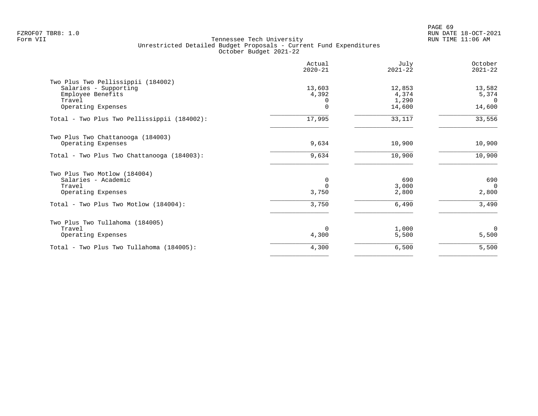|                                                                                                                              | Actual<br>$2020 - 21$            | July<br>$2021 - 22$                | October<br>$2021 - 22$                |
|------------------------------------------------------------------------------------------------------------------------------|----------------------------------|------------------------------------|---------------------------------------|
| Two Plus Two Pellissippii (184002)<br>Salaries - Supporting<br>Employee Benefits<br>Travel<br>Operating Expenses             | 13,603<br>4,392<br>0<br>$\Omega$ | 12,853<br>4,374<br>1,290<br>14,600 | 13,582<br>5,374<br>$\Omega$<br>14,600 |
| Total - Two Plus Two Pellissippii (184002):                                                                                  | 17,995                           | 33,117                             | 33,556                                |
| Two Plus Two Chattanooga (184003)<br>Operating Expenses                                                                      | 9,634                            | 10,900                             | 10,900                                |
| Total - Two Plus Two Chattanooga (184003):                                                                                   | 9,634                            | 10,900                             | 10,900                                |
| Two Plus Two Motlow (184004)<br>Salaries - Academic<br>Travel<br>Operating Expenses<br>Total - Two Plus Two Motlow (184004): | 0<br>$\Omega$<br>3,750<br>3,750  | 690<br>3.000<br>2,800<br>6,490     | 690<br>$\Omega$<br>2,800<br>3,490     |
| Two Plus Two Tullahoma (184005)<br>Travel<br>Operating Expenses                                                              | $\Omega$<br>4,300                | 1,000<br>5,500                     | $\Omega$<br>5,500                     |
| Total - Two Plus Two Tullahoma (184005):                                                                                     | 4,300                            | 6,500                              | 5,500                                 |
|                                                                                                                              |                                  |                                    |                                       |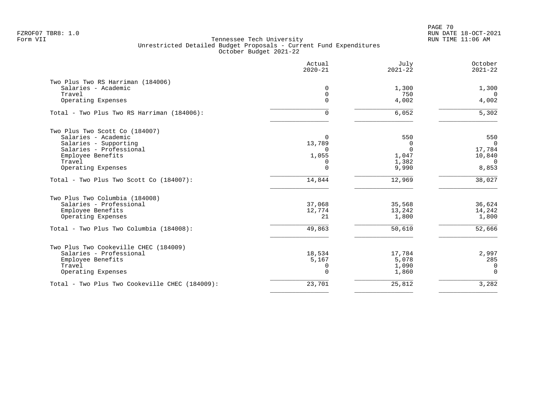PAGE 70 FZROF07 TBR8: 1.0 RUN DATE 18-OCT-2021

|                                                | Actual<br>$2020 - 21$ | July<br>$2021 - 22$ | October<br>$2021 - 22$ |
|------------------------------------------------|-----------------------|---------------------|------------------------|
| Two Plus Two RS Harriman (184006)              |                       |                     |                        |
| Salaries - Academic                            | $\Omega$              | 1,300               | 1,300                  |
| Travel                                         | $\mathbf 0$           | 750                 | $\Omega$               |
| Operating Expenses                             | $\Omega$              | 4,002               | 4,002                  |
| Total - Two Plus Two RS Harriman (184006):     | 0                     | 6,052               | 5,302                  |
| Two Plus Two Scott Co (184007)                 |                       |                     |                        |
| Salaries - Academic                            | $\Omega$              | 550                 | 550                    |
| Salaries - Supporting                          | 13,789                | 0                   | $\Omega$               |
| Salaries - Professional                        | $\Omega$              | $\Omega$            | 17,784                 |
| Employee Benefits                              | 1,055                 | 1,047               | 10,840                 |
| Travel                                         | $\Omega$              | 1,382               | $\Omega$               |
| Operating Expenses                             | 0                     | 9,990               | 8,853                  |
| Total - Two Plus Two Scott Co (184007):        | 14,844                | 12,969              | 38,027                 |
| Two Plus Two Columbia (184008)                 |                       |                     |                        |
| Salaries - Professional                        | 37,068                | 35,568              | 36,624                 |
| Employee Benefits                              | 12,774                | 13,242              | 14,242                 |
| Operating Expenses                             | 21                    | 1,800               | 1,800                  |
| Total - Two Plus Two Columbia (184008):        | 49,863                | 50,610              | 52,666                 |
| Two Plus Two Cookeville CHEC (184009)          |                       |                     |                        |
| Salaries - Professional                        | 18,534                | 17,784              | 2,997                  |
| Employee Benefits                              | 5,167                 | 5,078               | 285                    |
| Travel                                         | 0                     | 1,090               | $\Omega$               |
| Operating Expenses                             | $\Omega$              | 1,860               | $\mathbf 0$            |
| Total - Two Plus Two Cookeville CHEC (184009): | 23,701                | 25,812              | 3,282                  |
|                                                |                       |                     |                        |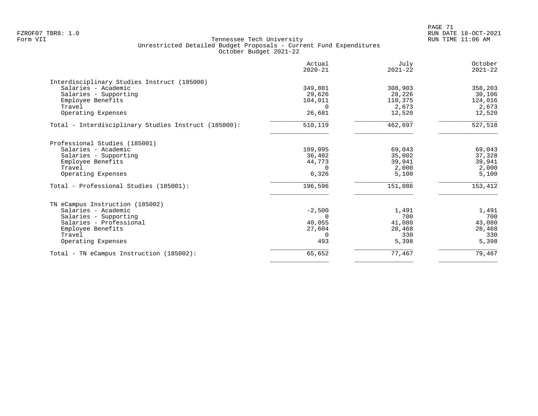|                                                      | Actual<br>$2020 - 21$ | July<br>$2021 - 22$ | October<br>$2021 - 22$ |
|------------------------------------------------------|-----------------------|---------------------|------------------------|
| Interdisciplinary Studies Instruct (185000)          |                       |                     |                        |
| Salaries - Academic                                  | 349,801               | 308,903             | 358,203                |
| Salaries - Supporting                                | 29,626                | 28,226              | 30,106                 |
| Employee Benefits                                    | 104,011               | 110,375             | 124,016                |
| Travel                                               | $\Omega$              | 2,673               | 2,673                  |
| Operating Expenses                                   | 26,681                | 12,520              | 12,520                 |
| Total - Interdisciplinary Studies Instruct (185000): | 510,119               | 462,697             | 527,518                |
| Professional Studies (185001)                        |                       |                     |                        |
| Salaries - Academic                                  | 109,095               | 69,043              | 69,043                 |
| Salaries - Supporting                                | 36,402                | 35,002              | 37,328                 |
| Employee Benefits                                    | 44,773                | 39,941              | 39,941                 |
| Travel                                               | $\Omega$              | 2,000               | 2,000                  |
| Operating Expenses                                   | 6,326                 | 5,100               | 5,100                  |
| Total - Professional Studies (185001):               | 196,596               | 151,086             | 153,412                |
| TN eCampus Instruction (185002)                      |                       |                     |                        |
| Salaries - Academic                                  | $-2,500$              | 1,491               | 1,491                  |
| Salaries - Supporting                                | $\Omega$              | 700                 | 700                    |
| Salaries - Professional                              | 40,055                | 41,080              | 43,080                 |
| Employee Benefits                                    | 27,604                | 28,468              | 28,468                 |
| Travel                                               | $\Omega$              | 330                 | 330                    |
| Operating Expenses                                   | 493                   | 5,398               | 5,398                  |
| Total - TN eCampus Instruction (185002):             | 65,652                | 77,467              | 79,467                 |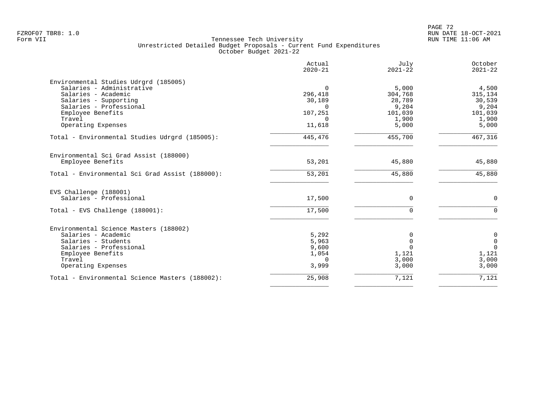|                                                 | Actual<br>$2020 - 21$ | July<br>$2021 - 22$ | October<br>$2021 - 22$ |
|-------------------------------------------------|-----------------------|---------------------|------------------------|
| Environmental Studies Udrgrd (185005)           |                       |                     |                        |
| Salaries - Administrative                       | $\Omega$              | 5,000               | 4,500                  |
| Salaries - Academic                             | 296,418               | 304,768             | 315,134                |
| Salaries - Supporting                           | 30,189                | 28,789              | 30,539                 |
| Salaries - Professional                         | $\Omega$              | 9,204               | 9,204                  |
| Employee Benefits<br>Travel                     | 107,251<br>$\Omega$   | 101,039<br>1,900    | 101,039<br>1,900       |
| Operating Expenses                              | 11,618                | 5,000               | 5,000                  |
| Total - Environmental Studies Udrgrd (185005):  | 445,476               | 455,700             | 467,316                |
| Environmental Sci Grad Assist (188000)          |                       |                     |                        |
| Employee Benefits                               | 53,201                | 45,880              | 45,880                 |
| Total - Environmental Sci Grad Assist (188000): | 53,201                | 45,880              | 45,880                 |
| EVS Challenge (188001)                          |                       |                     |                        |
| Salaries - Professional                         | 17,500                | $\mathbf 0$         | $\mathbf 0$            |
| Total - EVS Challenge (188001):                 | 17,500                | $\mathbf 0$         | $\mathbf 0$            |
| Environmental Science Masters (188002)          |                       |                     |                        |
| Salaries - Academic                             | 5,292                 | 0                   | $\mathbf 0$            |
| Salaries - Students                             | 5,963                 | $\mathbf 0$         | $\mathbf 0$            |
| Salaries - Professional                         | 9,600                 | $\Omega$            | $\mathbf 0$            |
| Employee Benefits                               | 1,054                 | 1,121               | 1,121                  |
| Travel                                          | $\Omega$              | 3,000               | 3,000                  |
| Operating Expenses                              | 3,999                 | 3,000               | 3,000                  |
| Total - Environmental Science Masters (188002): | 25,908                | 7,121               | 7,121                  |
|                                                 |                       |                     |                        |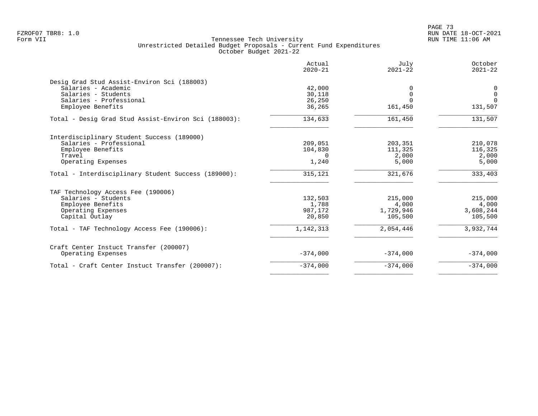|                                                      | Actual<br>$2020 - 21$ | July<br>$2021 - 22$ | October<br>$2021 - 22$ |
|------------------------------------------------------|-----------------------|---------------------|------------------------|
| Desig Grad Stud Assist-Environ Sci (188003)          |                       |                     |                        |
| Salaries - Academic                                  | 42,000                |                     | 0                      |
| Salaries - Students                                  | 30,118                |                     | $\mathbf{0}$           |
| Salaries - Professional                              | 26,250                | $\Omega$            | $\Omega$               |
| Employee Benefits                                    | 36,265                | 161,450             | 131,507                |
| Total - Desig Grad Stud Assist-Environ Sci (188003): | 134,633               | 161,450             | 131,507                |
| Interdisciplinary Student Success (189000)           |                       |                     |                        |
| Salaries - Professional                              | 209,051               | 203,351             | 210,078                |
| Employee Benefits                                    | 104,830               | 111,325             | 116,325                |
| Travel                                               | $\Omega$              | 2,000               | 2,000                  |
| Operating Expenses                                   | 1,240                 | 5,000               | 5,000                  |
| Total - Interdisciplinary Student Success (189000):  | 315,121               | 321,676             | 333,403                |
| TAF Technology Access Fee (190006)                   |                       |                     |                        |
| Salaries - Students                                  | 132,503               | 215,000             | 215,000                |
| Employee Benefits                                    | 1,788                 | 4,000               | 4,000                  |
| Operating Expenses                                   | 987,172               | 1,729,946           | 3,608,244              |
| Capital Outlay                                       | 20,850                | 105,500             | 105,500                |
| Total - TAF Technology Access Fee (190006):          | 1,142,313             | 2,054,446           | 3,932,744              |
| Craft Center Instuct Transfer (200007)               |                       |                     |                        |
| Operating Expenses                                   | $-374,000$            | $-374,000$          | $-374,000$             |
| Total - Craft Center Instuct Transfer (200007):      | $-374,000$            | $-374,000$          | $-374,000$             |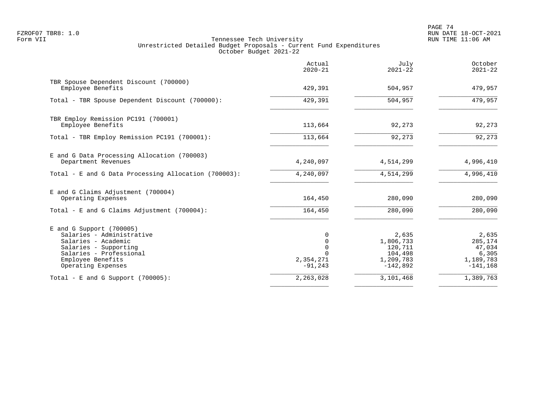PAGE 74 FZROF07 TBR8: 1.0 RUN DATE 18-OCT-2021

|                                                                                                                                                                               | Actual<br>$2020 - 21$                                                 | July<br>$2021 - 22$                                                 | October<br>$2021 - 22$                                         |
|-------------------------------------------------------------------------------------------------------------------------------------------------------------------------------|-----------------------------------------------------------------------|---------------------------------------------------------------------|----------------------------------------------------------------|
| TBR Spouse Dependent Discount (700000)<br>Employee Benefits                                                                                                                   | 429,391                                                               | 504,957                                                             | 479,957                                                        |
| Total - TBR Spouse Dependent Discount (700000):                                                                                                                               | 429,391                                                               | 504,957                                                             | 479,957                                                        |
| TBR Employ Remission PC191 (700001)<br>Employee Benefits                                                                                                                      | 113,664                                                               | 92,273                                                              | 92,273                                                         |
| Total - TBR Employ Remission PC191 (700001):                                                                                                                                  | 113,664                                                               | 92,273                                                              | 92,273                                                         |
| E and G Data Processing Allocation (700003)<br>Department Revenues                                                                                                            | 4,240,097                                                             | 4,514,299                                                           | 4,996,410                                                      |
| Total - E and G Data Processing Allocation (700003):                                                                                                                          | 4,240,097                                                             | 4,514,299                                                           | 4,996,410                                                      |
| E and G Claims Adjustment (700004)<br>Operating Expenses                                                                                                                      | 164,450                                                               | 280,090                                                             | 280,090                                                        |
| Total - E and G Claims Adjustment $(700004)$ :                                                                                                                                | 164,450                                                               | 280,090                                                             | 280,090                                                        |
| $E$ and G Support (700005)<br>Salaries - Administrative<br>Salaries - Academic<br>Salaries - Supporting<br>Salaries - Professional<br>Employee Benefits<br>Operating Expenses | 0<br>$\mathbf 0$<br>$\mathbf 0$<br>$\Omega$<br>2,354,271<br>$-91,243$ | 2,635<br>1,806,733<br>120,711<br>104,498<br>1,209,783<br>$-142,892$ | 2,635<br>285,174<br>47,034<br>6,305<br>1,189,783<br>$-141,168$ |
| Total - E and G Support $(700005)$ :                                                                                                                                          | 2,263,028                                                             | 3,101,468                                                           | 1,389,763                                                      |
|                                                                                                                                                                               |                                                                       |                                                                     |                                                                |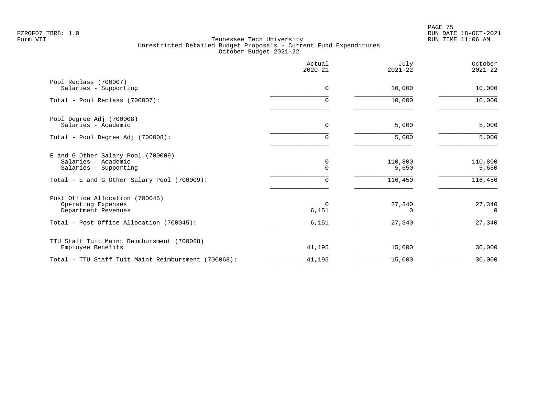en and the set of the set of the set of the set of the set of the set of the set of the set of the set of the set of the set of the set of the set of the set of the set of the set of the set of the set of the set of the se FZROF07 TBR8: 1.0 RUN DATE 18-OCT-2021

|                                                                                                                                   | Actual<br>$2020 - 21$ | July<br>$2021 - 22$         | October<br>$2021 - 22$      |
|-----------------------------------------------------------------------------------------------------------------------------------|-----------------------|-----------------------------|-----------------------------|
| Pool Reclass (700007)<br>Salaries - Supporting                                                                                    | $\Omega$              | 10,000                      | 10,000                      |
| Total - Pool Reclass (700007):                                                                                                    | $\Omega$              | 10,000                      | 10,000                      |
| Pool Degree Adj (700008)<br>Salaries - Academic                                                                                   | 0                     | 5,000                       | 5,000                       |
| Total - Pool Degree Adj (700008):                                                                                                 | $\mathbf 0$           | 5,000                       | 5,000                       |
| E and G Other Salary Pool (700009)<br>Salaries - Academic<br>Salaries - Supporting<br>Total - E and G Other Salary Pool (700009): | 0<br>$\Omega$<br>0    | 110,800<br>5,650<br>116,450 | 110,800<br>5,650<br>116,450 |
| Post Office Allocation (700045)<br>Operating Expenses<br>Department Revenues                                                      | $\Omega$<br>6,151     | 27,340<br>$\Omega$          | 27,340<br>$\Omega$          |
| Total - Post Office Allocation (700045):                                                                                          | 6,151                 | 27,340                      | 27,340                      |
| TTU Staff Tuit Maint Reimbursment (700068)<br>Employee Benefits                                                                   | 41,195                | 15,000                      | 30,000                      |
| Total - TTU Staff Tuit Maint Reimbursment (700068):                                                                               | 41,195                | 15,000                      | 30,000                      |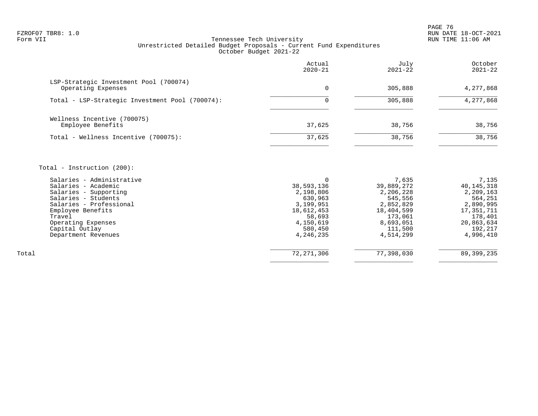en and the set of the set of the set of the set of the set of the set of the set of the set of the set of the set of the set of the set of the set of the set of the set of the set of the set of the set of the set of the se FZROF07 TBR8: 1.0 RUN DATE 18-OCT-2021

# Form VII Tennessee Tech University RUN TIME 11:06 AM Unrestricted Detailed Budget Proposals - Current Fund Expenditures October Budget 2021-22

|                                                                                                                             | Actual<br>$2020 - 21$                                | July<br>$2021 - 22$                                      | October<br>$2021 - 22$                                     |
|-----------------------------------------------------------------------------------------------------------------------------|------------------------------------------------------|----------------------------------------------------------|------------------------------------------------------------|
| LSP-Strategic Investment Pool (700074)<br>Operating Expenses                                                                | 0                                                    | 305,888                                                  | 4,277,868                                                  |
| Total - LSP-Strategic Investment Pool (700074):                                                                             |                                                      | 305,888                                                  | 4,277,868                                                  |
| Wellness Incentive (700075)<br>Employee Benefits                                                                            | 37,625                                               | 38,756                                                   | 38,756                                                     |
| Total - Wellness Incentive (700075):                                                                                        | 37,625                                               | 38,756                                                   | 38,756                                                     |
| Total - Instruction $(200)$ :                                                                                               |                                                      |                                                          |                                                            |
| Salaries - Administrative<br>Salaries - Academic<br>Salaries - Supporting<br>Salaries - Students<br>Salaries - Professional | 0<br>38,593,136<br>2,198,806<br>630,963<br>3,199,951 | 7,635<br>39,889,272<br>2,206,228<br>545,556<br>2,852,829 | 7,135<br>40, 145, 318<br>2,209,163<br>564,251<br>2,890,995 |
| Employee Benefits<br>Travel                                                                                                 | 18,612,453<br>58,693                                 | 18,404,599<br>173,061                                    | 17,351,711<br>178,401                                      |

 Travel 58,693 173,061 178,401 Operating Expenses 20, 200 and the control of the control of the control of the control of the control of the control of the control of the control of the control of the control of the control of the control of the control Capital Outlay 580,450 111,500 192,217

 $\overline{\phantom{a}}$  , and the contract of the contract of the contract of the contract of the contract of the contract of the contract of the contract of the contract of the contract of the contract of the contract of the contrac Total 72,271,306 77,398,030 89,399,235  $\overline{\phantom{a}}$  , and the contract of the contract of the contract of the contract of the contract of the contract of the contract of the contract of the contract of the contract of the contract of the contract of the contrac

Department Revenues 4,246,235 4,514,299 4,996,410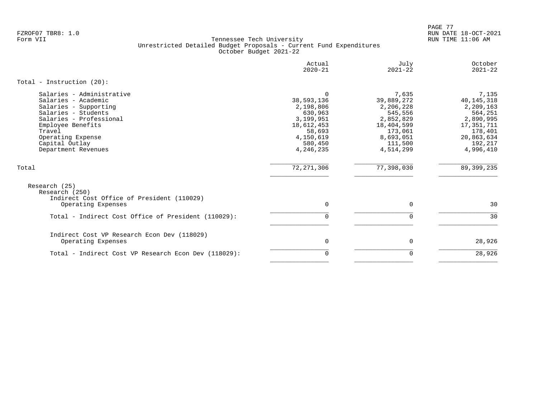PAGE 77 FZROF07 TBR8: 1.0 RUN DATE 18-OCT-2021

|                                                                                                                                                                                                                          | Actual<br>$2020 - 21$                                                                                                    | July<br>$2021 - 22$                                                                                                    | October<br>$2021 - 22$                                                                                                    |
|--------------------------------------------------------------------------------------------------------------------------------------------------------------------------------------------------------------------------|--------------------------------------------------------------------------------------------------------------------------|------------------------------------------------------------------------------------------------------------------------|---------------------------------------------------------------------------------------------------------------------------|
| Total - Instruction $(20)$ :                                                                                                                                                                                             |                                                                                                                          |                                                                                                                        |                                                                                                                           |
| Salaries - Administrative<br>Salaries - Academic<br>Salaries - Supporting<br>Salaries - Students<br>Salaries - Professional<br>Employee Benefits<br>Travel<br>Operating Expense<br>Capital Outlay<br>Department Revenues | $\Omega$<br>38,593,136<br>2,198,806<br>630,963<br>3,199,951<br>18,612,453<br>58,693<br>4,150,619<br>580,450<br>4,246,235 | 7,635<br>39,889,272<br>2,206,228<br>545,556<br>2,852,829<br>18,404,599<br>173,061<br>8,693,051<br>111,500<br>4,514,299 | 7,135<br>40, 145, 318<br>2,209,163<br>564,251<br>2,890,995<br>17,351,711<br>178,401<br>20,863,634<br>192,217<br>4,996,410 |
| Total                                                                                                                                                                                                                    | 72, 271, 306                                                                                                             | 77,398,030                                                                                                             | 89, 399, 235                                                                                                              |
| Research (25)<br>Research (250)                                                                                                                                                                                          |                                                                                                                          |                                                                                                                        |                                                                                                                           |
| Indirect Cost Office of President (110029)<br>Operating Expenses                                                                                                                                                         | 0                                                                                                                        | 0                                                                                                                      | 30                                                                                                                        |
| Total - Indirect Cost Office of President (110029):                                                                                                                                                                      | 0                                                                                                                        | $\mathbf 0$                                                                                                            | 30                                                                                                                        |
| Indirect Cost VP Research Econ Dev (118029)<br>Operating Expenses                                                                                                                                                        | 0                                                                                                                        | $\mathbf 0$                                                                                                            | 28,926                                                                                                                    |
| Total - Indirect Cost VP Research Econ Dev (118029):                                                                                                                                                                     | 0                                                                                                                        | 0                                                                                                                      | 28,926                                                                                                                    |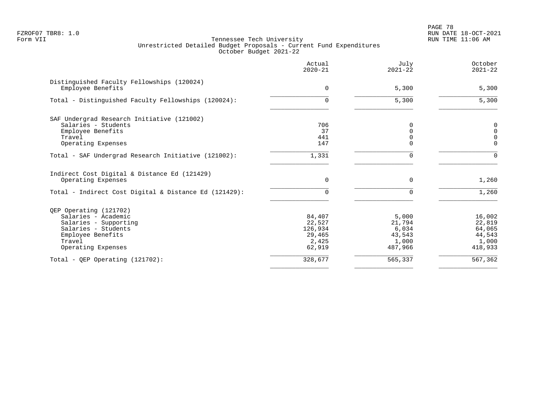PAGE 78 FZROF07 TBR8: 1.0 RUN DATE 18-OCT-2021

|                                                                 | Actual<br>$2020 - 21$ | July<br>$2021 - 22$ | October<br>$2021 - 22$ |
|-----------------------------------------------------------------|-----------------------|---------------------|------------------------|
| Distinguished Faculty Fellowships (120024)<br>Employee Benefits | $\Omega$              | 5,300               | 5,300                  |
|                                                                 |                       |                     |                        |
| Total - Distinguished Faculty Fellowships (120024):             | $\Omega$              | 5,300               | 5,300                  |
| SAF Undergrad Research Initiative (121002)                      |                       |                     |                        |
| Salaries - Students                                             | 706                   | $\Omega$            | 0                      |
| Employee Benefits                                               | 37                    | $\mathbf 0$         | $\mathbf 0$            |
| Travel                                                          | 441                   | $\Omega$            | $\mathbf 0$            |
| Operating Expenses                                              | 147                   | $\Omega$            | $\Omega$               |
| Total - SAF Undergrad Research Initiative (121002):             | 1,331                 | $\Omega$            | $\Omega$               |
| Indirect Cost Digital & Distance Ed (121429)                    |                       |                     |                        |
| Operating Expenses                                              | $\Omega$              | $\Omega$            | 1,260                  |
| Total - Indirect Cost Digital & Distance Ed (121429):           | 0                     | 0                   | 1,260                  |
| QEP Operating (121702)                                          |                       |                     |                        |
| Salaries - Academic                                             | 84,407                | 5,000               | 16,002                 |
| Salaries - Supporting                                           | 22,527                | 21,794              | 22,819                 |
| Salaries - Students                                             | 126,934               | 6,034               | 64,065                 |
| Employee Benefits                                               | 29,465                | 43,543              | 44,543                 |
| Travel                                                          | 2,425                 | 1,000               | 1,000                  |
| Operating Expenses                                              | 62,919                | 487,966             | 418,933                |
| Total - QEP Operating $(121702)$ :                              | 328,677               | 565,337             | 567,362                |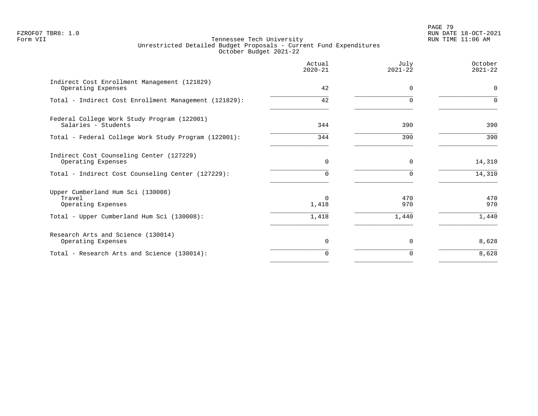# PAGE 79 FZROF07 TBR8: 1.0 RUN DATE 18-OCT-2021

|                                                                    | Actual<br>$2020 - 21$ | July<br>$2021 - 22$ | October<br>$2021 - 22$ |
|--------------------------------------------------------------------|-----------------------|---------------------|------------------------|
| Indirect Cost Enrollment Management (121829)<br>Operating Expenses | 42                    | $\Omega$            | $\mathbf 0$            |
| Total - Indirect Cost Enrollment Management (121829):              | 42                    | ∩                   | $\Omega$               |
| Federal College Work Study Program (122001)<br>Salaries - Students | 344                   | 390                 | 390                    |
| Total - Federal College Work Study Program (122001):               | 344                   | 390                 | 390                    |
| Indirect Cost Counseling Center (127229)<br>Operating Expenses     | $\mathbf 0$           | 0                   | 14,310                 |
| Total - Indirect Cost Counseling Center (127229):                  | 0                     | $\Omega$            | 14,310                 |
| Upper Cumberland Hum Sci (130008)<br>Travel<br>Operating Expenses  | $\Omega$<br>1,418     | 470<br>970          | 470<br>970             |
| Total - Upper Cumberland Hum Sci (130008):                         | 1,418                 | 1,440               | 1,440                  |
| Research Arts and Science (130014)<br>Operating Expenses           | $\Omega$              | $\Omega$            | 8,628                  |
| Total - Research Arts and Science (130014):                        | 0                     | $\Omega$            | 8,628                  |
|                                                                    |                       |                     |                        |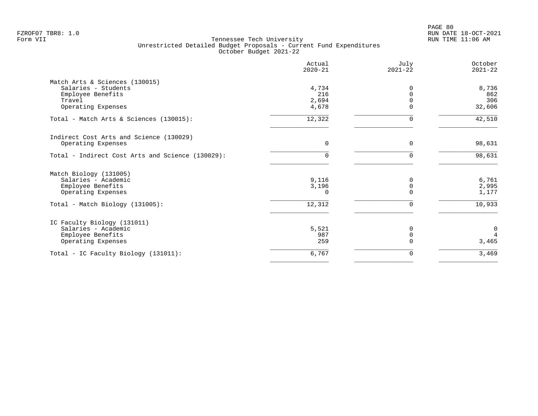| Actual<br>$2020 - 21$ | July<br>$2021 - 22$              | October<br>$2021 - 22$ |
|-----------------------|----------------------------------|------------------------|
|                       |                                  |                        |
| 4,734                 |                                  | 8,736                  |
| 216                   |                                  | 862                    |
|                       |                                  | 306                    |
|                       |                                  | 32,606                 |
| 12,322                | $\Omega$                         | 42,510                 |
|                       |                                  |                        |
| 0                     | $\Omega$                         | 98,631                 |
| $\Omega$              | 0                                | 98,631                 |
|                       |                                  |                        |
| 9,116                 | 0                                | 6,761                  |
|                       | 0                                | 2,995                  |
| $\cap$                |                                  | 1,177                  |
| 12,312                | 0                                | 10,933                 |
|                       |                                  |                        |
|                       | N                                | $\mathbf 0$            |
| 987                   | $\Omega$                         | $\overline{4}$         |
| 259                   |                                  | 3,465                  |
| 6,767                 | 0                                | 3,469                  |
|                       | 2,694<br>4,678<br>3,196<br>5,521 |                        |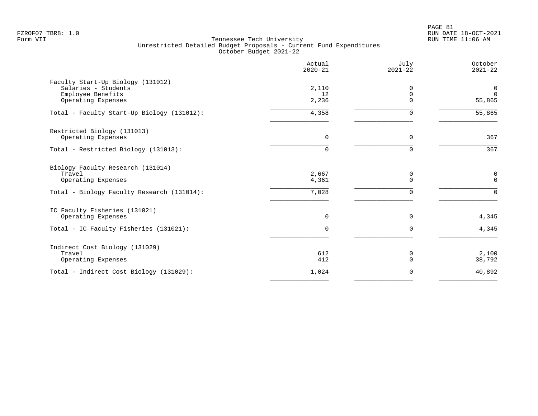PAGE 81 FZROF07 TBR8: 1.0 RUN DATE 18-OCT-2021

|                                                                                                                 | Actual<br>$2020 - 21$   | July<br>$2021 - 22$       | October<br>$2021 - 22$            |
|-----------------------------------------------------------------------------------------------------------------|-------------------------|---------------------------|-----------------------------------|
| Faculty Start-Up Biology (131012)<br>Salaries - Students<br>Employee Benefits<br>Operating Expenses             | 2,110<br>12<br>2,236    | 0<br>0<br>$\Omega$        | 0<br>$\Omega$<br>55,865           |
| Total - Faculty Start-Up Biology (131012):                                                                      | 4,358                   | $\Omega$                  | 55,865                            |
| Restricted Biology (131013)<br>Operating Expenses                                                               | $\Omega$                | 0                         | 367                               |
| Total - Restricted Biology (131013):                                                                            | $\Omega$                | $\Omega$                  | 367                               |
| Biology Faculty Research (131014)<br>Travel<br>Operating Expenses<br>Total - Biology Faculty Research (131014): | 2,667<br>4,361<br>7,028 | 0<br>$\Omega$<br>$\Omega$ | $\pmb{0}$<br>$\Omega$<br>$\Omega$ |
| IC Faculty Fisheries (131021)<br>Operating Expenses<br>Total - IC Faculty Fisheries (131021):                   | $\Omega$<br>$\Omega$    | 0<br>$\Omega$             | 4,345<br>4,345                    |
| Indirect Cost Biology (131029)<br>Travel<br>Operating Expenses                                                  | 612<br>412              | 0<br>$\Omega$             | 2,100<br>38,792                   |
| Total - Indirect Cost Biology (131029):                                                                         | 1,024                   | 0                         | 40,892                            |
|                                                                                                                 |                         |                           |                                   |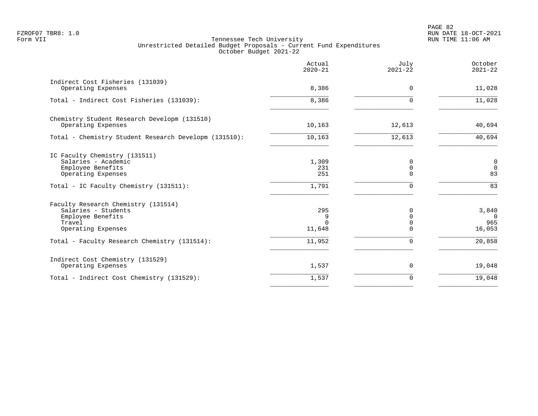PAGE 82 FZROF07 TBR8: 1.0 RUN DATE 18-OCT-2021

|                                                                                                                                           | Actual<br>$2020 - 21$        | July<br>$2021 - 22$ | October<br>$2021 - 22$                    |
|-------------------------------------------------------------------------------------------------------------------------------------------|------------------------------|---------------------|-------------------------------------------|
| Indirect Cost Fisheries (131039)<br>Operating Expenses                                                                                    | 8,386                        | $\Omega$            | 11,028                                    |
| Total - Indirect Cost Fisheries (131039):                                                                                                 | 8,386                        |                     | 11,028                                    |
| Chemistry Student Research Developm (131510)<br>Operating Expenses                                                                        | 10,163                       | 12,613              | 40,694                                    |
| Total - Chemistry Student Research Developm (131510):                                                                                     | 10,163                       | 12,613              | 40,694                                    |
| IC Faculty Chemistry (131511)<br>Salaries - Academic<br>Employee Benefits<br>Operating Expenses<br>Total - IC Faculty Chemistry (131511): | 1,309<br>231<br>251<br>1,791 | 0<br>0<br>U         | $\mathbf 0$<br>$\overline{0}$<br>83<br>83 |
| Faculty Research Chemistry (131514)<br>Salaries - Students<br>Employee Benefits<br>Travel<br>Operating Expenses                           | 295<br>9<br>11,648           | $\Omega$<br>N<br>U  | 3,840<br>- 0<br>965<br>16,053             |
| Total - Faculty Research Chemistry (131514):                                                                                              | 11,952                       | $\Omega$            | 20,858                                    |
| Indirect Cost Chemistry (131529)<br>Operating Expenses                                                                                    | 1,537                        | 0                   | 19,048                                    |
| Total - Indirect Cost Chemistry (131529):                                                                                                 | 1,537                        | $\Omega$            | 19,048                                    |
|                                                                                                                                           |                              |                     |                                           |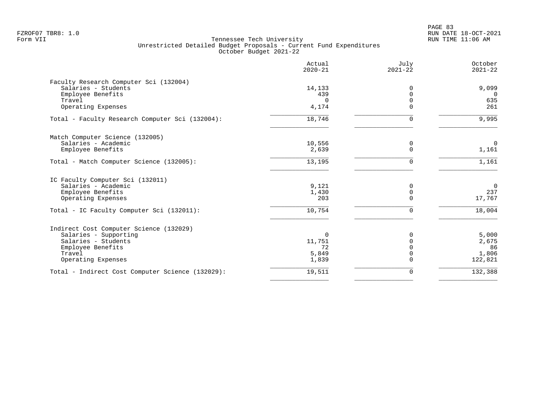|                                                  | Actual<br>$2020 - 21$ | July<br>$2021 - 22$ | October<br>$2021 - 22$ |
|--------------------------------------------------|-----------------------|---------------------|------------------------|
| Faculty Research Computer Sci (132004)           |                       |                     |                        |
| Salaries - Students                              | 14,133                | $\Omega$            | 9,099                  |
| Employee Benefits                                | 439                   | $\Omega$            | 0                      |
| Travel                                           | $\Omega$              | $\Omega$            | 635                    |
| Operating Expenses                               | 4,174                 | $\Omega$            | 261                    |
| Total - Faculty Research Computer Sci (132004):  | 18,746                | $\Omega$            | 9,995                  |
| Match Computer Science (132005)                  |                       |                     |                        |
| Salaries - Academic                              | 10,556                | 0                   | $\overline{0}$         |
| Employee Benefits                                | 2,639                 | $\Omega$            | 1,161                  |
| Total - Match Computer Science (132005):         | 13,195                | $\Omega$            | 1,161                  |
| IC Faculty Computer Sci (132011)                 |                       |                     |                        |
| Salaries - Academic                              | 9,121                 | 0                   | $\overline{0}$         |
| Employee Benefits                                | 1,430                 | $\mathbf 0$         | 237                    |
| Operating Expenses                               | 203                   | $\Omega$            | 17,767                 |
| Total - IC Faculty Computer Sci (132011):        | 10,754                | $\Omega$            | 18,004                 |
| Indirect Cost Computer Science (132029)          |                       |                     |                        |
| Salaries - Supporting                            | $\Omega$              | $\Omega$            | 5,000                  |
| Salaries - Students                              | 11,751                |                     | 2,675                  |
| Employee Benefits                                | 72                    |                     | 86                     |
| Travel                                           | 5,849                 | $\Omega$            | 1,806                  |
| Operating Expenses                               | 1,839                 | 0                   | 122,821                |
| Total - Indirect Cost Computer Science (132029): | 19,511                | 0                   | 132,388                |
|                                                  |                       |                     |                        |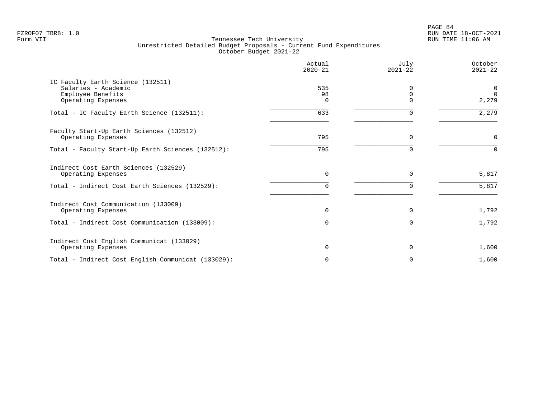PAGE 84 FZROF07 TBR8: 1.0 RUN DATE 18-OCT-2021

|                                                                | Actual<br>$2020 - 21$ | July<br>$2021 - 22$ | October<br>$2021 - 22$ |
|----------------------------------------------------------------|-----------------------|---------------------|------------------------|
| IC Faculty Earth Science (132511)<br>Salaries - Academic       | 535                   | $\Omega$            | $\mathbf 0$            |
| Employee Benefits<br>Operating Expenses                        | 98<br>$\cap$          | $\Omega$<br>$\cap$  | $\Omega$<br>2,279      |
| Total - IC Faculty Earth Science (132511):                     | 633                   | $\Omega$            | 2,279                  |
| Faculty Start-Up Earth Sciences (132512)<br>Operating Expenses | 795                   | $\Omega$            | $\mathbf 0$            |
|                                                                |                       |                     |                        |
| Total - Faculty Start-Up Earth Sciences (132512):              | 795                   | $\Omega$            | $\Omega$               |
| Indirect Cost Earth Sciences (132529)<br>Operating Expenses    | $\Omega$              | $\Omega$            | 5,817                  |
| Total - Indirect Cost Earth Sciences (132529):                 | 0                     | $\Omega$            | 5,817                  |
| Indirect Cost Communication (133009)                           |                       |                     |                        |
| Operating Expenses                                             | $\Omega$              | $\Omega$            | 1,792                  |
| Total - Indirect Cost Communication (133009):                  | 0                     | $\Omega$            | 1,792                  |
| Indirect Cost English Communicat (133029)                      |                       |                     |                        |
| Operating Expenses                                             | 0                     | $\Omega$            | 1,600                  |
| Total - Indirect Cost English Communicat (133029):             | 0                     | $\Omega$            | 1,600                  |
|                                                                |                       |                     |                        |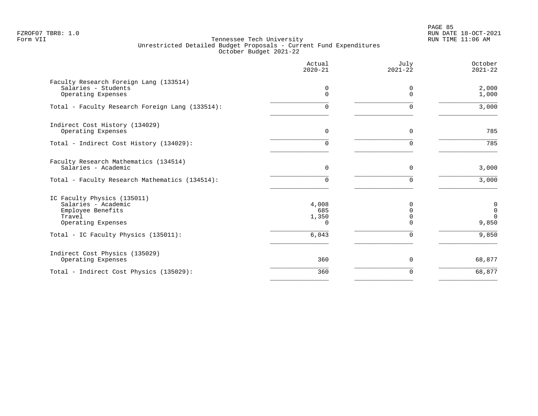PAGE 85 FZROF07 TBR8: 1.0 RUN DATE 18-OCT-2021

|                                                                                                         | Actual<br>$2020 - 21$             | July<br>$2021 - 22$              | October<br>$2021 - 22$                                          |
|---------------------------------------------------------------------------------------------------------|-----------------------------------|----------------------------------|-----------------------------------------------------------------|
| Faculty Research Foreign Lang (133514)<br>Salaries - Students<br>Operating Expenses                     | 0<br>$\Omega$                     | 0<br>$\Omega$                    | 2,000<br>1,000                                                  |
| Total - Faculty Research Foreign Lang (133514):                                                         | $\Omega$                          | $\Omega$                         | 3,000                                                           |
| Indirect Cost History (134029)<br>Operating Expenses                                                    | $\Omega$                          | $\Omega$                         | 785                                                             |
| Total - Indirect Cost History (134029):                                                                 | 0                                 | $\Omega$                         | 785                                                             |
| Faculty Research Mathematics (134514)<br>Salaries - Academic                                            | $\Omega$                          | $\Omega$                         | 3,000                                                           |
| Total - Faculty Research Mathematics (134514):                                                          | 0                                 | $\Omega$                         | 3,000                                                           |
| IC Faculty Physics (135011)<br>Salaries - Academic<br>Employee Benefits<br>Travel<br>Operating Expenses | 4,008<br>685<br>1,350<br>$\Omega$ | $\Omega$<br>$\Omega$<br>$\Omega$ | $\begin{smallmatrix}0\\0\end{smallmatrix}$<br>$\Omega$<br>9,850 |
| Total - IC Faculty Physics (135011):                                                                    | 6,043                             | $\Omega$                         | 9,850                                                           |
| Indirect Cost Physics (135029)<br>Operating Expenses                                                    | 360                               | 0                                | 68,877                                                          |
| Total - Indirect Cost Physics (135029):                                                                 | 360                               | $\Omega$                         | 68,877                                                          |
|                                                                                                         |                                   |                                  |                                                                 |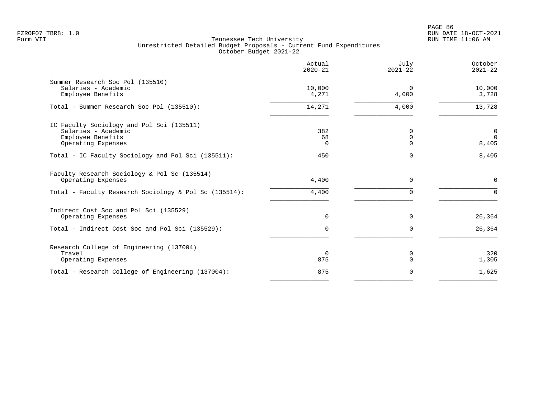|                                                                                                                             | Actual<br>$2020 - 21$ | July<br>$2021 - 22$          | October<br>$2021 - 22$                    |
|-----------------------------------------------------------------------------------------------------------------------------|-----------------------|------------------------------|-------------------------------------------|
| Summer Research Soc Pol (135510)<br>Salaries - Academic<br>Employee Benefits                                                | 10,000<br>4,271       | $\Omega$<br>4,000            | 10,000<br>3,728                           |
| Total - Summer Research Soc Pol (135510):                                                                                   | 14,271                | 4,000                        | 13,728                                    |
| IC Faculty Sociology and Pol Sci (135511)<br>Salaries - Academic<br>Employee Benefits<br>Operating Expenses                 | 382<br>68<br>$\Omega$ | 0<br>$\mathbf 0$<br>$\Omega$ | $\overline{0}$<br>$\overline{0}$<br>8,405 |
| Total - IC Faculty Sociology and Pol Sci (135511):                                                                          | 450                   | $\Omega$                     | 8,405                                     |
| Faculty Research Sociology & Pol Sc (135514)<br>Operating Expenses<br>Total - Faculty Research Sociology & Pol Sc (135514): | 4,400<br>4,400        | $\mathbf 0$<br>$\Omega$      | $\mathbf 0$<br>$\Omega$                   |
| Indirect Cost Soc and Pol Sci (135529)                                                                                      |                       |                              |                                           |
| Operating Expenses                                                                                                          | 0<br>0                | $\mathbf 0$<br>$\Omega$      | 26,364<br>26,364                          |
| Total - Indirect Cost Soc and Pol Sci (135529):                                                                             |                       |                              |                                           |
| Research College of Engineering (137004)<br>Travel<br>Operating Expenses                                                    | $\Omega$<br>875       | 0<br>$\mathbf 0$             | 320<br>1,305                              |
| Total - Research College of Engineering (137004):                                                                           | 875                   | $\mathbf 0$                  | 1,625                                     |
|                                                                                                                             |                       |                              |                                           |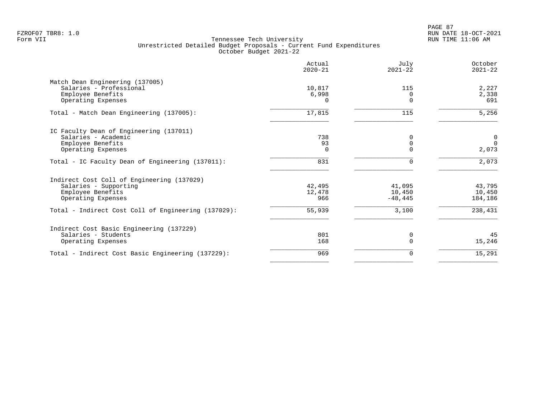|                                                     | Actual<br>$2020 - 21$ | July<br>$2021 - 22$ | October<br>$2021 - 22$ |
|-----------------------------------------------------|-----------------------|---------------------|------------------------|
| Match Dean Engineering (137005)                     |                       |                     |                        |
| Salaries - Professional                             | 10,817                | 115                 | 2,227                  |
| Employee Benefits                                   | 6,998                 |                     | 2,338                  |
| Operating Expenses                                  | $\Omega$              | $\Omega$            | 691                    |
| Total - Match Dean Engineering (137005):            | 17,815                | 115                 | 5,256                  |
| IC Faculty Dean of Engineering (137011)             |                       |                     |                        |
| Salaries - Academic                                 | 738                   |                     | $\mathbf 0$            |
| Employee Benefits                                   | 93                    | 0                   | $\Omega$               |
| Operating Expenses                                  | 0                     |                     | 2,073                  |
| Total - IC Faculty Dean of Engineering (137011):    | 831                   | $\Omega$            | 2,073                  |
| Indirect Cost Coll of Engineering (137029)          |                       |                     |                        |
| Salaries - Supporting                               | 42,495                | 41,095              | 43,795                 |
| Employee Benefits                                   | 12,478                | 10,450              | 10,450                 |
| Operating Expenses                                  | 966                   | $-48, 445$          | 184,186                |
| Total - Indirect Cost Coll of Engineering (137029): | 55,939                | 3,100               | 238,431                |
| Indirect Cost Basic Engineering (137229)            |                       |                     |                        |
| Salaries - Students                                 | 801                   | 0                   | 45                     |
| Operating Expenses                                  | 168                   |                     | 15,246                 |
| Total - Indirect Cost Basic Engineering (137229):   | 969                   | 0                   | 15,291                 |
|                                                     |                       |                     |                        |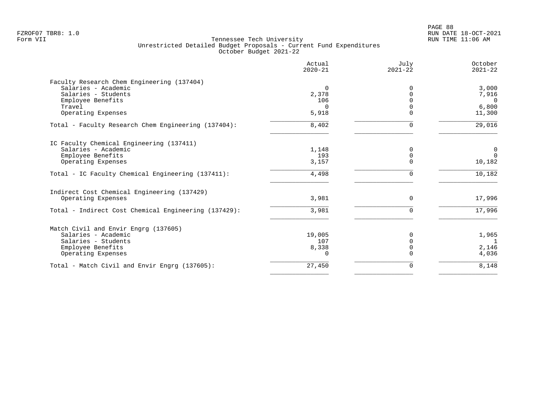|                                                      | Actual<br>$2020 - 21$ | July<br>$2021 - 22$ | October<br>$2021 - 22$ |
|------------------------------------------------------|-----------------------|---------------------|------------------------|
| Faculty Research Chem Engineering (137404)           |                       |                     |                        |
| Salaries - Academic                                  | $\Omega$              | $\Omega$            | 3,000                  |
| Salaries - Students                                  | 2,378                 |                     | 7,916                  |
| Employee Benefits                                    | 106                   |                     | $\overline{0}$         |
| Travel                                               | $\Omega$              |                     | 6,800                  |
| Operating Expenses                                   | 5,918                 | $\Omega$            | 11,300                 |
| Total - Faculty Research Chem Engineering (137404):  | 8,402                 | $\Omega$            | 29,016                 |
| IC Faculty Chemical Engineering (137411)             |                       |                     |                        |
| Salaries - Academic                                  | 1,148                 | $\Omega$            | 0                      |
| Employee Benefits                                    | 193                   | $\Omega$            | $\Omega$               |
| Operating Expenses                                   | 3,157                 | $\Omega$            | 10,182                 |
| Total - IC Faculty Chemical Engineering (137411):    | 4,498                 | $\mathbf 0$         | 10,182                 |
| Indirect Cost Chemical Engineering (137429)          |                       |                     |                        |
| Operating Expenses                                   | 3,981                 | $\Omega$            | 17,996                 |
| Total - Indirect Cost Chemical Engineering (137429): | 3,981                 | $\Omega$            | 17,996                 |
| Match Civil and Envir Engrg (137605)                 |                       |                     |                        |
| Salaries - Academic                                  | 19,005                |                     | 1,965                  |
| Salaries - Students                                  | 107                   | $\Omega$            |                        |
| Employee Benefits                                    | 8,338                 | $\Omega$            | 2,146                  |
| Operating Expenses                                   | $\Omega$              |                     | 4,036                  |
| Total - Match Civil and Envir Engrg (137605):        | 27,450                | 0                   | 8,148                  |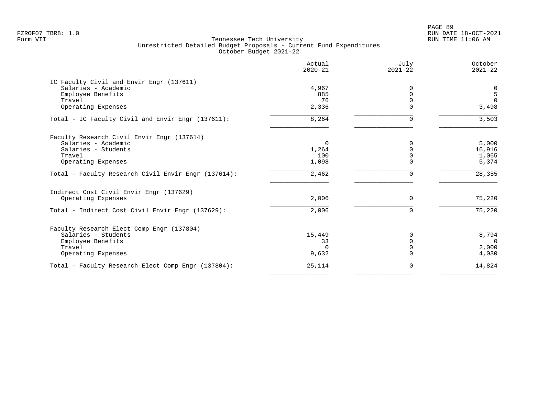PAGE 89 FZROF07 TBR8: 1.0 RUN DATE 18-OCT-2021

|                                                     | Actual<br>$2020 - 21$ | July<br>$2021 - 22$ | October<br>$2021 - 22$ |
|-----------------------------------------------------|-----------------------|---------------------|------------------------|
| IC Faculty Civil and Envir Engr (137611)            |                       |                     |                        |
| Salaries - Academic                                 | 4,967                 | $\Omega$            | $\mathbf 0$            |
| Employee Benefits                                   | 885                   | $\Omega$            | 5                      |
| Travel                                              | 76                    |                     | $\Omega$               |
| Operating Expenses                                  | 2,336                 | $\Omega$            | 3,498                  |
| Total - IC Faculty Civil and Envir Engr (137611):   | 8,264                 | $\Omega$            | 3,503                  |
| Faculty Research Civil Envir Engr (137614)          |                       |                     |                        |
| Salaries - Academic                                 | $\Omega$              | $\Omega$            | 5,000                  |
| Salaries - Students                                 | 1,264                 | $\Omega$            | 16,916                 |
| Travel                                              | 100                   |                     | 1,065                  |
| Operating Expenses                                  | 1,098                 | $\Omega$            | 5,374                  |
| Total - Faculty Research Civil Envir Engr (137614): | 2,462                 | $\mathbf 0$         | 28,355                 |
| Indirect Cost Civil Envir Engr (137629)             |                       |                     |                        |
| Operating Expenses                                  | 2,006                 | $\Omega$            | 75,220                 |
| Total - Indirect Cost Civil Envir Engr (137629):    | 2,006                 | $\Omega$            | 75,220                 |
| Faculty Research Elect Comp Engr (137804)           |                       |                     |                        |
| Salaries - Students                                 | 15,449                | 0                   | 8,794                  |
| Employee Benefits                                   | 33                    | $\Omega$            | $\Omega$               |
| Travel                                              | $\cap$                | $\Omega$            | 2,000                  |
| Operating Expenses                                  | 9,632                 | $\Omega$            | 4,030                  |
| Total - Faculty Research Elect Comp Engr (137804):  | 25,114                | 0                   | 14,824                 |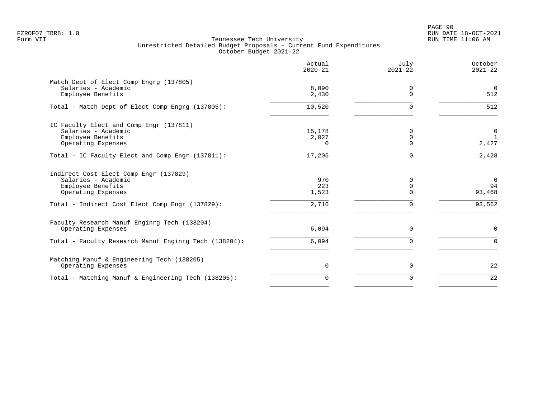PAGE 90 FZROF07 TBR8: 1.0 RUN DATE 18-OCT-2021

|                                                                                                                                                             | Actual<br>$2020 - 21$        | July<br>$2021 - 22$     | October<br>$2021 - 22$                   |
|-------------------------------------------------------------------------------------------------------------------------------------------------------------|------------------------------|-------------------------|------------------------------------------|
| Match Dept of Elect Comp Engrg (137805)<br>Salaries - Academic<br>Employee Benefits                                                                         | 8,090<br>2,430               | 0<br>$\Omega$           | $\Omega$<br>512                          |
| Total - Match Dept of Elect Comp Engrg (137805):                                                                                                            | 10,520                       | $\Omega$                | 512                                      |
| IC Faculty Elect and Comp Engr (137811)<br>Salaries - Academic<br>Employee Benefits<br>Operating Expenses                                                   | 15,178<br>2,027<br>0         | 0<br>$\mathbf 0$<br>∩   | $\mathbf 0$<br><sup>1</sup><br>2,427     |
| Total - IC Faculty Elect and Comp Engr (137811):                                                                                                            | 17,205                       | 0                       | 2,428                                    |
| Indirect Cost Elect Comp Engr (137829)<br>Salaries - Academic<br>Employee Benefits<br>Operating Expenses<br>Total - Indirect Cost Elect Comp Engr (137829): | 970<br>223<br>1,523<br>2,716 | 0<br>0<br>$\Omega$<br>0 | $\overline{0}$<br>94<br>93,468<br>93,562 |
| Faculty Research Manuf Enginrg Tech (138204)<br>Operating Expenses                                                                                          | 6,094                        | 0                       | $\mathsf{O}$                             |
| Total - Faculty Research Manuf Enginrg Tech (138204):                                                                                                       | 6,094                        | 0                       | $\mathbf 0$                              |
| Matching Manuf & Engineering Tech (138205)<br>Operating Expenses                                                                                            | $\mathbf 0$                  | 0                       | 22                                       |
| Total - Matching Manuf & Engineering Tech (138205):                                                                                                         | $\Omega$                     | 0                       | 22                                       |
|                                                                                                                                                             |                              |                         |                                          |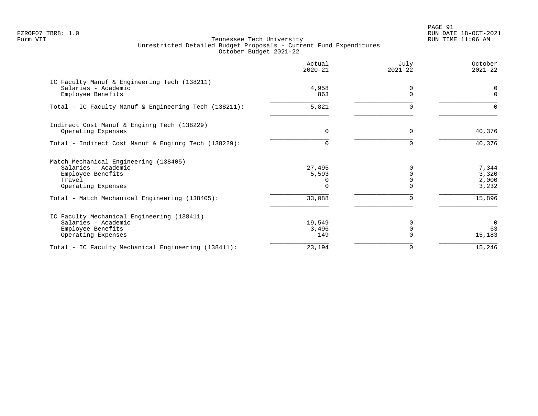PAGE 91 FZROF07 TBR8: 1.0 RUN DATE 18-OCT-2021

|                                                                     | Actual<br>$2020 - 21$ | July<br>$2021 - 22$ | October<br>$2021 - 22$ |
|---------------------------------------------------------------------|-----------------------|---------------------|------------------------|
| IC Faculty Manuf & Engineering Tech (138211)<br>Salaries - Academic | 4,958                 | 0                   | 0                      |
| Employee Benefits                                                   | 863                   | $\Omega$            | $\Omega$               |
| Total - IC Faculty Manuf & Engineering Tech (138211):               | 5,821                 | $\Omega$            | 0                      |
| Indirect Cost Manuf & Enginrg Tech (138229)                         |                       |                     |                        |
| Operating Expenses                                                  | 0                     | 0                   | 40,376                 |
| Total - Indirect Cost Manuf & Enginrg Tech (138229):                | 0                     | $\Omega$            | 40,376                 |
| Match Mechanical Engineering (138405)                               |                       |                     |                        |
| Salaries - Academic                                                 | 27,495                |                     | 7,344                  |
| Employee Benefits                                                   | 5,593                 |                     | 3,320                  |
| Travel<br>Operating Expenses                                        | 0                     | $\cap$              | 2,000<br>3,232         |
| Total - Match Mechanical Engineering (138405):                      | 33,088                |                     | 15,896                 |
| IC Faculty Mechanical Engineering (138411)                          |                       |                     |                        |
| Salaries - Academic                                                 | 19,549                |                     | $\Omega$               |
| Employee Benefits                                                   | 3,496                 |                     | 63                     |
| Operating Expenses                                                  | 149                   |                     | 15,183                 |
| Total - IC Faculty Mechanical Engineering (138411):                 | 23,194                | $\Omega$            | 15,246                 |
|                                                                     |                       |                     |                        |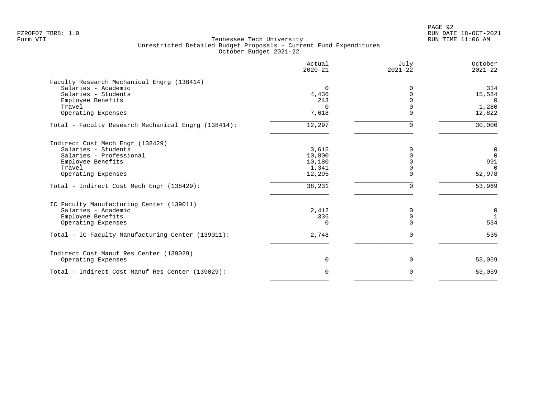|                                                     | Actual<br>$2020 - 21$ | July<br>$2021 - 22$ | October<br>$2021 - 22$ |
|-----------------------------------------------------|-----------------------|---------------------|------------------------|
| Faculty Research Mechanical Engrg (138414)          |                       |                     |                        |
| Salaries - Academic                                 | $\Omega$              |                     | 314                    |
| Salaries - Students                                 | 4,436                 |                     | 15,584                 |
| Employee Benefits                                   | 243                   |                     | $\Omega$               |
| Travel                                              | 0                     |                     | 1,280                  |
| Operating Expenses                                  | 7,618                 |                     | 12,822                 |
| Total - Faculty Research Mechanical Engrg (138414): | 12,297                | $\Omega$            | 30,000                 |
| Indirect Cost Mech Engr (138429)                    |                       |                     |                        |
| Salaries - Students                                 | 3,615                 |                     | 0                      |
| Salaries - Professional                             | 10,800                |                     | $\overline{0}$         |
| Employee Benefits                                   | 10,180                |                     | 991                    |
| Travel                                              | 1,341                 |                     | $\Omega$               |
| Operating Expenses                                  | 12,295                |                     | 52,978                 |
| Total - Indirect Cost Mech Engr (138429):           | 38,231                | ∩                   | 53,969                 |
| IC Faculty Manufacturing Center (139011)            |                       |                     |                        |
| Salaries - Academic                                 | 2,412                 |                     | $\mathbf 0$            |
| Employee Benefits                                   | 336                   | $\Omega$            |                        |
| Operating Expenses                                  | 0                     |                     | 534                    |
| Total - IC Faculty Manufacturing Center (139011):   | 2,748                 |                     | 535                    |
| Indirect Cost Manuf Res Center (139029)             |                       |                     |                        |
| Operating Expenses                                  | 0                     | $\mathbf 0$         | 53,059                 |
| Total - Indirect Cost Manuf Res Center (139029):    | $\Omega$              | $\Omega$            | 53,059                 |
|                                                     |                       |                     |                        |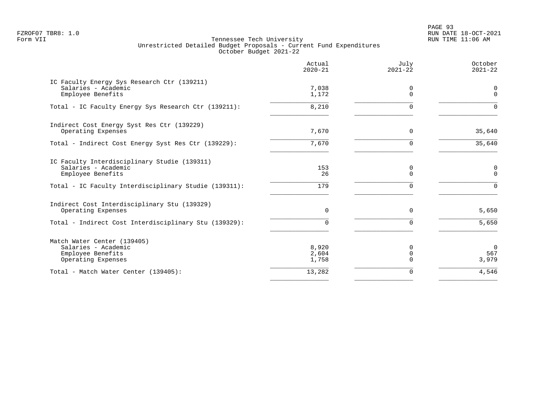PAGE 93 FZROF07 TBR8: 1.0 RUN DATE 18-OCT-2021

|                                                                                                                                                   | Actual<br>$2020 - 21$   | July<br>$2021 - 22$          | October<br>$2021 - 22$            |
|---------------------------------------------------------------------------------------------------------------------------------------------------|-------------------------|------------------------------|-----------------------------------|
| IC Faculty Energy Sys Research Ctr (139211)<br>Salaries - Academic<br>Employee Benefits                                                           | 7,038<br>1,172          | 0<br>$\Omega$                | $\mathbf 0$<br>$\mathbf 0$        |
| Total - IC Faculty Energy Sys Research Ctr (139211):                                                                                              | 8,210                   | $\Omega$                     | $\Omega$                          |
| Indirect Cost Energy Syst Res Ctr (139229)<br>Operating Expenses                                                                                  | 7,670                   | $\Omega$                     | 35,640                            |
| Total - Indirect Cost Energy Syst Res Ctr (139229):                                                                                               | 7,670                   | $\Omega$                     | 35,640                            |
| IC Faculty Interdisciplinary Studie (139311)<br>Salaries - Academic<br>Employee Benefits<br>Total - IC Faculty Interdisciplinary Studie (139311): | 153<br>26<br>179        | 0<br>$\Omega$<br>$\Omega$    | $\mathbf 0$<br>$\Omega$<br>$\cap$ |
| Indirect Cost Interdisciplinary Stu (139329)<br>Operating Expenses                                                                                | $\Omega$                | $\Omega$                     | 5,650                             |
| Total - Indirect Cost Interdisciplinary Stu (139329):                                                                                             | $\Omega$                | $\Omega$                     | 5,650                             |
| Match Water Center (139405)<br>Salaries - Academic<br>Employee Benefits<br>Operating Expenses                                                     | 8,920<br>2,604<br>1,758 | 0<br>$\mathbf 0$<br>$\Omega$ | $\overline{0}$<br>567<br>3,979    |
| Total - Match Water Center (139405):                                                                                                              | 13,282                  | $\mathbf 0$                  | 4,546                             |
|                                                                                                                                                   |                         |                              |                                   |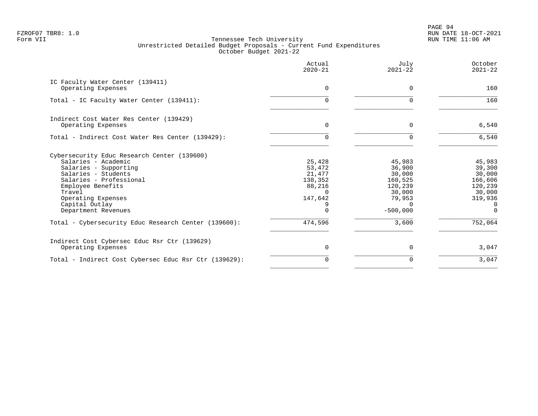PAGE 94 FZROF07 TBR8: 1.0 RUN DATE 18-OCT-2021

|                                                                                                                                                                                                                                             | Actual<br>$2020 - 21$                                           | July<br>$2021 - 22$                                                                            | October<br>$2021 - 22$                                                                 |
|---------------------------------------------------------------------------------------------------------------------------------------------------------------------------------------------------------------------------------------------|-----------------------------------------------------------------|------------------------------------------------------------------------------------------------|----------------------------------------------------------------------------------------|
| IC Faculty Water Center (139411)<br>Operating Expenses                                                                                                                                                                                      | $\Omega$                                                        | 0                                                                                              | 160                                                                                    |
| Total - IC Faculty Water Center (139411):                                                                                                                                                                                                   | 0                                                               | $\Omega$                                                                                       | 160                                                                                    |
| Indirect Cost Water Res Center (139429)<br>Operating Expenses                                                                                                                                                                               | 0                                                               | 0                                                                                              | 6,540                                                                                  |
| Total - Indirect Cost Water Res Center (139429):                                                                                                                                                                                            | 0                                                               | 0                                                                                              | 6,540                                                                                  |
| Cybersecurity Educ Research Center (139600)<br>Salaries - Academic<br>Salaries - Supporting<br>Salaries - Students<br>Salaries - Professional<br>Employee Benefits<br>Travel<br>Operating Expenses<br>Capital Outlay<br>Department Revenues | 25,428<br>53,472<br>21,477<br>138,352<br>88,216<br>147,642<br>O | 45,983<br>36,900<br>30,000<br>160,525<br>120,239<br>30,000<br>79,953<br>$\Omega$<br>$-500,000$ | 45,983<br>39,300<br>30,000<br>166,606<br>120,239<br>30,000<br>319,936<br>0<br>$\Omega$ |
| Total - Cybersecurity Educ Research Center (139600):                                                                                                                                                                                        | 474,596                                                         | 3,600                                                                                          | 752,064                                                                                |
| Indirect Cost Cybersec Educ Rsr Ctr (139629)<br>Operating Expenses                                                                                                                                                                          | 0                                                               | $\Omega$                                                                                       | 3,047                                                                                  |
| Total - Indirect Cost Cybersec Educ Rsr Ctr (139629):                                                                                                                                                                                       | 0                                                               | $\Omega$                                                                                       | 3,047                                                                                  |
|                                                                                                                                                                                                                                             |                                                                 |                                                                                                |                                                                                        |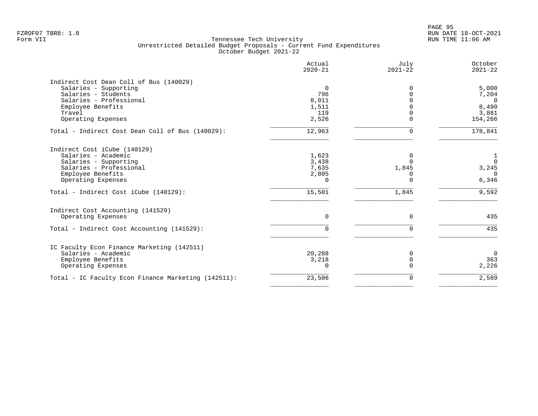PAGE 95 FZROF07 TBR8: 1.0 RUN DATE 18-OCT-2021

|                                                     | Actual<br>$2020 - 21$ | July<br>$2021 - 22$ | October<br>$2021 - 22$ |
|-----------------------------------------------------|-----------------------|---------------------|------------------------|
| Indirect Cost Dean Coll of Bus (140029)             |                       |                     |                        |
| Salaries - Supporting                               | $\mathbf 0$           | $\Omega$            | 5,000                  |
| Salaries - Students                                 | 796                   |                     | 7,204                  |
| Salaries - Professional                             | 8,011                 |                     | $\Omega$               |
| Employee Benefits                                   | 1,511                 |                     | 8,490                  |
| Travel                                              | 119                   |                     | 3,881                  |
| Operating Expenses                                  | 2,526                 | $\Omega$            | 154,266                |
| Total - Indirect Cost Dean Coll of Bus (140029):    | 12,963                | $\mathbf 0$         | 178,841                |
| Indirect Cost iCube (140129)                        |                       |                     |                        |
| Salaries - Academic                                 | 1,623                 | 0                   | $\mathbf{1}$           |
| Salaries - Supporting                               | 3,438                 | $\Omega$            | $\overline{0}$         |
| Salaries - Professional                             | 7,635                 | 1,845               | 3,245                  |
| Employee Benefits                                   | 2,805                 | $\Omega$            | $\Omega$               |
| Operating Expenses                                  | $\Omega$              | $\Omega$            | 6,346                  |
| Total - Indirect Cost iCube (140129):               | 15,501                | 1,845               | 9,592                  |
| Indirect Cost Accounting (141529)                   |                       |                     |                        |
| Operating Expenses                                  | 0                     | $\mathbf 0$         | 435                    |
| Total - Indirect Cost Accounting (141529):          | $\Omega$              | $\mathbf 0$         | 435                    |
| IC Faculty Econ Finance Marketing (142511)          |                       |                     |                        |
| Salaries - Academic                                 | 20,288                | 0                   | $\Omega$               |
| Employee Benefits                                   | 3,218                 | $\mathbf 0$         | 363                    |
| Operating Expenses                                  | $\Omega$              | $\Omega$            | 2,226                  |
| Total - IC Faculty Econ Finance Marketing (142511): | 23,506                | $\mathbf 0$         | 2,589                  |
|                                                     |                       |                     |                        |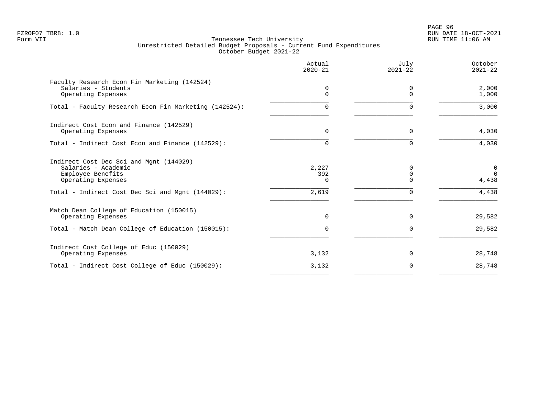PAGE 96 FZROF07 TBR8: 1.0 RUN DATE 18-OCT-2021

|                                                                                                                                                               | Actual<br>$2020 - 21$             | July<br>$2021 - 22$                              | October<br>$2021 - 22$                    |
|---------------------------------------------------------------------------------------------------------------------------------------------------------------|-----------------------------------|--------------------------------------------------|-------------------------------------------|
| Faculty Research Econ Fin Marketing (142524)<br>Salaries - Students<br>Operating Expenses                                                                     | 0<br>0                            | 0<br>$\Omega$                                    | 2,000<br>1,000                            |
| Total - Faculty Research Econ Fin Marketing (142524):                                                                                                         | 0                                 | $\Omega$                                         | 3,000                                     |
| Indirect Cost Econ and Finance (142529)<br>Operating Expenses                                                                                                 | $\Omega$                          | $\Omega$                                         | 4,030                                     |
| Total - Indirect Cost Econ and Finance (142529):                                                                                                              | O.                                | <sup>n</sup>                                     | 4,030                                     |
| Indirect Cost Dec Sci and Mgnt (144029)<br>Salaries - Academic<br>Employee Benefits<br>Operating Expenses<br>Total - Indirect Cost Dec Sci and Mgnt (144029): | 2,227<br>392<br>$\Omega$<br>2,619 | <sup>0</sup><br>$\Omega$<br>$\Omega$<br>$\Omega$ | $\mathbf 0$<br>$\Omega$<br>4,438<br>4,438 |
| Match Dean College of Education (150015)<br>Operating Expenses<br>Total - Match Dean College of Education (150015):                                           | $\Omega$<br>0                     | $\Omega$                                         | 29,582<br>29,582                          |
| Indirect Cost College of Educ (150029)<br>Operating Expenses                                                                                                  | 3,132                             | $\Omega$                                         | 28,748                                    |
| Total - Indirect Cost College of Educ (150029):                                                                                                               | 3,132                             | $\Omega$                                         | 28,748                                    |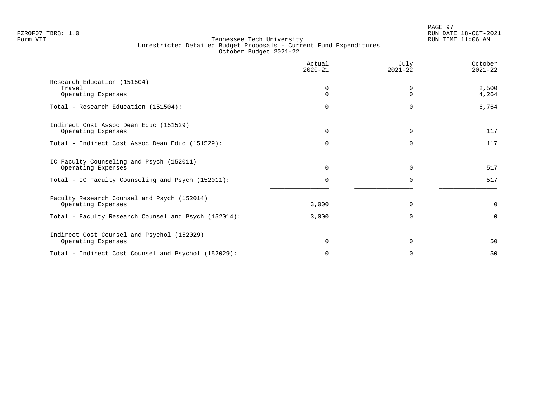|                                                                   | Actual<br>$2020 - 21$ | July<br>$2021 - 22$  | October<br>$2021 - 22$ |
|-------------------------------------------------------------------|-----------------------|----------------------|------------------------|
| Research Education (151504)<br>Travel<br>Operating Expenses       | 0<br>$\Omega$         | $\Omega$<br>$\Omega$ | 2,500<br>4,264         |
| Total - Research Education (151504):                              | O                     | $\Omega$             | 6,764                  |
| Indirect Cost Assoc Dean Educ (151529)<br>Operating Expenses      | $\Omega$              | $\Omega$             | 117                    |
| Total - Indirect Cost Assoc Dean Educ (151529):                   |                       |                      | 117                    |
| IC Faculty Counseling and Psych (152011)<br>Operating Expenses    | 0                     | 0                    | 517                    |
| Total - IC Faculty Counseling and Psych (152011):                 | 0                     | $\Omega$             | 517                    |
| Faculty Research Counsel and Psych (152014)<br>Operating Expenses | 3,000                 | 0                    | $\mathsf{O}$           |
| Total - Faculty Research Counsel and Psych (152014):              | 3,000                 | $\Omega$             | $\Omega$               |
| Indirect Cost Counsel and Psychol (152029)<br>Operating Expenses  | 0                     | $\mathbf 0$          | 50                     |
| Total - Indirect Cost Counsel and Psychol (152029):               | $\Omega$              | $\Omega$             | 50                     |
|                                                                   |                       |                      |                        |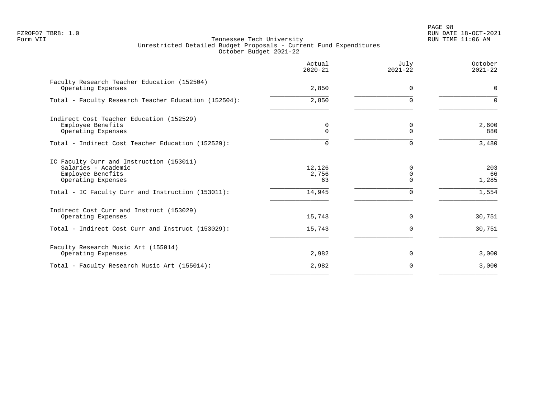# PAGE 98 FZROF07 TBR8: 1.0 RUN DATE 18-OCT-2021

|                                                                                                                                                                 | Actual<br>$2020 - 21$           | July<br>$2021 - 22$            | October<br>$2021 - 22$      |
|-----------------------------------------------------------------------------------------------------------------------------------------------------------------|---------------------------------|--------------------------------|-----------------------------|
| Faculty Research Teacher Education (152504)<br>Operating Expenses                                                                                               | 2,850                           | $\Omega$                       | $\Omega$                    |
| Total - Faculty Research Teacher Education (152504):                                                                                                            | 2,850                           | $\Omega$                       | $\Omega$                    |
| Indirect Cost Teacher Education (152529)<br>Employee Benefits<br>Operating Expenses                                                                             | 0<br>$\Omega$                   | 0<br>$\Omega$                  | 2,600<br>880                |
| Total - Indirect Cost Teacher Education (152529):                                                                                                               |                                 |                                | 3,480                       |
| IC Faculty Curr and Instruction (153011)<br>Salaries - Academic<br>Employee Benefits<br>Operating Expenses<br>Total - IC Faculty Curr and Instruction (153011): | 12,126<br>2,756<br>63<br>14,945 | $\Omega$<br>0<br>O<br>$\Omega$ | 203<br>66<br>1,285<br>1,554 |
| Indirect Cost Curr and Instruct (153029)<br>Operating Expenses                                                                                                  | 15,743                          | $\Omega$                       | 30,751                      |
| Total - Indirect Cost Curr and Instruct (153029):                                                                                                               | 15,743                          |                                | 30,751                      |
| Faculty Research Music Art (155014)<br>Operating Expenses                                                                                                       | 2,982                           | $\Omega$                       | 3,000                       |
| Total - Faculty Research Music Art (155014):                                                                                                                    | 2,982                           | $\Omega$                       | 3,000                       |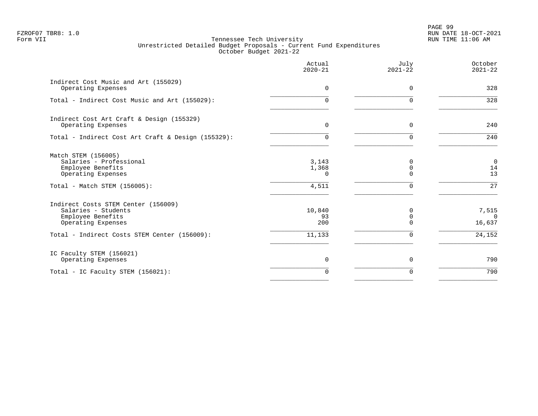PAGE 99 FZROF07 TBR8: 1.0 RUN DATE 18-OCT-2021

|                                                                                                       | Actual<br>$2020 - 21$      | July<br>$2021 - 22$ | October<br>$2021 - 22$    |
|-------------------------------------------------------------------------------------------------------|----------------------------|---------------------|---------------------------|
| Indirect Cost Music and Art (155029)<br>Operating Expenses                                            | 0                          | $\Omega$            | 328                       |
| Total - Indirect Cost Music and Art (155029):                                                         | $\Omega$                   | $\Omega$            | 328                       |
| Indirect Cost Art Craft & Design (155329)<br>Operating Expenses                                       | $\overline{0}$             | 0                   | 240                       |
| Total - Indirect Cost Art Craft & Design (155329):                                                    | $\Omega$                   | $\Omega$            | 240                       |
| Match STEM (156005)<br>Salaries - Professional<br>Employee Benefits<br>Operating Expenses             | 3,143<br>1,368<br>$\Omega$ | 0<br>$\Omega$       | $\mathbf 0$<br>14<br>13   |
| Total - Match STEM (156005):                                                                          | 4,511                      | U                   | 27                        |
| Indirect Costs STEM Center (156009)<br>Salaries - Students<br>Employee Benefits<br>Operating Expenses | 10,840<br>93<br>200        | $\Omega$            | 7,515<br>$\cap$<br>16,637 |
| Total - Indirect Costs STEM Center (156009):                                                          | 11,133                     | 0                   | 24,152                    |
| IC Faculty STEM (156021)<br>Operating Expenses                                                        | 0                          | 0                   | 790                       |
| Total - IC Faculty STEM (156021):                                                                     | $\Omega$                   | $\Omega$            | 790                       |
|                                                                                                       |                            |                     |                           |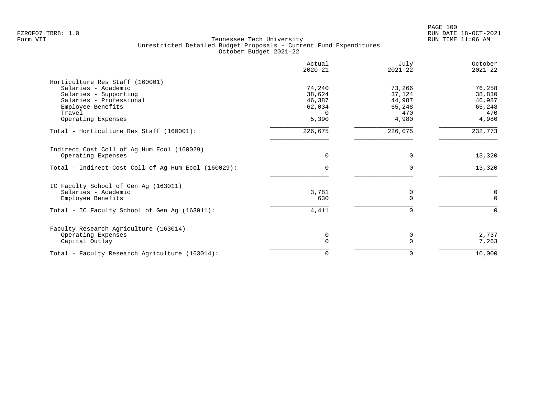|                                                     | Actual<br>$2020 - 21$ | July<br>$2021 - 22$ | October<br>$2021 - 22$ |
|-----------------------------------------------------|-----------------------|---------------------|------------------------|
| Horticulture Res Staff (160001)                     |                       |                     |                        |
| Salaries - Academic                                 | 74,240                | 73,266              | 76,258                 |
| Salaries - Supporting                               | 38,624                | 37,124              | 38,830                 |
| Salaries - Professional                             | 46,387                | 44,987              | 46,987                 |
| Employee Benefits                                   | 62,034                | 65,248              | 65,248                 |
| Travel                                              | $\Omega$              | 470                 | 470                    |
| Operating Expenses                                  | 5,390                 | 4,980               | 4,980                  |
| Total - Horticulture Res Staff (160001):            | 226,675               | 226,075             | 232,773                |
| Indirect Cost Coll of Ag Hum Ecol (160029)          |                       |                     |                        |
| Operating Expenses                                  | $\mathbf 0$           | 0                   | 13,320                 |
| Total - Indirect Cost Coll of Aq Hum Ecol (160029): | $\Omega$              | 0                   | 13,320                 |
| IC Faculty School of Gen Ag (163011)                |                       |                     |                        |
| Salaries - Academic                                 | 3,781                 | 0                   | 0                      |
| Employee Benefits                                   | 630                   | $\Omega$            | $\Omega$               |
| Total - IC Faculty School of Gen Ag (163011):       | 4,411                 | 0                   | $\Omega$               |
|                                                     |                       |                     |                        |
| Faculty Research Agriculture (163014)               |                       |                     |                        |
| Operating Expenses                                  | 0                     | $\Omega$            | 2,737                  |
| Capital Outlay                                      | $\Omega$              |                     | 7,263                  |
| Total - Faculty Research Agriculture (163014):      | 0                     | 0                   | 10,000                 |
|                                                     |                       |                     |                        |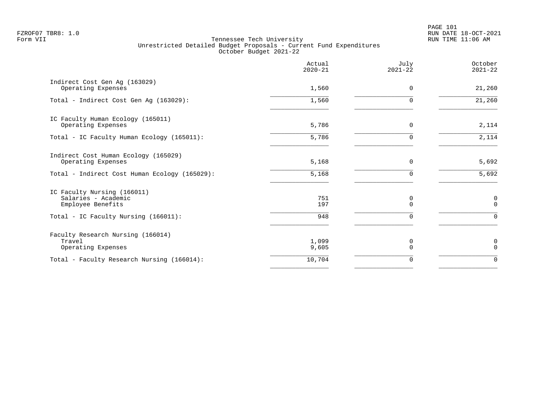PAGE 101 FZROF07 TBR8: 1.0 RUN DATE 18-OCT-2021

|                                                                                                                 | Actual<br>$2020 - 21$ | July<br>$2021 - 22$       | October<br>$2021 - 22$                 |
|-----------------------------------------------------------------------------------------------------------------|-----------------------|---------------------------|----------------------------------------|
| Indirect Cost Gen Aq (163029)<br>Operating Expenses                                                             | 1,560                 | $\Omega$                  | 21,260                                 |
| Total - Indirect Cost Gen Ag (163029):                                                                          | 1,560                 | $\Omega$                  | 21,260                                 |
| IC Faculty Human Ecology (165011)<br>Operating Expenses                                                         | 5,786                 | 0                         | 2,114                                  |
| Total - IC Faculty Human Ecology (165011):                                                                      | 5,786                 | 0                         | 2,114                                  |
| Indirect Cost Human Ecology (165029)<br>Operating Expenses                                                      | 5,168                 | $\Omega$                  | 5,692                                  |
| Total - Indirect Cost Human Ecology (165029):                                                                   | 5,168                 | $\Omega$                  | 5,692                                  |
| IC Faculty Nursing (166011)<br>Salaries - Academic<br>Employee Benefits<br>Total - IC Faculty Nursing (166011): | 751<br>197<br>948     | 0<br>$\Omega$<br>$\Omega$ | $\mathbf 0$<br>$\mathbf 0$<br>$\Omega$ |
| Faculty Research Nursing (166014)<br>Travel<br>Operating Expenses                                               | 1,099<br>9,605        | 0<br>$\Omega$             | 0<br>$\Omega$                          |
| Total - Faculty Research Nursing (166014):                                                                      | 10,704                | 0                         | $\mathbf 0$                            |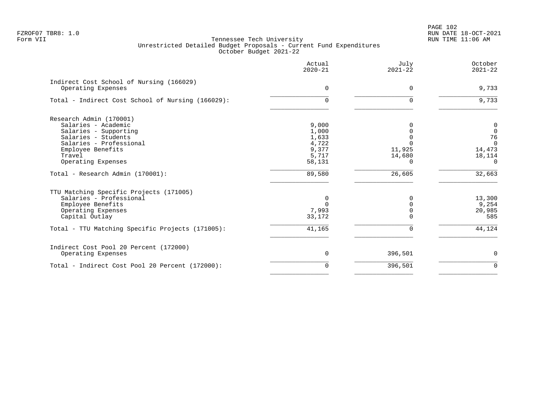PAGE 102 FZROF07 TBR8: 1.0 RUN DATE 18-OCT-2021

|                                                   | Actual<br>$2020 - 21$ | July<br>$2021 - 22$ | October<br>$2021 - 22$ |
|---------------------------------------------------|-----------------------|---------------------|------------------------|
| Indirect Cost School of Nursing (166029)          |                       |                     |                        |
| Operating Expenses                                | $\Omega$              | $\Omega$            | 9,733                  |
| Total - Indirect Cost School of Nursing (166029): | $\Omega$              | U                   | 9,733                  |
| Research Admin (170001)                           |                       |                     |                        |
| Salaries - Academic                               | 9,000                 |                     | $\boldsymbol{0}$       |
| Salaries - Supporting                             | 1,000                 |                     | $\mathbf 0$            |
| Salaries - Students                               | 1,633                 |                     | 76                     |
| Salaries - Professional                           | 4,722                 |                     | $\Omega$               |
| Employee Benefits                                 | 9,377                 | 11,925              | 14,473                 |
| Travel                                            | 5,717                 | 14,680              | 18,114                 |
| Operating Expenses                                | 58,131                | 0                   | $\Omega$               |
| Total - Research Admin (170001):                  | 89,580                | 26,605              | 32,663                 |
| TTU Matching Specific Projects (171005)           |                       |                     |                        |
| Salaries - Professional                           | 0                     | O                   | 13,300                 |
| Employee Benefits                                 | $\Omega$              |                     | 9,254                  |
| Operating Expenses                                | 7,993                 |                     | 20,985                 |
| Capital Outlay                                    | 33,172                |                     | 585                    |
| Total - TTU Matching Specific Projects (171005):  | 41,165                |                     | 44,124                 |
| Indirect Cost Pool 20 Percent (172000)            |                       |                     |                        |
| Operating Expenses                                | 0                     | 396,501             | 0                      |
| Total - Indirect Cost Pool 20 Percent (172000):   | $\Omega$              | 396,501             | $\Omega$               |
|                                                   |                       |                     |                        |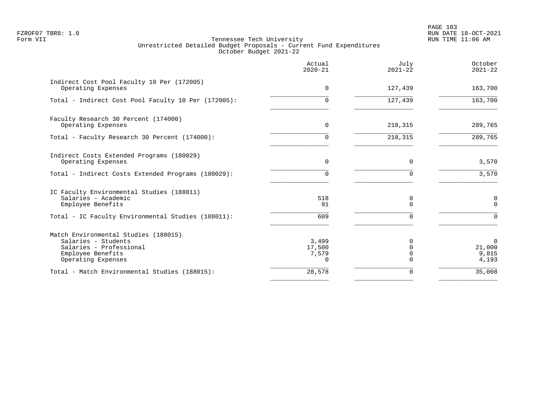PAGE 103 FZROF07 TBR8: 1.0 RUN DATE 18-OCT-2021

|                                                                                                                                   | Actual<br>$2020 - 21$                | July<br>$2021 - 22$  | October<br>$2021 - 22$                  |
|-----------------------------------------------------------------------------------------------------------------------------------|--------------------------------------|----------------------|-----------------------------------------|
| Indirect Cost Pool Faculty 10 Per (172005)<br>Operating Expenses                                                                  | $\Omega$                             | 127,439              | 163,700                                 |
| Total - Indirect Cost Pool Faculty 10 Per (172005):                                                                               | $\Omega$                             | 127,439              | 163,700                                 |
| Faculty Research 30 Percent (174000)<br>Operating Expenses                                                                        | $\Omega$                             | 218,315              | 289,765                                 |
| Total - Faculty Research 30 Percent (174000):                                                                                     | 0                                    | 218,315              | 289,765                                 |
| Indirect Costs Extended Programs (180029)<br>Operating Expenses                                                                   | $\Omega$                             | $\Omega$             | 3,570                                   |
| Total - Indirect Costs Extended Programs (180029):                                                                                | 0                                    | $\Omega$             | 3,570                                   |
| IC Faculty Environmental Studies (188011)<br>Salaries - Academic<br>Employee Benefits                                             | 518<br>91                            | $\Omega$<br>$\Omega$ | 0<br>$\Omega$                           |
| Total - IC Faculty Environmental Studies (188011):                                                                                | 609                                  | $\Omega$             | $\Omega$                                |
| Match Environmental Studies (188015)<br>Salaries - Students<br>Salaries - Professional<br>Employee Benefits<br>Operating Expenses | 3,499<br>17,500<br>7,579<br>$\Omega$ | O<br>∩               | $\mathbf 0$<br>21,000<br>9,815<br>4,193 |
| Total - Match Environmental Studies (188015):                                                                                     | 28,578                               | $\Omega$             | 35,008                                  |
|                                                                                                                                   |                                      |                      |                                         |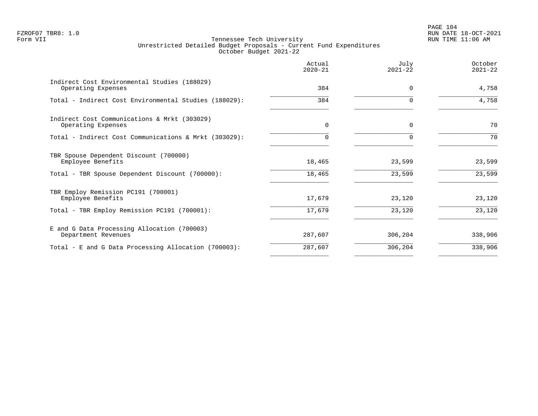# PAGE 104 FZROF07 TBR8: 1.0 RUN DATE 18-OCT-2021

|                                                                    | Actual<br>$2020 - 21$ | July<br>$2021 - 22$ | October<br>$2021 - 22$ |
|--------------------------------------------------------------------|-----------------------|---------------------|------------------------|
| Indirect Cost Environmental Studies (188029)<br>Operating Expenses | 384                   | $\Omega$            | 4,758                  |
| Total - Indirect Cost Environmental Studies (188029):              | 384                   | 0                   | 4,758                  |
| Indirect Cost Communications & Mrkt (303029)<br>Operating Expenses | $\Omega$              | $\Omega$            | 70                     |
| Total - Indirect Cost Communications & Mrkt (303029):              |                       | $\Omega$            | 70                     |
| TBR Spouse Dependent Discount (700000)<br>Employee Benefits        | 18,465                | 23,599              | 23,599                 |
| Total - TBR Spouse Dependent Discount (700000):                    | 18,465                | 23,599              | 23,599                 |
| TBR Employ Remission PC191 (700001)<br>Employee Benefits           | 17,679                | 23,120              | 23,120                 |
| Total - TBR Employ Remission PC191 (700001):                       | 17,679                | 23,120              | 23,120                 |
| E and G Data Processing Allocation (700003)<br>Department Revenues | 287,607               | 306,204             | 338,906                |
| Total - E and G Data Processing Allocation (700003):               | 287,607               | 306,204             | 338,906                |
|                                                                    |                       |                     |                        |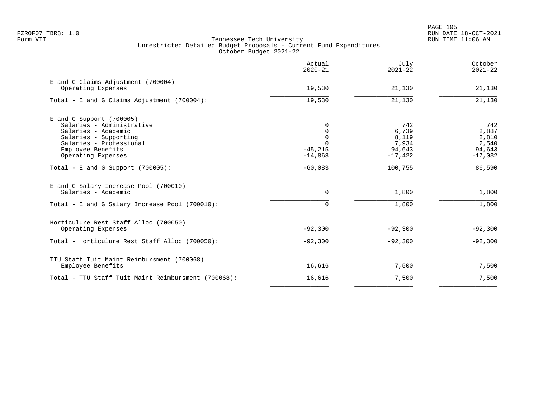|                                                              | Actual<br>$2020 - 21$ | July<br>$2021 - 22$ | October<br>$2021 - 22$ |
|--------------------------------------------------------------|-----------------------|---------------------|------------------------|
| E and G Claims Adjustment (700004)<br>Operating Expenses     | 19,530                | 21,130              | 21,130                 |
| Total - E and G Claims Adjustment (700004):                  | 19,530                | 21,130              | 21,130                 |
| $E$ and G Support (700005)                                   |                       |                     |                        |
| Salaries - Administrative                                    | 0                     | 742                 | 742                    |
| Salaries - Academic                                          | 0                     | 6,739               | 2,887                  |
| Salaries - Supporting<br>Salaries - Professional             | $\mathbf 0$           | 8,119<br>7,934      | 2,810<br>2,540         |
| Employee Benefits                                            | $-45, 215$            | 94,643              | 94,643                 |
| Operating Expenses                                           | $-14,868$             | $-17,422$           | $-17,032$              |
| Total - E and G Support $(700005)$ :                         | $-60,083$             | 100,755             | 86,590                 |
| E and G Salary Increase Pool (700010)<br>Salaries - Academic | $\mathbf 0$           | 1,800               | 1,800                  |
|                                                              |                       |                     |                        |
| Total - E and G Salary Increase Pool (700010):               | $\Omega$              | 1,800               | 1,800                  |
| Horticulure Rest Staff Alloc (700050)                        |                       |                     |                        |
| Operating Expenses                                           | $-92,300$             | $-92,300$           | $-92,300$              |
| Total - Horticulure Rest Staff Alloc (700050):               | $-92,300$             | $-92,300$           | $-92,300$              |
| TTU Staff Tuit Maint Reimbursment (700068)                   |                       |                     |                        |
| Employee Benefits                                            | 16,616                | 7,500               | 7,500                  |
| Total - TTU Staff Tuit Maint Reimbursment (700068):          | 16,616                | 7,500               | 7,500                  |
|                                                              |                       |                     |                        |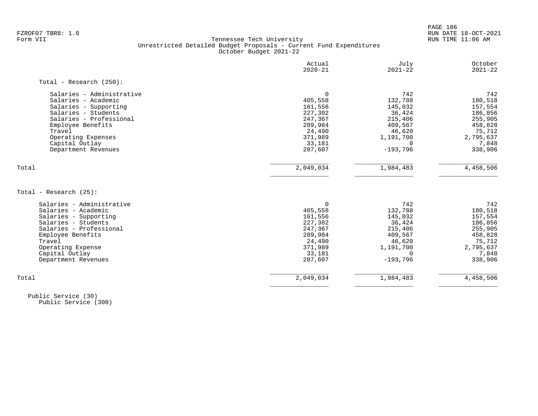PAGE 106 FZROF07 TBR8: 1.0 RUN DATE 18-OCT-2021

#### Form VII Tennessee Tech University RUN TIME 11:06 AM Unrestricted Detailed Budget Proposals - Current Fund Expenditures October Budget 2021-22

|                            | Actual<br>$2020 - 21$ | July<br>$2021 - 22$ | October<br>$2021 - 22$ |
|----------------------------|-----------------------|---------------------|------------------------|
| Total - Research $(250)$ : |                       |                     |                        |
| Salaries - Administrative  | 0                     | 742                 | 742                    |
| Salaries - Academic        | 405,558               | 132,788             | 180,518                |
| Salaries - Supporting      | 161,556               | 145,032             | 157,554                |
| Salaries - Students        | 227,302               | 36,424              | 186,856                |
| Salaries - Professional    | 247,367               | 215,406             | 255,905                |
| Employee Benefits          | 289,984               | 409,567             | 458,828                |
| Travel                     | 24,490                | 46,620              | 75,712                 |
| Operating Expenses         | 371,989               | 1,191,700           | 2,795,637              |
| Capital Outlay             | 33,181                | $\Omega$            | 7,848                  |
| Department Revenues        | 287,607               | $-193,796$          | 338,906                |
| Total                      | 2,049,034             | 1,984,483           | 4,458,506              |
| Total - Research (25):     |                       |                     |                        |
| Salaries - Administrative  | $\Omega$              | 742                 | 742                    |
| Salaries - Academic        | 405,558               | 132,788             | 180,518                |
| Salaries - Supporting      | 161,556               | 145,032             | 157,554                |
| Salaries - Students        | 227,302               | 36,424              | 186,856                |
| Salaries - Professional    | 247,367               | 215,406             | 255,905                |
| Employee Benefits          | 289,984               | 409,567             | 458,828                |
| Travel                     | 24,490                | 46,620              | 75,712                 |
| Operating Expense          | 371,989               | 1,191,700           | 2,795,637              |
| Capital Outlay             | 33,181                | $\Omega$            | 7,848                  |
| Department Revenues        | 287,607               | $-193,796$          | 338,906                |
|                            |                       |                     |                        |

 Public Service (30) Public Service (300)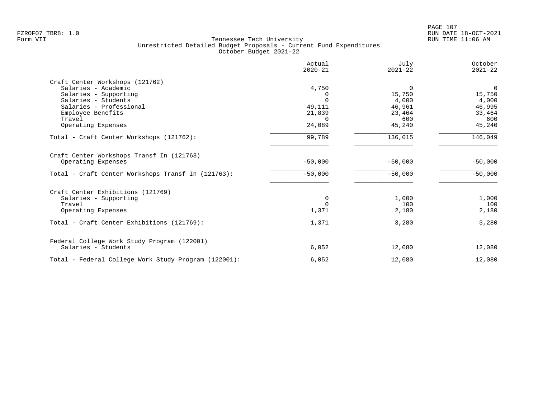|                                                      | Actual<br>$2020 - 21$ | July<br>$2021 - 22$ | October<br>$2021 - 22$ |
|------------------------------------------------------|-----------------------|---------------------|------------------------|
| Craft Center Workshops (121762)                      |                       |                     |                        |
| Salaries - Academic                                  | 4,750                 | 0                   | $\mathbf 0$            |
| Salaries - Supporting                                | $\Omega$              | 15,750              | 15,750                 |
| Salaries - Students                                  | $\Omega$              | 4,000               | 4,000                  |
| Salaries - Professional                              | 49,111                | 46,961              | 46,995                 |
| Employee Benefits                                    | 21,839                | 23,464              | 33,464                 |
| Travel                                               | $\cap$                | 600                 | 600                    |
| Operating Expenses                                   | 24,089                | 45,240              | 45,240                 |
| Total - Craft Center Workshops (121762):             | 99,789                | 136,015             | 146,049                |
| Craft Center Workshops Transf In (121763)            |                       |                     |                        |
| Operating Expenses                                   | $-50,000$             | $-50,000$           | $-50,000$              |
| Total - Craft Center Workshops Transf In (121763):   | $-50,000$             | $-50,000$           | $-50,000$              |
| Craft Center Exhibitions (121769)                    |                       |                     |                        |
| Salaries - Supporting                                | 0                     | 1,000               | 1,000                  |
| Travel                                               | $\Omega$              | 100                 | 100                    |
| Operating Expenses                                   | 1,371                 | 2,180               | 2,180                  |
| Total - Craft Center Exhibitions (121769):           | 1,371                 | 3,280               | 3,280                  |
|                                                      |                       |                     |                        |
| Federal College Work Study Program (122001)          |                       |                     |                        |
| Salaries - Students                                  | 6,052                 | 12,080              | 12,080                 |
| Total - Federal College Work Study Program (122001): | 6,052                 | 12,080              | 12,080                 |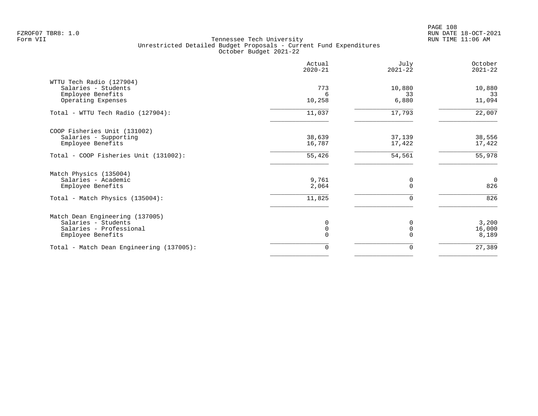|                                          | Actual<br>$2020 - 21$ | July<br>$2021 - 22$ | October<br>$2021 - 22$ |
|------------------------------------------|-----------------------|---------------------|------------------------|
| WTTU Tech Radio (127904)                 |                       |                     |                        |
| Salaries - Students                      | 773                   | 10,880              | 10,880                 |
| Employee Benefits<br>Operating Expenses  | 6<br>10,258           | 33<br>6,880         | 33<br>11,094           |
|                                          |                       |                     |                        |
| Total - WTTU Tech Radio (127904):        | 11,037                | 17,793              | 22,007                 |
| COOP Fisheries Unit (131002)             |                       |                     |                        |
| Salaries - Supporting                    | 38,639                | 37,139              | 38,556                 |
| Employee Benefits                        | 16,787                | 17,422              | 17,422                 |
| Total - COOP Fisheries Unit (131002):    | 55,426                | 54,561              | 55,978                 |
| Match Physics (135004)                   |                       |                     |                        |
| Salaries - Academic                      | 9,761                 | 0                   | $\mathbf 0$            |
| Employee Benefits                        | 2,064                 | $\Omega$            | 826                    |
| Total - Match Physics (135004):          | 11,825                | $\Omega$            | 826                    |
| Match Dean Engineering (137005)          |                       |                     |                        |
| Salaries - Students                      | 0                     | $\Omega$            | 3,200                  |
| Salaries - Professional                  | 0                     | $\Omega$            | 16,000                 |
| Employee Benefits                        | $\Omega$              | $\Omega$            | 8,189                  |
| Total - Match Dean Engineering (137005): | 0                     | 0                   | 27,389                 |
|                                          |                       |                     |                        |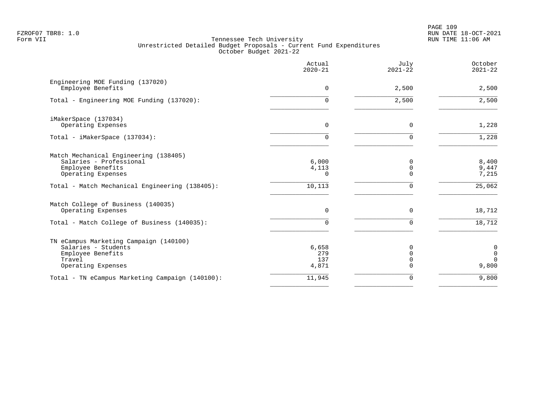PAGE 109 FZROF07 TBR8: 1.0 RUN DATE 18-OCT-2021

|                                                                                                                    | Actual<br>$2020 - 21$        | July<br>$2021 - 22$                         | October<br>$2021 - 22$                |
|--------------------------------------------------------------------------------------------------------------------|------------------------------|---------------------------------------------|---------------------------------------|
| Engineering MOE Funding (137020)<br>Employee Benefits                                                              | 0                            | 2,500                                       | 2,500                                 |
| Total - Engineering MOE Funding (137020):                                                                          | 0                            | 2,500                                       | 2,500                                 |
| iMakerSpace (137034)<br>Operating Expenses                                                                         | $\mathbf 0$                  | $\mathbf 0$                                 | 1,228                                 |
| Total - iMakerSpace (137034):                                                                                      | 0                            | $\Omega$                                    | 1,228                                 |
| Match Mechanical Engineering (138405)<br>Salaries - Professional<br>Employee Benefits<br>Operating Expenses        | 6,000<br>4,113<br>0          | 0<br>$\mathbf 0$<br>$\Omega$                | 8,400<br>9,447<br>7,215               |
| Total - Match Mechanical Engineering (138405):                                                                     | 10,113                       | 0                                           | 25,062                                |
| Match College of Business (140035)<br>Operating Expenses                                                           | $\mathbf 0$                  | $\mathbf 0$                                 | 18,712                                |
| Total - Match College of Business (140035):                                                                        | 0                            | $\mathbf 0$                                 | 18,712                                |
| TN eCampus Marketing Campaign (140100)<br>Salaries - Students<br>Employee Benefits<br>Travel<br>Operating Expenses | 6,658<br>279<br>137<br>4,871 | $\Omega$<br>$\mathbf 0$<br>$\mathbf 0$<br>0 | 0<br>$\mathbf 0$<br>$\Omega$<br>9,800 |
| Total - TN eCampus Marketing Campaign (140100):                                                                    | 11,945                       | 0                                           | 9,800                                 |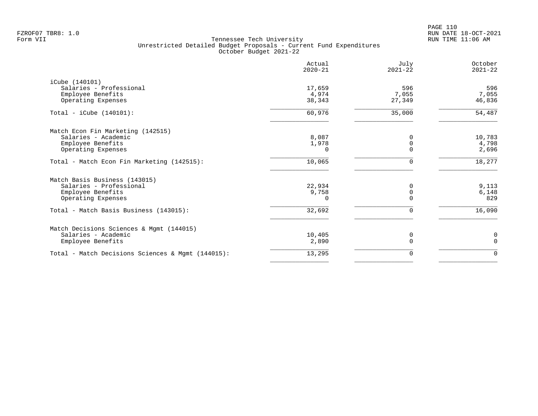|                                                   | Actual<br>$2020 - 21$ | July<br>$2021 - 22$ | October<br>$2021 - 22$ |
|---------------------------------------------------|-----------------------|---------------------|------------------------|
| iCube (140101)                                    |                       |                     |                        |
| Salaries - Professional                           | 17,659                | 596                 | 596                    |
| Employee Benefits                                 | 4,974                 | 7,055               | 7,055                  |
| Operating Expenses                                | 38,343                | 27,349              | 46,836                 |
| Total - iCube $(140101)$ :                        | 60,976                | 35,000              | 54,487                 |
| Match Econ Fin Marketing (142515)                 |                       |                     |                        |
| Salaries - Academic                               | 8,087                 | $\Omega$            | 10,783                 |
| Employee Benefits                                 | 1,978                 | $\Omega$            | 4,798                  |
| Operating Expenses                                | 0                     | $\Omega$            | 2,696                  |
| Total - Match Econ Fin Marketing (142515):        | 10,065                | 0                   | 18,277                 |
| Match Basis Business (143015)                     |                       |                     |                        |
| Salaries - Professional                           | 22,934                | $\Omega$            | 9,113                  |
| Employee Benefits                                 | 9,758                 | 0                   | 6,148                  |
| Operating Expenses                                | $\Omega$              | $\Omega$            | 829                    |
| Total - Match Basis Business (143015):            | 32,692                | 0                   | 16,090                 |
| Match Decisions Sciences & Mgmt (144015)          |                       |                     |                        |
| Salaries - Academic                               | 10,405                | 0                   | 0                      |
| Employee Benefits                                 | 2,890                 | $\Omega$            | $\Omega$               |
| Total - Match Decisions Sciences & Mgmt (144015): | 13,295                | 0                   | 0                      |
|                                                   |                       |                     |                        |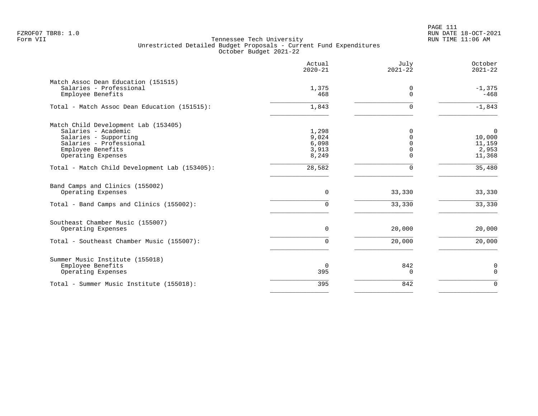PAGE 111 FZROF07 TBR8: 1.0 RUN DATE 18-OCT-2021

|                                                                                                                                                            | Actual<br>$2020 - 21$                     | July<br>$2021 - 22$                          | October<br>$2021 - 22$                             |
|------------------------------------------------------------------------------------------------------------------------------------------------------------|-------------------------------------------|----------------------------------------------|----------------------------------------------------|
| Match Assoc Dean Education (151515)<br>Salaries - Professional<br>Employee Benefits                                                                        | 1,375<br>468                              | 0<br>$\Omega$                                | $-1,375$<br>$-468$                                 |
| Total - Match Assoc Dean Education (151515):                                                                                                               | 1,843                                     | $\Omega$                                     | $-1,843$                                           |
| Match Child Development Lab (153405)<br>Salaries - Academic<br>Salaries - Supporting<br>Salaries - Professional<br>Employee Benefits<br>Operating Expenses | 1,298<br>9,024<br>6,098<br>3,913<br>8,249 | $\Omega$<br>$\Omega$<br>$\Omega$<br>$\Omega$ | $\mathbf 0$<br>10,000<br>11,159<br>2,953<br>11,368 |
| Total - Match Child Development Lab (153405):                                                                                                              | 28,582                                    | $\Omega$                                     | $\frac{1}{35,480}$                                 |
| Band Camps and Clinics (155002)<br>Operating Expenses                                                                                                      | 0                                         | 33,330                                       | 33,330                                             |
| Total - Band Camps and Clinics (155002):                                                                                                                   | 0                                         | 33,330                                       | 33,330                                             |
| Southeast Chamber Music (155007)<br>Operating Expenses                                                                                                     | $\Omega$                                  | 20,000                                       | 20,000                                             |
| Total - Southeast Chamber Music (155007):                                                                                                                  | $\Omega$                                  | 20,000                                       | 20,000                                             |
| Summer Music Institute (155018)<br>Employee Benefits<br>Operating Expenses                                                                                 | $\mathbf 0$<br>395                        | 842<br>$\Omega$                              | 0<br>$\mathbf 0$                                   |
| Total - Summer Music Institute (155018):                                                                                                                   | 395                                       | 842                                          | $\Omega$                                           |
|                                                                                                                                                            |                                           |                                              |                                                    |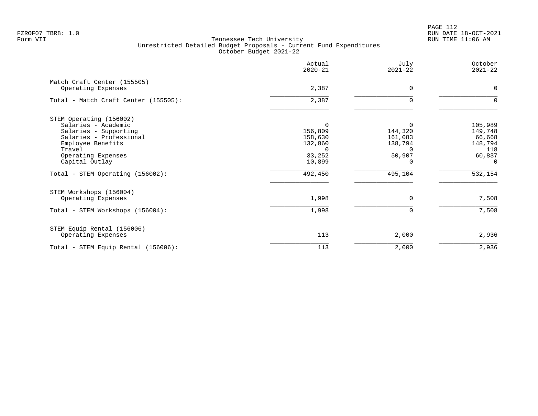PAGE 112 FZROF07 TBR8: 1.0 RUN DATE 18-OCT-2021

|                                                                                                                                                                           | Actual<br>$2020 - 21$                                                     | July<br>$2021 - 22$                                             | October<br>$2021 - 22$                                               |
|---------------------------------------------------------------------------------------------------------------------------------------------------------------------------|---------------------------------------------------------------------------|-----------------------------------------------------------------|----------------------------------------------------------------------|
| Match Craft Center (155505)<br>Operating Expenses                                                                                                                         | 2,387                                                                     | $\Omega$                                                        | $\mathbf 0$                                                          |
| Total - Match Craft Center (155505):                                                                                                                                      | 2,387                                                                     | $\mathbf 0$                                                     | $\Omega$                                                             |
| STEM Operating (156002)<br>Salaries - Academic<br>Salaries - Supporting<br>Salaries - Professional<br>Employee Benefits<br>Travel<br>Operating Expenses<br>Capital Outlay | $\Omega$<br>156,809<br>158,630<br>132,860<br>$\Omega$<br>33,252<br>10,899 | $\Omega$<br>144,320<br>161,083<br>138,794<br>$\Omega$<br>50,907 | 105,989<br>149,748<br>66,668<br>148,794<br>118<br>60,837<br>$\Omega$ |
| Total - STEM Operating (156002):                                                                                                                                          | 492,450                                                                   | 495,104                                                         | 532,154                                                              |
| STEM Workshops (156004)<br>Operating Expenses<br>Total - STEM Workshops (156004):                                                                                         | 1,998<br>1,998                                                            | $\Omega$<br>0                                                   | 7,508<br>7,508                                                       |
| STEM Equip Rental (156006)<br>Operating Expenses                                                                                                                          | 113                                                                       | 2,000                                                           | 2,936                                                                |
| Total - STEM Equip Rental (156006):                                                                                                                                       | 113                                                                       | 2,000                                                           | 2,936                                                                |
|                                                                                                                                                                           |                                                                           |                                                                 |                                                                      |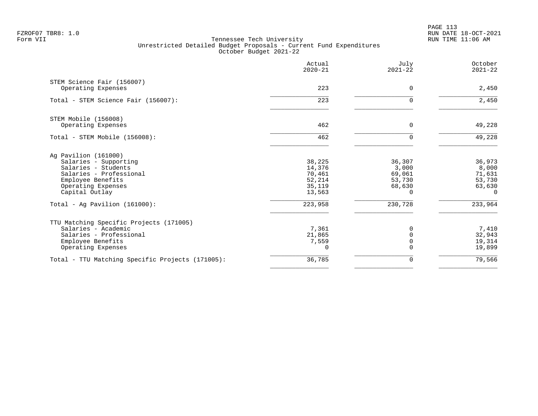PAGE 113 FZROF07 TBR8: 1.0 RUN DATE 18-OCT-2021

|                                                  | Actual<br>$2020 - 21$ | July<br>$2021 - 22$ | October<br>$2021 - 22$ |
|--------------------------------------------------|-----------------------|---------------------|------------------------|
| STEM Science Fair (156007)<br>Operating Expenses | 223                   | 0                   | 2,450                  |
|                                                  | 223                   | $\Omega$            |                        |
| Total - STEM Science Fair (156007):              |                       |                     | 2,450                  |
| STEM Mobile (156008)                             |                       |                     |                        |
| Operating Expenses                               | 462                   | 0                   | 49,228                 |
| Total - STEM Mobile (156008):                    | 462                   | 0                   | 49,228                 |
| Ag Pavilion (161000)                             |                       |                     |                        |
| Salaries - Supporting                            | 38,225                | 36,307              | 36,973                 |
| Salaries - Students                              | 14,376                | 3,000               | 8,000                  |
| Salaries - Professional<br>Employee Benefits     | 70,461                | 69,061<br>53,730    | 71,631<br>53,730       |
| Operating Expenses                               | 52,214<br>35,119      | 68,630              | 63,630                 |
| Capital Outlay                                   | 13,563                | 0                   | $\Omega$               |
| Total - Aq Pavilion $(161000)$ :                 | 223,958               | 230,728             | 233,964                |
| TTU Matching Specific Projects (171005)          |                       |                     |                        |
| Salaries - Academic                              | 7,361                 | $\Omega$            | 7,410                  |
| Salaries - Professional                          | 21,865                | $\Omega$            | 32,943                 |
| Employee Benefits                                | 7,559                 | $\mathbf 0$         | 19,314                 |
| Operating Expenses                               | $\Omega$              | $\Omega$            | 19,899                 |
| Total - TTU Matching Specific Projects (171005): | 36,785                | 0                   | 79,566                 |
|                                                  |                       |                     |                        |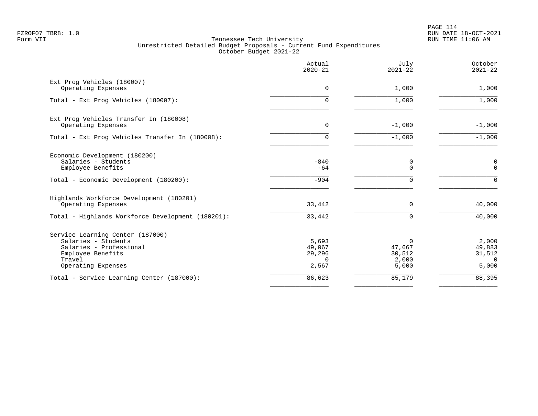PAGE 114 FZROF07 TBR8: 1.0 RUN DATE 18-OCT-2021

|                                                                                                                                         | Actual<br>$2020 - 21$                          | July<br>$2021 - 22$                            | October<br>$2021 - 22$                         |
|-----------------------------------------------------------------------------------------------------------------------------------------|------------------------------------------------|------------------------------------------------|------------------------------------------------|
| Ext Prog Vehicles (180007)<br>Operating Expenses                                                                                        | 0                                              | 1,000                                          | 1,000                                          |
| Total - Ext Prog Vehicles (180007):                                                                                                     | $\Omega$                                       | 1,000                                          | 1,000                                          |
| Ext Prog Vehicles Transfer In (180008)<br>Operating Expenses                                                                            | 0                                              | $-1,000$                                       | $-1,000$                                       |
| Total - Ext Prog Vehicles Transfer In (180008):                                                                                         | $\Omega$                                       | $-1,000$                                       | $-1,000$                                       |
| Economic Development (180200)<br>Salaries - Students<br>Employee Benefits                                                               | $-840$<br>$-64$                                | 0<br>$\Omega$                                  | 0<br>$\mathbf 0$                               |
| Total - Economic Development (180200):                                                                                                  | $-904$                                         | $\Omega$                                       | $\mathbf 0$                                    |
| Highlands Workforce Development (180201)<br>Operating Expenses                                                                          | 33,442                                         | $\mathbf 0$                                    | 40,000                                         |
| Total - Highlands Workforce Development (180201):                                                                                       | 33,442                                         | $\mathbf 0$                                    | 40,000                                         |
| Service Learning Center (187000)<br>Salaries - Students<br>Salaries - Professional<br>Employee Benefits<br>Travel<br>Operating Expenses | 5,693<br>49,067<br>29,296<br>$\Omega$<br>2,567 | $\Omega$<br>47,667<br>30,512<br>2,000<br>5,000 | 2,000<br>49,883<br>31,512<br>$\Omega$<br>5,000 |
| Total - Service Learning Center (187000):                                                                                               | 86,623                                         | 85,179                                         | 88,395                                         |
|                                                                                                                                         |                                                |                                                |                                                |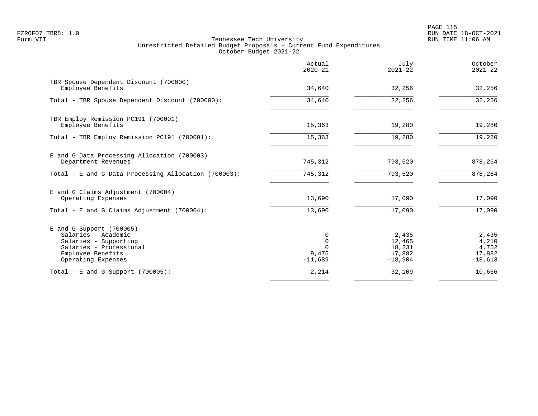PAGE 115 FZROF07 TBR8: 1.0 RUN DATE 18-OCT-2021

|                                                                                                                                                  | Actual<br>$2020 - 21$ | July<br>$2021 - 22$                              | October<br>$2021 - 22$                         |
|--------------------------------------------------------------------------------------------------------------------------------------------------|-----------------------|--------------------------------------------------|------------------------------------------------|
| TBR Spouse Dependent Discount (700000)<br>Employee Benefits                                                                                      | 34,640                | 32,256                                           | 32,256                                         |
| Total - TBR Spouse Dependent Discount (700000):                                                                                                  | 34,640                | 32,256                                           | 32,256                                         |
| TBR Employ Remission PC191 (700001)<br>Employee Benefits                                                                                         | 15,363                | 19,280                                           | 19,280                                         |
| Total - TBR Employ Remission PC191 (700001):                                                                                                     | 15,363                | 19,280                                           | 19,280                                         |
| E and G Data Processing Allocation (700003)<br>Department Revenues                                                                               | 745,312               | 793,520                                          | 878,264                                        |
| Total - E and G Data Processing Allocation (700003):                                                                                             | 745,312               | 793,520                                          | 878, 264                                       |
| E and G Claims Adjustment (700004)<br>Operating Expenses                                                                                         | 13,690                | 17,090                                           | 17,090                                         |
| Total - E and G Claims Adjustment $(700004)$ :                                                                                                   | 13,690                | 17,090                                           | 17,090                                         |
| $E$ and G Support (700005)<br>Salaries - Academic<br>Salaries - Supporting<br>Salaries - Professional<br>Employee Benefits<br>Operating Expenses | 9,475<br>$-11,689$    | 2,435<br>12,465<br>18,231<br>17,882<br>$-18,904$ | 2,435<br>4,210<br>4,752<br>17,882<br>$-18,613$ |
| Total - E and G Support $(700005)$ :                                                                                                             | $-2,214$              | 32,109                                           | 10,666                                         |
|                                                                                                                                                  |                       |                                                  |                                                |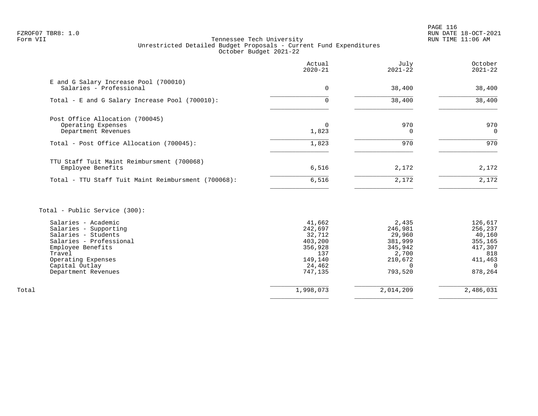PAGE 116 FZROF07 TBR8: 1.0 RUN DATE 18-OCT-2021

# Form VII Tennessee Tech University RUN TIME 11:06 AM Unrestricted Detailed Budget Proposals - Current Fund Expenditures October Budget 2021-22

|                                                                              | Actual<br>$2020 - 21$ | July<br>$2021 - 22$ | October<br>$2021 - 22$ |
|------------------------------------------------------------------------------|-----------------------|---------------------|------------------------|
| E and G Salary Increase Pool (700010)<br>Salaries - Professional             | 0                     | 38,400              | 38,400                 |
| Total - E and G Salary Increase Pool (700010):                               | 0                     | 38,400              | 38,400                 |
| Post Office Allocation (700045)<br>Operating Expenses<br>Department Revenues | $\Omega$<br>1,823     | 970                 | 970<br>0               |
| Total - Post Office Allocation (700045):                                     | 1,823                 | 970                 | 970                    |
| TTU Staff Tuit Maint Reimbursment (700068)<br>Employee Benefits              | 6,516                 | 2,172               | 2,172                  |
| Total - TTU Staff Tuit Maint Reimbursment (700068):                          | 6,516                 | 2,172               | 2,172                  |

Total - Public Service (300):

|       | Salaries - Academic     | 41,662    | 2,435     | 126,617   |
|-------|-------------------------|-----------|-----------|-----------|
|       | Salaries - Supporting   | 242,697   | 246,981   | 256,237   |
|       | Salaries - Students     | 32,712    | 29,960    | 40,160    |
|       | Salaries - Professional | 403,200   | 381,999   | 355,165   |
|       | Employee Benefits       | 356,928   | 345,942   | 417,307   |
|       | Travel                  | 137       | 2,700     | 818       |
|       | Operating Expenses      | 149,140   | 210,672   | 411,463   |
|       | Capital Outlay          | 24,462    |           |           |
|       | Department Revenues     | 747.135   | 793,520   | 878,264   |
|       |                         |           |           |           |
| Total |                         | 1,998,073 | 2,014,209 | 2,486,031 |
|       |                         |           |           |           |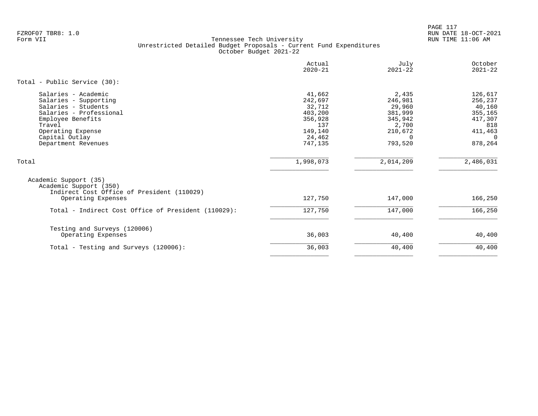PAGE 117 FZROF07 TBR8: 1.0 RUN DATE 18-OCT-2021

|                                                                                                                                                                                             | Actual<br>$2020 - 21$                                                                    | July<br>$2021 - 22$                                                                  | October<br>$2021 - 22$                                                                      |
|---------------------------------------------------------------------------------------------------------------------------------------------------------------------------------------------|------------------------------------------------------------------------------------------|--------------------------------------------------------------------------------------|---------------------------------------------------------------------------------------------|
| Total - Public Service (30):                                                                                                                                                                |                                                                                          |                                                                                      |                                                                                             |
| Salaries - Academic<br>Salaries - Supporting<br>Salaries - Students<br>Salaries - Professional<br>Employee Benefits<br>Travel<br>Operating Expense<br>Capital Outlay<br>Department Revenues | 41,662<br>242,697<br>32,712<br>403,200<br>356,928<br>137<br>149,140<br>24,462<br>747,135 | 2,435<br>246,981<br>29,960<br>381,999<br>345,942<br>2,700<br>210,672<br>0<br>793,520 | 126,617<br>256,237<br>40,160<br>355,165<br>417,307<br>818<br>411,463<br>$\Omega$<br>878,264 |
| Total                                                                                                                                                                                       | 1,998,073                                                                                | 2,014,209                                                                            | 2,486,031                                                                                   |
| Academic Support (35)<br>Academic Support (350)<br>Indirect Cost Office of President (110029)                                                                                               |                                                                                          |                                                                                      |                                                                                             |
| Operating Expenses                                                                                                                                                                          | 127,750                                                                                  | 147,000                                                                              | 166,250                                                                                     |
| Total - Indirect Cost Office of President (110029):                                                                                                                                         | 127,750                                                                                  | 147,000                                                                              | 166,250                                                                                     |
| Testing and Surveys (120006)<br>Operating Expenses                                                                                                                                          | 36,003                                                                                   | 40,400                                                                               | 40,400                                                                                      |
| Total - Testing and Surveys (120006):                                                                                                                                                       | 36,003                                                                                   | 40,400                                                                               | 40,400                                                                                      |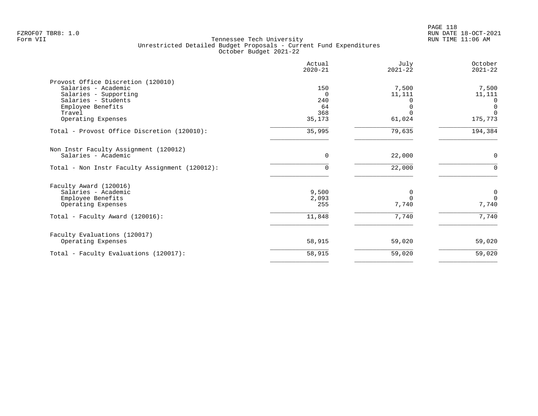| 150<br>$\Omega$<br>240<br>64<br>368<br>35,173<br>35,995 | 7,500<br>11,111<br>61,024<br>79,635 | 7,500<br>11,111<br>$\Omega$<br>$\mathbf 0$<br>$\mathbf 0$<br>175,773<br>194,384 |
|---------------------------------------------------------|-------------------------------------|---------------------------------------------------------------------------------|
|                                                         |                                     |                                                                                 |
|                                                         |                                     |                                                                                 |
|                                                         |                                     |                                                                                 |
|                                                         |                                     |                                                                                 |
|                                                         |                                     |                                                                                 |
|                                                         |                                     |                                                                                 |
|                                                         |                                     |                                                                                 |
|                                                         |                                     |                                                                                 |
|                                                         |                                     |                                                                                 |
| 0                                                       | 22,000                              | 0                                                                               |
| 0                                                       | 22,000                              | 0                                                                               |
|                                                         |                                     |                                                                                 |
|                                                         |                                     | $\mathbf 0$                                                                     |
|                                                         |                                     | $\Omega$                                                                        |
| 255                                                     | 7,740                               | 7,740                                                                           |
|                                                         |                                     | 7,740                                                                           |
|                                                         |                                     |                                                                                 |
|                                                         |                                     |                                                                                 |
| 58,915                                                  | 59,020                              | 59,020                                                                          |
| 58,915                                                  | 59,020                              | 59,020                                                                          |
|                                                         | 9,500<br>2,093<br>11,848            | 7,740                                                                           |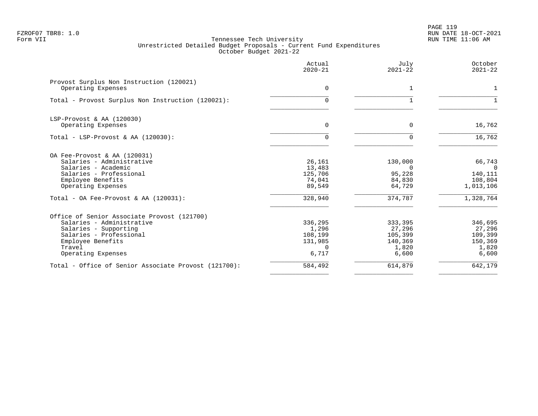PAGE 119 FZROF07 TBR8: 1.0 RUN DATE 18-OCT-2021

|                                                                                  | Actual<br>$2020 - 21$       | July<br>$2021 - 22$        | October<br>$2021 - 22$          |
|----------------------------------------------------------------------------------|-----------------------------|----------------------------|---------------------------------|
| Provost Surplus Non Instruction (120021)<br>Operating Expenses                   | $\overline{0}$              | 1                          |                                 |
| Total - Provost Surplus Non Instruction (120021):                                | $\Omega$                    |                            |                                 |
| LSP-Provost & AA (120030)<br>Operating Expenses                                  | 0                           | $\Omega$                   | 16,762                          |
|                                                                                  |                             |                            |                                 |
| Total - LSP-Provost & AA $(120030)$ :                                            | $\Omega$                    |                            | 16,762                          |
| OA Fee-Provost & AA (120031)<br>Salaries - Administrative<br>Salaries - Academic | 26,161<br>13,483            | 130,000<br>$\Omega$        | 66,743<br>$\Omega$              |
| Salaries - Professional<br>Employee Benefits<br>Operating Expenses               | 125,706<br>74,041<br>89,549 | 95,228<br>84,830<br>64,729 | 140,111<br>108,804<br>1,013,106 |
| Total - OA Fee-Provost & AA (120031):                                            | 328,940                     | 374,787                    | 1,328,764                       |
| Office of Senior Associate Provost (121700)                                      |                             |                            |                                 |
| Salaries - Administrative                                                        | 336,295                     | 333,395                    | 346,695                         |
| Salaries - Supporting                                                            | 1,296                       | 27,296                     | 27,296                          |
| Salaries - Professional                                                          | 108,199                     | 105,399                    | 109,399                         |
| Employee Benefits                                                                | 131,985                     | 140,369                    | 150,369                         |
| Travel                                                                           | $\cap$                      | 1,820                      | 1,820                           |
| Operating Expenses                                                               | 6,717                       | 6,600                      | 6,600                           |
| Total - Office of Senior Associate Provost (121700):                             | 584,492                     | 614,879                    | 642,179                         |
|                                                                                  |                             |                            |                                 |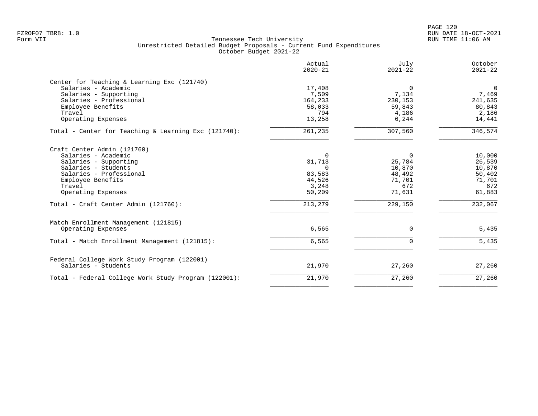PAGE 120 FZROF07 TBR8: 1.0 RUN DATE 18-OCT-2021

|                                                                                                                                                                                                                            | Actual<br>$2020 - 21$                                                            | July<br>$2021 - 22$                                                   | October<br>$2021 - 22$                                                     |
|----------------------------------------------------------------------------------------------------------------------------------------------------------------------------------------------------------------------------|----------------------------------------------------------------------------------|-----------------------------------------------------------------------|----------------------------------------------------------------------------|
| Center for Teaching & Learning Exc (121740)<br>Salaries - Academic<br>Salaries - Supporting<br>Salaries - Professional<br>Employee Benefits<br>Travel                                                                      | 17,408<br>7,509<br>164,233<br>58,033<br>794                                      | $\Omega$<br>7,134<br>230,153<br>59,843<br>4,186                       | $\mathbf{0}$<br>7,469<br>241,635<br>80,843<br>2,186                        |
| Operating Expenses                                                                                                                                                                                                         | 13,258                                                                           | 6,244                                                                 | 14,441                                                                     |
| Total - Center for Teaching & Learning Exc (121740):                                                                                                                                                                       | 261,235                                                                          | 307,560                                                               | 346,574                                                                    |
| Craft Center Admin (121760)<br>Salaries - Academic<br>Salaries - Supporting<br>Salaries - Students<br>Salaries - Professional<br>Employee Benefits<br>Travel<br>Operating Expenses<br>Total - Craft Center Admin (121760): | $\Omega$<br>31,713<br>$\Omega$<br>83,583<br>44,526<br>3,248<br>50,209<br>213,279 | 0<br>25,784<br>10,870<br>48,492<br>71,701<br>672<br>71,631<br>229,150 | 10,000<br>26,539<br>10,870<br>50,402<br>71,701<br>672<br>61,883<br>232,067 |
| Match Enrollment Management (121815)<br>Operating Expenses                                                                                                                                                                 | 6,565                                                                            | $\mathbf 0$                                                           | 5,435                                                                      |
| Total - Match Enrollment Management (121815):                                                                                                                                                                              | 6,565                                                                            | $\mathbf 0$                                                           | 5,435                                                                      |
| Federal College Work Study Program (122001)<br>Salaries - Students                                                                                                                                                         | 21,970                                                                           | 27,260                                                                | 27,260                                                                     |
| Total - Federal College Work Study Program (122001):                                                                                                                                                                       | 21,970                                                                           | 27,260                                                                | 27,260                                                                     |
|                                                                                                                                                                                                                            |                                                                                  |                                                                       |                                                                            |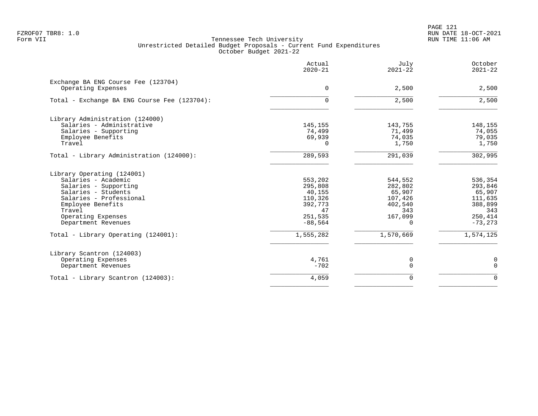PAGE 121 FZROF07 TBR8: 1.0 RUN DATE 18-OCT-2021

|                                                           | Actual<br>$2020 - 21$ | July<br>$2021 - 22$ | October<br>$2021 - 22$ |
|-----------------------------------------------------------|-----------------------|---------------------|------------------------|
| Exchange BA ENG Course Fee (123704)<br>Operating Expenses | $\Omega$              | 2,500               | 2,500                  |
| Total - Exchange BA ENG Course Fee (123704):              | $\Omega$              | 2,500               | 2,500                  |
| Library Administration (124000)                           |                       |                     |                        |
| Salaries - Administrative                                 | 145,155               | 143,755             | 148,155                |
| Salaries - Supporting                                     | 74,499                | 71,499              | 74,055                 |
| Employee Benefits                                         | 69,939                | 74,035              | 79,035                 |
| Travel                                                    | $\Omega$              | 1,750               | 1,750                  |
| Total - Library Administration (124000):                  | 289,593               | 291,039             | 302,995                |
| Library Operating (124001)                                |                       |                     |                        |
| Salaries - Academic                                       | 553,202               | 544,552             | 536,354                |
| Salaries - Supporting                                     | 295,808               | 282,802             | 293,846                |
| Salaries - Students                                       | 40,155                | 65,907              | 65,907                 |
| Salaries - Professional                                   | 110,326               | 107,426             | 111,635                |
| Employee Benefits<br>Travel                               | 392,773<br>47         | 402,540<br>343      | 388,899<br>343         |
| Operating Expenses                                        | 251,535               | 167,099             | 250,414                |
| Department Revenues                                       | $-88,564$             | 0                   | $-73, 273$             |
| Total - Library Operating (124001):                       | 1,555,282             | 1,570,669           | 1,574,125              |
| Library Scantron (124003)                                 |                       |                     |                        |
| Operating Expenses                                        | 4,761                 | 0                   | 0                      |
| Department Revenues                                       | $-702$                | $\mathbf 0$         | $\mathbf 0$            |
| Total - Library Scantron (124003):                        | 4,059                 | $\Omega$            | $\mathbf 0$            |
|                                                           |                       |                     |                        |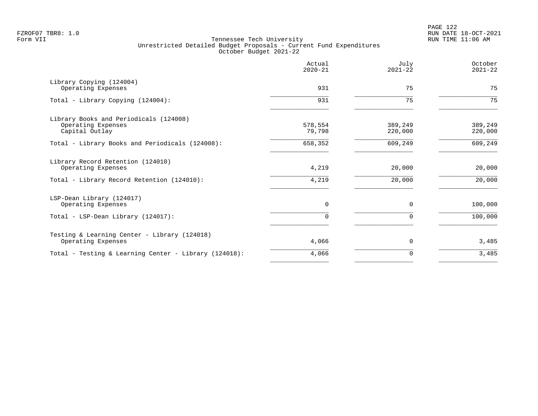|                                                                                | Actual<br>$2020 - 21$ | July<br>$2021 - 22$ | October<br>$2021 - 22$ |
|--------------------------------------------------------------------------------|-----------------------|---------------------|------------------------|
| Library Copying (124004)<br>Operating Expenses                                 | 931                   | 75                  | 75                     |
| Total - Library Copying (124004):                                              | 931                   | 75                  | 75                     |
| Library Books and Periodicals (124008)<br>Operating Expenses<br>Capital Outlay | 578,554<br>79,798     | 389,249<br>220,000  | 389,249<br>220,000     |
| Total - Library Books and Periodicals (124008):                                | 658,352               | 609,249             | 609, 249               |
| Library Record Retention (124010)<br>Operating Expenses                        | 4,219                 | 20,000              | 20,000                 |
| Total - Library Record Retention (124010):                                     | 4,219                 | 20,000              | 20,000                 |
| LSP-Dean Library (124017)<br>Operating Expenses                                | 0                     | $\Omega$            | 100,000                |
| Total - LSP-Dean Library (124017):                                             | $\Omega$              | $\Omega$            | 100,000                |
| Testing & Learning Center - Library (124018)<br>Operating Expenses             | 4,066                 | 0                   | 3,485                  |
| Total - Testing & Learning Center - Library (124018):                          | 4,066                 | $\Omega$            | 3,485                  |
|                                                                                |                       |                     |                        |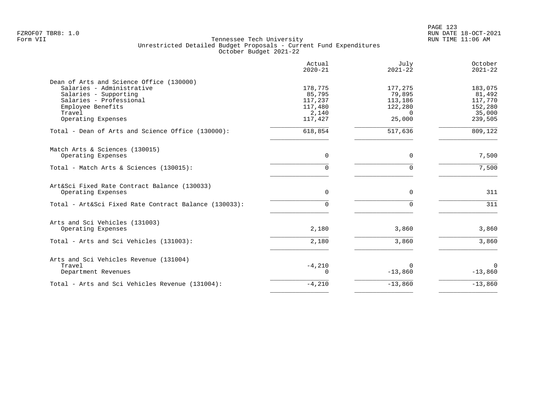|                                                       | Actual<br>$2020 - 21$ | July<br>$2021 - 22$ | October<br>$2021 - 22$ |
|-------------------------------------------------------|-----------------------|---------------------|------------------------|
| Dean of Arts and Science Office (130000)              |                       |                     |                        |
| Salaries - Administrative                             | 178,775               | 177,275             | 183,075                |
| Salaries - Supporting                                 | 85,795                | 79,895              | 81,492                 |
| Salaries - Professional                               | 117,237               | 113,186             | 117,770                |
| Employee Benefits                                     | 117,480               | 122,280             | 152,280                |
| Travel                                                | 2,140                 | $\Omega$            | 35,000                 |
| Operating Expenses                                    | 117,427               | 25,000              | 239,505                |
| Total - Dean of Arts and Science Office (130000):     | 618,854               | 517,636             | 809,122                |
| Match Arts & Sciences (130015)                        |                       |                     |                        |
| Operating Expenses                                    | 0                     | $\mathbf 0$         | 7,500                  |
| Total - Match Arts & Sciences (130015):               | $\Omega$              | $\Omega$            | 7,500                  |
| Art&Sci Fixed Rate Contract Balance (130033)          |                       |                     |                        |
| Operating Expenses                                    | $\Omega$              | $\Omega$            | 311                    |
| Total - Art&Sci Fixed Rate Contract Balance (130033): | $\Omega$              | $\Omega$            | 311                    |
| Arts and Sci Vehicles (131003)                        |                       |                     |                        |
| Operating Expenses                                    | 2,180                 | 3,860               | 3,860                  |
| Total - Arts and Sci Vehicles (131003):               | 2,180                 | 3,860               | 3,860                  |
| Arts and Sci Vehicles Revenue (131004)                |                       |                     |                        |
| Travel                                                | $-4,210$              | $\Omega$            | $\Omega$               |
| Department Revenues                                   | $\Omega$              | $-13,860$           | $-13,860$              |
| Total - Arts and Sci Vehicles Revenue (131004):       | $-4,210$              | $-13,860$           | $-13,860$              |
|                                                       |                       |                     |                        |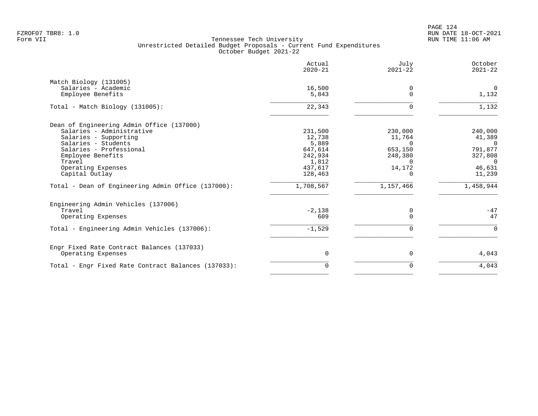PAGE 124 FZROF07 TBR8: 1.0 RUN DATE 18-OCT-2021

|                                                     | Actual<br>$2020 - 21$ | July<br>$2021 - 22$ | October<br>$2021 - 22$ |
|-----------------------------------------------------|-----------------------|---------------------|------------------------|
| Match Biology (131005)                              |                       |                     |                        |
| Salaries - Academic<br>Employee Benefits            | 16,500<br>5,843       | 0<br>$\Omega$       | $\mathbf 0$<br>1,132   |
| Total - Match Biology (131005):                     | 22,343                | $\Omega$            | 1,132                  |
| Dean of Engineering Admin Office (137000)           |                       |                     |                        |
| Salaries - Administrative                           | 231,500               | 230,000             | 240,000                |
| Salaries - Supporting<br>Salaries - Students        | 12,738<br>5,889       | 11,764<br>$\Omega$  | 41,389<br>$\Omega$     |
| Salaries - Professional                             | 647,614               | 653,150             | 791,877                |
| Employee Benefits                                   | 242,934               | 248,380             | 327,808                |
| Travel                                              | 1,812                 | $\Omega$            | $\Omega$               |
| Operating Expenses                                  | 437,617               | 14,172              | 46,631                 |
| Capital Outlay                                      | 128,463               | 0                   | 11,239                 |
| Total - Dean of Engineering Admin Office (137000):  | 1,708,567             | 1,157,466           | 1,458,944              |
| Engineering Admin Vehicles (137006)                 |                       |                     |                        |
| Travel                                              | $-2,138$              | 0                   | $-47$                  |
| Operating Expenses                                  | 609                   | $\Omega$            | 47                     |
| Total - Engineering Admin Vehicles (137006):        | $-1,529$              | $\Omega$            | $\Omega$               |
| Engr Fixed Rate Contract Balances (137033)          |                       |                     |                        |
| Operating Expenses                                  | 0                     | 0                   | 4,043                  |
| Total - Engr Fixed Rate Contract Balances (137033): | $\Omega$              | $\Omega$            | 4,043                  |
|                                                     |                       |                     |                        |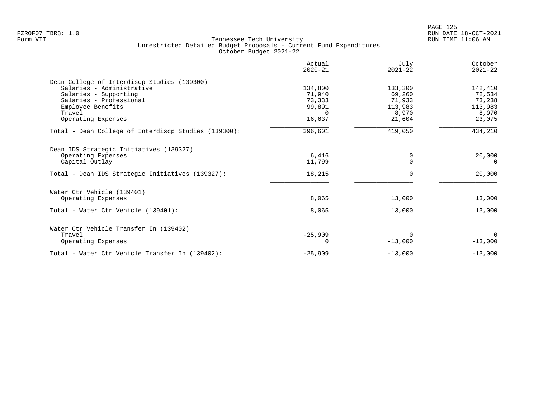|                                                      | Actual<br>$2020 - 21$ | July<br>$2021 - 22$ | October<br>$2021 - 22$ |
|------------------------------------------------------|-----------------------|---------------------|------------------------|
| Dean College of Interdiscp Studies (139300)          |                       |                     |                        |
| Salaries - Administrative                            | 134,800               | 133,300             | 142,410                |
| Salaries - Supporting                                | 71,940                | 69,260              | 72,534                 |
| Salaries - Professional                              | 73,333                | 71,933              | 73,238                 |
| Employee Benefits                                    | 99,891                | 113,983             | 113,983                |
| Travel                                               | $\Omega$              | 8,970               | 8,970                  |
| Operating Expenses                                   | 16,637                | 21,604              | 23,075                 |
| Total - Dean College of Interdiscp Studies (139300): | 396,601               | 419,050             | 434,210                |
| Dean IDS Strategic Initiatives (139327)              |                       |                     |                        |
| Operating Expenses                                   | 6,416                 | 0                   | 20,000                 |
| Capital Outlay                                       | 11,799                | $\mathbf 0$         | 0                      |
| Total - Dean IDS Strategic Initiatives (139327):     | 18,215                | $\Omega$            | 20,000                 |
| Water Ctr Vehicle (139401)                           |                       |                     |                        |
| Operating Expenses                                   | 8,065                 | 13,000              | 13,000                 |
| Total - Water Ctr Vehicle (139401):                  | 8,065                 | 13,000              | 13,000                 |
| Water Ctr Vehicle Transfer In (139402)               |                       |                     |                        |
| Travel                                               | $-25,909$             | $\Omega$            | $\Omega$               |
| Operating Expenses                                   | O                     | $-13,000$           | $-13,000$              |
| Total - Water Ctr Vehicle Transfer In (139402):      | $-25,909$             | $-13,000$           | $-13,000$              |
|                                                      |                       |                     |                        |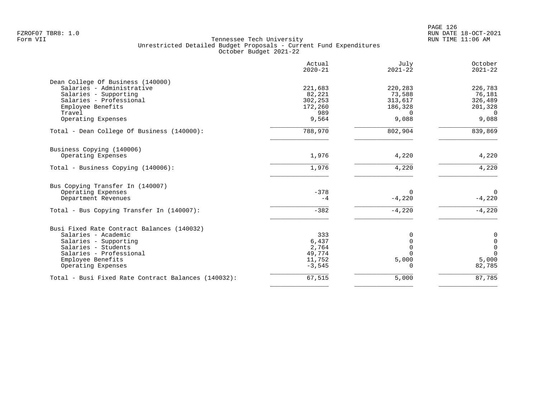|                                                     | Actual<br>$2020 - 21$ | July<br>$2021 - 22$        | October<br>$2021 - 22$     |
|-----------------------------------------------------|-----------------------|----------------------------|----------------------------|
| Dean College Of Business (140000)                   |                       |                            |                            |
| Salaries - Administrative                           | 221,683               | 220,283                    | 226,783                    |
| Salaries - Supporting                               | 82,221                | 73,588                     | 76,181                     |
| Salaries - Professional                             | 302,253               | 313,617                    | 326,489                    |
| Employee Benefits                                   | 172,260               | 186,328                    | 201,328                    |
| Travel                                              | 989                   | $\Omega$                   | $\Omega$                   |
| Operating Expenses                                  | 9,564                 | 9,088                      | 9,088                      |
| Total - Dean College Of Business (140000):          | 788,970               | 802,904                    | 839,869                    |
| Business Copying (140006)                           |                       |                            |                            |
| Operating Expenses                                  | 1,976                 | 4,220                      | 4,220                      |
| Total - Business Copying (140006):                  | 1,976                 | 4,220                      | 4,220                      |
| Bus Copying Transfer In (140007)                    |                       |                            |                            |
| Operating Expenses                                  | $-378$                | $\Omega$                   | $\overline{0}$             |
| Department Revenues                                 | $-4$                  | $-4,220$                   | $-4,220$                   |
| Total - Bus Copying Transfer In (140007):           | $-382$                | $-4,220$                   | $-4,220$                   |
| Busi Fixed Rate Contract Balances (140032)          |                       |                            |                            |
| Salaries - Academic                                 | 333                   |                            |                            |
|                                                     |                       | 0                          | $\mathbf 0$                |
| Salaries - Supporting                               | 6,437                 | $\mathbf 0$<br>$\mathbf 0$ | $\mathbf 0$<br>$\mathbf 0$ |
| Salaries - Students                                 | 2,764<br>49,774       | $\Omega$                   | $\Omega$                   |
| Salaries - Professional<br>Employee Benefits        | 11,752                | 5,000                      | 5,000                      |
|                                                     |                       |                            | 82,785                     |
| Operating Expenses                                  | $-3,545$              | 0                          |                            |
| Total - Busi Fixed Rate Contract Balances (140032): | 67,515                | 5,000                      | 87,785                     |
|                                                     |                       |                            |                            |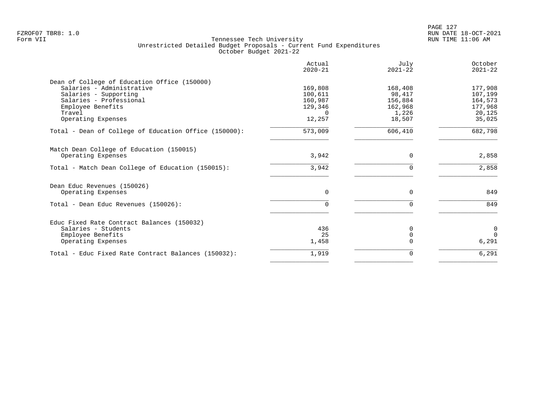|                                                       | Actual<br>$2020 - 21$ | July<br>$2021 - 22$ | October<br>$2021 - 22$ |
|-------------------------------------------------------|-----------------------|---------------------|------------------------|
| Dean of College of Education Office (150000)          |                       |                     |                        |
| Salaries - Administrative                             | 169,808               | 168,408             | 177,908                |
| Salaries - Supporting                                 | 100,611               | 98,417              | 107,199                |
| Salaries - Professional                               | 160,987               | 156,884             | 164,573                |
| Employee Benefits                                     | 129,346               | 162,968             | 177,968                |
| Travel                                                | $\Omega$              | 1,226               | 20,125                 |
| Operating Expenses                                    | 12,257                | 18,507              | 35,025                 |
| Total - Dean of College of Education Office (150000): | 573,009               | 606,410             | 682,798                |
| Match Dean College of Education (150015)              |                       |                     |                        |
| Operating Expenses                                    | 3,942                 | 0                   | 2,858                  |
| Total - Match Dean College of Education (150015):     | 3,942                 | $\Omega$            | 2,858                  |
| Dean Educ Revenues (150026)                           |                       |                     |                        |
| Operating Expenses                                    | $\Omega$              | $\Omega$            | 849                    |
| Total - Dean Educ Revenues (150026):                  | 0                     | $\Omega$            | 849                    |
|                                                       |                       |                     |                        |
| Educ Fixed Rate Contract Balances (150032)            |                       |                     |                        |
| Salaries - Students                                   | 436                   | <sup>0</sup>        | $\mathbf 0$            |
| Employee Benefits                                     | 25                    | $\Omega$            | $\Omega$               |
| Operating Expenses                                    | 1,458                 |                     | 6,291                  |
| Total - Educ Fixed Rate Contract Balances (150032):   | 1,919                 | 0                   | 6,291                  |
|                                                       |                       |                     |                        |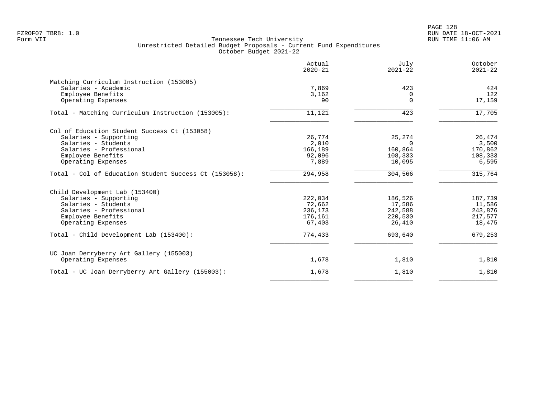PAGE 128 FZROF07 TBR8: 1.0 RUN DATE 18-OCT-2021

|                                                       | Actual<br>$2020 - 21$ | July<br>$2021 - 22$ | October<br>$2021 - 22$ |
|-------------------------------------------------------|-----------------------|---------------------|------------------------|
| Matching Curriculum Instruction (153005)              |                       |                     |                        |
| Salaries - Academic                                   | 7,869                 | 423                 | 424                    |
| Employee Benefits                                     | 3,162                 | $\Omega$            | 122                    |
| Operating Expenses                                    | 90                    | $\Omega$            | 17,159                 |
| Total - Matching Curriculum Instruction (153005):     | 11,121                | 423                 | 17,705                 |
| Col of Education Student Success Ct (153058)          |                       |                     |                        |
| Salaries - Supporting                                 | 26,774                | 25,274              | 26,474                 |
| Salaries - Students                                   | 2,010                 | $\Omega$            | 3,500                  |
| Salaries - Professional                               | 166,189               | 160,864             | 170,862                |
| Employee Benefits                                     | 92,096                | 108,333             | 108,333                |
| Operating Expenses                                    | 7,889                 | 10,095              | 6,595                  |
| Total - Col of Education Student Success Ct (153058): | 294,958               | 304,566             | 315,764                |
| Child Development Lab (153400)                        |                       |                     |                        |
| Salaries - Supporting                                 | 222,034               | 186,526             | 187,739                |
| Salaries - Students                                   | 72,662                | 17,586              | 11,586                 |
| Salaries - Professional                               | 236,173               | 242,588             | 243,876                |
| Employee Benefits                                     | 176,161               | 220,530             | 217,577                |
| Operating Expenses                                    | 67,403                | 26,410              | 18,475                 |
| Total - Child Development Lab (153400):               | 774,433               | 693,640             | 679,253                |
| UC Joan Derryberry Art Gallery (155003)               |                       |                     |                        |
| Operating Expenses                                    | 1,678                 | 1,810               | 1,810                  |
| Total - UC Joan Derryberry Art Gallery (155003):      | 1,678                 | 1,810               | 1,810                  |
|                                                       |                       |                     |                        |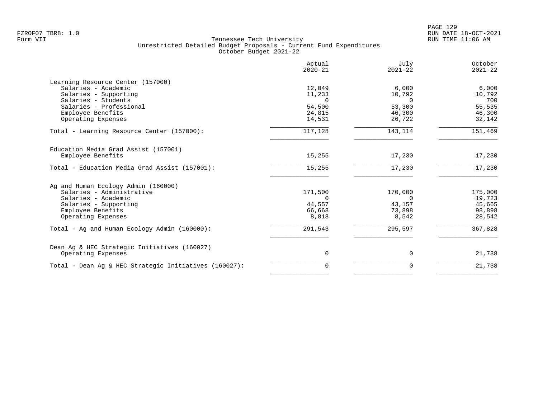|                                                       | Actual<br>$2020 - 21$ | July<br>$2021 - 22$ | October<br>$2021 - 22$ |
|-------------------------------------------------------|-----------------------|---------------------|------------------------|
| Learning Resource Center (157000)                     |                       |                     |                        |
| Salaries - Academic                                   | 12,049                | 6,000               | 6,000                  |
| Salaries - Supporting                                 | 11,233                | 10,792              | 10,792                 |
| Salaries - Students                                   | $\Omega$              | $\Omega$            | 700                    |
| Salaries - Professional                               | 54,500                | 53,300              | 55,535                 |
| Employee Benefits                                     | 24,815                | 46,300              | 46,300                 |
| Operating Expenses                                    | 14,531                | 26,722              | 32,142                 |
| Total - Learning Resource Center (157000):            | 117,128               | 143,114             | 151,469                |
| Education Media Grad Assist (157001)                  |                       |                     |                        |
| Employee Benefits                                     | 15,255                | 17,230              | 17,230                 |
| Total - Education Media Grad Assist (157001):         | 15,255                | 17,230              | 17,230                 |
| Ag and Human Ecology Admin (160000)                   |                       |                     |                        |
| Salaries - Administrative                             | 171,500               | 170,000             | 175,000                |
| Salaries - Academic                                   | $\Omega$              | $\Omega$            | 19,723                 |
| Salaries - Supporting                                 | 44,557                | 43,157              | 45,665                 |
| Employee Benefits                                     | 66,668                | 73,898              | 98,898                 |
| Operating Expenses                                    | 8,818                 | 8,542               | 28,542                 |
| Total - Ag and Human Ecology Admin (160000):          | 291,543               | 295,597             | 367,828                |
| Dean Ag & HEC Strategic Initiatives (160027)          |                       |                     |                        |
| Operating Expenses                                    | 0                     | 0                   | 21,738                 |
| Total - Dean Aq & HEC Strategic Initiatives (160027): | $\mathbf 0$           | 0                   | 21,738                 |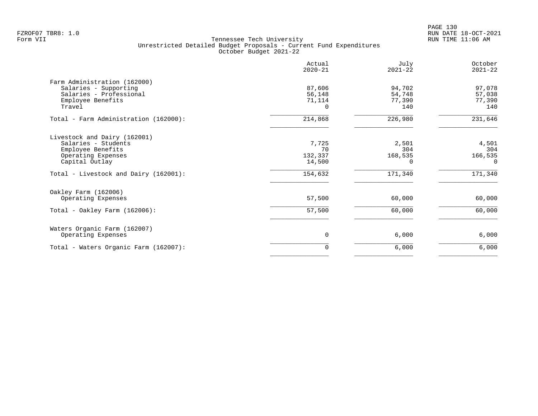|                                                                                                                  | Actual<br>$2020 - 21$            | July<br>$2021 - 22$               | October<br>$2021 - 22$              |
|------------------------------------------------------------------------------------------------------------------|----------------------------------|-----------------------------------|-------------------------------------|
| Farm Administration (162000)<br>Salaries - Supporting<br>Salaries - Professional<br>Employee Benefits<br>Travel  | 87,606<br>56,148<br>71,114<br>0  | 94,702<br>54,748<br>77,390<br>140 | 97,078<br>57,038<br>77,390<br>140   |
| Total - Farm Administration (162000):                                                                            | 214,868                          | 226,980                           | 231,646                             |
| Livestock and Dairy (162001)<br>Salaries - Students<br>Employee Benefits<br>Operating Expenses<br>Capital Outlay | 7,725<br>70<br>132,337<br>14,500 | 2,501<br>304<br>168,535           | 4,501<br>304<br>166,535<br>$\Omega$ |
| Total - Livestock and Dairy (162001):                                                                            | 154,632                          | 171,340                           | 171,340                             |
| Oakley Farm (162006)<br>Operating Expenses<br>Total - Oakley Farm $(162006)$ :                                   | 57,500<br>57,500                 | 60,000<br>60,000                  | 60,000<br>60,000                    |
| Waters Organic Farm (162007)<br>Operating Expenses                                                               | 0                                | 6,000                             | 6,000                               |
| Total - Waters Organic Farm (162007):                                                                            | 0                                | 6,000                             | 6,000                               |
|                                                                                                                  |                                  |                                   |                                     |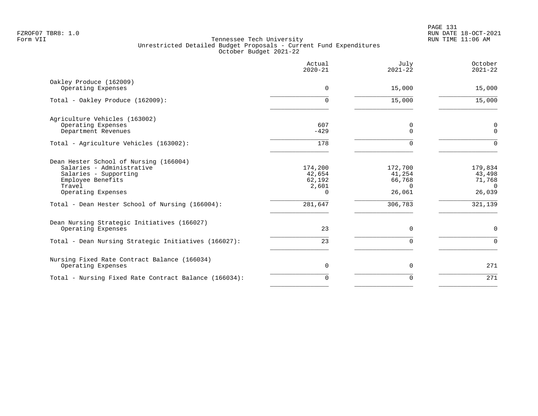|                                                                                                                                                   | Actual<br>$2020 - 21$                            | July<br>$2021 - 22$                               | October<br>$2021 - 22$                            |
|---------------------------------------------------------------------------------------------------------------------------------------------------|--------------------------------------------------|---------------------------------------------------|---------------------------------------------------|
| Oakley Produce (162009)<br>Operating Expenses                                                                                                     | 0                                                | 15,000                                            | 15,000                                            |
| Total - Oakley Produce (162009):                                                                                                                  | 0                                                | 15,000                                            | 15,000                                            |
| Agriculture Vehicles (163002)<br>Operating Expenses<br>Department Revenues                                                                        | 607<br>$-429$                                    | 0<br>$\Omega$                                     | 0<br>$\mathbf 0$                                  |
| Total - Agriculture Vehicles (163002):                                                                                                            | 178                                              | $\Omega$                                          | $\Omega$                                          |
| Dean Hester School of Nursing (166004)<br>Salaries - Administrative<br>Salaries - Supporting<br>Employee Benefits<br>Travel<br>Operating Expenses | 174,200<br>42,654<br>62,192<br>2,601<br>$\Omega$ | 172,700<br>41,254<br>66,768<br>$\Omega$<br>26,061 | 179,834<br>43,498<br>71,768<br>$\Omega$<br>26,039 |
| Total - Dean Hester School of Nursing (166004):                                                                                                   | 281,647                                          | 306,783                                           | 321,139                                           |
| Dean Nursing Strategic Initiatives (166027)<br>Operating Expenses                                                                                 | 23                                               | $\mathbf 0$                                       | $\mathbf 0$                                       |
| Total - Dean Nursing Strategic Initiatives (166027):                                                                                              | 23                                               | $\mathbf 0$                                       | $\mathbf 0$                                       |
| Nursing Fixed Rate Contract Balance (166034)<br>Operating Expenses                                                                                | $\mathbf 0$                                      | 0                                                 | 271                                               |
| Total - Nursing Fixed Rate Contract Balance (166034):                                                                                             | $\Omega$                                         | $\Omega$                                          | 271                                               |
|                                                                                                                                                   |                                                  |                                                   |                                                   |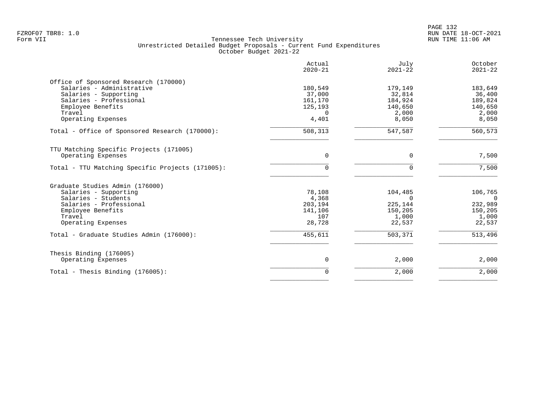|                                                                                                                                                                             | Actual<br>$2020 - 21$                                        | July<br>$2021 - 22$                                          | October<br>$2021 - 22$                                       |
|-----------------------------------------------------------------------------------------------------------------------------------------------------------------------------|--------------------------------------------------------------|--------------------------------------------------------------|--------------------------------------------------------------|
| Office of Sponsored Research (170000)<br>Salaries - Administrative<br>Salaries - Supporting<br>Salaries - Professional<br>Employee Benefits<br>Travel<br>Operating Expenses | 180,549<br>37,000<br>161,170<br>125,193<br>$\Omega$<br>4,401 | 179,149<br>32,814<br>184,924<br>140,650<br>2,000<br>8,050    | 183,649<br>36,400<br>189,824<br>140,650<br>2,000<br>8,050    |
| Total - Office of Sponsored Research (170000):                                                                                                                              | 508,313                                                      | 547,587                                                      | 560,573                                                      |
| TTU Matching Specific Projects (171005)<br>Operating Expenses                                                                                                               | $\Omega$                                                     | $\Omega$                                                     | 7,500                                                        |
| Total - TTU Matching Specific Projects (171005):                                                                                                                            | $\Omega$                                                     | $\Omega$                                                     | 7,500                                                        |
| Graduate Studies Admin (176000)<br>Salaries - Supporting<br>Salaries - Students<br>Salaries - Professional<br>Employee Benefits<br>Travel<br>Operating Expenses             | 78,108<br>4,368<br>203,194<br>141,106<br>107<br>28,728       | 104,485<br>$\Omega$<br>225,144<br>150,205<br>1,000<br>22,537 | 106,765<br>$\Omega$<br>232,989<br>150,205<br>1,000<br>22,537 |
| Total - Graduate Studies Admin (176000):                                                                                                                                    | 455,611                                                      | 503,371                                                      | 513,496                                                      |
| Thesis Binding (176005)<br>Operating Expenses                                                                                                                               | $\mathbf 0$                                                  | 2,000                                                        | 2,000                                                        |
| Total - Thesis Binding (176005):                                                                                                                                            | $\Omega$                                                     | 2,000                                                        | 2,000                                                        |
|                                                                                                                                                                             |                                                              |                                                              |                                                              |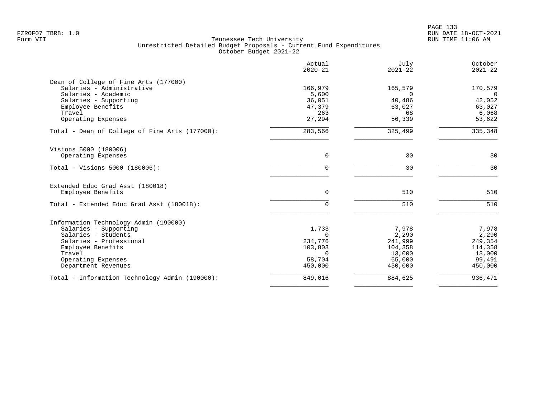|                                                  | Actual<br>$2020 - 21$ | July<br>$2021 - 22$ | October<br>$2021 - 22$    |
|--------------------------------------------------|-----------------------|---------------------|---------------------------|
| Dean of College of Fine Arts (177000)            |                       |                     |                           |
| Salaries - Administrative<br>Salaries - Academic | 166,979               | 165,579             | 170,579<br>$\overline{0}$ |
| Salaries - Supporting                            | 5,600<br>36,051       | $\Omega$<br>40,486  | 42,052                    |
| Employee Benefits                                | 47,379                | 63,027              | 63,027                    |
| Travel                                           | 263                   | 68                  | 6,068                     |
| Operating Expenses                               | 27,294                | 56,339              | 53,622                    |
| Total - Dean of College of Fine Arts (177000):   | 283,566               | 325,499             | 335,348                   |
| Visions 5000 (180006)                            |                       |                     |                           |
| Operating Expenses                               | $\mathbf 0$           | 30                  | 30                        |
| Total - Visions 5000 (180006):                   | 0                     | 30                  | 30                        |
| Extended Educ Grad Asst (180018)                 |                       |                     |                           |
| Employee Benefits                                | 0                     | 510                 | 510                       |
| Total - Extended Educ Grad Asst (180018):        | $\mathbf 0$           | 510                 | 510                       |
| Information Technology Admin (190000)            |                       |                     |                           |
| Salaries - Supporting                            | 1,733                 | 7,978               | 7,978                     |
| Salaries - Students                              | $\mathbf 0$           | 2,290               | 2,290                     |
| Salaries - Professional                          | 234,776               | 241,999<br>104,358  | 249,354                   |
| Employee Benefits<br>Travel                      | 103,803<br>0          | 13,000              | 114,358<br>13,000         |
| Operating Expenses                               | 58,704                | 65,000              | 99,491                    |
| Department Revenues                              | 450,000               | 450,000             | 450,000                   |
| Total - Information Technology Admin (190000):   | 849,016               | 884,625             | 936,471                   |
|                                                  |                       |                     |                           |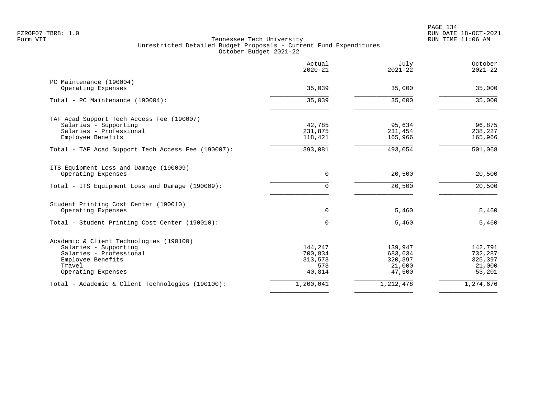|                                                    | Actual<br>$2020 - 21$ | July<br>$2021 - 22$ | October<br>$2021 - 22$ |
|----------------------------------------------------|-----------------------|---------------------|------------------------|
| PC Maintenance (190004)                            |                       |                     |                        |
| Operating Expenses                                 | 35,039                | 35,000              | 35,000                 |
| Total - PC Maintenance (190004):                   | 35,039                | 35,000              | 35,000                 |
| TAF Acad Support Tech Access Fee (190007)          |                       |                     |                        |
| Salaries - Supporting                              | 42,785                | 95,634              | 96,875                 |
| Salaries - Professional                            | 231,875               | 231,454             | 238,227                |
| Employee Benefits                                  | 118,421               | 165,966             | 165,966                |
| Total - TAF Acad Support Tech Access Fee (190007): | 393,081               | 493,054             | 501,068                |
| ITS Equipment Loss and Damage (190009)             |                       |                     |                        |
| Operating Expenses                                 | $\mathbf 0$           | 20,500              | 20,500                 |
| Total - ITS Equipment Loss and Damage (190009):    | $\Omega$              | 20,500              | 20,500                 |
| Student Printing Cost Center (190010)              |                       |                     |                        |
| Operating Expenses                                 | 0                     | 5,460               | 5,460                  |
| Total - Student Printing Cost Center (190010):     | $\Omega$              | 5,460               | 5,460                  |
| Academic & Client Technologies (190100)            |                       |                     |                        |
| Salaries - Supporting                              | 144,247               | 139,947             | 142,791                |
| Salaries - Professional                            | 700,834               | 683,634             | 732,287                |
| Employee Benefits                                  | 313,573               | 320,397             | 325,397                |
| Travel                                             | 573                   | 21,000              | 21,000                 |
| Operating Expenses                                 | 40,814                | 47,500              | 53,201                 |
| Total - Academic & Client Technologies (190100):   | 1,200,041             | 1,212,478           | 1,274,676              |
|                                                    |                       |                     |                        |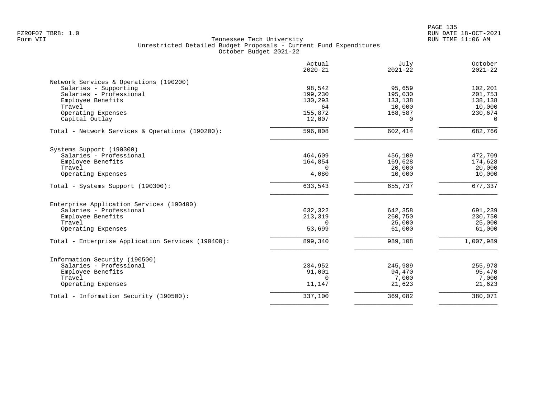|                                                   | Actual<br>$2020 - 21$ | July<br>$2021 - 22$ | October<br>$2021 - 22$ |
|---------------------------------------------------|-----------------------|---------------------|------------------------|
| Network Services & Operations (190200)            |                       |                     |                        |
| Salaries - Supporting                             | 98,542                | 95,659              | 102,201                |
| Salaries - Professional                           | 199,230               | 195,030             | 201,753                |
| Employee Benefits                                 | 130,293               | 133,138             | 138,138                |
| Travel                                            | 64                    | 10,000              | 10,000                 |
| Operating Expenses                                | 155,872               | 168,587             | 230,674                |
| Capital Outlay                                    | 12,007                | $\Omega$            | $\Omega$               |
| Total - Network Services & Operations (190200):   | 596,008               | 602,414             | 682,766                |
| Systems Support (190300)                          |                       |                     |                        |
| Salaries - Professional                           | 464,609               | 456,109             | 472,709                |
| Employee Benefits                                 | 164,854               | 169,628             | 174,628                |
| Travel                                            | $\Omega$              | 20,000              | 20,000                 |
| Operating Expenses                                | 4,080                 | 10,000              | 10,000                 |
| Total - Systems Support (190300):                 | 633,543               | 655,737             | 677,337                |
| Enterprise Application Services (190400)          |                       |                     |                        |
| Salaries - Professional                           | 632,322               | 642,358             | 691,239                |
| Employee Benefits                                 | 213,319               | 260,750             | 230,750                |
| Travel                                            | $\Omega$              | 25,000              | 25,000                 |
| Operating Expenses                                | 53,699                | 61,000              | 61,000                 |
| Total - Enterprise Application Services (190400): | 899,340               | 989,108             | 1,007,989              |
| Information Security (190500)                     |                       |                     |                        |
| Salaries - Professional                           | 234,952               | 245,989             | 255,978                |
| Employee Benefits                                 | 91,001                | 94,470              | 95,470                 |
| Travel                                            | $\Omega$              | 7,000               | 7,000                  |
| Operating Expenses                                | 11,147                | 21,623              | 21,623                 |
| Total - Information Security (190500):            |                       |                     | 380,071                |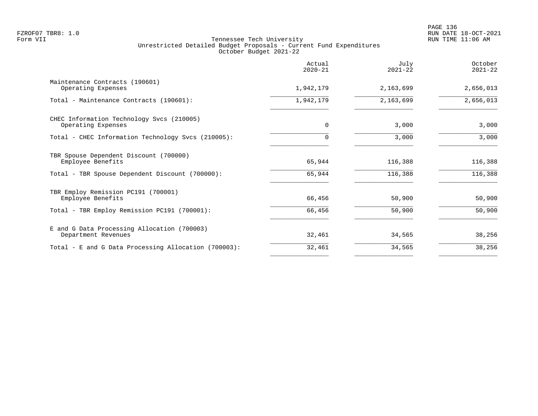|                                                                    | Actual<br>$2020 - 21$ | July<br>$2021 - 22$ | October<br>$2021 - 22$ |
|--------------------------------------------------------------------|-----------------------|---------------------|------------------------|
| Maintenance Contracts (190601)<br>Operating Expenses               | 1,942,179             | 2,163,699           | 2,656,013              |
| Total - Maintenance Contracts (190601):                            | 1,942,179             | 2,163,699           | 2,656,013              |
| CHEC Information Technology Svcs (210005)<br>Operating Expenses    | $\Omega$              | 3,000               | 3,000                  |
| Total - CHEC Information Technology Svcs (210005):                 | $\Omega$              | 3,000               | 3,000                  |
| TBR Spouse Dependent Discount (700000)<br>Employee Benefits        | 65,944                | 116,388             | 116,388                |
| Total - TBR Spouse Dependent Discount (700000):                    | 65,944                | 116,388             | 116,388                |
| TBR Employ Remission PC191 (700001)<br>Employee Benefits           | 66,456                | 50,900              | 50,900                 |
| Total - TBR Employ Remission PC191 (700001):                       | 66,456                | 50,900              | 50,900                 |
| E and G Data Processing Allocation (700003)<br>Department Revenues | 32,461                | 34,565              | 38,256                 |
| Total - E and G Data Processing Allocation (700003):               | 32,461                | 34,565              | 38,256                 |
|                                                                    |                       |                     |                        |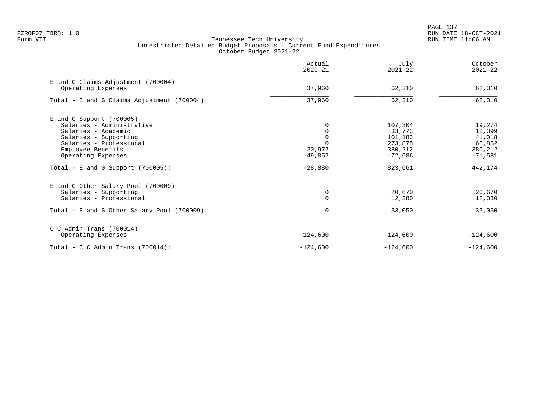PAGE 137 FZROF07 TBR8: 1.0 RUN DATE 18-OCT-2021

|                                                          | Actual<br>$2020 - 21$ | July<br>$2021 - 22$  | October<br>$2021 - 22$ |
|----------------------------------------------------------|-----------------------|----------------------|------------------------|
| E and G Claims Adjustment (700004)<br>Operating Expenses | 37,960                | 62,310               | 62,310                 |
| Total - E and G Claims Adjustment (700004):              | 37,960                | 62,310               | 62,310                 |
| $E$ and G Support (700005)                               |                       |                      |                        |
| Salaries - Administrative                                |                       | 107,304              | 19,274                 |
| Salaries - Academic                                      |                       | 33,773               | 12,399                 |
| Salaries - Supporting                                    |                       | 101,183              | 41,018                 |
| Salaries - Professional                                  |                       | 273,875              | 60,852                 |
| Employee Benefits<br>Operating Expenses                  | 20,972<br>$-49,852$   | 380,212<br>$-72,686$ | 380,212<br>$-71,581$   |
| Total - E and G Support $(700005)$ :                     | $-28,880$             | 823,661              | 442,174                |
| E and G Other Salary Pool (700009)                       |                       |                      |                        |
| Salaries - Supporting                                    | 0                     | 20,670               | 20,670                 |
| Salaries - Professional                                  | $\Omega$              | 12,380               | 12,380                 |
| Total - E and G Other Salary Pool (700009):              | 0                     | 33,050               | 33,050                 |
| $C$ C Admin Trans (700014)                               |                       |                      |                        |
| Operating Expenses                                       | $-124,600$            | $-124,600$           | $-124,600$             |
| Total - C C Admin Trans $(700014)$ :                     | $-124,600$            | $-124,600$           | $-124,600$             |
|                                                          |                       |                      |                        |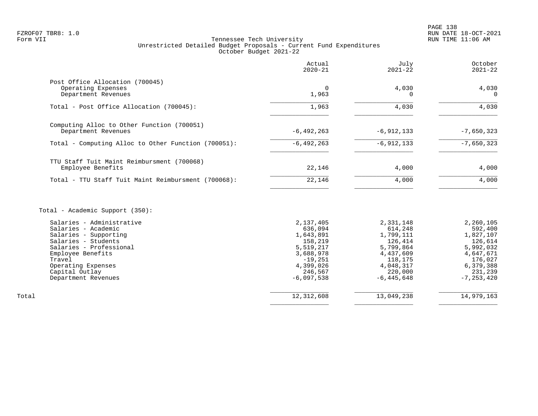# FZROF07 TBR8: 1.0 RUN DATE 18-OCT-2021 Tennessee Tech University Unrestricted Detailed Budget Proposals - Current Fund Expenditures October Budget 2021-22

|                                                                              | Actual<br>$2020 - 21$ | July<br>$2021 - 22$ | October<br>$2021 - 22$ |
|------------------------------------------------------------------------------|-----------------------|---------------------|------------------------|
| Post Office Allocation (700045)<br>Operating Expenses<br>Department Revenues | 0<br>1,963            | 4,030               | 4,030<br>$\Omega$      |
| Total - Post Office Allocation (700045):                                     | 1,963                 | 4,030               | 4,030                  |
| Computing Alloc to Other Function (700051)<br>Department Revenues            | $-6, 492, 263$        | $-6,912,133$        | $-7,650,323$           |
| Total - Computing Alloc to Other Function (700051):                          | $-6,492,263$          | $-6,912,133$        | $-7,650,323$           |
| TTU Staff Tuit Maint Reimbursment (700068)<br>Employee Benefits              | 22,146                | 4,000               | 4,000                  |
| Total - TTU Staff Tuit Maint Reimbursment (700068):                          | 22,146                | 4,000               | 4,000                  |

Total - Academic Support (350):

|       | Salaries - Administrative | 2,137,405    | 2,331,148      | 2,260,105  |
|-------|---------------------------|--------------|----------------|------------|
|       | Salaries - Academic       | 636,094      | 614,248        | 592,400    |
|       | Salaries - Supporting     | 1,643,891    | 1,799,111      | 1,827,107  |
|       | Salaries - Students       | 158,219      | 126,414        | 126,614    |
|       | Salaries - Professional   | 5,519,217    | 5,799,864      | 5,992,032  |
|       | Employee Benefits         | 3,688,978    | 4,437,609      | 4,647,671  |
|       | Travel                    | $-19,251$    | 118,175        | 176,027    |
|       | Operating Expenses        | 4,399,026    | 4,048,317      | 6,379,388  |
|       | Capital Outlay            | 246,567      | 220,000        | 231,239    |
|       | Department Revenues       | $-6,097,538$ | $-6, 445, 648$ | -7,253,420 |
|       |                           |              |                |            |
| Total |                           | 12,312,608   | 13,049,238     | 14,979,163 |
|       |                           |              |                |            |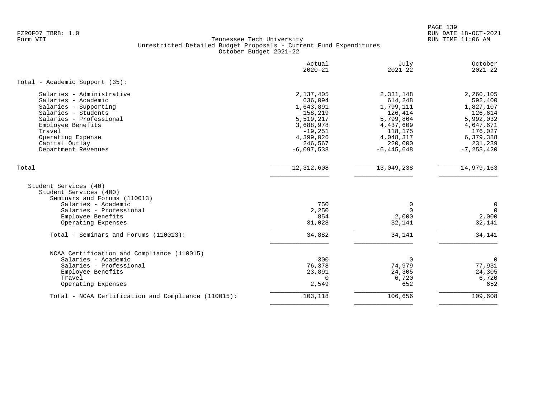PAGE 139 FZROF07 TBR8: 1.0 RUN DATE 18-OCT-2021

|                                                                                                                                                                                                                          | Actual<br>$2020 - 21$                                                                                                       | July<br>$2021 - 22$                                                                                                         | October<br>$2021 - 22$                                                                                                      |
|--------------------------------------------------------------------------------------------------------------------------------------------------------------------------------------------------------------------------|-----------------------------------------------------------------------------------------------------------------------------|-----------------------------------------------------------------------------------------------------------------------------|-----------------------------------------------------------------------------------------------------------------------------|
| Total - Academic Support (35):                                                                                                                                                                                           |                                                                                                                             |                                                                                                                             |                                                                                                                             |
| Salaries - Administrative<br>Salaries - Academic<br>Salaries - Supporting<br>Salaries - Students<br>Salaries - Professional<br>Employee Benefits<br>Travel<br>Operating Expense<br>Capital Outlay<br>Department Revenues | 2,137,405<br>636,094<br>1,643,891<br>158,219<br>5,519,217<br>3,688,978<br>$-19,251$<br>4,399,026<br>246,567<br>$-6,097,538$ | 2,331,148<br>614,248<br>1,799,111<br>126,414<br>5,799,864<br>4,437,609<br>118,175<br>4,048,317<br>220,000<br>$-6, 445, 648$ | 2,260,105<br>592,400<br>1,827,107<br>126,614<br>5,992,032<br>4,647,671<br>176,027<br>6,379,388<br>231,239<br>$-7, 253, 420$ |
| Total                                                                                                                                                                                                                    | 12, 312, 608                                                                                                                | 13,049,238                                                                                                                  | 14,979,163                                                                                                                  |
| Student Services (40)<br>Student Services (400)<br>Seminars and Forums (110013)<br>Salaries - Academic<br>Salaries - Professional<br>Employee Benefits<br>Operating Expenses                                             | 750<br>2,250<br>854<br>31,028                                                                                               | 0<br>$\Omega$<br>2,000<br>32,141                                                                                            | 0<br>$\Omega$<br>2,000<br>32,141                                                                                            |
| Total - Seminars and Forums (110013):                                                                                                                                                                                    | 34,882                                                                                                                      | 34,141                                                                                                                      | 34,141                                                                                                                      |
| NCAA Certification and Compliance (110015)<br>Salaries - Academic<br>Salaries - Professional<br>Employee Benefits<br>Travel<br>Operating Expenses                                                                        | 300<br>76,378<br>23,891<br>$\Omega$<br>2,549                                                                                | $\Omega$<br>74,979<br>24,305<br>6,720<br>652                                                                                | $\mathbf 0$<br>77,931<br>24,305<br>6,720<br>652                                                                             |
| Total - NCAA Certification and Compliance (110015):                                                                                                                                                                      | 103,118                                                                                                                     | 106,656                                                                                                                     | 109,608                                                                                                                     |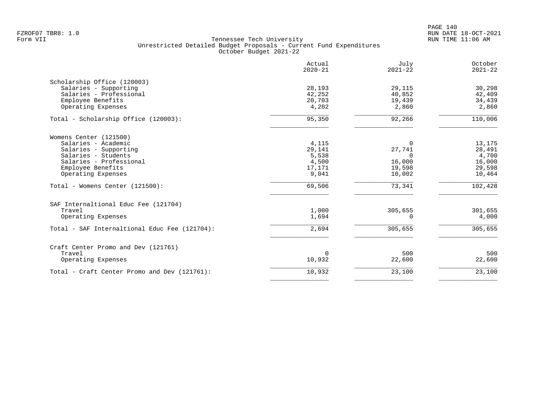|                                               | Actual<br>$2020 - 21$ | July<br>$2021 - 22$ | October<br>$2021 - 22$ |
|-----------------------------------------------|-----------------------|---------------------|------------------------|
| Scholarship Office (120003)                   |                       |                     |                        |
| Salaries - Supporting                         | 28,193                | 29,115              | 30,298                 |
| Salaries - Professional                       | 42,252                | 40,852              | 42,409                 |
| Employee Benefits                             | 20,703                | 19,439              | 34,439                 |
| Operating Expenses                            | 4,202                 | 2,860               | 2,860                  |
| Total - Scholarship Office (120003):          | 95,350                | 92,266              | 110,006                |
| Womens Center (121500)                        |                       |                     |                        |
| Salaries - Academic                           | 4,115                 | 0                   | 13,175                 |
| Salaries - Supporting                         | 29,141                | 27,741              | 28,491                 |
| Salaries - Students                           | 5,538                 | $\Omega$            | 4,700                  |
| Salaries - Professional                       | 4,500                 | 16,000              | 16,000                 |
| Employee Benefits                             | 17,171                | 19,598              | 29,598                 |
| Operating Expenses                            | 9,041                 | 10,002              | 10,464                 |
| Total - Womens Center (121500):               | 69,506                | 73,341              | 102,428                |
| SAF Internaltional Educ Fee (121704)          |                       |                     |                        |
| Travel                                        | 1,000                 | 305,655             | 301,655                |
| Operating Expenses                            | 1,694                 | $\Omega$            | 4,000                  |
| Total - SAF Internaltional Educ Fee (121704): | 2,694                 | 305,655             | 305,655                |
| Craft Center Promo and Dev (121761)           |                       |                     |                        |
| Travel                                        | $\Omega$              | 500                 | 500                    |
| Operating Expenses                            | 10,932                | 22,600              | 22,600                 |
| Total - Craft Center Promo and Dev (121761):  | 10,932                | 23,100              | 23,100                 |
|                                               |                       |                     |                        |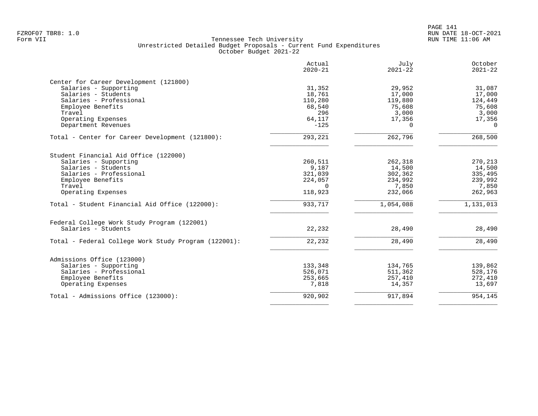| Actual<br>$2020 - 21$ | July<br>$2021 - 22$                                                                                      | October<br>$2021 - 22$                                                                                 |
|-----------------------|----------------------------------------------------------------------------------------------------------|--------------------------------------------------------------------------------------------------------|
|                       |                                                                                                          |                                                                                                        |
| 31,352                | 29,952                                                                                                   | 31,087                                                                                                 |
|                       |                                                                                                          | 17,000                                                                                                 |
| 110,280               | 119,880                                                                                                  | 124,449                                                                                                |
| 68,540                | 75,608                                                                                                   | 75,608                                                                                                 |
| 296                   | 3,000                                                                                                    | 3,000                                                                                                  |
| 64,117                | 17,356                                                                                                   | 17,356                                                                                                 |
| $-125$                | $\Omega$                                                                                                 | $\Omega$                                                                                               |
| 293,221               | 262,796                                                                                                  | 268,500                                                                                                |
|                       |                                                                                                          |                                                                                                        |
|                       |                                                                                                          | 270,213                                                                                                |
|                       |                                                                                                          | 14,500                                                                                                 |
|                       |                                                                                                          | 335,495                                                                                                |
|                       |                                                                                                          | 239,992                                                                                                |
|                       |                                                                                                          | 7,850                                                                                                  |
|                       |                                                                                                          | 262,963                                                                                                |
|                       |                                                                                                          |                                                                                                        |
| 933,717               | 1,054,088                                                                                                | 1,131,013                                                                                              |
|                       |                                                                                                          |                                                                                                        |
| 22,232                | 28,490                                                                                                   | 28,490                                                                                                 |
| 22,232                | 28,490                                                                                                   | 28,490                                                                                                 |
|                       |                                                                                                          |                                                                                                        |
|                       |                                                                                                          | 139,862                                                                                                |
|                       |                                                                                                          | 528,176                                                                                                |
|                       |                                                                                                          | 272,410                                                                                                |
| 7,818                 | 14,357                                                                                                   | 13,697                                                                                                 |
|                       |                                                                                                          |                                                                                                        |
|                       | 18,761<br>260,511<br>9,187<br>321,039<br>224,057<br>$\Omega$<br>118,923<br>133,348<br>526,071<br>253,665 | 17,000<br>262,318<br>14,500<br>302,362<br>234,992<br>7,850<br>232,066<br>134,765<br>511,362<br>257,410 |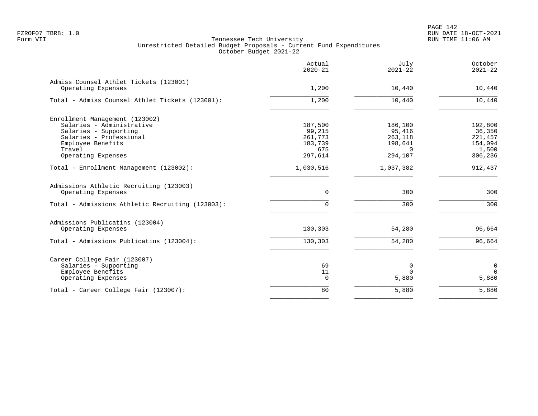PAGE 142 FZROF07 TBR8: 1.0 RUN DATE 18-OCT-2021

|                                                               | Actual<br>$2020 - 21$ | July<br>$2021 - 22$ | October<br>$2021 - 22$ |
|---------------------------------------------------------------|-----------------------|---------------------|------------------------|
| Admiss Counsel Athlet Tickets (123001)<br>Operating Expenses  | 1,200                 | 10,440              | 10,440                 |
| Total - Admiss Counsel Athlet Tickets (123001):               | 1,200                 | 10,440              | 10,440                 |
| Enrollment Management (123002)                                |                       |                     |                        |
| Salaries - Administrative                                     | 187,500               | 186,100             | 192,800                |
| Salaries - Supporting                                         | 99,215                | 95,416              | 36,350                 |
| Salaries - Professional                                       | 261,773               | 263,118             | 221,457                |
| Employee Benefits                                             | 183,739               | 198,641             | 154,094                |
| Travel                                                        | 675                   | $\Omega$            | 1,500                  |
| Operating Expenses                                            | 297,614               | 294,107             | 306,236                |
| Total - Enrollment Management (123002):                       | 1,030,516             | 1,037,382           | 912,437                |
| Admissions Athletic Recruiting (123003)<br>Operating Expenses | 0                     | 300                 | 300                    |
|                                                               |                       |                     |                        |
| Total - Admissions Athletic Recruiting (123003):              | 0                     | 300                 | 300                    |
| Admissions Publicatins (123004)                               |                       |                     |                        |
| Operating Expenses                                            | 130,303               | 54,280              | 96,664                 |
| Total - Admissions Publicatins (123004):                      | 130,303               | 54,280              | 96,664                 |
| Career College Fair (123007)                                  |                       |                     |                        |
| Salaries - Supporting                                         | 69                    | 0                   | 0                      |
| Employee Benefits                                             | 11                    | $\Omega$            | $\Omega$               |
| Operating Expenses                                            | $\Omega$              | 5,880               | 5,880                  |
| Total - Career College Fair (123007):                         | 80                    | 5,880               | 5,880                  |
|                                                               |                       |                     |                        |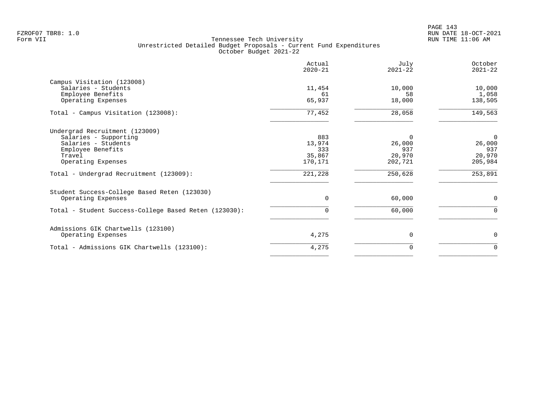|                                                       | Actual<br>$2020 - 21$ | July<br>$2021 - 22$ | October<br>$2021 - 22$ |
|-------------------------------------------------------|-----------------------|---------------------|------------------------|
| Campus Visitation (123008)                            |                       |                     |                        |
| Salaries - Students                                   | 11,454                | 10,000              | 10,000                 |
| Employee Benefits                                     | 61                    | 58                  | 1,058                  |
| Operating Expenses                                    | 65,937                | 18,000              | 138,505                |
| Total - Campus Visitation (123008):                   | 77,452                | 28,058              | 149,563                |
| Undergrad Recruitment (123009)                        |                       |                     |                        |
| Salaries - Supporting                                 | 883                   | $\Omega$            | $\overline{0}$         |
| Salaries - Students                                   | 13,974                | 26,000              | 26,000                 |
| Employee Benefits                                     | 333                   | 937                 | 937                    |
| Travel                                                | 35,867                | 20,970              | 20,970                 |
| Operating Expenses                                    | 170,171               | 202,721             | 205,984                |
| Total - Undergrad Recruitment (123009):               | 221,228               | 250,628             | 253,891                |
| Student Success-College Based Reten (123030)          |                       |                     |                        |
| Operating Expenses                                    | $\Omega$              | 60,000              | 0                      |
| Total - Student Success-College Based Reten (123030): | 0                     | 60,000              | 0                      |
| Admissions GIK Chartwells (123100)                    |                       |                     |                        |
| Operating Expenses                                    | 4,275                 | $\Omega$            | 0                      |
| Total - Admissions GIK Chartwells (123100):           | 4,275                 | 0                   | $\Omega$               |
|                                                       |                       |                     |                        |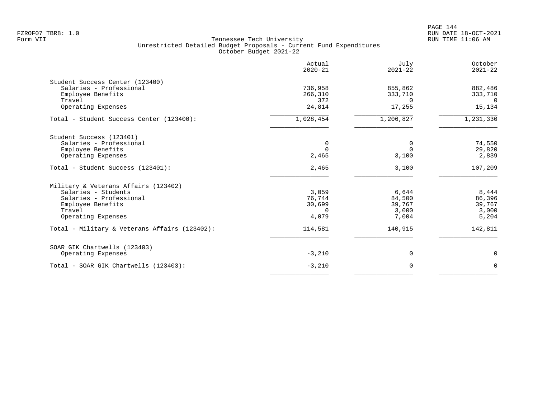|                                               | Actual<br>$2020 - 21$ | July<br>$2021 - 22$ | October<br>$2021 - 22$ |
|-----------------------------------------------|-----------------------|---------------------|------------------------|
| Student Success Center (123400)               |                       |                     |                        |
| Salaries - Professional                       | 736,958               | 855,862             | 882,486                |
| Employee Benefits                             | 266,310               | 333,710             | 333,710                |
| Travel<br>Operating Expenses                  | 372<br>24,814         | $\Omega$<br>17,255  | $\Omega$<br>15,134     |
|                                               |                       |                     |                        |
| Total - Student Success Center (123400):      | 1,028,454             | 1,206,827           | 1,231,330              |
| Student Success (123401)                      |                       |                     |                        |
| Salaries - Professional                       | 0                     | 0                   | 74,550                 |
| Employee Benefits                             | $\Omega$              | $\Omega$            | 29,820                 |
| Operating Expenses                            | 2,465                 | 3,100               | 2,839                  |
| Total - Student Success (123401):             | 2,465                 | 3,100               | 107,209                |
| Military & Veterans Affairs (123402)          |                       |                     |                        |
| Salaries - Students                           | 3,059                 | 6,644               | 8,444                  |
| Salaries - Professional                       | 76,744                | 84,500              | 86,396                 |
| Employee Benefits                             | 30,699                | 39,767              | 39,767                 |
| Travel                                        | $\Omega$              | 3,000               | 3,000                  |
| Operating Expenses                            | 4,079                 | 7,004               | 5,204                  |
| Total - Military & Veterans Affairs (123402): | 114,581               | 140,915             | 142,811                |
| SOAR GIK Chartwells (123403)                  |                       |                     |                        |
| Operating Expenses                            | $-3,210$              | 0                   | 0                      |
| Total - SOAR GIK Chartwells (123403):         | $-3,210$              | 0                   | $\Omega$               |
|                                               |                       |                     |                        |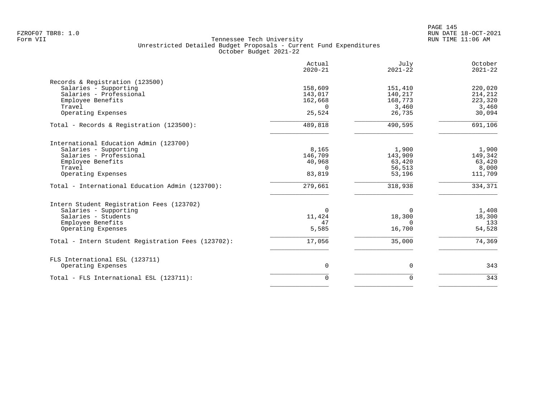|                                                    | Actual<br>$2020 - 21$ | July<br>$2021 - 22$ | October<br>$2021 - 22$ |
|----------------------------------------------------|-----------------------|---------------------|------------------------|
| Records & Registration (123500)                    |                       |                     |                        |
| Salaries - Supporting                              | 158,609               | 151,410             | 220,020                |
| Salaries - Professional                            | 143,017               | 140,217             | 214,212                |
| Employee Benefits                                  | 162,668               | 168,773             | 223,320                |
| Travel                                             | $\Omega$              | 3,460               | 3,460                  |
| Operating Expenses                                 | 25,524                | 26,735              | 30,094                 |
| Total - Records & Registration (123500):           | 489,818               | 490,595             | 691,106                |
| International Education Admin (123700)             |                       |                     |                        |
| Salaries - Supporting                              | 8,165                 | 1,900               | 1,900                  |
| Salaries - Professional                            | 146,709               | 143,909             | 149,342                |
| Employee Benefits                                  | 40,968                | 63,420              | 63,420                 |
| Travel                                             | $\Omega$              | 56,513              | 8,000                  |
| Operating Expenses                                 | 83,819                | 53,196              | 111,709                |
| Total - International Education Admin (123700):    | 279,661               | 318,938             | 334,371                |
| Intern Student Registration Fees (123702)          |                       |                     |                        |
| Salaries - Supporting                              | $\Omega$              | $\Omega$            | 1,408                  |
| Salaries - Students                                | 11,424                | 18,300              | 18,300                 |
| Employee Benefits                                  | 47                    | $\Omega$            | 133                    |
| Operating Expenses                                 | 5,585                 | 16,700              | 54,528                 |
| Total - Intern Student Registration Fees (123702): | 17,056                | 35,000              | 74,369                 |
| FLS International ESL (123711)                     |                       |                     |                        |
| Operating Expenses                                 | $\mathbf 0$           | 0                   | 343                    |
| Total - FLS International ESL (123711):            | $\Omega$              | $\mathbf 0$         | 343                    |
|                                                    |                       |                     |                        |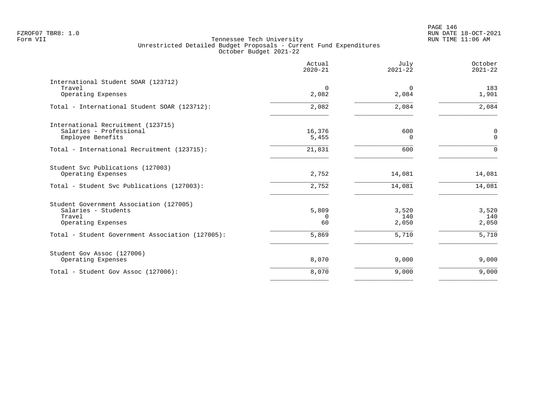# PAGE 146 FZROF07 TBR8: 1.0 RUN DATE 18-OCT-2021

|                                                               | Actual<br>$2020 - 21$ | July<br>$2021 - 22$ | October<br>$2021 - 22$ |
|---------------------------------------------------------------|-----------------------|---------------------|------------------------|
| International Student SOAR (123712)<br>Travel                 | 0                     | $\Omega$            | 183                    |
| Operating Expenses                                            | 2,082                 | 2,084               | 1,901                  |
| Total - International Student SOAR (123712):                  | 2,082                 | 2,084               | 2,084                  |
| International Recruitment (123715)<br>Salaries - Professional | 16,376                | 600                 | 0                      |
| Employee Benefits                                             | 5,455                 | $\Omega$            | $\mathbf{0}$           |
| Total - International Recruitment (123715):                   | 21,831                | 600                 | $\Omega$               |
| Student Svc Publications (127003)<br>Operating Expenses       | 2,752                 | 14,081              | 14,081                 |
| Total - Student Svc Publications (127003):                    | 2,752                 | 14,081              | 14,081                 |
| Student Government Association (127005)                       |                       |                     |                        |
| Salaries - Students                                           | 5,809                 | 3,520               | 3,520                  |
| Travel<br>Operating Expenses                                  | $\Omega$<br>60        | 140<br>2,050        | 140<br>2,050           |
| Total - Student Government Association (127005):              | 5,869                 | 5,710               | 5,710                  |
| Student Gov Assoc (127006)                                    |                       |                     |                        |
| Operating Expenses                                            | 8,070                 | 9,000               | 9,000                  |
| Total - Student Gov Assoc (127006):                           | 8,070                 | 9,000               | 9,000                  |
|                                                               |                       |                     |                        |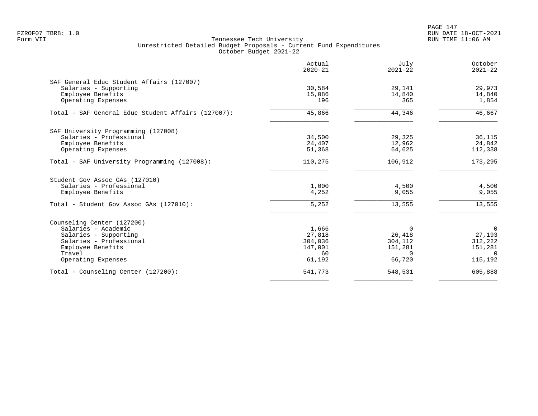PAGE 147 FZROF07 TBR8: 1.0 RUN DATE 18-OCT-2021

|                                                                                         | Actual<br>$2020 - 21$ | July<br>$2021 - 22$ | October<br>$2021 - 22$ |
|-----------------------------------------------------------------------------------------|-----------------------|---------------------|------------------------|
| SAF General Educ Student Affairs (127007)<br>Salaries - Supporting<br>Employee Benefits | 30,584<br>15,086      | 29,141<br>14,840    | 29,973<br>14,840       |
| Operating Expenses                                                                      | 196                   | 365                 | 1,854                  |
| Total - SAF General Educ Student Affairs (127007):                                      | 45,866                | 44,346              | 46,667                 |
| SAF University Programming (127008)                                                     |                       |                     |                        |
| Salaries - Professional                                                                 | 34,500                | 29,325              | 36,115                 |
| Employee Benefits                                                                       | 24,407                | 12,962              | 24,842                 |
| Operating Expenses                                                                      | 51,368                | 64,625              | 112,338                |
| Total - SAF University Programming (127008):                                            | 110,275               | 106,912             | 173,295                |
| Student Gov Assoc GAs (127010)                                                          |                       |                     |                        |
| Salaries - Professional                                                                 | 1,000                 | 4,500               | 4,500                  |
| Employee Benefits                                                                       | 4,252                 | 9,055               | 9,055                  |
| Total - Student Gov Assoc GAs (127010):                                                 | 5,252                 | 13,555              | 13,555                 |
| Counseling Center (127200)                                                              |                       |                     |                        |
| Salaries - Academic                                                                     | 1,666                 | $\Omega$            | $\Omega$               |
| Salaries - Supporting                                                                   | 27,818                | 26,418              | 27,193                 |
| Salaries - Professional                                                                 | 304,036               | 304,112             | 312,222                |
| Employee Benefits<br>Travel                                                             | 147,001<br>60         | 151,281<br>$\Omega$ | 151,281<br>$\Omega$    |
| Operating Expenses                                                                      | 61,192                | 66,720              | 115,192                |
| Total - Counseling Center (127200):                                                     | 541,773               | 548,531             | 605,888                |
|                                                                                         |                       |                     |                        |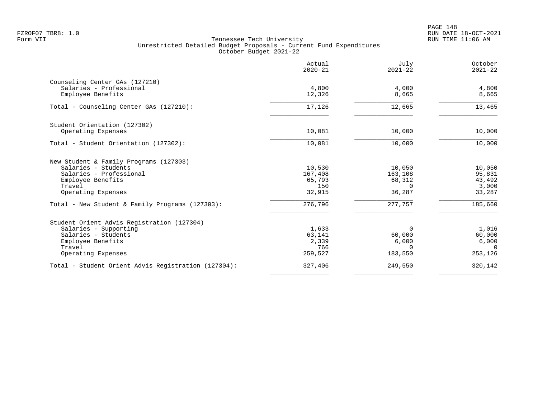|                                                     | Actual<br>$2020 - 21$ | July<br>$2021 - 22$ | October<br>$2021 - 22$ |
|-----------------------------------------------------|-----------------------|---------------------|------------------------|
| Counseling Center GAs (127210)                      |                       |                     |                        |
| Salaries - Professional<br>Employee Benefits        | 4,800<br>12,326       | 4,000<br>8,665      | 4,800<br>8,665         |
| Total - Counseling Center GAs (127210):             | 17,126                | 12,665              | 13,465                 |
| Student Orientation (127302)                        |                       |                     |                        |
| Operating Expenses                                  | 10,081                | 10,000              | 10,000                 |
| Total - Student Orientation (127302):               | 10,081                | 10,000              | 10,000                 |
| New Student & Family Programs (127303)              |                       |                     |                        |
| Salaries - Students                                 | 10,530                | 10,050              | 10,050                 |
| Salaries - Professional<br>Employee Benefits        | 167,408<br>65,793     | 163,108<br>68,312   | 95,831<br>43,492       |
| Travel                                              | 150                   | $\Omega$            | 3,000                  |
| Operating Expenses                                  | 32,915                | 36,287              | 33,287                 |
| Total - New Student & Family Programs (127303):     | 276,796               | 277,757             | 185,660                |
| Student Orient Advis Registration (127304)          |                       |                     |                        |
| Salaries - Supporting                               | 1,633                 | $\Omega$            | 1,016                  |
| Salaries - Students                                 | 63,141                | 60,000              | 60,000                 |
| Employee Benefits<br>Travel                         | 2,339<br>766          | 6,000<br>$\Omega$   | 6,000<br>$\Omega$      |
| Operating Expenses                                  | 259,527               | 183,550             | 253,126                |
| Total - Student Orient Advis Registration (127304): | 327,406               | 249,550             | 320,142                |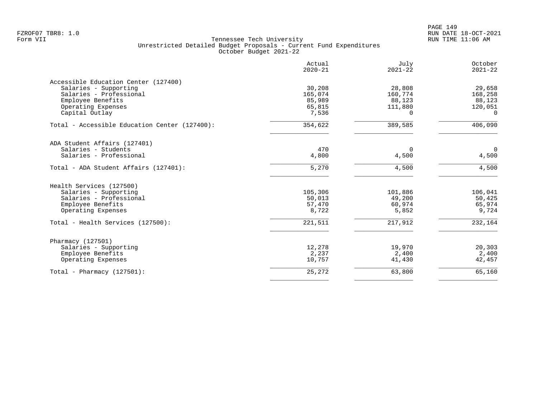| Actual<br>$2020 - 21$ | July<br>$2021 - 22$                                                                    | October<br>$2021 - 22$                                                                                         |
|-----------------------|----------------------------------------------------------------------------------------|----------------------------------------------------------------------------------------------------------------|
|                       |                                                                                        |                                                                                                                |
| 30,208                |                                                                                        | 29,658                                                                                                         |
|                       |                                                                                        | 168,258                                                                                                        |
|                       |                                                                                        | 88,123                                                                                                         |
|                       |                                                                                        | 120,051                                                                                                        |
|                       |                                                                                        | $\Omega$                                                                                                       |
| 354,622               | 389,585                                                                                | 406,090                                                                                                        |
|                       |                                                                                        |                                                                                                                |
| 470                   | $\Omega$                                                                               | $\overline{0}$                                                                                                 |
| 4,800                 | 4,500                                                                                  | 4,500                                                                                                          |
| 5,270                 | 4,500                                                                                  | 4,500                                                                                                          |
|                       |                                                                                        |                                                                                                                |
|                       |                                                                                        | 106,041                                                                                                        |
|                       |                                                                                        | 50,425                                                                                                         |
|                       |                                                                                        | 65,974                                                                                                         |
| 8,722                 | 5,852                                                                                  | 9,724                                                                                                          |
| 221,511               | 217,912                                                                                | 232,164                                                                                                        |
|                       |                                                                                        |                                                                                                                |
|                       |                                                                                        | 20,303                                                                                                         |
|                       |                                                                                        | 2,400                                                                                                          |
| 10,757                | 41,430                                                                                 | 42,457                                                                                                         |
| 25,272                |                                                                                        | 65,160                                                                                                         |
|                       | 165,074<br>85,989<br>65,815<br>7,536<br>105,306<br>50,013<br>57,470<br>12,278<br>2,237 | 28,808<br>160,774<br>88,123<br>111,880<br>$\Omega$<br>101,886<br>49,200<br>60,974<br>19,970<br>2,400<br>63,800 |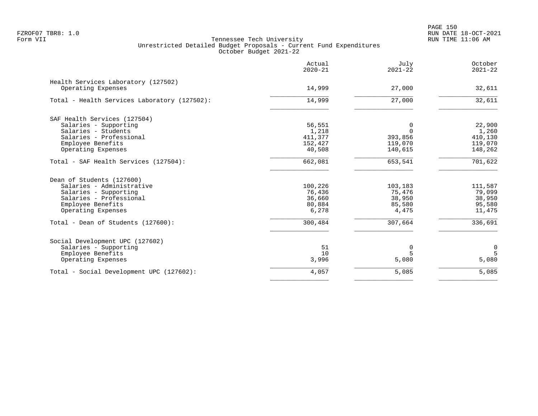PAGE 150 FZROF07 TBR8: 1.0 RUN DATE 18-OCT-2021

|                                                                                                                                                       | Actual<br>$2020 - 21$                          | July<br>$2021 - 22$                            | October<br>$2021 - 22$                          |
|-------------------------------------------------------------------------------------------------------------------------------------------------------|------------------------------------------------|------------------------------------------------|-------------------------------------------------|
| Health Services Laboratory (127502)<br>Operating Expenses                                                                                             | 14,999                                         | 27,000                                         | 32,611                                          |
| Total - Health Services Laboratory (127502):                                                                                                          | 14,999                                         | 27,000                                         | 32,611                                          |
| SAF Health Services (127504)<br>Salaries - Supporting<br>Salaries - Students                                                                          | 56,551<br>1,218                                | 0<br>$\Omega$                                  | 22,900<br>1,260                                 |
| Salaries - Professional<br>Employee Benefits<br>Operating Expenses                                                                                    | 411,377<br>152,427<br>40,508                   | 393,856<br>119,070<br>140,615                  | 410,130<br>119,070<br>148,262                   |
| Total - SAF Health Services (127504):                                                                                                                 | 662,081                                        | 653,541                                        | 701,622                                         |
| Dean of Students (127600)<br>Salaries - Administrative<br>Salaries - Supporting<br>Salaries - Professional<br>Employee Benefits<br>Operating Expenses | 100,226<br>76,436<br>36,660<br>80,884<br>6,278 | 103,183<br>75,476<br>38,950<br>85,580<br>4,475 | 111,587<br>79,099<br>38,950<br>95,580<br>11,475 |
| Total - Dean of Students (127600):                                                                                                                    | 300,484                                        | 307,664                                        | 336,691                                         |
| Social Development UPC (127602)<br>Salaries - Supporting<br>Employee Benefits<br>Operating Expenses                                                   | 51<br>10<br>3,996                              | 0<br>5<br>5,080                                | 0<br>5<br>5,080                                 |
| Total - Social Development UPC (127602):                                                                                                              | 4,057                                          | 5,085                                          | 5,085                                           |
|                                                                                                                                                       |                                                |                                                |                                                 |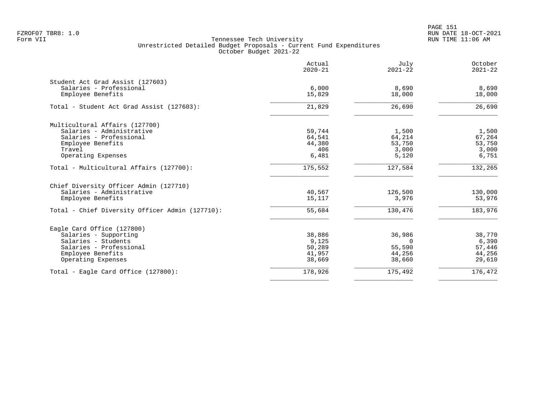|                                                 | Actual<br>$2020 - 21$ | July<br>$2021 - 22$ | October<br>$2021 - 22$ |
|-------------------------------------------------|-----------------------|---------------------|------------------------|
| Student Act Grad Assist (127603)                |                       |                     |                        |
| Salaries - Professional<br>Employee Benefits    | 6,000<br>15,829       | 8,690<br>18,000     | 8,690<br>18,000        |
| Total - Student Act Grad Assist (127603):       | 21,829                | 26,690              | 26,690                 |
| Multicultural Affairs (127700)                  |                       |                     |                        |
| Salaries - Administrative                       | 59,744                | 1,500               | 1,500                  |
| Salaries - Professional                         | 64,541                | 64,214              | 67,264                 |
| Employee Benefits                               | 44,380                | 53,750              | 53,750                 |
| Travel                                          | 406                   | 3,000               | 3,000                  |
| Operating Expenses                              | 6,481                 | 5,120               | 6,751                  |
| Total - Multicultural Affairs (127700):         | 175,552               | 127,584             | 132,265                |
| Chief Diversity Officer Admin (127710)          |                       |                     |                        |
| Salaries - Administrative                       | 40,567                | 126,500             | 130,000                |
| Employee Benefits                               | 15,117                | 3,976               | 53,976                 |
| Total - Chief Diversity Officer Admin (127710): | 55,684                | 130,476             | 183,976                |
| Eagle Card Office (127800)                      |                       |                     |                        |
| Salaries - Supporting                           | 38,886                | 36,986              | 38,770                 |
| Salaries - Students                             | 9,125                 | $\Omega$            | 6,390                  |
| Salaries - Professional                         | 50,289                | 55,590              | 57,446                 |
| Employee Benefits                               | 41,957                | 44,256              | 44,256                 |
| Operating Expenses                              | 38,669                | 38,660              | 29,610                 |
| Total - Eagle Card Office (127800):             | 178,926               | 175,492             | 176,472                |
|                                                 |                       |                     |                        |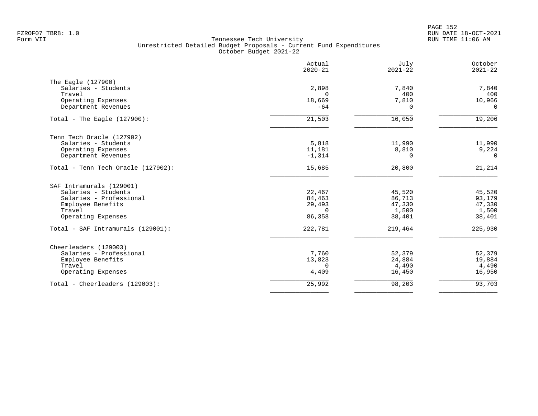|                                    | Actual<br>$2020 - 21$ | July<br>$2021 - 22$ | October<br>$2021 - 22$ |
|------------------------------------|-----------------------|---------------------|------------------------|
| The Eagle (127900)                 |                       |                     |                        |
| Salaries - Students                | 2,898                 | 7,840               | 7,840                  |
| Travel                             | $\Omega$              | 400                 | 400                    |
| Operating Expenses                 | 18,669                | 7,810               | 10,966                 |
| Department Revenues                | $-64$                 | $\Omega$            | $\Omega$               |
| Total - The Eagle $(127900)$ :     | 21,503                | 16,050              | 19,206                 |
| Tenn Tech Oracle (127902)          |                       |                     |                        |
| Salaries - Students                | 5,818                 | 11,990              | 11,990                 |
| Operating Expenses                 | 11,181                | 8,810               | 9,224                  |
| Department Revenues                | $-1,314$              | $\Omega$            | $\Omega$               |
| Total - Tenn Tech Oracle (127902): | 15,685                | 20,800              | 21,214                 |
| SAF Intramurals (129001)           |                       |                     |                        |
| Salaries - Students                | 22,467                | 45,520              | 45,520                 |
| Salaries - Professional            | 84,463                | 86,713              | 93,179                 |
| Employee Benefits                  | 29,493                | 47,330              | 47,330                 |
| Travel                             | $\Omega$              | 1,500               | 1,500                  |
| Operating Expenses                 | 86,358                | 38,401              | 38,401                 |
| Total - SAF Intramurals (129001):  | 222,781               | 219,464             | 225,930                |
| Cheerleaders (129003)              |                       |                     |                        |
| Salaries - Professional            | 7,760                 | 52,379              | 52,379                 |
| Employee Benefits                  | 13,823                | 24,884              | 19,884                 |
| Travel                             | 0                     | 4,490               | 4,490                  |
| Operating Expenses                 | 4,409                 | 16,450              | 16,950                 |
| Total - Cheerleaders (129003):     | 25,992                | 98,203              | 93,703                 |
|                                    |                       |                     |                        |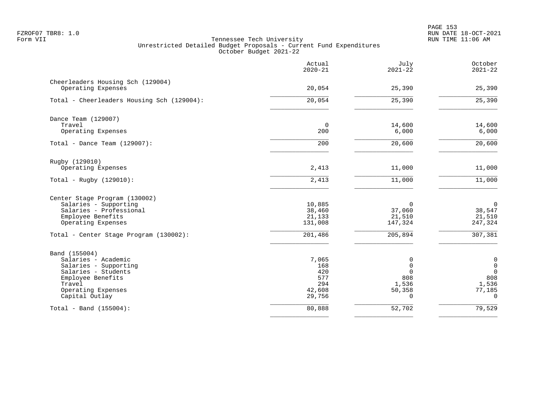PAGE 153 FZROF07 TBR8: 1.0 RUN DATE 18-OCT-2021

|                                              | Actual<br>$2020 - 21$ | July<br>$2021 - 22$ | October<br>$2021 - 22$ |
|----------------------------------------------|-----------------------|---------------------|------------------------|
| Cheerleaders Housing Sch (129004)            |                       |                     |                        |
| Operating Expenses                           | 20,054                | 25,390              | 25,390                 |
| Total - Cheerleaders Housing Sch (129004):   | 20,054                | 25,390              | 25,390                 |
| Dance Team (129007)                          |                       |                     |                        |
| Travel<br>Operating Expenses                 | $\mathbf 0$<br>200    | 14,600<br>6,000     | 14,600<br>6,000        |
| Total - Dance Team $(129007)$ :              | 200                   | 20,600              | 20,600                 |
| Rugby (129010)                               |                       |                     |                        |
| Operating Expenses                           | 2,413                 | 11,000              | 11,000                 |
| Total - Rugby $(129010)$ :                   | 2,413                 | 11,000              | 11,000                 |
| Center Stage Program (130002)                |                       |                     |                        |
| Salaries - Supporting                        | 10,885                | $\mathbf 0$         | $\overline{0}$         |
| Salaries - Professional<br>Employee Benefits | 38,460<br>21,133      | 37,060<br>21,510    | 38,547<br>21,510       |
| Operating Expenses                           | 131,008               | 147,324             | 247,324                |
| Total - Center Stage Program (130002):       | 201,486               | 205,894             | 307,381                |
| Band (155004)                                |                       |                     |                        |
| Salaries - Academic                          | 7,065                 | 0                   | $\mathbf 0$            |
| Salaries - Supporting                        | 168                   | $\mathbf 0$         | $\mathsf 0$            |
| Salaries - Students<br>Employee Benefits     | 420<br>577            | $\mathbf 0$<br>808  | $\mathsf{O}$<br>808    |
| Travel                                       | 294                   | 1,536               | 1,536                  |
| Operating Expenses                           | 42,608                | 50,358              | 77,185                 |
| Capital Outlay                               | 29,756                | $\Omega$            | $\Omega$               |
| Total - Band $(155004)$ :                    | 80,888                | 52,702              | 79,529                 |
|                                              |                       |                     |                        |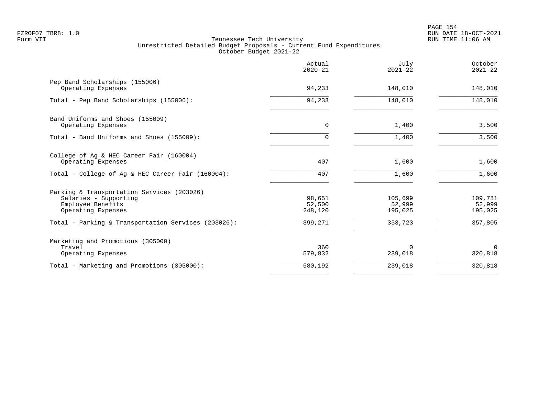| Actual<br>$2020 - 21$       | July<br>$2021 - 22$          | October<br>$2021 - 22$       |
|-----------------------------|------------------------------|------------------------------|
| 94,233                      | 148,010                      | 148,010                      |
| 94,233                      | 148,010                      | 148,010                      |
| $\mathbf 0$                 | 1,400                        | 3,500                        |
| 0                           | 1,400                        | 3,500                        |
| 407                         | 1,600                        | 1,600                        |
| 407                         | 1,600                        | 1,600                        |
| 98,651<br>52,500<br>248,120 | 105,699<br>52,999<br>195,025 | 109,781<br>52,999<br>195,025 |
| 399,271                     | 353,723                      | 357,805                      |
| 360<br>579,832              | $\Omega$<br>239,018          | $\Omega$<br>320,818          |
| 580,192                     | 239,018                      | 320,818                      |
|                             |                              |                              |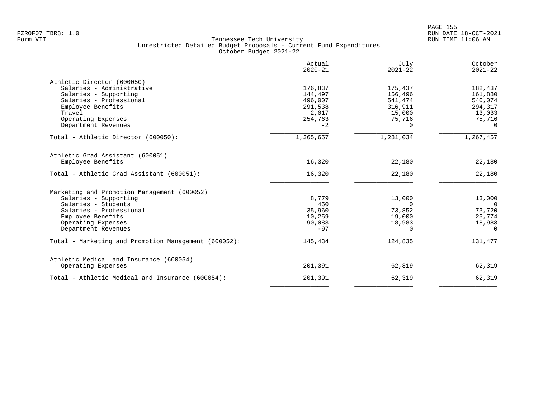|                                                      | Actual<br>$2020 - 21$ | July<br>$2021 - 22$ | October<br>$2021 - 22$ |
|------------------------------------------------------|-----------------------|---------------------|------------------------|
| Athletic Director (600050)                           |                       |                     |                        |
| Salaries - Administrative                            | 176,837               | 175,437             | 182,437                |
| Salaries - Supporting                                | 144,497               | 156,496             | 161,880                |
| Salaries - Professional                              | 496,007               | 541,474             | 540,074                |
| Employee Benefits                                    | 291,538               | 316,911             | 294,317                |
| Travel                                               | 2,017                 | 15,000              | 13,033                 |
| Operating Expenses                                   | 254,763               | 75,716              | 75,716                 |
| Department Revenues                                  | $-2$                  | 0                   | $\Omega$               |
| Total - Athletic Director (600050):                  | 1,365,657             | 1,281,034           | 1,267,457              |
| Athletic Grad Assistant (600051)                     |                       |                     |                        |
| Employee Benefits                                    | 16,320                | 22,180              | 22,180                 |
| Total - Athletic Grad Assistant (600051):            | 16,320                | 22,180              | 22,180                 |
| Marketing and Promotion Management (600052)          |                       |                     |                        |
| Salaries - Supporting                                | 8,779                 | 13,000              | 13,000                 |
| Salaries - Students                                  | 450                   | $\Omega$            | $\overline{0}$         |
| Salaries - Professional                              | 35,960                | 73,852              | 73,720                 |
| Employee Benefits                                    | 10,259                | 19,000              | 25,774                 |
| Operating Expenses                                   | 90,083                | 18,983              | 18,983                 |
| Department Revenues                                  | $-97$                 | $\Omega$            | $\Omega$               |
| Total - Marketing and Promotion Management (600052): | 145,434               | 124,835             | 131,477                |
|                                                      |                       |                     |                        |
| Athletic Medical and Insurance (600054)              |                       |                     |                        |
| Operating Expenses                                   | 201,391               | 62,319              | 62,319                 |
| Total - Athletic Medical and Insurance (600054):     | 201,391               | 62,319              | 62,319                 |
|                                                      |                       |                     |                        |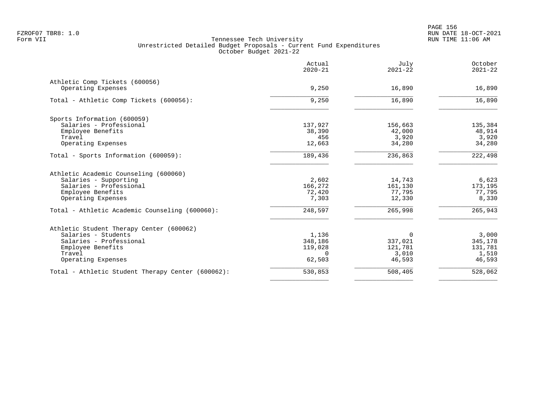|                                                      | Actual<br>$2020 - 21$ | July<br>$2021 - 22$ | October<br>$2021 - 22$ |
|------------------------------------------------------|-----------------------|---------------------|------------------------|
| Athletic Comp Tickets (600056)<br>Operating Expenses | 9,250                 | 16,890              | 16,890                 |
| Total - Athletic Comp Tickets (600056):              | 9,250                 | 16,890              | 16,890                 |
| Sports Information (600059)                          |                       |                     |                        |
| Salaries - Professional                              | 137,927               | 156,663             | 135,384                |
| Employee Benefits                                    | 38,390                | 42,000              | 48,914                 |
| Travel                                               | 456                   | 3,920               | 3,920                  |
| Operating Expenses                                   | 12,663                | 34,280              | 34,280                 |
| Total - Sports Information (600059):                 | 189,436               | 236,863             | 222,498                |
| Athletic Academic Counseling (600060)                |                       |                     |                        |
| Salaries - Supporting                                | 2,602                 | 14,743              | 6,623                  |
| Salaries - Professional                              | 166,272               | 161,130             | 173,195                |
| Employee Benefits                                    | 72,420                | 77,795              | 77,795                 |
| Operating Expenses                                   | 7,303                 | 12,330              | 8,330                  |
| Total - Athletic Academic Counseling (600060):       | 248,597               | 265,998             | 265,943                |
| Athletic Student Therapy Center (600062)             |                       |                     |                        |
| Salaries - Students                                  | 1,136                 | $\Omega$            | 3,000                  |
| Salaries - Professional                              | 348,186               | 337,021             | 345,178                |
| Employee Benefits                                    | 119,028               | 121,781             | 131,781                |
| Travel                                               | $\Omega$              | 3,010               | 1,510                  |
| Operating Expenses                                   | 62,503                | 46,593              | 46,593                 |
| Total - Athletic Student Therapy Center (600062):    | 530,853               | 508,405             | 528,062                |
|                                                      |                       |                     |                        |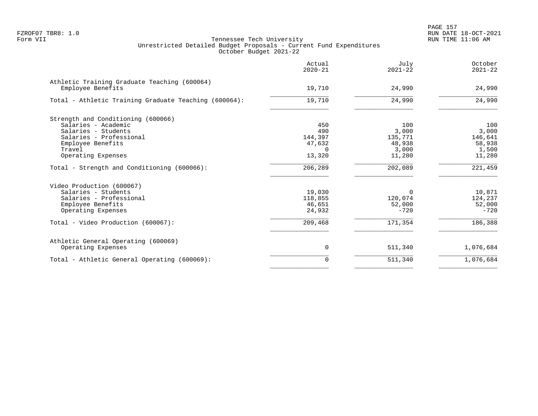PAGE 157 FZROF07 TBR8: 1.0 RUN DATE 18-OCT-2021

| Actual<br>$2020 - 21$ | July<br>$2021 - 22$                                            | October<br>$2021 - 22$                                        |
|-----------------------|----------------------------------------------------------------|---------------------------------------------------------------|
| 19,710                | 24,990                                                         | 24,990                                                        |
| 19,710                | 24,990                                                         | 24,990                                                        |
|                       |                                                                |                                                               |
|                       | 100                                                            | 100                                                           |
|                       |                                                                | 3,000                                                         |
|                       |                                                                | 146,641                                                       |
|                       |                                                                | 58,938                                                        |
| $\Omega$              |                                                                | 1,500                                                         |
| 13,320                | 11,280                                                         | 11,280                                                        |
| 206,289               | 202,089                                                        | 221,459                                                       |
|                       |                                                                |                                                               |
|                       |                                                                | 10,871                                                        |
|                       |                                                                | 124,237                                                       |
|                       |                                                                | 52,000                                                        |
| 24,932                | $-720$                                                         | $-720$                                                        |
| 209,468               | 171,354                                                        | 186,388                                                       |
|                       |                                                                |                                                               |
| $\mathbf 0$           | 511,340                                                        | 1,076,684                                                     |
| $\Omega$              | 511,340                                                        | 1,076,684                                                     |
|                       | 450<br>490<br>144,397<br>47,632<br>19,030<br>118,855<br>46,651 | 3,000<br>135,771<br>48,938<br>3,000<br>0<br>120,074<br>52,000 |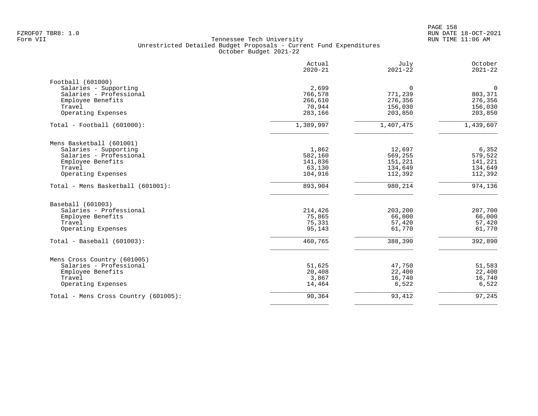|                                      | Actual<br>$2020 - 21$ | July<br>$2021 - 22$ | October<br>$2021 - 22$ |
|--------------------------------------|-----------------------|---------------------|------------------------|
| Football (601000)                    |                       |                     |                        |
| Salaries - Supporting                | 2,699                 | $\Omega$            | $\overline{0}$         |
| Salaries - Professional              | 766,578               | 771,239             | 803,371                |
| Employee Benefits                    | 266,610               | 276,356             | 276,356                |
| Travel                               | 70,944                | 156,030             | 156,030                |
| Operating Expenses                   | 283,166               | 203,850             | 203,850                |
| $Total - Football (601000):$         | 1,389,997             | 1,407,475           | 1,439,607              |
| Mens Basketball (601001)             |                       |                     |                        |
| Salaries - Supporting                | 1,862                 | 12,697              | 6,352                  |
| Salaries - Professional              | 582,160               | 569,255             | 579,522                |
| Employee Benefits                    | 141,836               | 151,221             | 141,221                |
| Travel                               | 63,130                | 134,649             | 134,649                |
| Operating Expenses                   | 104,916               | 112,392             | 112,392                |
| Total - Mens Basketball (601001):    | 893,904               | 980,214             | 974,136                |
| Baseball (601003)                    |                       |                     |                        |
| Salaries - Professional              | 214,426               | 203,200             | 207,700                |
| Employee Benefits                    | 75,865                | 66,000              | 66,000                 |
| Travel                               | 75,331                | 57,420              | 57,420                 |
| Operating Expenses                   | 95,143                | 61,770              | 61,770                 |
| $Total - Baseball (601003):$         | 460,765               | 388,390             | 392,890                |
| Mens Cross Country (601005)          |                       |                     |                        |
| Salaries - Professional              | 51,625                | 47,750              | 51,583                 |
| Employee Benefits                    | 20,408                | 22,400              | 22,400                 |
| Travel                               | 3,867                 | 16,740              | 16,740                 |
| Operating Expenses                   | 14,464                | 6,522               | 6,522                  |
| Total - Mens Cross Country (601005): | 90,364                | 93,412              | 97,245                 |
|                                      |                       |                     |                        |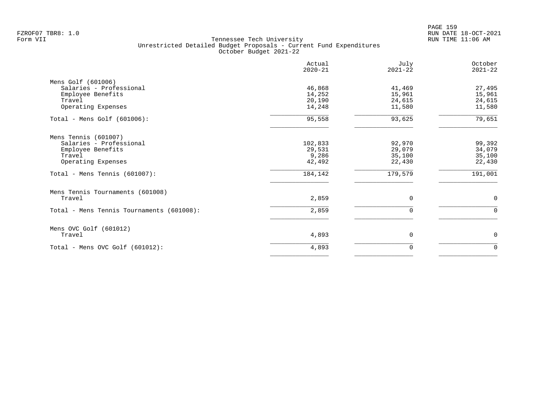PAGE 159 FZROF07 TBR8: 1.0 RUN DATE 18-OCT-2021

|                                           | Actual<br>$2020 - 21$ | July<br>$2021 - 22$ | October<br>$2021 - 22$ |
|-------------------------------------------|-----------------------|---------------------|------------------------|
| Mens Golf (601006)                        |                       |                     |                        |
| Salaries - Professional                   | 46,868                | 41,469              | 27,495                 |
| Employee Benefits                         | 14,252                | 15,961              | 15,961                 |
| Travel                                    | 20,190                | 24,615              | 24,615                 |
| Operating Expenses                        | 14,248                | 11,580              | 11,580                 |
| Total - Mens Golf $(601006)$ :            | 95,558                | 93,625              | 79,651                 |
| Mens Tennis (601007)                      |                       |                     |                        |
| Salaries - Professional                   | 102,833               | 92,970              | 99,392                 |
| Employee Benefits                         | 29,531                | 29,079              | 34,079                 |
| Travel                                    | 9,286                 | 35,100              | 35,100                 |
| Operating Expenses                        | 42,492                | 22,430              | 22,430                 |
| Total - Mens Tennis (601007):             | 184,142               | 179,579             | 191,001                |
| Mens Tennis Tournaments (601008)          |                       |                     |                        |
| Travel                                    | 2,859                 | $\mathbf 0$         | $\mathbf 0$            |
| Total - Mens Tennis Tournaments (601008): | 2,859                 | $\Omega$            | $\mathbf 0$            |
| Mens OVC Golf (601012)                    |                       |                     |                        |
| Travel                                    | 4,893                 | $\mathbf 0$         | 0                      |
| Total - Mens OVC Golf $(601012)$ :        | 4,893                 | 0                   | $\Omega$               |
|                                           |                       |                     |                        |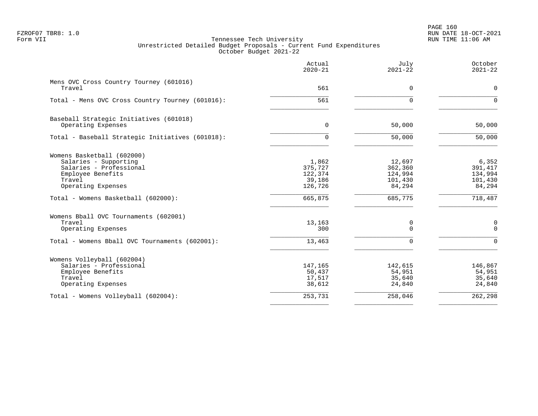PAGE 160 FZROF07 TBR8: 1.0 RUN DATE 18-OCT-2021

|                                                               | Actual<br>$2020 - 21$ | July<br>$2021 - 22$ | October<br>$2021 - 22$ |
|---------------------------------------------------------------|-----------------------|---------------------|------------------------|
| Mens OVC Cross Country Tourney (601016)<br>Travel             | 561                   | 0                   | $\mathbf 0$            |
| Total - Mens OVC Cross Country Tourney (601016):              | 561                   | $\Omega$            | $\Omega$               |
|                                                               |                       |                     |                        |
| Baseball Strategic Initiatives (601018)<br>Operating Expenses | $\mathbf{0}$          | 50,000              | 50,000                 |
|                                                               |                       |                     |                        |
| Total - Baseball Strategic Initiatives (601018):              | 0                     | 50,000              | 50,000                 |
| Womens Basketball (602000)                                    |                       |                     |                        |
| Salaries - Supporting                                         | 1,862                 | 12,697              | 6,352                  |
| Salaries - Professional                                       | 375,727               | 362,360             | 391,417                |
| Employee Benefits                                             | 122,374               | 124,994             | 134,994                |
| Travel                                                        | 39,186                | 101,430             | 101,430                |
| Operating Expenses                                            | 126,726               | 84,294              | 84,294                 |
| Total - Womens Basketball (602000):                           | 665,875               | 685,775             | 718,487                |
| Womens Bball OVC Tournaments (602001)                         |                       |                     |                        |
| Travel                                                        | 13,163                | 0                   | $\mathbf 0$            |
| Operating Expenses                                            | 300                   | $\Omega$            | $\Omega$               |
| Total - Womens Bball OVC Tournaments (602001):                | 13,463                | $\Omega$            | $\Omega$               |
| Womens Volleyball (602004)                                    |                       |                     |                        |
| Salaries - Professional                                       | 147,165               | 142,615             | 146,867                |
| Employee Benefits                                             | 50,437                | 54,951              | 54,951                 |
| Travel                                                        | 17,517                | 35,640              | 35,640                 |
| Operating Expenses                                            | 38,612                | 24,840              | 24,840                 |
| Total - Womens Volleyball (602004):                           | 253,731               | 258,046             | 262,298                |
|                                                               |                       |                     |                        |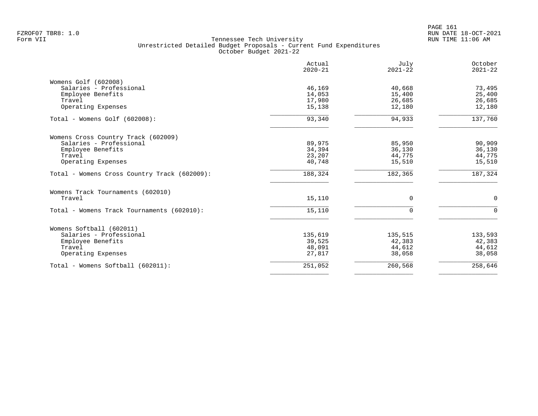|                                              | Actual<br>$2020 - 21$ | July<br>$2021 - 22$ | October<br>$2021 - 22$ |
|----------------------------------------------|-----------------------|---------------------|------------------------|
| Womens Golf (602008)                         |                       |                     |                        |
| Salaries - Professional                      | 46,169                | 40,668              | 73,495                 |
| Employee Benefits                            | 14,053                | 15,400              | 25,400                 |
| Travel                                       | 17,980                | 26,685              | 26,685                 |
| Operating Expenses                           | 15,138                | 12,180              | 12,180                 |
| Total - Womens Golf (602008):                | 93,340                | 94,933              | 137,760                |
| Womens Cross Country Track (602009)          |                       |                     |                        |
| Salaries - Professional                      | 89,975                | 85,950              | 90,909                 |
| Employee Benefits                            | 34,394                | 36,130              | 36,130                 |
| Travel                                       | 23,207                | 44,775              | 44,775                 |
| Operating Expenses                           | 40,748                | 15,510              | 15,510                 |
| Total - Womens Cross Country Track (602009): | 188,324               | 182,365             | 187,324                |
| Womens Track Tournaments (602010)            |                       |                     |                        |
| Travel                                       | 15,110                | 0                   | $\mathbf 0$            |
| Total - Womens Track Tournaments (602010):   | 15,110                | $\Omega$            | $\Omega$               |
| Womens Softball (602011)                     |                       |                     |                        |
| Salaries - Professional                      | 135,619               | 135,515             | 133,593                |
| Employee Benefits                            | 39,525                | 42,383              | 42,383                 |
| Travel                                       | 48,091                | 44,612              | 44,612                 |
| Operating Expenses                           | 27,817                | 38,058              | 38,058                 |
| Total - Womens Softball (602011):            | 251,052               | 260,568             | 258,646                |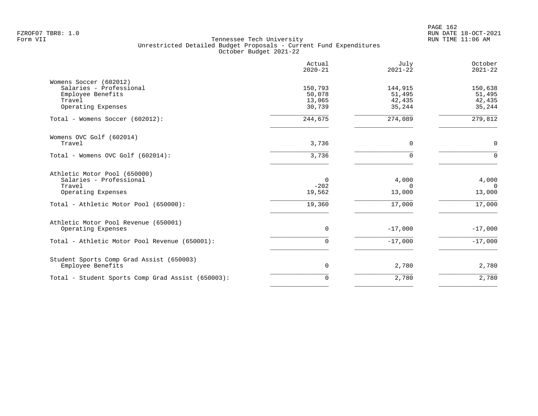|                                                                                                        | Actual<br>$2020 - 21$                 | July<br>$2021 - 22$                   | October<br>$2021 - 22$                |
|--------------------------------------------------------------------------------------------------------|---------------------------------------|---------------------------------------|---------------------------------------|
| Womens Soccer (602012)<br>Salaries - Professional<br>Employee Benefits<br>Travel<br>Operating Expenses | 150,793<br>50,078<br>13,065<br>30,739 | 144,915<br>51,495<br>42,435<br>35,244 | 150,638<br>51,495<br>42,435<br>35,244 |
| Total - Womens Soccer (602012):                                                                        | 244,675                               | 274,089                               | 279,812                               |
| Womens OVC Golf (602014)<br>Travel                                                                     | 3,736                                 | 0                                     | $\mathbf 0$                           |
| Total - Womens OVC Golf (602014):                                                                      | 3,736                                 | $\Omega$                              | $\Omega$                              |
| Athletic Motor Pool (650000)<br>Salaries - Professional<br>Travel<br>Operating Expenses                | 0<br>$-202$<br>19,562                 | 4,000<br>$\Omega$<br>13,000           | 4,000<br>$\Omega$<br>13,000           |
| Total - Athletic Motor Pool (650000):                                                                  | 19,360                                | 17,000                                | 17,000                                |
| Athletic Motor Pool Revenue (650001)<br>Operating Expenses                                             | $\mathbf 0$                           | $-17,000$                             | $-17,000$                             |
| Total - Athletic Motor Pool Revenue (650001):                                                          | $\mathbf 0$                           | $-17,000$                             | $-17,000$                             |
| Student Sports Comp Grad Assist (650003)<br>Employee Benefits                                          | $\mathbf 0$                           | 2,780                                 | 2,780                                 |
| Total - Student Sports Comp Grad Assist (650003):                                                      | $\mathbf 0$                           | 2,780                                 | 2,780                                 |
|                                                                                                        |                                       |                                       |                                       |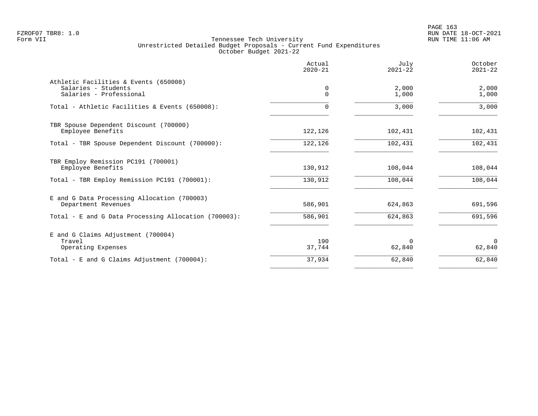|                                                              | Actual<br>$2020 - 21$ | July<br>$2021 - 22$ | October<br>$2021 - 22$ |
|--------------------------------------------------------------|-----------------------|---------------------|------------------------|
| Athletic Facilities & Events (650008)<br>Salaries - Students | 0                     | 2,000               | 2,000                  |
| Salaries - Professional                                      | $\Omega$              | 1,000               | 1,000                  |
| Total - Athletic Facilities & Events (650008):               | 0                     | 3,000               | 3,000                  |
| TBR Spouse Dependent Discount (700000)                       |                       |                     |                        |
| Employee Benefits                                            | 122,126               | 102,431             | 102,431                |
| Total - TBR Spouse Dependent Discount (700000):              | 122,126               | 102,431             | 102,431                |
| TBR Employ Remission PC191 (700001)                          |                       |                     |                        |
| Employee Benefits                                            | 130,912               | 108,044             | 108,044                |
| Total - TBR Employ Remission PC191 (700001):                 | 130,912               | 108,044             | 108,044                |
| E and G Data Processing Allocation (700003)                  |                       |                     |                        |
| Department Revenues                                          | 586,901               | 624,863             | 691,596                |
| Total - E and G Data Processing Allocation (700003):         | 586,901               | 624,863             | 691,596                |
| E and G Claims Adjustment (700004)                           |                       |                     |                        |
| Travel                                                       | 190                   | $\Omega$            | $\Omega$               |
| Operating Expenses                                           | 37,744                | 62,840              | 62,840                 |
| Total - E and G Claims Adjustment $(700004)$ :               | 37,934                | 62,840              | 62,840                 |
|                                                              |                       |                     |                        |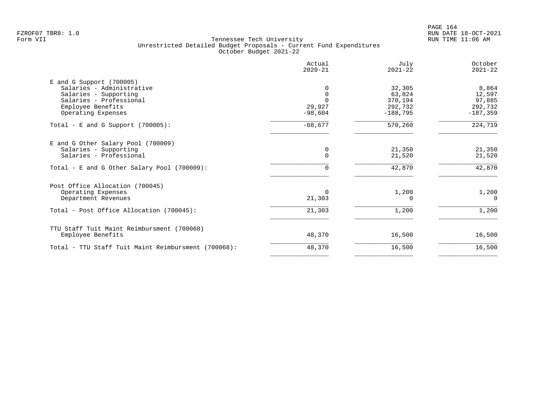PAGE 164 FZROF07 TBR8: 1.0 RUN DATE 18-OCT-2021

|                                                                                                                                                        | Actual<br>$2020 - 21$ | July<br>$2021 - 22$                                  | October<br>$2021 - 22$                             |
|--------------------------------------------------------------------------------------------------------------------------------------------------------|-----------------------|------------------------------------------------------|----------------------------------------------------|
| $E$ and G Support (700005)<br>Salaries - Administrative<br>Salaries - Supporting<br>Salaries - Professional<br>Employee Benefits<br>Operating Expenses | 29,927<br>$-98,604$   | 32,305<br>63,824<br>370,194<br>292,732<br>$-188,795$ | 8,864<br>12,597<br>97,885<br>292,732<br>$-187,359$ |
| Total - E and G Support $(700005)$ :                                                                                                                   | $-68,677$             | 570,260                                              | 224,719                                            |
| E and G Other Salary Pool (700009)<br>Salaries - Supporting<br>Salaries - Professional                                                                 | 0<br>$\Omega$         | 21,350<br>21,520                                     | 21,350<br>21,520                                   |
| Total - E and G Other Salary Pool (700009):                                                                                                            |                       | 42,870                                               | 42,870                                             |
| Post Office Allocation (700045)<br>Operating Expenses<br>Department Revenues                                                                           | $\Omega$<br>21,303    | 1,200                                                | 1,200<br>$\Omega$                                  |
| Total - Post Office Allocation (700045):                                                                                                               | 21,303                | 1,200                                                | 1,200                                              |
| TTU Staff Tuit Maint Reimbursment (700068)<br>Employee Benefits                                                                                        | 48,370                | 16,500                                               | 16,500                                             |
| Total - TTU Staff Tuit Maint Reimbursment (700068):                                                                                                    | 48,370                | 16,500                                               | 16,500                                             |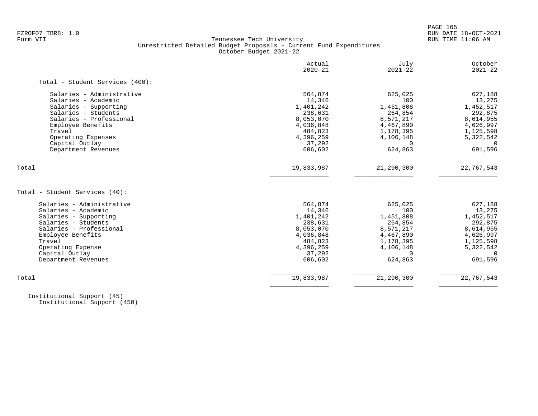PAGE 165

# FZROF07 TBR8: 1.0 RUN DATE 18-OCT-2021 Tennessee Tech University Unrestricted Detailed Budget Proposals - Current Fund Expenditures October Budget 2021-22

| Actual<br>$2020 - 21$ | July<br>$2021 - 22$   | October<br>$2021 - 22$ |
|-----------------------|-----------------------|------------------------|
|                       |                       |                        |
| 564,874               | 625,025               | 627,188                |
| 14,346                | 100                   | 13,275                 |
| 1,401,242             | 1,451,808             | 1,452,517              |
| 238,631               | 264,854               | 292,875                |
| 8,053,070             | 8,571,217             | 8,614,955              |
| 4,036,848             | 4,467,890             | 4,626,997              |
| 484,823               | 1,178,395             | 1,125,598              |
| 4,396,259             | 4,106,148             | 5,322,542              |
| 37,292                |                       |                        |
|                       |                       | 691,596                |
|                       |                       | 22,767,543             |
|                       |                       |                        |
| 564,874               | 625,025               | 627,188                |
| 14,346                | 100                   | 13,275                 |
| 1,401,242             | 1,451,808             | 1,452,517              |
| 238,631               | 264,854               | 292,875                |
| 8,053,070             | 8,571,217             | 8,614,955              |
| 4,036,848             | 4,467,890             | 4,626,997              |
| 484,823               | 1,178,395             | 1,125,598              |
| 4,396,259             | 4,106,148             | 5,322,542              |
| 37,292                | $\Omega$              | $\Omega$               |
| 606,602               | 624,863               | 691,596                |
| 19,833,987            | 21,290,300            | 22,767,543             |
|                       | 606,602<br>19,833,987 | 624,863<br>21,290,300  |

 Institutional Support (45) Institutional Support (450)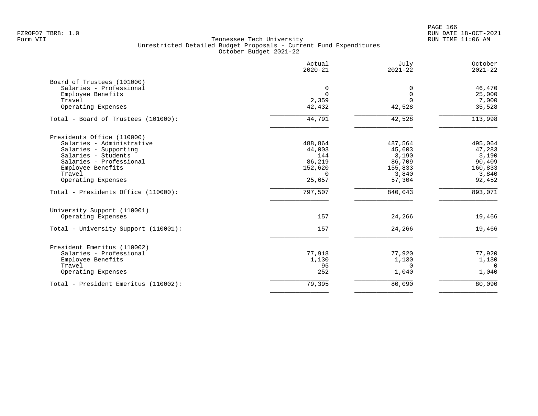PAGE 166 FZROF07 TBR8: 1.0 RUN DATE 18-OCT-2021

|                                      | Actual<br>$2020 - 21$ | July<br>$2021 - 22$ | October<br>$2021 - 22$ |
|--------------------------------------|-----------------------|---------------------|------------------------|
| Board of Trustees (101000)           |                       |                     |                        |
| Salaries - Professional              | 0                     | 0                   | 46,470                 |
| Employee Benefits                    | $\Omega$              | $\Omega$            | 25,000                 |
| Travel                               | 2,359                 | $\Omega$            | 7,000                  |
| Operating Expenses                   | 42,432                | 42,528              | 35,528                 |
| Total - Board of Trustees (101000):  | 44,791                | 42,528              | 113,998                |
| Presidents Office (110000)           |                       |                     |                        |
| Salaries - Administrative            | 488,864               | 487,564             | 495,064                |
| Salaries - Supporting                | 44,003                | 45,603              | 47,283                 |
| Salaries - Students                  | 144                   | 3,190               | 3,190                  |
| Salaries - Professional              | 86,219                | 86,709              | 90,409                 |
| Employee Benefits                    | 152,620               | 155,833             | 160,833                |
| Travel                               | $\Omega$              | 3,840               | 3,840                  |
| Operating Expenses                   | 25,657                | 57,304              | 92,452                 |
| Total - Presidents Office (110000):  | 797,507               | 840,043             | 893,071                |
| University Support (110001)          |                       |                     |                        |
| Operating Expenses                   | 157                   | 24,266              | 19,466                 |
| Total - University Support (110001): | 157                   | 24,266              | 19,466                 |
| President Emeritus (110002)          |                       |                     |                        |
| Salaries - Professional              | 77,918                | 77,920              | 77,920                 |
| Employee Benefits                    | 1,130                 | 1,130               | 1,130                  |
| Travel                               | 95                    | 0                   | $\overline{0}$         |
| Operating Expenses                   | 252                   | 1,040               | 1,040                  |
| Total - President Emeritus (110002): | 79,395                | 80,090              | 80,090                 |
|                                      |                       |                     |                        |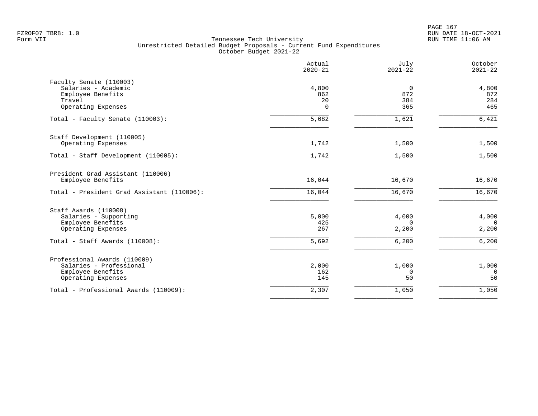PAGE 167 FZROF07 TBR8: 1.0 RUN DATE 18-OCT-2021

|                                                                                                                             | Actual<br>$2020 - 21$          | July<br>$2021 - 22$                 | October<br>$2021 - 22$              |
|-----------------------------------------------------------------------------------------------------------------------------|--------------------------------|-------------------------------------|-------------------------------------|
| Faculty Senate (110003)<br>Salaries - Academic<br>Employee Benefits<br>Travel<br>Operating Expenses                         | 4,800<br>862<br>20<br>$\Omega$ | $\overline{0}$<br>872<br>384<br>365 | 4,800<br>872<br>284<br>465          |
| Total - Faculty Senate (110003):                                                                                            | 5,682                          | 1,621                               | 6,421                               |
| Staff Development (110005)<br>Operating Expenses                                                                            | 1,742                          | 1,500                               | 1,500                               |
| Total - Staff Development (110005):                                                                                         | 1,742                          | 1,500                               | 1,500                               |
| President Grad Assistant (110006)<br>Employee Benefits                                                                      | 16,044                         | 16,670                              | 16,670                              |
| Total - President Grad Assistant (110006):                                                                                  | 16,044                         | 16,670                              | 16,670                              |
| Staff Awards (110008)<br>Salaries - Supporting<br>Employee Benefits<br>Operating Expenses<br>Total - Staff Awards (110008): | 5,000<br>425<br>267<br>5,692   | 4,000<br>$\Omega$<br>2,200<br>6,200 | 4,000<br>$\Omega$<br>2,200<br>6,200 |
| Professional Awards (110009)<br>Salaries - Professional<br>Employee Benefits<br>Operating Expenses                          | 2,000<br>162<br>145            | 1,000<br>0<br>50                    | 1,000<br>$\overline{0}$<br>50       |
| Total - Professional Awards (110009):                                                                                       | 2,307                          | 1,050                               | 1,050                               |
|                                                                                                                             |                                |                                     |                                     |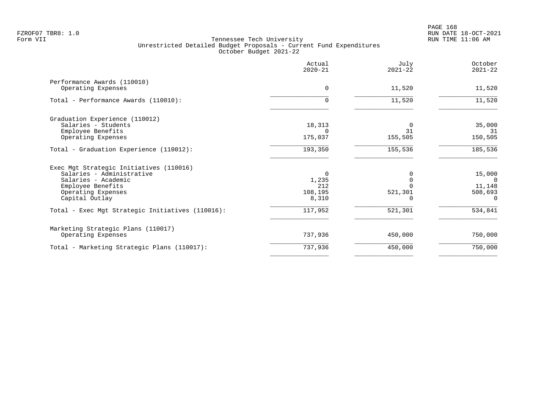|                                                       | Actual<br>$2020 - 21$ | July<br>$2021 - 22$ | October<br>$2021 - 22$ |
|-------------------------------------------------------|-----------------------|---------------------|------------------------|
| Performance Awards (110010)<br>Operating Expenses     | $\Omega$              | 11,520              | 11,520                 |
| Total - Performance Awards (110010):                  | 0                     | 11,520              | 11,520                 |
| Graduation Experience (110012)<br>Salaries - Students | 18,313                | 31                  | 35,000                 |
| Employee Benefits<br>Operating Expenses               | 175,037               | 155,505             | 31<br>150,505          |
| Total - Graduation Experience (110012):               | 193,350               | 155,536             | 185,536                |
| Exec Mgt Strategic Initiatives (110016)               |                       |                     |                        |
| Salaries - Administrative                             | $\Omega$              |                     | 15,000                 |
| Salaries - Academic<br>Employee Benefits              | 1,235<br>212          |                     | $\Omega$<br>11,148     |
| Operating Expenses                                    | 108,195               | 521,301             | 508,693                |
| Capital Outlay                                        | 8,310                 |                     | $\Omega$               |
| Total - Exec Mgt Strategic Initiatives (110016):      | 117,952               | 521,301             | 534,841                |
| Marketing Strategic Plans (110017)                    |                       |                     |                        |
| Operating Expenses                                    | 737,936               | 450,000             | 750,000                |
| Total - Marketing Strategic Plans (110017):           | 737,936               | 450,000             | 750,000                |
|                                                       |                       |                     |                        |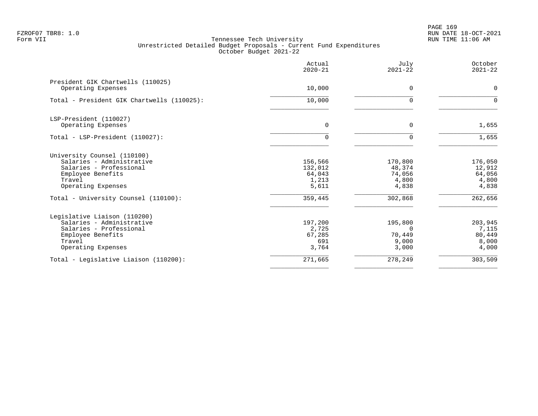PAGE 169 FZROF07 TBR8: 1.0 RUN DATE 18-OCT-2021

|                                                                                                                                           | Actual<br>$2020 - 21$                          | July<br>$2021 - 22$                             | October<br>$2021 - 22$                        |
|-------------------------------------------------------------------------------------------------------------------------------------------|------------------------------------------------|-------------------------------------------------|-----------------------------------------------|
| President GIK Chartwells (110025)<br>Operating Expenses                                                                                   | 10,000                                         | 0                                               | $\mathbf 0$                                   |
| Total - President GIK Chartwells (110025):                                                                                                | 10,000                                         | U                                               | $\Omega$                                      |
| LSP-President (110027)<br>Operating Expenses                                                                                              | 0                                              | 0                                               | 1,655                                         |
| Total - LSP-President (110027):                                                                                                           | $\Omega$                                       | $\Omega$                                        | 1,655                                         |
| University Counsel (110100)<br>Salaries - Administrative<br>Salaries - Professional<br>Employee Benefits<br>Travel<br>Operating Expenses  | 156,566<br>132,012<br>64,043<br>1,213<br>5,611 | 170,800<br>48,374<br>74,056<br>4,800<br>4,838   | 176,050<br>12,912<br>64,056<br>4,800<br>4,838 |
| Total - University Counsel (110100):                                                                                                      | 359,445                                        | 302,868                                         | 262,656                                       |
| Legislative Liaison (110200)<br>Salaries - Administrative<br>Salaries - Professional<br>Employee Benefits<br>Travel<br>Operating Expenses | 197,200<br>2,725<br>67,285<br>691<br>3,764     | 195,800<br>$\Omega$<br>70,449<br>9,000<br>3,000 | 203,945<br>7,115<br>80,449<br>8,000<br>4,000  |
| Total - Legislative Liaison (110200):                                                                                                     | 271,665                                        | 278,249                                         | 303,509                                       |
|                                                                                                                                           |                                                |                                                 |                                               |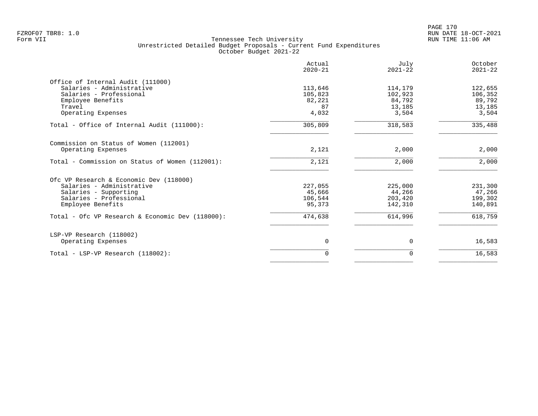|                                                  | Actual<br>$2020 - 21$ | July<br>$2021 - 22$ | October<br>$2021 - 22$ |
|--------------------------------------------------|-----------------------|---------------------|------------------------|
| Office of Internal Audit (111000)                |                       |                     |                        |
| Salaries - Administrative                        | 113,646               | 114,179             | 122,655                |
| Salaries - Professional                          | 105,823               | 102,923             | 106,352                |
| Employee Benefits                                | 82,221                | 84,792              | 89,792                 |
| Travel                                           | 87                    | 13,185              | 13,185                 |
| Operating Expenses                               | 4,032                 | 3,504               | 3,504                  |
| Total - Office of Internal Audit (111000):       | 305,809               | 318,583             | 335,488                |
| Commission on Status of Women (112001)           |                       |                     |                        |
| Operating Expenses                               | 2,121                 | 2,000               | 2,000                  |
| Total - Commission on Status of Women (112001):  | 2,121                 | 2,000               | 2,000                  |
| Ofc VP Research & Economic Dev (118000)          |                       |                     |                        |
| Salaries - Administrative                        | 227,055               | 225,000             | 231,300                |
| Salaries - Supporting                            | 45,666                | 44,266              | 47,266                 |
| Salaries - Professional                          | 106,544               | 203,420             | 199,302                |
| Employee Benefits                                | 95,373                | 142,310             | 140,891                |
| Total - Ofc VP Research & Economic Dev (118000): | 474,638               | 614,996             | 618,759                |
| LSP-VP Research (118002)                         |                       |                     |                        |
| Operating Expenses                               | $\mathbf 0$           | 0                   | 16,583                 |
| Total - LSP-VP Research (118002):                | $\Omega$              | $\Omega$            | 16,583                 |
|                                                  |                       |                     |                        |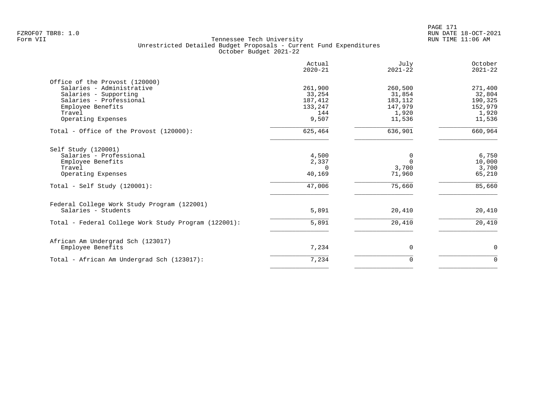|                                                      | Actual<br>$2020 - 21$ | July<br>$2021 - 22$ | October<br>$2021 - 22$ |
|------------------------------------------------------|-----------------------|---------------------|------------------------|
| Office of the Provost (120000)                       |                       |                     |                        |
| Salaries - Administrative                            | 261,900               | 260,500             | 271,400                |
| Salaries - Supporting                                | 33,254                | 31,854              | 32,804                 |
| Salaries - Professional                              | 187,412               | 183,112             | 190,325                |
| Employee Benefits                                    | 133,247               | 147,979             | 152,979                |
| Travel                                               | 144                   | 1,920               | 1,920                  |
| Operating Expenses                                   | 9,507                 | 11,536              | 11,536                 |
| Total - Office of the Provost (120000):              | 625,464               | 636,901             | 660,964                |
| Self Study (120001)                                  |                       |                     |                        |
| Salaries - Professional                              | 4,500                 | 0                   | 6,750                  |
| Employee Benefits                                    | 2,337                 | $\Omega$            | 10,000                 |
| Travel                                               | $\Omega$              | 3,700               | 3,700                  |
| Operating Expenses                                   | 40,169                | 71,960              | 65,210                 |
| Total - Self Study $(120001)$ :                      | 47,006                | 75,660              | 85,660                 |
| Federal College Work Study Program (122001)          |                       |                     |                        |
| Salaries - Students                                  | 5,891                 | 20,410              | 20,410                 |
| Total - Federal College Work Study Program (122001): | 5,891                 | 20,410              | 20,410                 |
| African Am Undergrad Sch (123017)                    |                       |                     |                        |
| Employee Benefits                                    | 7,234                 | $\Omega$            | $\mathbf 0$            |
| Total - African Am Undergrad Sch (123017):           | 7,234                 | 0                   | $\mathbf 0$            |
|                                                      |                       |                     |                        |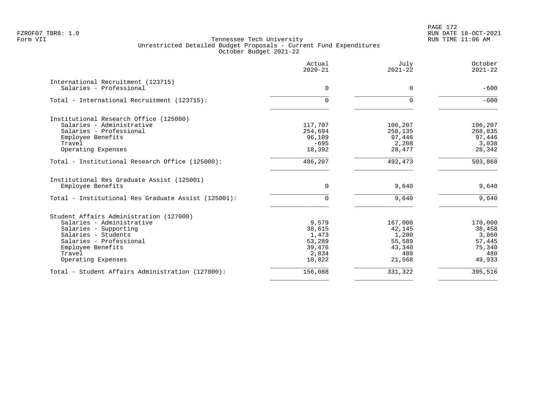# PAGE 172 FZROF07 TBR8: 1.0 RUN DATE 18-OCT-2021

|                                                     | Actual<br>$2020 - 21$ | July<br>$2021 - 22$ | October<br>$2021 - 22$ |
|-----------------------------------------------------|-----------------------|---------------------|------------------------|
| International Recruitment (123715)                  |                       |                     |                        |
| Salaries - Professional                             | $\mathbf 0$           | 0                   | $-600$                 |
| Total - International Recruitment (123715):         | $\Omega$              | $\Omega$            | $-600$                 |
| Institutional Research Office (125000)              |                       |                     |                        |
| Salaries - Administrative                           | 117,707               | 106,207             | 106,207                |
| Salaries - Professional                             | 254,694               | 258,135             | 268,835                |
| Employee Benefits                                   | 96,109                | 97,446              | 97,446                 |
| Travel                                              | $-695$                | 2,208               | 3,038                  |
| Operating Expenses                                  | 18,392                | 28,477              | 28,342                 |
| Total - Institutional Research Office (125000):     | 486,207               | 492,473             | 503,868                |
| Institutional Res Graduate Assist (125001)          |                       |                     |                        |
| Employee Benefits                                   | 0                     | 9,640               | 9,640                  |
| Total - Institutional Res Graduate Assist (125001): | $\Omega$              | 9,640               | 9,640                  |
| Student Affairs Administration (127000)             |                       |                     |                        |
| Salaries - Administrative                           | 9,579                 | 167,000             | 170,000                |
| Salaries - Supporting                               | 38,615                | 42,145              | 38,458                 |
| Salaries - Students                                 | 1,473                 | 1,200               | 3,860                  |
| Salaries - Professional                             | 53,289                | 55,589              | 57,445                 |
| Employee Benefits                                   | 39,476                | 43,340              | 75,340                 |
| Travel                                              | 2,834                 | 480                 | 480                    |
| Operating Expenses                                  | 10,822                | 21,568              | 49,933                 |
| Total - Student Affairs Administration (127000):    | 156,088               | 331,322             | 395,516                |
|                                                     |                       |                     |                        |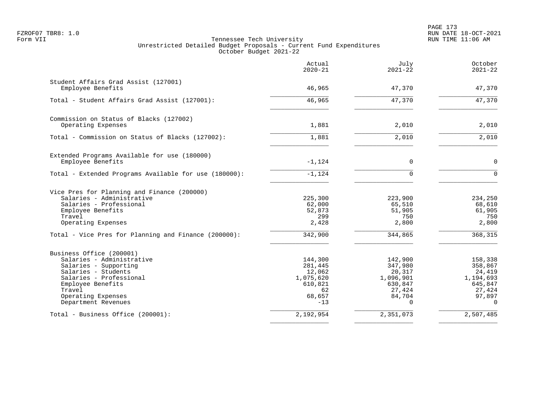|                                                       | Actual<br>$2020 - 21$ | July<br>$2021 - 22$ | October<br>$2021 - 22$ |
|-------------------------------------------------------|-----------------------|---------------------|------------------------|
| Student Affairs Grad Assist (127001)                  |                       |                     |                        |
| Employee Benefits                                     | 46,965                | 47,370              | 47,370                 |
| Total - Student Affairs Grad Assist (127001):         | 46,965                | 47,370              | 47,370                 |
| Commission on Status of Blacks (127002)               |                       |                     |                        |
| Operating Expenses                                    | 1,881                 | 2,010               | 2,010                  |
| Total - Commission on Status of Blacks (127002):      | 1,881                 | 2,010               | 2,010                  |
| Extended Programs Available for use (180000)          |                       |                     |                        |
| Employee Benefits                                     | $-1,124$              | 0                   | $\mathbf 0$            |
| Total - Extended Programs Available for use (180000): | $-1,124$              | $\cap$              | $\Omega$               |
| Vice Pres for Planning and Finance (200000)           |                       |                     |                        |
| Salaries - Administrative                             | 225,300               | 223,900             | 234,250                |
| Salaries - Professional<br>Employee Benefits          | 62,000<br>52,873      | 65,510<br>51,905    | 68,610<br>61,905       |
| Travel                                                | 299                   | 750                 | 750                    |
| Operating Expenses                                    | 2,428                 | 2,800               | 2,800                  |
| Total - Vice Pres for Planning and Finance (200000):  | 342,900               | 344,865             | 368,315                |
| Business Office (200001)                              |                       |                     |                        |
| Salaries - Administrative                             | 144,300               | 142,900             | 158,338                |
| Salaries - Supporting<br>Salaries - Students          | 281,445<br>12,062     | 347,980<br>20,317   | 358,867<br>24,419      |
| Salaries - Professional                               | 1,075,620             | 1,096,901           | 1,194,693              |
| Employee Benefits                                     | 610,821               | 630,847             | 645,847                |
| Travel                                                | 62                    | 27,424              | 27,424                 |
| Operating Expenses<br>Department Revenues             | 68,657<br>$-13$       | 84,704<br>$\Omega$  | 97,897<br>$\Omega$     |
| Total - Business Office (200001):                     | 2,192,954             | 2,351,073           | 2,507,485              |
|                                                       |                       |                     |                        |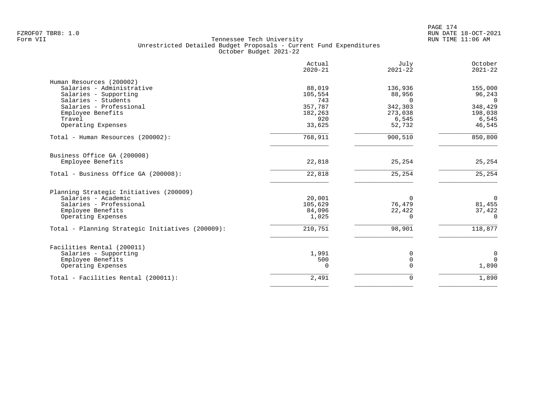| Actual<br>$2020 - 21$ | July<br>$2021 - 22$                         | October<br>$2021 - 22$                                         |
|-----------------------|---------------------------------------------|----------------------------------------------------------------|
|                       |                                             |                                                                |
| 88,019                | 136,936                                     | 155,000                                                        |
| 105,554               | 88,956                                      | 96,243                                                         |
| 743                   | $\Omega$                                    | $\Omega$                                                       |
| 357,787               | 342,303                                     | 348,429                                                        |
| 182,263               | 273,038                                     | 198,038                                                        |
| 920                   | 6,545                                       | 6,545                                                          |
| 33,625                | 52,732                                      | 46,545                                                         |
| 768,911               | 900,510                                     | 850,800                                                        |
|                       |                                             |                                                                |
| 22,818                | 25,254                                      | 25,254                                                         |
| 22,818                | 25,254                                      | 25, 254                                                        |
|                       |                                             |                                                                |
|                       |                                             | $\Omega$                                                       |
|                       |                                             | 81,455                                                         |
|                       |                                             | 37,422                                                         |
| 1,025                 | 0                                           | 0                                                              |
| 210,751               | 98,901                                      | 118,877                                                        |
|                       |                                             |                                                                |
|                       |                                             | $\mathbf 0$                                                    |
|                       |                                             | $\Omega$                                                       |
| $\Omega$              | $\mathbf 0$                                 | 1,890                                                          |
|                       |                                             | 1,890                                                          |
|                       | 20,001<br>105,629<br>84,096<br>1,991<br>500 | $\Omega$<br>76,479<br>22,422<br>0<br>$\mathbf 0$<br>2,491<br>0 |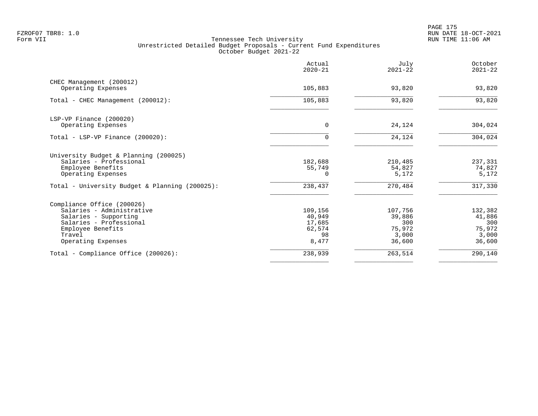PAGE 175 FZROF07 TBR8: 1.0 RUN DATE 18-OCT-2021

|                                                | Actual<br>$2020 - 21$ | July<br>$2021 - 22$ | October<br>$2021 - 22$ |
|------------------------------------------------|-----------------------|---------------------|------------------------|
| CHEC Management (200012)                       |                       |                     |                        |
| Operating Expenses                             | 105,883               | 93,820              | 93,820                 |
| Total - CHEC Management (200012):              | 105,883               | 93,820              | 93,820                 |
| LSP-VP Finance (200020)                        |                       |                     |                        |
| Operating Expenses                             | $\Omega$              | 24,124              | 304,024                |
| Total - LSP-VP Finance (200020):               | 0                     | 24,124              | 304,024                |
| University Budget & Planning (200025)          |                       |                     |                        |
| Salaries - Professional                        | 182,688               | 210,485             | 237,331                |
| Employee Benefits<br>Operating Expenses        | 55,749<br>$\Omega$    | 54,827<br>5,172     | 74,827<br>5,172        |
| Total - University Budget & Planning (200025): | 238,437               | 270,484             | 317,330                |
| Compliance Office (200026)                     |                       |                     |                        |
| Salaries - Administrative                      | 109,156               | 107,756             | 132,382                |
| Salaries - Supporting                          | 40,949                | 39,886              | 41,886                 |
| Salaries - Professional                        | 17,685                | 300                 | 300                    |
| Employee Benefits<br>Travel                    | 62,574<br>98          | 75,972<br>3,000     | 75,972                 |
| Operating Expenses                             | 8,477                 | 36,600              | 3,000<br>36,600        |
| Total - Compliance Office (200026):            | 238,939               | 263,514             | 290,140                |
|                                                |                       |                     |                        |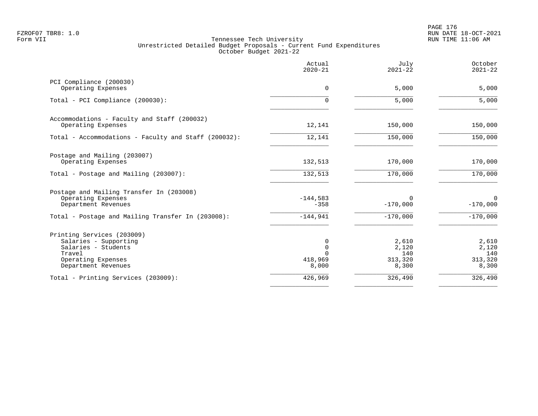PAGE 176 FZROF07 TBR8: 1.0 RUN DATE 18-OCT-2021

|                                                                                                                                   | Actual<br>$2020 - 21$                  | July<br>$2021 - 22$                       | October<br>$2021 - 22$                    |
|-----------------------------------------------------------------------------------------------------------------------------------|----------------------------------------|-------------------------------------------|-------------------------------------------|
| PCI Compliance (200030)<br>Operating Expenses                                                                                     | 0                                      | 5,000                                     | 5,000                                     |
| Total - PCI Compliance (200030):                                                                                                  | $\Omega$                               | 5,000                                     | 5,000                                     |
| Accommodations - Faculty and Staff (200032)<br>Operating Expenses                                                                 | 12,141                                 | 150,000                                   | 150,000                                   |
| Total - Accommodations - Faculty and Staff (200032):                                                                              | 12,141                                 | 150,000                                   | 150,000                                   |
| Postage and Mailing (203007)<br>Operating Expenses                                                                                | 132,513                                | 170,000                                   | 170,000                                   |
| Total - Postage and Mailing (203007):                                                                                             | 132,513                                | 170,000                                   | 170,000                                   |
| Postage and Mailing Transfer In (203008)<br>Operating Expenses<br>Department Revenues                                             | $-144,583$<br>$-358$                   | $\Omega$<br>$-170,000$                    | $\overline{0}$<br>$-170,000$              |
| Total - Postage and Mailing Transfer In (203008):                                                                                 | $-144,941$                             | $-170,000$                                | $-170,000$                                |
| Printing Services (203009)<br>Salaries - Supporting<br>Salaries - Students<br>Travel<br>Operating Expenses<br>Department Revenues | 0<br>0<br>$\Omega$<br>418,969<br>8,000 | 2,610<br>2,120<br>140<br>313,320<br>8,300 | 2,610<br>2,120<br>140<br>313,320<br>8,300 |
| Total - Printing Services (203009):                                                                                               | 426,969                                | 326,490                                   | 326,490                                   |
|                                                                                                                                   |                                        |                                           |                                           |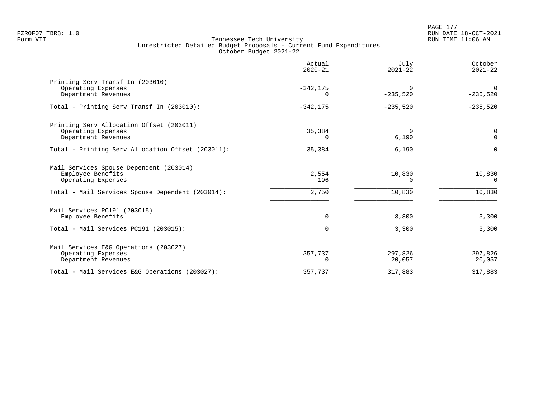|                                                                                       | Actual<br>$2020 - 21$   | July<br>$2021 - 22$    | October<br>$2021 - 22$ |
|---------------------------------------------------------------------------------------|-------------------------|------------------------|------------------------|
| Printing Serv Transf In (203010)<br>Operating Expenses<br>Department Revenues         | $-342, 175$<br>$\Omega$ | $\Omega$<br>$-235,520$ | $\Omega$<br>$-235,520$ |
| Total - Printing Serv Transf In (203010):                                             | $-342, 175$             | $-235,520$             | $-235,520$             |
| Printing Serv Allocation Offset (203011)<br>Operating Expenses<br>Department Revenues | 35,384<br>$\Omega$      | $\Omega$<br>6,190      | 0<br>$\Omega$          |
| Total - Printing Serv Allocation Offset (203011):                                     | 35,384                  | 6,190                  | $\Omega$               |
| Mail Services Spouse Dependent (203014)<br>Employee Benefits<br>Operating Expenses    | 2,554<br>196            | 10,830<br>$\Omega$     | 10,830<br>$\Omega$     |
| Total - Mail Services Spouse Dependent (203014):                                      | 2,750                   | 10,830                 | 10,830                 |
| Mail Services PC191 (203015)<br>Employee Benefits                                     | $\Omega$                | 3,300                  | 3,300                  |
| Total - Mail Services PC191 (203015):                                                 | 0                       | 3,300                  | 3,300                  |
| Mail Services E&G Operations (203027)<br>Operating Expenses<br>Department Revenues    | 357,737<br>0            | 297,826<br>20,057      | 297,826<br>20,057      |
| Total - Mail Services E&G Operations (203027):                                        | 357,737                 | 317,883                | 317,883                |
|                                                                                       |                         |                        |                        |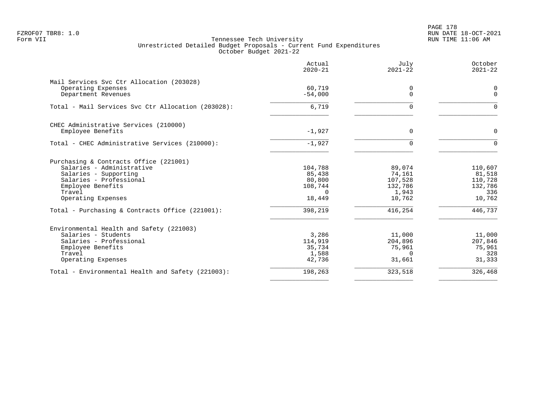PAGE 178 FZROF07 TBR8: 1.0 RUN DATE 18-OCT-2021

|                                                    | Actual<br>$2020 - 21$ | July<br>$2021 - 22$ | October<br>$2021 - 22$  |
|----------------------------------------------------|-----------------------|---------------------|-------------------------|
| Mail Services Svc Ctr Allocation (203028)          |                       |                     |                         |
| Operating Expenses<br>Department Revenues          | 60,719<br>$-54,000$   | 0<br>$\Omega$       | $\mathbf 0$<br>$\Omega$ |
| Total - Mail Services Svc Ctr Allocation (203028): | 6,719                 | $\Omega$            | $\Omega$                |
| CHEC Administrative Services (210000)              |                       |                     |                         |
| Employee Benefits                                  | $-1,927$              | $\Omega$            | $\Omega$                |
| Total - CHEC Administrative Services (210000):     | $-1,927$              | $\Omega$            | $\Omega$                |
| Purchasing & Contracts Office (221001)             |                       |                     |                         |
| Salaries - Administrative                          | 104,788               | 89,074              | 110,607                 |
| Salaries - Supporting<br>Salaries - Professional   | 85,438<br>80,800      | 74,161<br>107,528   | 81,518<br>110,728       |
| Employee Benefits                                  | 108,744               | 132,786             | 132,786                 |
| Travel                                             | $\Omega$              | 1,943               | 336                     |
| Operating Expenses                                 | 18,449                | 10,762              | 10,762                  |
| Total - Purchasing & Contracts Office (221001):    | 398,219               | 416,254             | 446,737                 |
| Environmental Health and Safety (221003)           |                       |                     |                         |
| Salaries - Students                                | 3,286                 | 11,000              | 11,000                  |
| Salaries - Professional                            | 114,919               | 204,896             | 207,846                 |
| Employee Benefits<br>Travel                        | 35,734<br>1,588       | 75,961<br>$\Omega$  | 75,961<br>328           |
| Operating Expenses                                 | 42,736                | 31,661              | 31,333                  |
| Total - Environmental Health and Safety (221003):  | 198,263               | 323,518             | 326,468                 |
|                                                    |                       |                     |                         |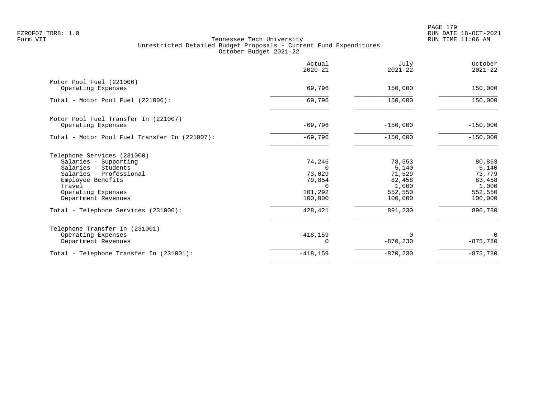PAGE 179 FZROF07 TBR8: 1.0 RUN DATE 18-OCT-2021

|                                                | Actual<br>$2020 - 21$ | July<br>$2021 - 22$ | October<br>$2021 - 22$ |
|------------------------------------------------|-----------------------|---------------------|------------------------|
| Motor Pool Fuel (221006)<br>Operating Expenses | 69,796                | 150,000             | 150,000                |
| Total - Motor Pool Fuel (221006):              | 69,796                | 150,000             | 150,000                |
|                                                |                       |                     |                        |
| Motor Pool Fuel Transfer In (221007)           |                       |                     |                        |
| Operating Expenses                             | $-69,796$             | $-150,000$          | $-150,000$             |
| Total - Motor Pool Fuel Transfer In (221007):  | $-69,796$             | $-150,000$          | $-150,000$             |
| Telephone Services (231000)                    |                       |                     |                        |
| Salaries - Supporting                          | 74,246                | 78,553              | 80,853                 |
| Salaries - Students                            | $\Omega$              | 5,140               | 5,140                  |
| Salaries - Professional                        | 73,029                | 71,529              | 73,779                 |
| Employee Benefits                              | 79,854                | 82,458              | 83,458                 |
| Travel                                         | $\cap$<br>101,292     | 1,000<br>552,550    | 1,000<br>552,550       |
| Operating Expenses<br>Department Revenues      | 100,000               | 100,000             | 100,000                |
| Total - Telephone Services (231000):           | 428,421               | 891,230             | 896,780                |
| Telephone Transfer In (231001)                 |                       |                     |                        |
| Operating Expenses                             | $-418, 159$           | $\Omega$            | $\Omega$               |
| Department Revenues                            |                       | $-870, 230$         | $-875,780$             |
| Total - Telephone Transfer In (231001):        | $-418, 159$           | $-870, 230$         | $-875,780$             |
|                                                |                       |                     |                        |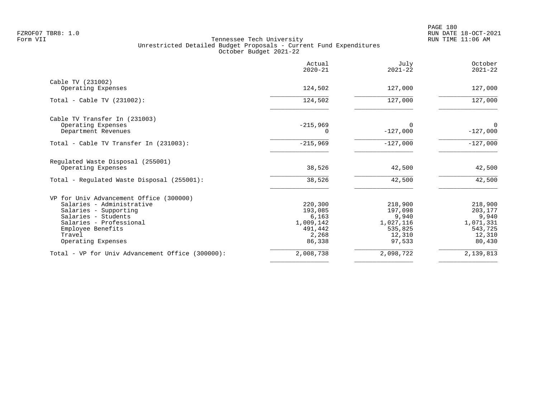|                                                  | Actual<br>$2020 - 21$ | July<br>$2021 - 22$ | October<br>$2021 - 22$ |
|--------------------------------------------------|-----------------------|---------------------|------------------------|
| Cable TV (231002)                                |                       |                     |                        |
| Operating Expenses                               | 124,502               | 127,000             | 127,000                |
| Total - Cable TV $(231002)$ :                    | 124,502               | 127,000             | 127,000                |
| Cable TV Transfer In (231003)                    |                       |                     |                        |
| Operating Expenses                               | $-215,969$            | $\Omega$            | $\Omega$               |
| Department Revenues                              |                       | $-127,000$          | $-127,000$             |
| Total - Cable TV Transfer In (231003):           | $-215,969$            | $-127,000$          | $-127,000$             |
| Regulated Waste Disposal (255001)                |                       |                     |                        |
| Operating Expenses                               | 38,526                | 42,500              | 42,500                 |
| Total - Regulated Waste Disposal (255001):       | 38,526                | 42,500              | 42,500                 |
| VP for Univ Advancement Office (300000)          |                       |                     |                        |
| Salaries - Administrative                        | 220,300               | 218,900             | 218,900                |
| Salaries - Supporting                            | 193,085               | 197,098             | 203,177                |
| Salaries - Students                              | 6,163                 | 9,940               | 9,940                  |
| Salaries - Professional                          | 1,009,142             | 1,027,116           | 1,071,331              |
| Employee Benefits<br>Travel                      | 491,442<br>2,268      | 535,825<br>12,310   | 543,725<br>12,310      |
| Operating Expenses                               | 86,338                | 97,533              | 80,430                 |
| Total - VP for Univ Advancement Office (300000): | 2,008,738             | 2,098,722           | 2,139,813              |
|                                                  |                       |                     |                        |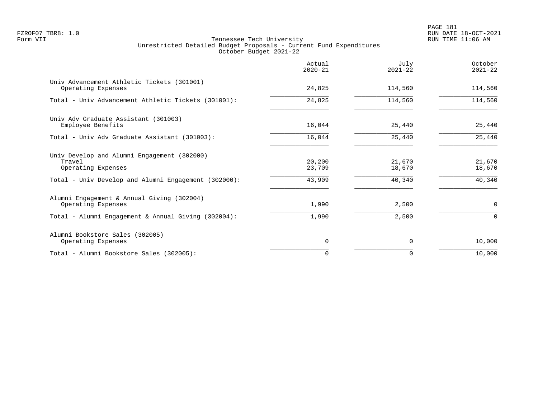|                                                                             | Actual<br>$2020 - 21$ | July<br>$2021 - 22$ | October<br>$2021 - 22$ |
|-----------------------------------------------------------------------------|-----------------------|---------------------|------------------------|
| Univ Advancement Athletic Tickets (301001)<br>Operating Expenses            | 24,825                | 114,560             | 114,560                |
| Total - Univ Advancement Athletic Tickets (301001):                         | 24,825                | 114,560             | 114,560                |
| Univ Adv Graduate Assistant (301003)<br>Employee Benefits                   | 16,044                | 25,440              | 25,440                 |
| Total - Univ Adv Graduate Assistant (301003):                               | 16,044                | 25,440              | 25,440                 |
| Univ Develop and Alumni Engagement (302000)<br>Travel<br>Operating Expenses | 20,200<br>23,709      | 21,670<br>18,670    | 21,670<br>18,670       |
| Total - Univ Develop and Alumni Engagement (302000):                        | 43,909                | 40,340              | 40,340                 |
| Alumni Engagement & Annual Giving (302004)<br>Operating Expenses            | 1,990                 | 2,500               | 0                      |
| Total - Alumni Engagement & Annual Giving (302004):                         | 1,990                 | 2,500               | $\Omega$               |
| Alumni Bookstore Sales (302005)<br>Operating Expenses                       | 0                     | 0                   | 10,000                 |
| Total - Alumni Bookstore Sales (302005):                                    | $\Omega$              | 0                   | 10,000                 |
|                                                                             |                       |                     |                        |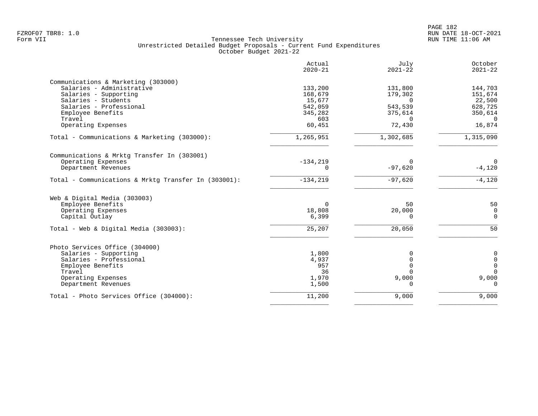|                                                      | Actual<br>$2020 - 21$ | July<br>$2021 - 22$ | October<br>$2021 - 22$ |
|------------------------------------------------------|-----------------------|---------------------|------------------------|
| Communications & Marketing (303000)                  |                       |                     |                        |
| Salaries - Administrative                            | 133,200               | 131,800             | 144,703                |
| Salaries - Supporting                                | 168,679               | 179,302             | 151,674                |
| Salaries - Students                                  | 15,677                | $\Omega$            | 22,500                 |
| Salaries - Professional                              | 542,059               | 543,539             | 628,725                |
| Employee Benefits                                    | 345,282               | 375,614             | 350,614                |
| Travel                                               | 603                   | $\Omega$            | $\overline{0}$         |
| Operating Expenses                                   | 60,451                | 72,430              | 16,874                 |
| Total - Communications & Marketing (303000):         | 1,265,951             | 1,302,685           | 1,315,090              |
| Communications & Mrktg Transfer In (303001)          |                       |                     |                        |
| Operating Expenses                                   | $-134, 219$           | 0                   | $\Omega$               |
| Department Revenues                                  | $\Omega$              | $-97,620$           | $-4,120$               |
| Total - Communications & Mrktg Transfer In (303001): | $-134, 219$           | $-97,620$           | $-4,120$               |
| Web & Digital Media (303003)                         |                       |                     |                        |
| Employee Benefits                                    | 0                     | 50                  | 50                     |
| Operating Expenses                                   | 18,808                | 20,000              | $\overline{0}$         |
| Capital Outlay                                       | 6,399                 | 0                   | $\mathbf 0$            |
| Total - Web & Digital Media (303003):                | 25,207                | 20,050              | 50                     |
| Photo Services Office (304000)                       |                       |                     |                        |
| Salaries - Supporting                                | 1,800                 | 0                   | $\mathbf 0$            |
| Salaries - Professional                              | 4,937                 | $\mathbf 0$         | $\mathbf 0$            |
| Employee Benefits                                    | 957                   | $\Omega$            | $\mathbf 0$            |
| Travel                                               | 36                    | $\Omega$            | $\Omega$               |
| Operating Expenses                                   | 1,970                 | 9,000               | 9,000                  |
| Department Revenues                                  | 1,500                 | $\Omega$            | $\Omega$               |
| Total - Photo Services Office (304000):              | 11,200                | 9,000               | 9,000                  |
|                                                      |                       |                     |                        |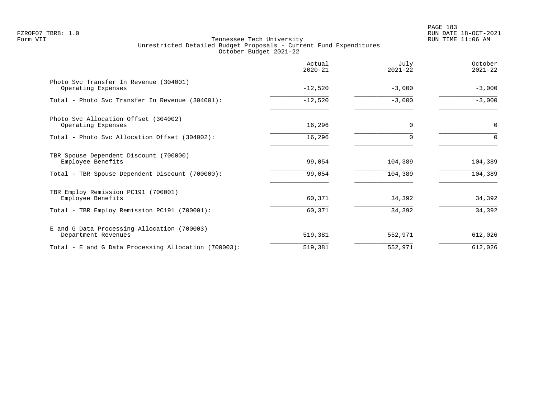|                                                                    | Actual<br>$2020 - 21$ | July<br>$2021 - 22$ | October<br>$2021 - 22$ |
|--------------------------------------------------------------------|-----------------------|---------------------|------------------------|
| Photo Svc Transfer In Revenue (304001)<br>Operating Expenses       | $-12,520$             | $-3,000$            | $-3,000$               |
| Total - Photo Svc Transfer In Revenue (304001):                    | $-12,520$             | $-3,000$            | $-3,000$               |
| Photo Svc Allocation Offset (304002)<br>Operating Expenses         | 16,296                | $\Omega$            | $\mathbf 0$            |
| Total - Photo Svc Allocation Offset (304002):                      | 16,296                |                     | $\Omega$               |
| TBR Spouse Dependent Discount (700000)<br>Employee Benefits        | 99,054                | 104,389             | 104,389                |
| Total - TBR Spouse Dependent Discount (700000):                    | 99,054                | 104,389             | 104,389                |
| TBR Employ Remission PC191 (700001)<br>Employee Benefits           | 60,371                | 34,392              | 34,392                 |
| Total - TBR Employ Remission PC191 (700001):                       | 60,371                | 34,392              | 34,392                 |
| E and G Data Processing Allocation (700003)<br>Department Revenues | 519,381               | 552,971             | 612,026                |
| Total - E and G Data Processing Allocation (700003):               | 519,381               | 552,971             | 612,026                |
|                                                                    |                       |                     |                        |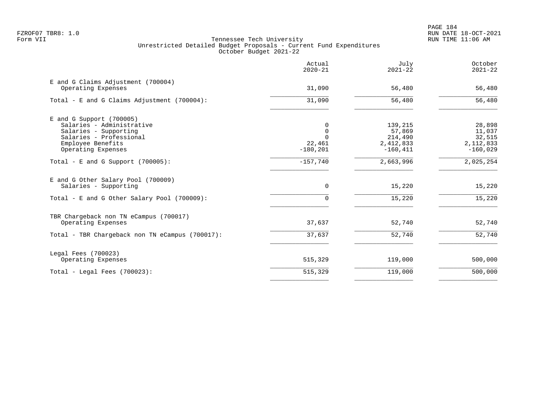|                                                                                                                                                        | Actual<br>$2020 - 21$                              | July<br>$2021 - 22$                                      | October<br>$2021 - 22$                                  |
|--------------------------------------------------------------------------------------------------------------------------------------------------------|----------------------------------------------------|----------------------------------------------------------|---------------------------------------------------------|
| E and G Claims Adjustment (700004)<br>Operating Expenses                                                                                               | 31,090                                             | 56,480                                                   | 56,480                                                  |
| Total - E and G Claims Adjustment $(700004)$ :                                                                                                         | 31,090                                             | 56,480                                                   | 56,480                                                  |
| $E$ and G Support (700005)<br>Salaries - Administrative<br>Salaries - Supporting<br>Salaries - Professional<br>Employee Benefits<br>Operating Expenses | 0<br>$\Omega$<br>$\Omega$<br>22,461<br>$-180, 201$ | 139,215<br>57,869<br>214,490<br>2,412,833<br>$-160, 411$ | 28,898<br>11,037<br>32,515<br>2, 112, 833<br>$-160,029$ |
| Total - E and G Support $(700005)$ :                                                                                                                   | $-157,740$                                         | 2,663,996                                                | 2,025,254                                               |
| E and G Other Salary Pool (700009)<br>Salaries - Supporting<br>Total - E and G Other Salary Pool (700009):                                             | $\mathbf 0$<br>$\Omega$                            | 15,220<br>15,220                                         | 15,220<br>15,220                                        |
| TBR Chargeback non TN eCampus (700017)<br>Operating Expenses                                                                                           | 37,637                                             | 52,740                                                   | 52,740                                                  |
| Total - TBR Chargeback non TN eCampus (700017):                                                                                                        | 37,637                                             | 52,740                                                   | 52,740                                                  |
| Legal Fees (700023)<br>Operating Expenses                                                                                                              | 515,329                                            | 119,000                                                  | 500,000                                                 |
| Total - Legal Fees $(700023)$ :                                                                                                                        | 515,329                                            | 119,000                                                  | 500,000                                                 |
|                                                                                                                                                        |                                                    |                                                          |                                                         |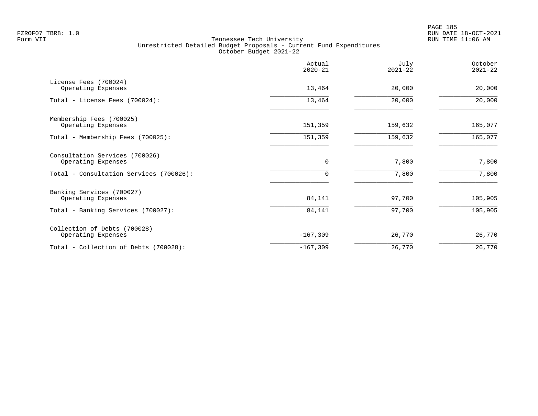PAGE 185 FZROF07 TBR8: 1.0 RUN DATE 18-OCT-2021

|                                                                                                 | Actual<br>$2020 - 21$ | July<br>$2021 - 22$ | October<br>$2021 - 22$ |
|-------------------------------------------------------------------------------------------------|-----------------------|---------------------|------------------------|
| License Fees (700024)<br>Operating Expenses                                                     | 13,464                | 20,000              | 20,000                 |
| Total - License Fees (700024):                                                                  | 13,464                | 20,000              | 20,000                 |
| Membership Fees (700025)<br>Operating Expenses                                                  | 151,359               | 159,632             | 165,077                |
| Total - Membership Fees (700025):                                                               | 151,359               | 159,632             | 165,077                |
| Consultation Services (700026)<br>Operating Expenses<br>Total - Consultation Services (700026): | 0<br>0                | 7,800<br>7,800      | 7,800<br>7,800         |
| Banking Services (700027)                                                                       |                       |                     |                        |
| Operating Expenses                                                                              | 84,141                | 97,700              | 105,905                |
| Total - Banking Services (700027):                                                              | 84,141                | 97,700              | 105,905                |
| Collection of Debts (700028)<br>Operating Expenses                                              | $-167, 309$           | 26,770              | 26,770                 |
| Total - Collection of Debts (700028):                                                           | $-167,309$            | 26,770              | 26,770                 |
|                                                                                                 |                       |                     |                        |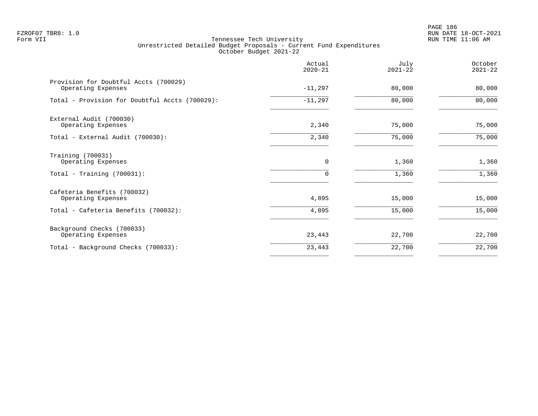PAGE 186 FZROF07 TBR8: 1.0 RUN DATE 18-OCT-2021

|                                                                                           | Actual<br>$2020 - 21$   | July<br>$2021 - 22$ | October<br>$2021 - 22$ |
|-------------------------------------------------------------------------------------------|-------------------------|---------------------|------------------------|
| Provision for Doubtful Accts (700029)<br>Operating Expenses                               | $-11,297$               | 80,000              | 80,000                 |
| Total - Provision for Doubtful Accts (700029):                                            | $-11,297$               | 80,000              | 80,000                 |
| External Audit (700030)<br>Operating Expenses                                             | 2,340                   | 75,000              | 75,000                 |
| Total - External Audit (700030):                                                          | 2,340                   | 75,000              | 75,000                 |
| Training (700031)<br>Operating Expenses<br>Total - Training $(700031)$ :                  | $\mathbf 0$<br>$\Omega$ | 1,360<br>1,360      | 1,360<br>1,360         |
| Cafeteria Benefits (700032)<br>Operating Expenses<br>Total - Cafeteria Benefits (700032): | 4,895<br>4,895          | 15,000<br>15,000    | 15,000<br>15,000       |
| Background Checks (700033)<br>Operating Expenses                                          | 23,443                  | 22,700              | 22,700                 |
| Total - Background Checks (700033):                                                       | 23,443                  | 22,700              | 22,700                 |
|                                                                                           |                         |                     |                        |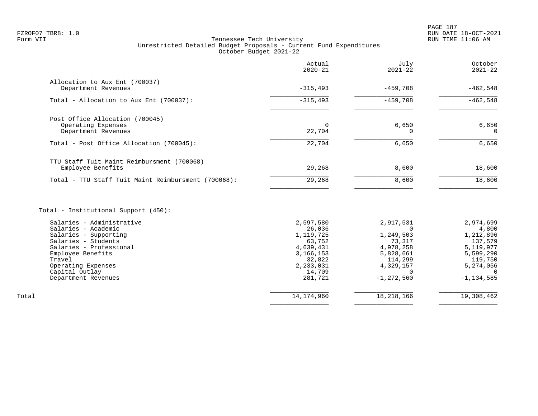# FZROF07 TBR8: 1.0 RUN DATE 18-OCT-2021 Tennessee Tech University Unrestricted Detailed Budget Proposals - Current Fund Expenditures October Budget 2021-22

|                                                                              | Actual<br>$2020 - 21$ | July<br>$2021 - 22$ | October<br>$2021 - 22$ |
|------------------------------------------------------------------------------|-----------------------|---------------------|------------------------|
| Allocation to Aux Ent (700037)<br>Department Revenues                        | $-315,493$            | $-459,708$          | $-462,548$             |
| Total - Allocation to Aux Ent (700037):                                      | $-315, 493$           | $-459,708$          | $-462,548$             |
| Post Office Allocation (700045)<br>Operating Expenses<br>Department Revenues | 22,704                | 6,650               | 6,650<br>$\Omega$      |
| Total - Post Office Allocation (700045):                                     | 22,704                | 6,650               | 6,650                  |
| TTU Staff Tuit Maint Reimbursment (700068)<br>Employee Benefits              | 29,268                | 8,600               | 18,600                 |
| Total - TTU Staff Tuit Maint Reimbursment (700068):                          | 29,268                | 8,600               | 18,600                 |
|                                                                              |                       |                     |                        |

# Total - Institutional Support (450):

| Salaries - Administrative | 2,597,580   | 2,917,531    | 2,974,699      |
|---------------------------|-------------|--------------|----------------|
| Salaries - Academic       | 26,036      |              | 4,800          |
| Salaries - Supporting     | 1,119,725   | 1,249,503    | 1,212,896      |
| Salaries - Students       | 63,752      | 73,317       | 137,579        |
| Salaries - Professional   | 4,639,431   | 4,978,258    | 5,119,977      |
| Employee Benefits         | 3, 166, 153 | 5,828,661    | 5,599,290      |
| Travel                    | 32,822      | 114,299      | 119,750        |
| Operating Expenses        | 2,233,031   | 4,329,157    | 5,274,056      |
| Capital Outlay            | 14,709      |              |                |
| Department Revenues       | 281,721     | $-1,272,560$ | $-1, 134, 585$ |
|                           |             |              |                |
|                           |             |              | 19,308,462     |
| Total                     | 14,174,960  | 18,218,166   |                |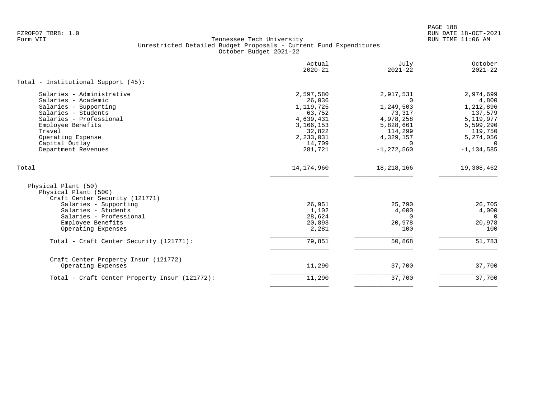|                                                                                                                                                                                                                          | Actual<br>$2020 - 21$                                                                                              | July<br>$2021 - 22$                                                                                                          | October<br>$2021 - 22$                                                                                                     |
|--------------------------------------------------------------------------------------------------------------------------------------------------------------------------------------------------------------------------|--------------------------------------------------------------------------------------------------------------------|------------------------------------------------------------------------------------------------------------------------------|----------------------------------------------------------------------------------------------------------------------------|
| Total - Institutional Support (45):                                                                                                                                                                                      |                                                                                                                    |                                                                                                                              |                                                                                                                            |
| Salaries - Administrative<br>Salaries - Academic<br>Salaries - Supporting<br>Salaries - Students<br>Salaries - Professional<br>Employee Benefits<br>Travel<br>Operating Expense<br>Capital Outlay<br>Department Revenues | 2,597,580<br>26,036<br>1,119,725<br>63,752<br>4,639,431<br>3, 166, 153<br>32,822<br>2,233,031<br>14,709<br>281,721 | 2,917,531<br>$\Omega$<br>1,249,503<br>73,317<br>4,978,258<br>5,828,661<br>114,299<br>4,329,157<br>$\Omega$<br>$-1, 272, 560$ | 2,974,699<br>4,800<br>1,212,896<br>137,579<br>5,119,977<br>5,599,290<br>119,750<br>5,274,056<br>$\Omega$<br>$-1, 134, 585$ |
| Total                                                                                                                                                                                                                    | 14, 174, 960                                                                                                       | 18, 218, 166                                                                                                                 | 19,308,462                                                                                                                 |
| Physical Plant (50)<br>Physical Plant (500)<br>Craft Center Security (121771)<br>Salaries - Supporting<br>Salaries - Students<br>Salaries - Professional<br>Employee Benefits<br>Operating Expenses                      | 26,951<br>1,102<br>28,624<br>20,893<br>2,281                                                                       | 25,790<br>4,000<br>$\Omega$<br>20,978<br>100                                                                                 | 26,705<br>4,000<br>$\Omega$<br>20,978<br>100                                                                               |
| Total - Craft Center Security (121771):                                                                                                                                                                                  | 79,851                                                                                                             | 50,868                                                                                                                       | 51,783                                                                                                                     |
| Craft Center Property Insur (121772)<br>Operating Expenses                                                                                                                                                               | 11,290                                                                                                             | 37,700                                                                                                                       | 37,700                                                                                                                     |
| Total - Craft Center Property Insur (121772):                                                                                                                                                                            | 11,290                                                                                                             | 37,700                                                                                                                       | 37,700                                                                                                                     |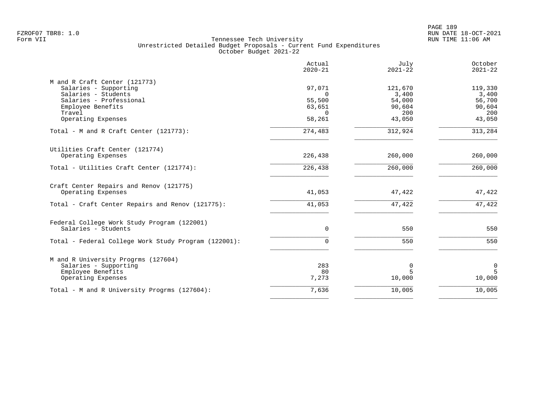|                                                      | Actual<br>$2020 - 21$ | July<br>$2021 - 22$ | October<br>$2021 - 22$ |
|------------------------------------------------------|-----------------------|---------------------|------------------------|
| M and R Craft Center (121773)                        |                       |                     |                        |
| Salaries - Supporting                                | 97,071                | 121,670             | 119,330                |
| Salaries - Students                                  | $\Omega$              | 3,400               | 3,400                  |
| Salaries - Professional<br>Employee Benefits         | 55,500<br>63,651      | 54,000<br>90,604    | 56,700<br>90,604       |
| Travel                                               | $\Omega$              | 200                 | 200                    |
| Operating Expenses                                   | 58,261                | 43,050              | 43,050                 |
| Total - M and R Craft Center (121773):               | 274,483               | 312,924             | 313,284                |
| Utilities Craft Center (121774)                      |                       |                     |                        |
| Operating Expenses                                   | 226,438               | 260,000             | 260,000                |
| Total - Utilities Craft Center (121774):             | 226,438               | 260,000             | 260,000                |
| Craft Center Repairs and Renov (121775)              |                       |                     |                        |
| Operating Expenses                                   | 41,053                | 47,422              | 47,422                 |
| Total - Craft Center Repairs and Renov (121775):     | 41,053                | 47,422              | 47,422                 |
| Federal College Work Study Program (122001)          |                       |                     |                        |
| Salaries - Students                                  | 0                     | 550                 | 550                    |
| Total - Federal College Work Study Program (122001): | $\Omega$              | 550                 | 550                    |
| M and R University Progrms (127604)                  |                       |                     |                        |
| Salaries - Supporting                                | 283                   | 0                   | $\mathbf 0$            |
| Employee Benefits                                    | 80                    | $\overline{5}$      | 5                      |
| Operating Expenses                                   | 7,273                 | 10,000              | 10,000                 |
| Total - M and R University Progrms (127604):         | 7,636                 | 10,005              | 10,005                 |
|                                                      |                       |                     |                        |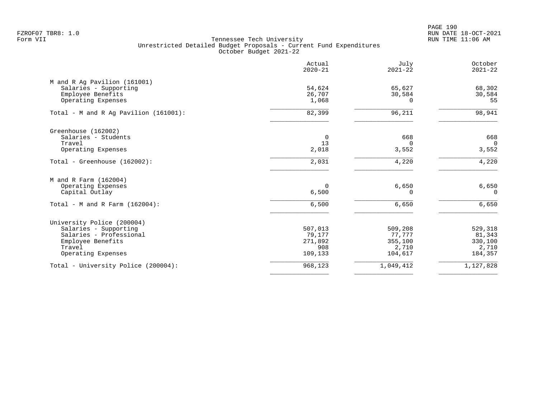PAGE 190 FZROF07 TBR8: 1.0 RUN DATE 18-OCT-2021

|                                                                                                                                     | Actual<br>$2020 - 21$                          | July<br>$2021 - 22$                              | October<br>$2021 - 22$                           |
|-------------------------------------------------------------------------------------------------------------------------------------|------------------------------------------------|--------------------------------------------------|--------------------------------------------------|
| M and R Ag Pavilion (161001)<br>Salaries - Supporting<br>Employee Benefits<br>Operating Expenses                                    | 54,624<br>26,707<br>1,068                      | 65,627<br>30,584<br>$\Omega$                     | 68,302<br>30,584<br>55                           |
| Total - M and R Ag Pavilion (161001):                                                                                               | 82,399                                         | 96,211                                           | 98,941                                           |
| Greenhouse (162002)<br>Salaries - Students<br>Travel<br>Operating Expenses                                                          | 0<br>13<br>2,018                               | 668<br>$\Omega$<br>3,552                         | 668<br>$\Omega$<br>3,552                         |
| Total - Greenhouse (162002):                                                                                                        | 2,031                                          | 4,220                                            | 4,220                                            |
| M and R Farm (162004)<br>Operating Expenses<br>Capital Outlay                                                                       | 0<br>6,500                                     | 6,650<br>$\Omega$                                | 6,650<br>$\Omega$                                |
| Total - M and R Farm $(162004)$ :                                                                                                   | 6,500                                          | 6,650                                            | 6,650                                            |
| University Police (200004)<br>Salaries - Supporting<br>Salaries - Professional<br>Employee Benefits<br>Travel<br>Operating Expenses | 507,013<br>79,177<br>271,892<br>908<br>109,133 | 509,208<br>77,777<br>355,100<br>2,710<br>104,617 | 529,318<br>81,343<br>330,100<br>2,710<br>184,357 |
| Total - University Police (200004):                                                                                                 | 968,123                                        | 1,049,412                                        | 1,127,828                                        |
|                                                                                                                                     |                                                |                                                  |                                                  |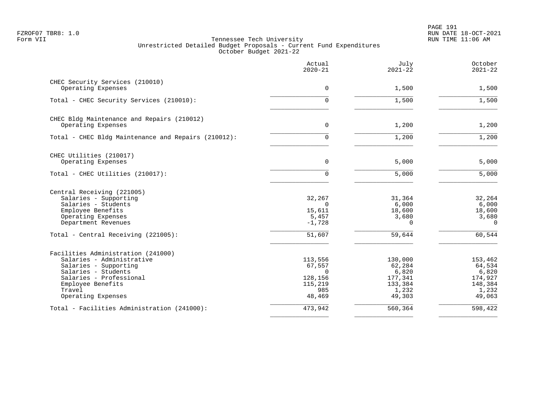|                                                     | Actual<br>$2020 - 21$ | July<br>$2021 - 22$ | October<br>$2021 - 22$ |
|-----------------------------------------------------|-----------------------|---------------------|------------------------|
| CHEC Security Services (210010)                     |                       |                     |                        |
| Operating Expenses                                  | 0                     | 1,500               | 1,500                  |
| Total - CHEC Security Services (210010):            | 0                     | 1,500               | 1,500                  |
| CHEC Bldg Maintenance and Repairs (210012)          |                       |                     |                        |
| Operating Expenses                                  | $\mathbf 0$           | 1,200               | 1,200                  |
| Total - CHEC Bldg Maintenance and Repairs (210012): | $\Omega$              | 1,200               | 1,200                  |
| CHEC Utilities (210017)                             |                       |                     |                        |
| Operating Expenses                                  | 0                     | 5,000               | 5,000                  |
| Total - CHEC Utilities (210017):                    | 0                     | 5,000               | 5,000                  |
| Central Receiving (221005)                          |                       |                     |                        |
| Salaries - Supporting                               | 32,267                | 31,364              | 32,264                 |
| Salaries - Students                                 | $\Omega$              | 6,000               | 6,000                  |
| Employee Benefits                                   | 15,611                | 18,600              | 18,600                 |
| Operating Expenses<br>Department Revenues           | 5,457<br>$-1,728$     | 3,680<br>$\Omega$   | 3,680<br>$\Omega$      |
| Total - Central Receiving (221005):                 | 51,607                | 59,644              | 60,544                 |
|                                                     |                       |                     |                        |
| Facilities Administration (241000)                  |                       |                     |                        |
| Salaries - Administrative                           | 113,556               | 130,000             | 153,462                |
| Salaries - Supporting<br>Salaries - Students        | 67,557<br>$\Omega$    | 62,284<br>6,820     | 64,534<br>6,820        |
| Salaries - Professional                             | 128,156               | 177,341             | 174,927                |
| Employee Benefits                                   | 115,219               | 133,384             | 148,384                |
| Travel                                              | 985                   | 1,232               | 1,232                  |
| Operating Expenses                                  | 48,469                | 49,303              | 49,063                 |
| Total - Facilities Administration (241000):         | 473,942               | 560,364             | 598,422                |
|                                                     |                       |                     |                        |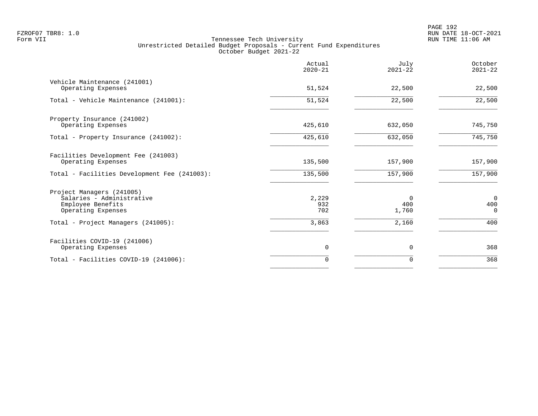| Actual<br>$2020 - 21$ | July<br>$2021 - 22$      | October<br>$2021 - 22$      |
|-----------------------|--------------------------|-----------------------------|
| 51,524                | 22,500                   | 22,500                      |
| 51,524                | 22,500                   | $\overline{22,500}$         |
| 425,610               | 632,050                  | 745,750                     |
| 425,610               | 632,050                  | 745,750                     |
| 135,500               | 157,900                  | 157,900                     |
| 135,500               | 157,900                  | 157,900                     |
| 2,229<br>932<br>702   | $\Omega$<br>400<br>1,760 | $\Omega$<br>400<br>$\Omega$ |
| 3,863                 | 2,160                    | 400                         |
| 0                     | 0                        | 368                         |
| $\Omega$              | $\Omega$                 | 368                         |
|                       |                          |                             |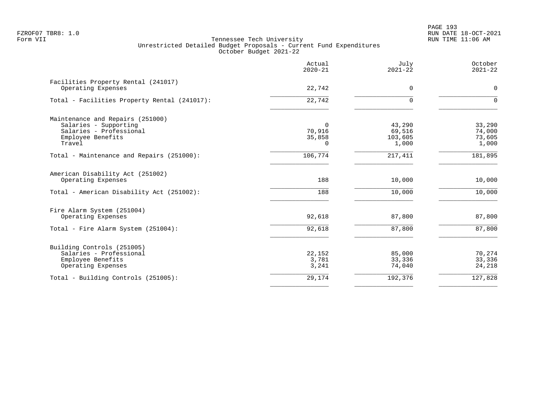PAGE 193 FZROF07 TBR8: 1.0 RUN DATE 18-OCT-2021

|                                                                                      | Actual<br>$2020 - 21$    | July<br>$2021 - 22$        | October<br>$2021 - 22$     |
|--------------------------------------------------------------------------------------|--------------------------|----------------------------|----------------------------|
| Facilities Property Rental (241017)<br>Operating Expenses                            | 22,742                   | 0                          | $\mathbf 0$                |
| Total - Facilities Property Rental (241017):                                         | 22,742                   | $\Omega$                   | $\Omega$                   |
| Maintenance and Repairs (251000)<br>Salaries - Supporting<br>Salaries - Professional | $\Omega$<br>70,916       | 43,290<br>69,516           | 33,290<br>74,000           |
| Employee Benefits<br>Travel                                                          | 35,858<br>0              | 103,605<br>1,000           | 73,605<br>1,000            |
| Total - Maintenance and Repairs (251000):                                            | 106,774                  | 217,411                    | 181,895                    |
| American Disability Act (251002)<br>Operating Expenses                               | 188                      | 10,000                     | 10,000                     |
| Total - American Disability Act (251002):                                            | 188                      | 10,000                     | 10,000                     |
| Fire Alarm System (251004)<br>Operating Expenses                                     | 92,618                   | 87,800                     | 87,800                     |
| Total - Fire Alarm System (251004):                                                  | 92,618                   | 87,800                     | 87,800                     |
| Building Controls (251005)                                                           |                          |                            |                            |
| Salaries - Professional<br>Employee Benefits<br>Operating Expenses                   | 22,152<br>3,781<br>3,241 | 85,000<br>33,336<br>74,040 | 70,274<br>33,336<br>24,218 |
| Total - Building Controls (251005):                                                  | 29,174                   | 192,376                    | 127,828                    |
|                                                                                      |                          |                            |                            |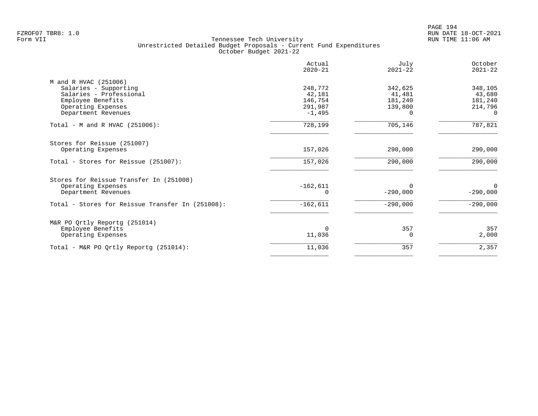PAGE 194 FZROF07 TBR8: 1.0 RUN DATE 18-OCT-2021

| Actual<br>$2020 - 21$ | July<br>$2021 - 22$    | October<br>$2021 - 22$ |
|-----------------------|------------------------|------------------------|
|                       |                        |                        |
| 248,772               | 342,625                | 348,105                |
| 42,181                | 41,481                 | 43,680                 |
| 146,754               | 181,240                | 181,240                |
| 291,987               | 139,800                | 214,796                |
| $-1,495$              | 0                      | $\Omega$               |
| 728,199               | 705,146                | 787,821                |
|                       |                        |                        |
| 157,026               | 290,000                | 290,000                |
| 157,026               | 290,000                | 290,000                |
|                       |                        |                        |
|                       | 0                      | $\Omega$               |
|                       | $-290,000$             | $-290,000$             |
| $-162,611$            | $-290,000$             | $-290,000$             |
|                       |                        |                        |
|                       |                        | 357                    |
| 11,036                | O                      | 2,000                  |
| 11,036                | 357                    | 2,357                  |
|                       | $-162,611$<br>$\Omega$ | 357                    |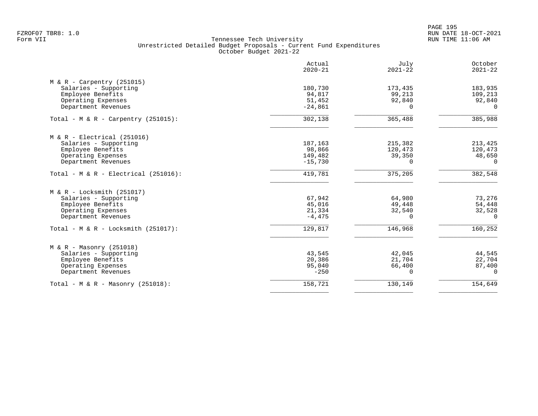PAGE 195 FZROF07 TBR8: 1.0 RUN DATE 18-OCT-2021

|                                                                            | Actual<br>$2020 - 21$ | July<br>$2021 - 22$ | October<br>$2021 - 22$ |
|----------------------------------------------------------------------------|-----------------------|---------------------|------------------------|
| $M & R - Carpentry (251015)$<br>Salaries - Supporting<br>Employee Benefits | 180,730<br>94,817     | 173,435<br>99,213   | 183,935<br>109,213     |
| Operating Expenses<br>Department Revenues                                  | 51,452<br>$-24,861$   | 92,840<br>$\Omega$  | 92,840<br>$\Omega$     |
| Total - M & R - Carpentry (251015):                                        | 302,138               | 365,488             | 385,988                |
| $M & R - Electrical (251016)$                                              |                       |                     |                        |
| Salaries - Supporting<br>Employee Benefits                                 | 187,163<br>98,866     | 215,382<br>120,473  | 213,425<br>120,473     |
| Operating Expenses                                                         | 149,482               | 39,350              | 48,650                 |
| Department Revenues                                                        | $-15,730$             | $\Omega$            | $\Omega$               |
| Total - M & R - Electrical (251016):                                       | 419,781               | 375,205             | 382,548                |
| $M & R - Locksmith (251017)$                                               |                       |                     |                        |
| Salaries - Supporting                                                      | 67,942                | 64,980              | 73,276                 |
| Employee Benefits<br>Operating Expenses                                    | 45,016<br>21,334      | 49,448<br>32,540    | 54,448<br>32,528       |
| Department Revenues                                                        | $-4,475$              | $\Omega$            | $\Omega$               |
| Total - $M & R - Locksmith (251017)$ :                                     | 129,817               | 146,968             | 160,252                |
| $M & R - Massonry (251018)$                                                |                       |                     |                        |
| Salaries - Supporting                                                      | 43,545                | 42,045              | 44,545                 |
| Employee Benefits                                                          | 20,386                | 21,704              | 22,704                 |
| Operating Expenses<br>Department Revenues                                  | 95,040<br>$-250$      | 66,400<br>$\Omega$  | 87,400<br>$\Omega$     |
|                                                                            |                       |                     |                        |
| Total - M & R - Masonry $(251018)$ :                                       | 158,721               | 130,149             | 154,649                |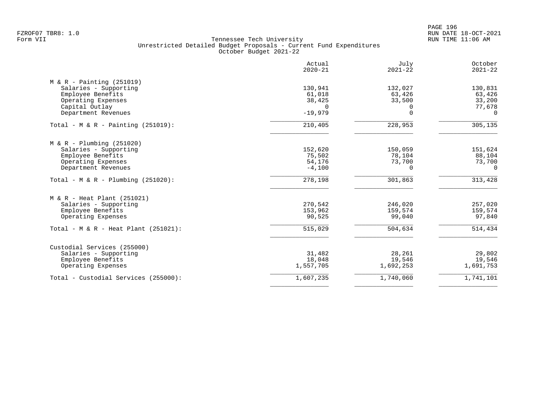PAGE 196 FZROF07 TBR8: 1.0 RUN DATE 18-OCT-2021

| Actual<br>$2020 - 21$ | July<br>$2021 - 22$                                                   | October<br>$2021 - 22$                                                |
|-----------------------|-----------------------------------------------------------------------|-----------------------------------------------------------------------|
|                       |                                                                       |                                                                       |
| 130,941               | 132,027                                                               | 130,831                                                               |
| 61,018                | 63,426                                                                | 63,426                                                                |
| 38,425                | 33,500                                                                | 33,200                                                                |
| $\Omega$              | $\Omega$                                                              | 77,678                                                                |
| $-19,979$             | $\Omega$                                                              | $\Omega$                                                              |
| 210,405               | 228,953                                                               | 305,135                                                               |
|                       |                                                                       |                                                                       |
|                       |                                                                       | 151,624                                                               |
|                       |                                                                       | 88,104                                                                |
|                       |                                                                       | 73,700                                                                |
| $-4,100$              | 0                                                                     | $\Omega$                                                              |
| 278,198               | 301,863                                                               | 313,428                                                               |
|                       |                                                                       |                                                                       |
|                       |                                                                       | 257,020                                                               |
|                       |                                                                       | 159,574                                                               |
| 90,525                | 99,040                                                                | 97,840                                                                |
| 515,029               | 504,634                                                               | 514,434                                                               |
|                       |                                                                       |                                                                       |
|                       |                                                                       | 29,802                                                                |
|                       |                                                                       | 19,546                                                                |
| 1,557,705             | 1,692,253                                                             | 1,691,753                                                             |
| 1,607,235             | 1,740,060                                                             | 1,741,101                                                             |
|                       | 152,620<br>75,502<br>54,176<br>270,542<br>153,962<br>31,482<br>18,048 | 150,059<br>78,104<br>73,700<br>246,020<br>159,574<br>28,261<br>19,546 |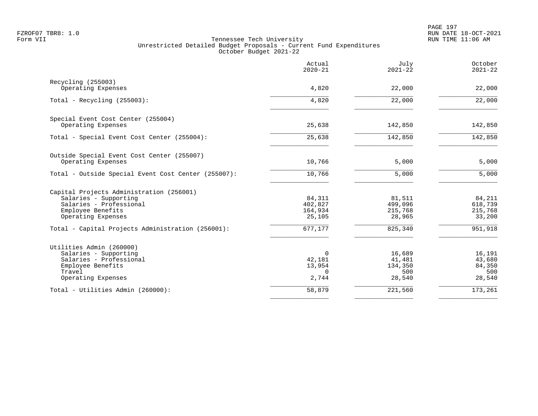| Actual<br>$2020 - 21$ | July<br>$2021 - 22$                                                             | October<br>$2021 - 22$                                                       |
|-----------------------|---------------------------------------------------------------------------------|------------------------------------------------------------------------------|
|                       |                                                                                 |                                                                              |
|                       |                                                                                 | 22,000                                                                       |
| 4,820                 | 22,000                                                                          | $\overline{22,000}$                                                          |
|                       |                                                                                 |                                                                              |
|                       |                                                                                 | 142,850                                                                      |
| 25,638                | 142,850                                                                         | 142,850                                                                      |
|                       |                                                                                 |                                                                              |
|                       |                                                                                 | 5,000                                                                        |
| 10,766                | 5,000                                                                           | 5,000                                                                        |
|                       |                                                                                 |                                                                              |
| 84,311                | 81,511                                                                          | 84,211                                                                       |
|                       |                                                                                 | 618,739                                                                      |
| 25,105                | 28,965                                                                          | 215,768<br>33,200                                                            |
| 677,177               | 825,340                                                                         | 951,918                                                                      |
|                       |                                                                                 |                                                                              |
| 0                     | 16,689                                                                          | 16,191                                                                       |
|                       |                                                                                 | 43,680                                                                       |
|                       |                                                                                 | 84,350                                                                       |
| 2,744                 | 28,540                                                                          | 500<br>28,540                                                                |
| 58,879                | 221,560                                                                         | 173,261                                                                      |
|                       | 4,820<br>25,638<br>10,766<br>402,827<br>164,934<br>42,181<br>13,954<br>$\Omega$ | 22,000<br>142,850<br>5,000<br>499,096<br>215,768<br>41,481<br>134,350<br>500 |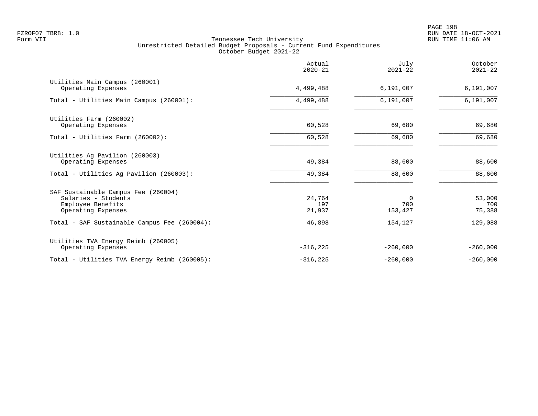PAGE 198 FZROF07 TBR8: 1.0 RUN DATE 18-OCT-2021

|                                                            | Actual<br>$2020 - 21$ | July<br>$2021 - 22$ | October<br>$2021 - 22$ |
|------------------------------------------------------------|-----------------------|---------------------|------------------------|
| Utilities Main Campus (260001)<br>Operating Expenses       | 4,499,488             | 6,191,007           | 6,191,007              |
| Total - Utilities Main Campus (260001):                    | 4,499,488             | 6,191,007           | 6,191,007              |
| Utilities Farm (260002)                                    | 60,528                | 69,680              | 69,680                 |
| Operating Expenses<br>Total - Utilities Farm (260002):     | 60,528                | 69,680              | 69,680                 |
|                                                            |                       |                     |                        |
| Utilities Ag Pavilion (260003)<br>Operating Expenses       | 49,384                | 88,600              | 88,600                 |
| Total - Utilities Ag Pavilion (260003):                    | 49,384                | 88,600              | 88,600                 |
| SAF Sustainable Campus Fee (260004)<br>Salaries - Students | 24,764                | 0                   | 53,000                 |
| Employee Benefits                                          | 197                   | 700                 | 700                    |
| Operating Expenses                                         | 21,937                | 153,427             | 75,388                 |
| Total - SAF Sustainable Campus Fee (260004):               | 46,898                | 154,127             | 129,088                |
| Utilities TVA Energy Reimb (260005)<br>Operating Expenses  | $-316,225$            | $-260,000$          | $-260,000$             |
| Total - Utilities TVA Energy Reimb (260005):               | $-316, 225$           | $-260,000$          | $-260,000$             |
|                                                            |                       |                     |                        |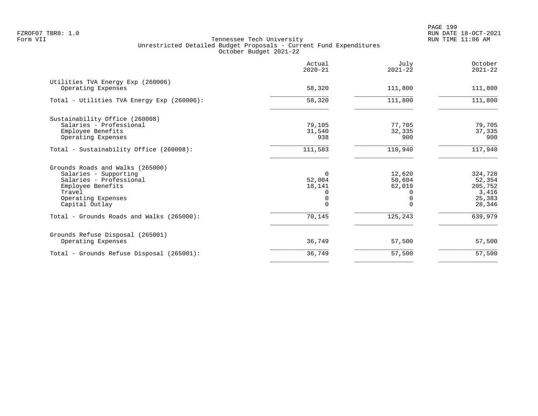|                                                         | Actual<br>$2020 - 21$ | July<br>$2021 - 22$ | October<br>$2021 - 22$ |
|---------------------------------------------------------|-----------------------|---------------------|------------------------|
| Utilities TVA Energy Exp (260006)<br>Operating Expenses | 58,320                | 111,800             | 111,800                |
| Total - Utilities TVA Energy Exp (260006):              | 58,320                | 111,800             | 111,800                |
| Sustainability Office (260008)                          |                       |                     |                        |
| Salaries - Professional                                 | 79,105                | 77,705              | 79,705                 |
| Employee Benefits                                       | 31,540                | 32,335              | 37,335                 |
| Operating Expenses                                      | 938                   | 900                 | 900                    |
| Total - Sustainability Office (260008):                 | 111,583               | 110,940             | 117,940                |
| Grounds Roads and Walks (265000)                        |                       |                     |                        |
| Salaries - Supporting                                   | $\Omega$              | 12,620              | 324,728                |
| Salaries - Professional                                 | 52,004                | 50,604              | 52,354                 |
| Employee Benefits                                       | 18,141                | 62,019              | 205,752                |
| Travel                                                  |                       |                     | 3,416                  |
| Operating Expenses                                      |                       |                     | 25,383                 |
| Capital Outlay                                          |                       |                     | 28,346                 |
| Total - Grounds Roads and Walks (265000):               | 70,145                | 125,243             | 639,979                |
| Grounds Refuse Disposal (265001)                        |                       |                     |                        |
| Operating Expenses                                      | 36,749                | 57,500              | 57,500                 |
| Total - Grounds Refuse Disposal (265001):               | 36,749                | 57,500              | 57,500                 |
|                                                         |                       |                     |                        |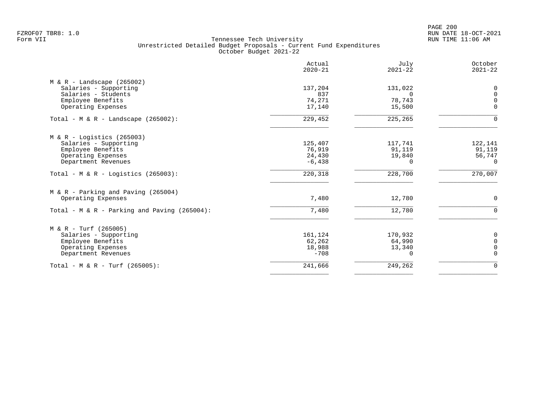|                                              | Actual<br>$2020 - 21$ | July<br>$2021 - 22$ | October<br>$2021 - 22$ |
|----------------------------------------------|-----------------------|---------------------|------------------------|
| $M & R -$ Landscape (265002)                 |                       |                     |                        |
| Salaries - Supporting                        | 137,204               | 131,022             | 0                      |
| Salaries - Students                          | 837                   | $\Omega$            | $\mathbf 0$            |
| Employee Benefits                            | 74,271                | 78,743              | $\mathbf 0$            |
| Operating Expenses                           | 17,140                | 15,500              | $\Omega$               |
| Total - M & R - Landscape $(265002)$ :       | 229,452               | 225,265             | $\Omega$               |
| $M & R -$ Logistics (265003)                 |                       |                     |                        |
| Salaries - Supporting                        | 125,407               | 117,741             | 122,141                |
| Employee Benefits                            | 76,919                | 91,119              | 91,119                 |
| Operating Expenses                           | 24,430                | 19,840              | 56,747                 |
| Department Revenues                          | $-6,438$              | 0                   | $\Omega$               |
| Total - M & R - Logistics (265003):          | 220,318               | 228,700             | 270,007                |
| $M & R - \text{Parking}$ and Paving (265004) |                       |                     |                        |
| Operating Expenses                           | 7,480                 | 12,780              | 0                      |
| Total - M & R - Parking and Paving (265004): | 7,480                 | 12,780              | $\Omega$               |
| $M & R - Turf (265005)$                      |                       |                     |                        |
| Salaries - Supporting                        | 161,124               | 170,932             | 0                      |
| Employee Benefits                            | 62,262                | 64,990              | 0                      |
| Operating Expenses                           | 18,988                | 13,340              | $\mathbf 0$            |
| Department Revenues                          | $-708$                | 0                   | $\mathbf 0$            |
| Total - M & R - Turf (265005):               | 241,666               | 249,262             | $\mathbf 0$            |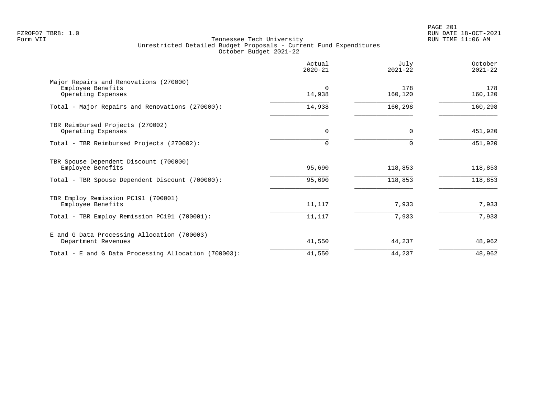PAGE 201 FZROF07 TBR8: 1.0 RUN DATE 18-OCT-2021

|                                                                                   | Actual<br>$2020 - 21$ | July<br>$2021 - 22$ | October<br>$2021 - 22$ |
|-----------------------------------------------------------------------------------|-----------------------|---------------------|------------------------|
| Major Repairs and Renovations (270000)<br>Employee Benefits<br>Operating Expenses | $\Omega$<br>14,938    | 178<br>160,120      | 178<br>160,120         |
| Total - Major Repairs and Renovations (270000):                                   | 14,938                | 160,298             | 160,298                |
| TBR Reimbursed Projects (270002)<br>Operating Expenses                            | $\Omega$              | $\Omega$            | 451,920                |
| Total - TBR Reimbursed Projects (270002):                                         | 0                     | $\Omega$            | 451,920                |
| TBR Spouse Dependent Discount (700000)<br>Employee Benefits                       | 95,690                | 118,853             | 118,853                |
| Total - TBR Spouse Dependent Discount (700000):                                   | 95,690                | 118,853             | 118,853                |
| TBR Employ Remission PC191 (700001)<br>Employee Benefits                          | 11,117                | 7,933               | 7,933                  |
| Total - TBR Employ Remission PC191 (700001):                                      | 11,117                | 7,933               | 7,933                  |
| E and G Data Processing Allocation (700003)<br>Department Revenues                | 41,550                | 44,237              | 48,962                 |
| Total - E and G Data Processing Allocation (700003):                              | 41,550                | 44,237              | 48,962                 |
|                                                                                   |                       |                     |                        |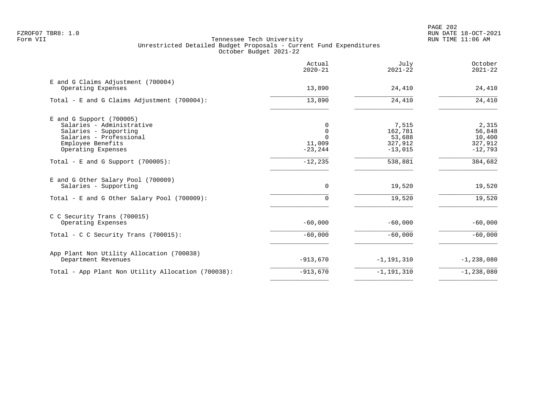|                                                                                                                                                        | Actual<br>$2020 - 21$                             | July<br>$2021 - 22$                                | October<br>$2021 - 22$                            |
|--------------------------------------------------------------------------------------------------------------------------------------------------------|---------------------------------------------------|----------------------------------------------------|---------------------------------------------------|
| E and G Claims Adjustment (700004)<br>Operating Expenses                                                                                               | 13,890                                            | 24,410                                             | 24,410                                            |
| Total - E and G Claims Adjustment $(700004)$ :                                                                                                         | 13,890                                            | 24,410                                             | 24,410                                            |
| $E$ and G Support (700005)<br>Salaries - Administrative<br>Salaries - Supporting<br>Salaries - Professional<br>Employee Benefits<br>Operating Expenses | 0<br>$\Omega$<br>$\Omega$<br>11,009<br>$-23, 244$ | 7,515<br>162,781<br>53,688<br>327,912<br>$-13,015$ | 2,315<br>56,848<br>10,400<br>327,912<br>$-12,793$ |
| Total - E and G Support $(700005)$ :                                                                                                                   | $-12,235$                                         | 538,881                                            | 384,682                                           |
| E and G Other Salary Pool (700009)<br>Salaries - Supporting<br>Total - E and G Other Salary Pool (700009):                                             | 0<br>$\Omega$                                     | 19,520<br>19,520                                   | 19,520<br>19,520                                  |
| C C Security Trans (700015)<br>Operating Expenses                                                                                                      | $-60,000$                                         | $-60,000$                                          | $-60,000$                                         |
| Total - C C Security Trans (700015):                                                                                                                   | $-60,000$                                         | $-60,000$                                          | $-60,000$                                         |
| App Plant Non Utility Allocation (700038)<br>Department Revenues                                                                                       | $-913,670$                                        | $-1, 191, 310$                                     | $-1, 238, 080$                                    |
| Total - App Plant Non Utility Allocation (700038):                                                                                                     | $-913,670$                                        | $-1, 191, 310$                                     | $-1, 238, 080$                                    |
|                                                                                                                                                        |                                                   |                                                    |                                                   |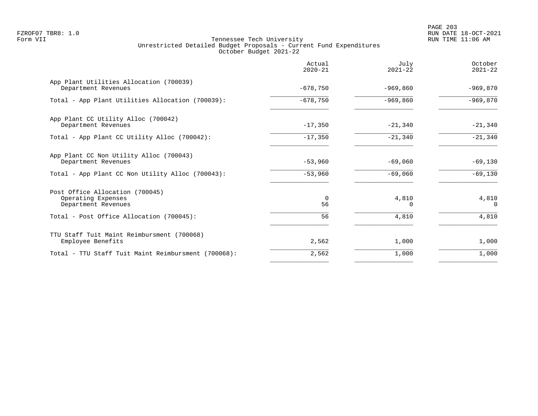PAGE 203 FZROF07 TBR8: 1.0 RUN DATE 18-OCT-2021

|                                                                              | Actual<br>$2020 - 21$ | July<br>$2021 - 22$ | October<br>$2021 - 22$ |
|------------------------------------------------------------------------------|-----------------------|---------------------|------------------------|
| App Plant Utilities Allocation (700039)<br>Department Revenues               | $-678,750$            | $-969.860$          | $-969,870$             |
| Total - App Plant Utilities Allocation (700039):                             | $-678,750$            | $-969,860$          | $-969,870$             |
| App Plant CC Utility Alloc (700042)<br>Department Revenues                   | $-17,350$             | $-21,340$           | $-21,340$              |
| Total - App Plant CC Utility Alloc (700042):                                 | $-17,350$             | $-21,340$           | $-21,340$              |
| App Plant CC Non Utility Alloc (700043)<br>Department Revenues               | $-53,960$             | $-69,060$           | $-69,130$              |
| Total - App Plant CC Non Utility Alloc (700043):                             | $-53,960$             | $-69,060$           | $-69,130$              |
| Post Office Allocation (700045)<br>Operating Expenses<br>Department Revenues | 0<br>56               | 4,810               | 4,810<br>$\Omega$      |
| Total - Post Office Allocation (700045):                                     | 56                    | 4,810               | 4,810                  |
| TTU Staff Tuit Maint Reimbursment (700068)<br>Employee Benefits              | 2,562                 | 1,000               | 1,000                  |
| Total - TTU Staff Tuit Maint Reimbursment (700068):                          | 2,562                 | 1,000               | 1,000                  |
|                                                                              |                       |                     |                        |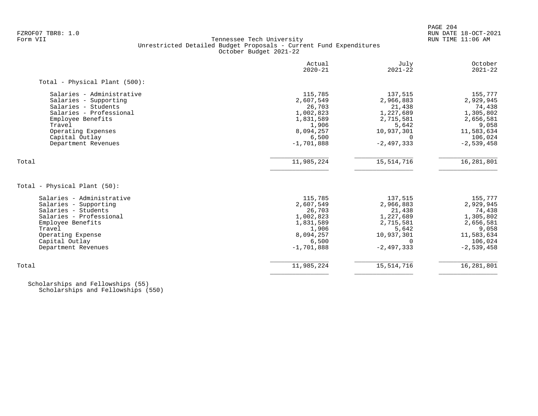# FZROF07 TBR8: 1.0 RUN DATE 18-OCT-2021 Tennessee Tech University Unrestricted Detailed Budget Proposals - Current Fund Expenditures October Budget 2021-22

|                                                                                                                                                                                                    | Actual<br>$2020 - 21$                                                                                   | July<br>$2021 - 22$                                                                                         | October<br>$2021 - 22$                                                                                     |
|----------------------------------------------------------------------------------------------------------------------------------------------------------------------------------------------------|---------------------------------------------------------------------------------------------------------|-------------------------------------------------------------------------------------------------------------|------------------------------------------------------------------------------------------------------------|
| Total - Physical Plant (500):                                                                                                                                                                      |                                                                                                         |                                                                                                             |                                                                                                            |
| Salaries - Administrative<br>Salaries - Supporting<br>Salaries - Students<br>Salaries - Professional<br>Employee Benefits<br>Travel<br>Operating Expenses<br>Capital Outlay<br>Department Revenues | 115,785<br>2,607,549<br>26,703<br>1,002,823<br>1,831,589<br>1,906<br>8,094,257<br>6,500<br>$-1,701,888$ | 137,515<br>2,966,883<br>21,438<br>1,227,689<br>2,715,581<br>5,642<br>10,937,301<br>$\Omega$<br>$-2,497,333$ | 155,777<br>2,929,945<br>74,438<br>1,305,802<br>2,656,581<br>9,058<br>11,583,634<br>106,024<br>$-2,539,458$ |
| Total                                                                                                                                                                                              | 11,985,224                                                                                              | 15, 514, 716                                                                                                | 16,281,801                                                                                                 |
| Total - Physical Plant (50):                                                                                                                                                                       |                                                                                                         |                                                                                                             |                                                                                                            |
| Salaries - Administrative<br>Salaries - Supporting<br>Salaries - Students<br>Salaries - Professional<br>Employee Benefits<br>Travel<br>Operating Expense<br>Capital Outlay<br>Department Revenues  | 115,785<br>2,607,549<br>26,703<br>1,002,823<br>1,831,589<br>1,906<br>8,094,257<br>6,500<br>$-1,701,888$ | 137,515<br>2,966,883<br>21,438<br>1,227,689<br>2,715,581<br>5,642<br>10,937,301<br>$\Omega$<br>$-2,497,333$ | 155,777<br>2,929,945<br>74,438<br>1,305,802<br>2,656,581<br>9,058<br>11,583,634<br>106,024<br>$-2,539,458$ |
| Total                                                                                                                                                                                              | 11,985,224                                                                                              | 15, 514, 716                                                                                                | 16,281,801                                                                                                 |

 Scholarships and Fellowships (55) Scholarships and Fellowships (550)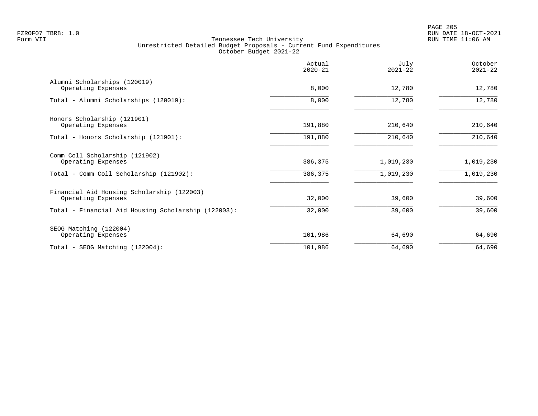|                                                                  | Actual<br>$2020 - 21$ | July<br>$2021 - 22$ | October<br>$2021 - 22$ |
|------------------------------------------------------------------|-----------------------|---------------------|------------------------|
| Alumni Scholarships (120019)<br>Operating Expenses               | 8,000                 | 12,780              | 12,780                 |
| Total - Alumni Scholarships (120019):                            | 8,000                 | 12,780              | 12,780                 |
| Honors Scholarship (121901)<br>Operating Expenses                | 191,880               | 210,640             | 210,640                |
| Total - Honors Scholarship (121901):                             | 191,880               | 210,640             | 210,640                |
| Comm Coll Scholarship (121902)<br>Operating Expenses             | 386,375               | 1,019,230           | 1,019,230              |
| Total - Comm Coll Scholarship (121902):                          | 386,375               | 1,019,230           | 1,019,230              |
| Financial Aid Housing Scholarship (122003)<br>Operating Expenses | 32,000                | 39,600              | 39,600                 |
| Total - Financial Aid Housing Scholarship (122003):              | 32,000                | 39,600              | 39,600                 |
| SEOG Matching (122004)<br>Operating Expenses                     | 101,986               | 64,690              | 64,690                 |
| Total - SEOG Matching (122004):                                  | 101,986               | 64,690              | 64,690                 |
|                                                                  |                       |                     |                        |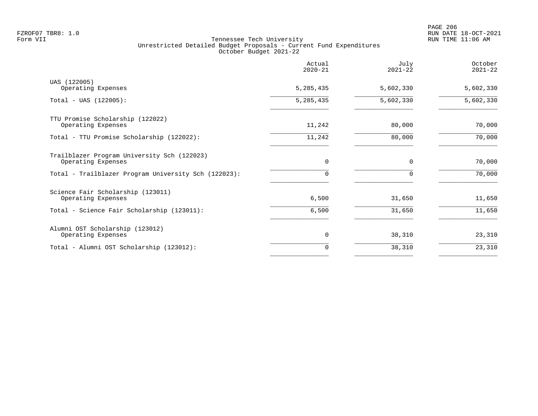| Actual<br>$2020 - 21$ | July<br>$2021 - 22$ | October<br>$2021 - 22$ |
|-----------------------|---------------------|------------------------|
| 5,285,435             | 5,602,330           | 5,602,330              |
| 5,285,435             | 5,602,330           | 5,602,330              |
| 11,242                | 80,000              | 70,000                 |
| 11,242                | 80,000              | 70,000                 |
| $\Omega$              | $\Omega$            | 70,000                 |
| $\Omega$              |                     | 70,000                 |
| 6,500                 | 31,650              | 11,650                 |
| 6,500                 | 31,650              | 11,650                 |
| 0                     | 38,310              | 23,310                 |
| 0                     | 38,310              | 23,310                 |
|                       |                     |                        |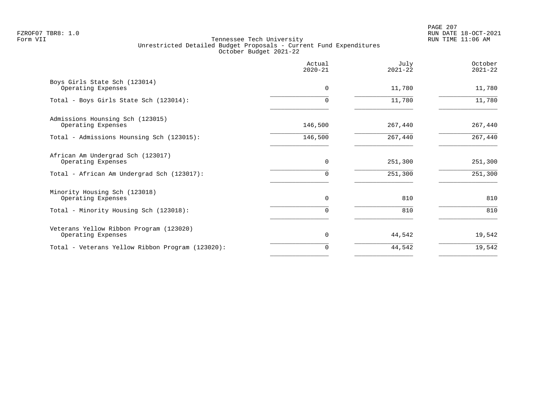PAGE 207 FZROF07 TBR8: 1.0 RUN DATE 18-OCT-2021

|                                                               | Actual<br>$2020 - 21$ | July<br>$2021 - 22$ | October<br>$2021 - 22$ |
|---------------------------------------------------------------|-----------------------|---------------------|------------------------|
| Boys Girls State Sch (123014)<br>Operating Expenses           | $\Omega$              | 11,780              | 11,780                 |
| Total - Boys Girls State Sch (123014):                        | $\Omega$              | 11,780              | 11,780                 |
| Admissions Hounsing Sch (123015)<br>Operating Expenses        | 146,500               | 267,440             | 267,440                |
| Total - Admissions Hounsing Sch (123015):                     | 146,500               | 267,440             | 267,440                |
| African Am Undergrad Sch (123017)<br>Operating Expenses       | $\mathbf 0$           | 251,300             | 251,300                |
| Total - African Am Undergrad Sch (123017):                    | 0                     | 251,300             | 251,300                |
| Minority Housing Sch (123018)<br>Operating Expenses           | 0                     | 810                 | 810                    |
| Total - Minority Housing Sch (123018):                        | 0                     | 810                 | 810                    |
| Veterans Yellow Ribbon Program (123020)<br>Operating Expenses | 0                     | 44,542              | 19,542                 |
| Total - Veterans Yellow Ribbon Program (123020):              | 0                     | 44,542              | 19,542                 |
|                                                               |                       |                     |                        |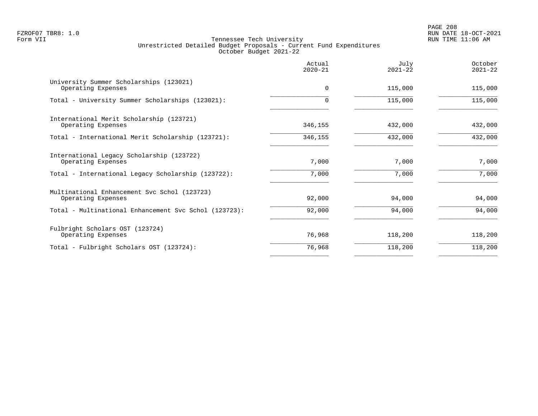PAGE 208 FZROF07 TBR8: 1.0 RUN DATE 18-OCT-2021

|                                                                    | Actual<br>$2020 - 21$ | July<br>$2021 - 22$ | October<br>$2021 - 22$ |
|--------------------------------------------------------------------|-----------------------|---------------------|------------------------|
| University Summer Scholarships (123021)<br>Operating Expenses      | $\Omega$              | 115,000             | 115,000                |
| Total - University Summer Scholarships (123021):                   |                       | 115,000             | 115,000                |
| International Merit Scholarship (123721)<br>Operating Expenses     | 346,155               | 432,000             | 432,000                |
| Total - International Merit Scholarship (123721):                  | 346,155               | 432,000             | 432,000                |
| International Legacy Scholarship (123722)<br>Operating Expenses    | 7,000                 | 7,000               | 7,000                  |
| Total - International Legacy Scholarship (123722):                 | 7,000                 | 7,000               | 7,000                  |
| Multinational Enhancement Svc Schol (123723)<br>Operating Expenses | 92,000                | 94,000              | 94,000                 |
| Total - Multinational Enhancement Svc Schol (123723):              | 92,000                | 94,000              | 94,000                 |
| Fulbright Scholars OST (123724)<br>Operating Expenses              | 76,968                | 118,200             | 118,200                |
| Total - Fulbright Scholars OST (123724):                           | 76,968                | 118,200             | 118,200                |
|                                                                    |                       |                     |                        |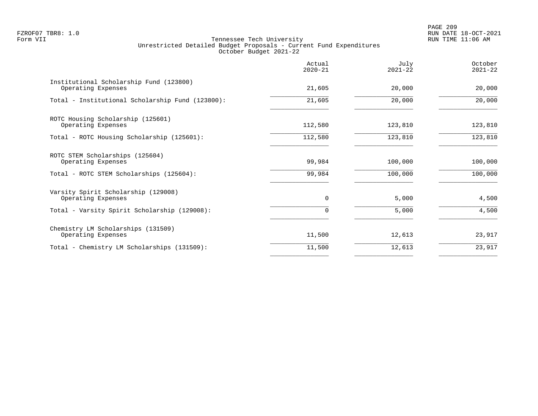PAGE 209 FZROF07 TBR8: 1.0 RUN DATE 18-OCT-2021

|                                                               | Actual<br>$2020 - 21$ | July<br>$2021 - 22$ | October<br>$2021 - 22$ |
|---------------------------------------------------------------|-----------------------|---------------------|------------------------|
| Institutional Scholarship Fund (123800)<br>Operating Expenses | 21,605                | 20,000              | 20,000                 |
| Total - Institutional Scholarship Fund (123800):              | 21,605                | 20,000              | 20,000                 |
| ROTC Housing Scholarship (125601)<br>Operating Expenses       | 112,580               | 123,810             | 123,810                |
| Total - ROTC Housing Scholarship (125601):                    | 112,580               | 123,810             | 123,810                |
| ROTC STEM Scholarships (125604)<br>Operating Expenses         | 99,984                | 100,000             | 100,000                |
| Total - ROTC STEM Scholarships (125604):                      | 99,984                | 100,000             | 100,000                |
| Varsity Spirit Scholarship (129008)<br>Operating Expenses     | $\mathbf 0$           | 5,000               | 4,500                  |
| Total - Varsity Spirit Scholarship (129008):                  | 0                     | 5,000               | 4,500                  |
| Chemistry LM Scholarships (131509)<br>Operating Expenses      | 11,500                | 12,613              | 23,917                 |
| Total - Chemistry LM Scholarships (131509):                   | 11,500                | 12,613              | 23,917                 |
|                                                               |                       |                     |                        |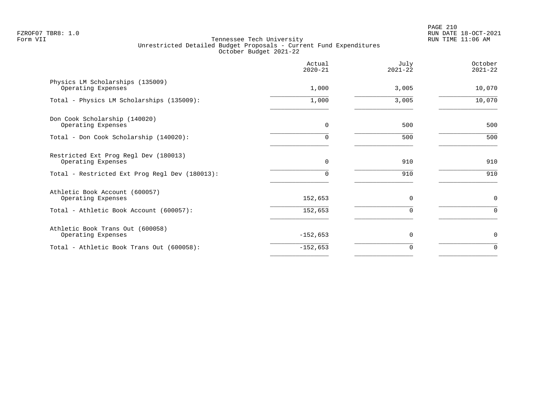PAGE 210 FZROF07 TBR8: 1.0 RUN DATE 18-OCT-2021

|                                                             | Actual<br>$2020 - 21$ | July<br>$2021 - 22$ | October<br>$2021 - 22$ |
|-------------------------------------------------------------|-----------------------|---------------------|------------------------|
| Physics LM Scholarships (135009)<br>Operating Expenses      | 1,000                 | 3,005               | 10,070                 |
| Total - Physics LM Scholarships (135009):                   | 1,000                 | 3,005               | 10,070                 |
| Don Cook Scholarship (140020)<br>Operating Expenses         | 0                     | 500                 | 500                    |
| Total - Don Cook Scholarship (140020):                      | 0                     | 500                 | 500                    |
| Restricted Ext Prog Regl Dev (180013)<br>Operating Expenses | 0                     | 910                 | 910                    |
| Total - Restricted Ext Prog Regl Dev (180013):              | 0                     | 910                 | 910                    |
| Athletic Book Account (600057)<br>Operating Expenses        | 152,653               | $\mathbf 0$         | $\mathbf 0$            |
| Total - Athletic Book Account (600057):                     | 152,653               | $\Omega$            | $\mathbf 0$            |
| Athletic Book Trans Out (600058)<br>Operating Expenses      | $-152,653$            | 0                   | 0                      |
| Total - Athletic Book Trans Out (600058):                   | $-152,653$            | $\Omega$            | $\Omega$               |
|                                                             |                       |                     |                        |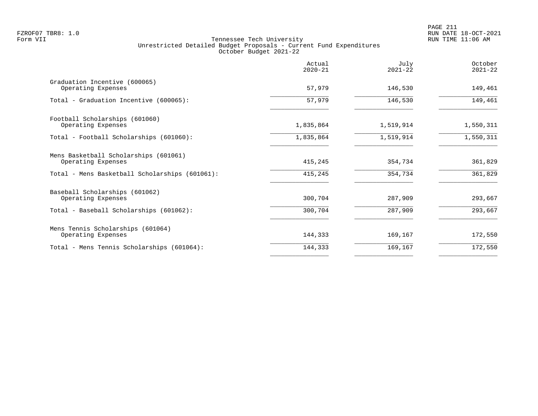|                                                             | Actual<br>$2020 - 21$ | July<br>$2021 - 22$ | October<br>$2021 - 22$ |
|-------------------------------------------------------------|-----------------------|---------------------|------------------------|
| Graduation Incentive (600065)<br>Operating Expenses         | 57,979                | 146,530             | 149,461                |
| Total - Graduation Incentive (600065):                      | 57,979                | 146,530             | 149,461                |
| Football Scholarships (601060)<br>Operating Expenses        | 1,835,864             | 1,519,914           | 1,550,311              |
| Total - Football Scholarships (601060):                     | 1,835,864             | 1,519,914           | 1,550,311              |
| Mens Basketball Scholarships (601061)<br>Operating Expenses | 415,245               | 354,734             | 361,829                |
| Total - Mens Basketball Scholarships (601061):              | 415,245               | 354,734             | 361,829                |
| Baseball Scholarships (601062)<br>Operating Expenses        | 300,704               | 287,909             | 293,667                |
| Total - Baseball Scholarships (601062):                     | 300,704               | 287,909             | 293,667                |
| Mens Tennis Scholarships (601064)<br>Operating Expenses     | 144,333               | 169,167             | 172,550                |
| Total - Mens Tennis Scholarships (601064):                  | 144,333               | 169,167             | 172,550                |
|                                                             |                       |                     |                        |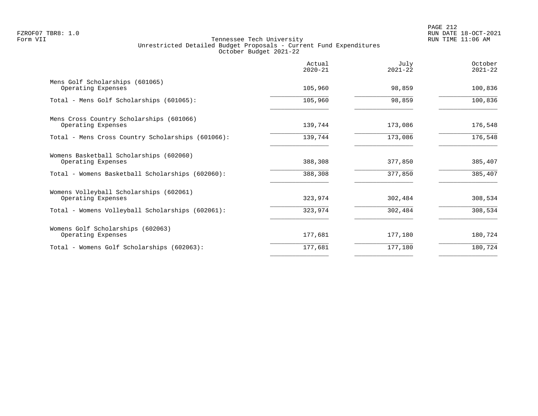|                                                                | Actual<br>$2020 - 21$ | July<br>$2021 - 22$ | October<br>$2021 - 22$ |
|----------------------------------------------------------------|-----------------------|---------------------|------------------------|
| Mens Golf Scholarships (601065)<br>Operating Expenses          | 105,960               | 98,859              | 100,836                |
| Total - Mens Golf Scholarships (601065):                       | 105,960               | 98,859              | 100,836                |
| Mens Cross Country Scholarships (601066)<br>Operating Expenses | 139,744               | 173,086             | 176,548                |
| Total - Mens Cross Country Scholarships (601066):              | 139,744               | 173,086             | 176,548                |
| Womens Basketball Scholarships (602060)<br>Operating Expenses  | 388,308               | 377,850             | 385,407                |
| Total - Womens Basketball Scholarships (602060):               | 388,308               | 377,850             | 385,407                |
| Womens Volleyball Scholarships (602061)<br>Operating Expenses  | 323,974               | 302,484             | 308,534                |
| Total - Womens Volleyball Scholarships (602061):               | 323,974               | 302,484             | 308,534                |
| Womens Golf Scholarships (602063)<br>Operating Expenses        | 177,681               | 177,180             | 180,724                |
| Total - Womens Golf Scholarships (602063):                     | 177,681               | 177,180             | 180,724                |
|                                                                |                       |                     |                        |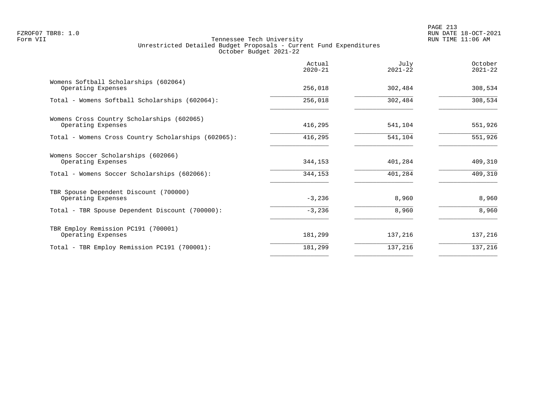|                                                                  | Actual<br>$2020 - 21$ | July<br>$2021 - 22$ | October<br>$2021 - 22$ |
|------------------------------------------------------------------|-----------------------|---------------------|------------------------|
| Womens Softball Scholarships (602064)<br>Operating Expenses      | 256,018               | 302,484             | 308,534                |
| Total - Womens Softball Scholarships (602064):                   | 256,018               | 302,484             | 308,534                |
| Womens Cross Country Scholarships (602065)<br>Operating Expenses | 416,295               | 541,104             | 551,926                |
| Total - Womens Cross Country Scholarships (602065):              | 416,295               | 541,104             | 551,926                |
| Womens Soccer Scholarships (602066)<br>Operating Expenses        | 344,153               | 401,284             | 409,310                |
| Total - Womens Soccer Scholarships (602066):                     | 344,153               | 401,284             | 409,310                |
| TBR Spouse Dependent Discount (700000)<br>Operating Expenses     | $-3,236$              | 8,960               | 8,960                  |
| Total - TBR Spouse Dependent Discount (700000):                  | $-3,236$              | 8,960               | 8,960                  |
| TBR Employ Remission PC191 (700001)<br>Operating Expenses        | 181,299               | 137,216             | 137,216                |
| Total - TBR Employ Remission PC191 (700001):                     | 181,299               | 137,216             | 137,216                |
|                                                                  |                       |                     |                        |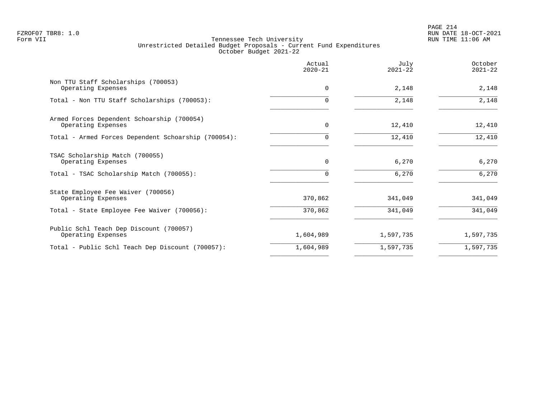PAGE 214 FZROF07 TBR8: 1.0 RUN DATE 18-OCT-2021

|                                                                  | Actual<br>$2020 - 21$ | July<br>$2021 - 22$ | October<br>$2021 - 22$ |
|------------------------------------------------------------------|-----------------------|---------------------|------------------------|
| Non TTU Staff Scholarships (700053)<br>Operating Expenses        | $\Omega$              | 2,148               | 2,148                  |
| Total - Non TTU Staff Scholarships (700053):                     |                       | 2,148               | 2,148                  |
| Armed Forces Dependent Schoarship (700054)<br>Operating Expenses | 0                     | 12,410              | 12,410                 |
| Total - Armed Forces Dependent Schoarship (700054):              |                       | 12,410              | 12,410                 |
| TSAC Scholarship Match (700055)<br>Operating Expenses            | $\Omega$              | 6,270               | 6,270                  |
| Total - TSAC Scholarship Match (700055):                         |                       | 6,270               | 6,270                  |
| State Employee Fee Waiver (700056)<br>Operating Expenses         | 370,862               | 341,049             | 341,049                |
| Total - State Employee Fee Waiver (700056):                      | 370,862               | 341,049             | 341,049                |
| Public Schl Teach Dep Discount (700057)<br>Operating Expenses    | 1,604,989             | 1,597,735           | 1,597,735              |
| Total - Public Schl Teach Dep Discount (700057):                 | 1,604,989             | 1,597,735           | 1,597,735              |
|                                                                  |                       |                     |                        |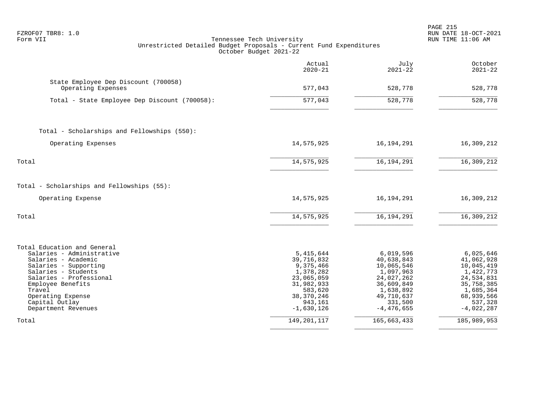| FZROF07 TBR8: 1.0<br>Tennessee Tech University<br>Form VII<br>Unrestricted Detailed Budget Proposals - Current Fund Expenditures<br>October Budget 2021-22                                                                                              |                                                                                                                                     |                                                                                                                                      | PAGE 215<br>RUN DATE 18-OCT-2021<br>RUN TIME 11:06 AM                                                                                |
|---------------------------------------------------------------------------------------------------------------------------------------------------------------------------------------------------------------------------------------------------------|-------------------------------------------------------------------------------------------------------------------------------------|--------------------------------------------------------------------------------------------------------------------------------------|--------------------------------------------------------------------------------------------------------------------------------------|
|                                                                                                                                                                                                                                                         | Actual<br>$2020 - 21$                                                                                                               | July<br>$2021 - 22$                                                                                                                  | October<br>$2021 - 22$                                                                                                               |
| State Employee Dep Discount (700058)<br>Operating Expenses                                                                                                                                                                                              | 577,043                                                                                                                             | 528,778                                                                                                                              | 528,778                                                                                                                              |
| Total - State Employee Dep Discount (700058):                                                                                                                                                                                                           | $\frac{1}{577,043}$                                                                                                                 | 528,778                                                                                                                              | 528,778                                                                                                                              |
| Total - Scholarships and Fellowships (550):                                                                                                                                                                                                             |                                                                                                                                     |                                                                                                                                      |                                                                                                                                      |
| Operating Expenses                                                                                                                                                                                                                                      | 14,575,925                                                                                                                          | 16,194,291                                                                                                                           | 16,309,212                                                                                                                           |
| Total                                                                                                                                                                                                                                                   | 14,575,925                                                                                                                          | 16, 194, 291                                                                                                                         | 16,309,212                                                                                                                           |
| Total - Scholarships and Fellowships (55):                                                                                                                                                                                                              |                                                                                                                                     |                                                                                                                                      |                                                                                                                                      |
| Operating Expense                                                                                                                                                                                                                                       | 14,575,925                                                                                                                          | 16, 194, 291                                                                                                                         | 16,309,212                                                                                                                           |
| Total                                                                                                                                                                                                                                                   | 14,575,925                                                                                                                          | 16, 194, 291                                                                                                                         | 16,309,212                                                                                                                           |
| Total Education and General<br>Salaries - Administrative<br>Salaries - Academic<br>Salaries - Supporting<br>Salaries - Students<br>Salaries - Professional<br>Employee Benefits<br>Travel<br>Operating Expense<br>Capital Outlay<br>Department Revenues | 5,415,644<br>39,716,832<br>9,375,466<br>1,378,282<br>23,065,059<br>31,982,933<br>583,620<br>38, 370, 246<br>943,161<br>$-1,630,126$ | 6,019,596<br>40,638,843<br>10,065,546<br>1,097,963<br>24,027,262<br>36,609,849<br>1,638,892<br>49,710,637<br>331,500<br>$-4,476,655$ | 6,025,646<br>41,062,928<br>10,045,419<br>1,422,773<br>24,534,831<br>35,758,385<br>1,685,364<br>68,939,566<br>537,328<br>$-4,022,287$ |
| Total                                                                                                                                                                                                                                                   | 149, 201, 117                                                                                                                       | 165,663,433                                                                                                                          | 185,989,953                                                                                                                          |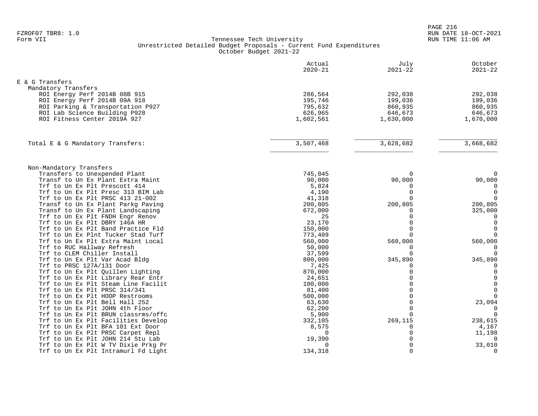|                                                               | Actual<br>$2020 - 21$ | July<br>$2021 - 22$  | October<br>$2021 - 22$      |
|---------------------------------------------------------------|-----------------------|----------------------|-----------------------------|
| E & G Transfers                                               |                       |                      |                             |
| Mandatory Transfers                                           |                       |                      |                             |
| ROI Energy Perf 2014B 08B 915                                 | 286,564               | 292,038              | 292,038                     |
| ROI Energy Perf 2014B 09A 918                                 | 195,746               | 199,036              | 199,036                     |
| ROI Parking & Transportation P927                             | 795,632               | 860,935              | 860,935                     |
| ROI Lab Science Building P928                                 | 626,965               | 646,673              | 646,673                     |
| ROI Fitness Center 2019A 927                                  | 1,602,561             | 1,630,000            | 1,670,000                   |
|                                                               |                       |                      |                             |
| Total E & G Mandatory Transfers:                              | 3,507,468             | 3,628,682            | 3,668,682                   |
|                                                               |                       |                      |                             |
| Non-Mandatory Transfers                                       |                       |                      |                             |
| Transfers to Unexpended Plant                                 | 745,045               | $\Omega$             | $\Omega$                    |
| Transf to Un Ex Plant Extra Maint                             | 90,000                | 90,000               | 90,000                      |
| Trf to Un Ex Plt Prescott 414                                 | 5,824                 | $\Omega$             | $\mathbf 0$                 |
| Trf to Un Ex Plt Presc 313 BIM Lab                            | 4,190                 | $\Omega$             | $\Omega$                    |
| Trf to Un Ex Plt PRSC 413 21-002                              | 41,318                | $\Omega$             | $\Omega$                    |
| Transf to Un Ex Plant Parkg Paving                            | 200,805               | 200,805              | 200,805                     |
| Transf to Un Ex Plant Landscaping                             | 672,000               | $\Omega$             | 325,000                     |
| Trf to Un Ex Plt FNDH Engr Renov                              | 25                    | $\mathbf 0$          | $\mathbf 0$                 |
| Trf to Un Ex Plt DBRY 146A HR                                 | 23,170                | $\Omega$             | $\mathbf 0$                 |
| Trf to Un Ex Plt Band Practice Fld                            | 150,000               | $\Omega$             | $\mathbf 0$                 |
| Trf to Un Ex Plnt Tucker Stad Turf                            | 773,409               | $\Omega$             | $\mathbf 0$                 |
| Trf to Un Ex Plt Extra Maint Local                            | 560,000               | 560,000              | 560,000                     |
| Trf to RUC Hallway Refresh                                    | 50,000                | $\Omega$<br>$\Omega$ | $\overline{0}$<br>$\bigcap$ |
| Trf to CLEM Chiller Install<br>Trf to Un Ex Plt Var Acad Bldg | 37,599<br>800,000     | 345,890              | 345,890                     |
| Trf to PRSC 127A/131 Door                                     | 7,425                 | $\Omega$             | $\Omega$                    |
| Trf to Un Ex Plt Quillen Lighting                             | 870,000               | $\Omega$             | $\mathbf 0$                 |
| Trf to Un Ex Plt Library Rear Entr                            | 24,651                | $\Omega$             | $\mathbf 0$                 |
| Trf to Un Ex Plt Steam Line Facilit                           | 100,000               | $\Omega$             | $\overline{0}$              |
| Trf to Un Ex Plt PRSC 314/341                                 | 81,400                | $\Omega$             | $\mathsf{O}$                |
| Trf to Un Ex Plt HOOP Restrooms                               | 500,000               | $\mathbf 0$          | $\Omega$                    |
| Trf to Un Ex Plt Bell Hall 252                                | 63,630                | $\Omega$             | 23,094                      |
| Trf to Un Ex Plt JOHN 4th Floor                               | 62,200                | $\Omega$             | 0                           |
| Trf to Un Ex Plt BRUN classrms/offc                           | 5,900                 | $\Omega$             | $\Omega$                    |
| Trf to Un Ex Plt Facilities Develop                           | 332,105               | 269,115              | 238,615                     |
| Trf to Un Ex Plt BFA 101 Ext Door                             | 8,575                 | 0                    | 4,167                       |
| Trf to Un Ex Plt PRSC Carpet Repl                             | $\Omega$              | $\Omega$             | 11,198                      |
| Trf to Un Ex Plt JOHN 214 Stu Lab                             | 19,390                | $\Omega$             | $\Omega$                    |
| Trf to Un Ex Plt W TV Dixie Prkg Pr                           | $\Omega$              | $\Omega$             | 33,010                      |
| Trf to Un Ex Plt Intramurl Fd Light                           | 134,318               | $\Omega$             | $\mathbf 0$                 |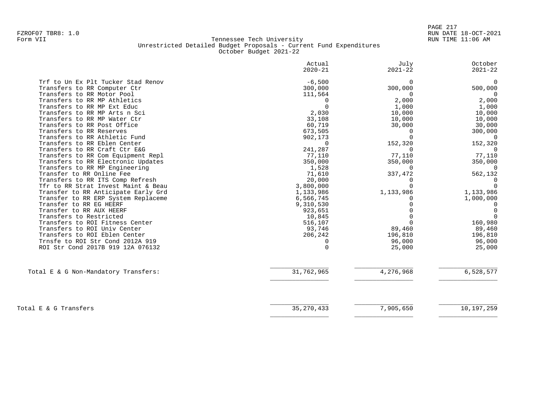|                                      | Actual<br>$2020 - 21$ | July<br>$2021 - 22$ | October<br>$2021 - 22$ |
|--------------------------------------|-----------------------|---------------------|------------------------|
| Trf to Un Ex Plt Tucker Stad Renov   | $-6,500$              | 0                   | $\mathbf 0$            |
| Transfers to RR Computer Ctr         | 300,000               | 300,000             | 500,000                |
| Transfers to RR Motor Pool           | 111,564               | $\Omega$            | $\Omega$               |
| Transfers to RR MP Athletics         | 0                     | 2,000               | 2,000                  |
| Transfers to RR MP Ext Educ          | $\Omega$              | 1,000               | 1,000                  |
| Transfers to RR MP Arts n Sci        | 2,030                 | 10,000              | 10,000                 |
| Transfers to RR MP Water Ctr         | 33,108                | 10,000              | 10,000                 |
| Transfers to RR Post Office          | 60,719                | 30,000              | 30,000                 |
| Transfers to RR Reserves             | 673,505               | ∩                   | 300,000                |
| Transfers to RR Athletic Fund        | 902,173               |                     | $\Omega$               |
| Transfers to RR Eblen Center         | $\Omega$              | 152,320             | 152,320                |
| Transfers to RR Craft Ctr E&G        | 241,287               | $\Omega$            | $\Omega$               |
| Transfers to RR Com Equipment Repl   | 77,110                | 77,110              | 77,110                 |
| Transfers to RR Electronic Updates   | 350,000               | 350,000             | 350,000                |
| Transfers to RR MP Engineering       | 1,528                 | $\Omega$            | $\Omega$               |
| Transfer to RR Online Fee            | 71,610                | 337,472             | 562,132                |
| Transfers to RR ITS Comp Refresh     | 20,000                |                     | $\Omega$               |
| Tfr to RR Strat Invest Maint & Beau  | 3,800,000             |                     | $\Omega$               |
| Transfer to RR Anticipate Early Grd  | 1,133,986             | 1,133,986           | 1,133,986              |
| Transfer to RR ERP System Replaceme  | 6,566,745             |                     | 1,000,000              |
| Transfer to RR EG HEERF              | 9,310,530             |                     | $\Omega$               |
| Transfer to RR AUX HEERF             | 923,651               |                     | 0                      |
| Transfers to Restricted              | 10,845                |                     | $\Omega$               |
| Transfers to ROI Fitness Center      | 516,107               |                     | 160,980                |
| Transfers to ROI Univ Center         | 93,746                | 89,460              | 89,460                 |
| Transfers to ROI Eblen Center        | 206,242               | 196,810             | 196,810                |
| Trnsfe to ROI Str Cond 2012A 919     | U                     | 96,000              | 96,000                 |
| ROI Str Cond 2017B 919 12A 076132    | $\Omega$              | 25,000              | 25,000                 |
| Total E & G Non-Mandatory Transfers: | 31,762,965            | 4,276,968           | 6,528,577              |
|                                      |                       |                     |                        |
|                                      |                       |                     |                        |
| Total E & G Transfers                | 35, 270, 433          | 7,905,650           | 10,197,259             |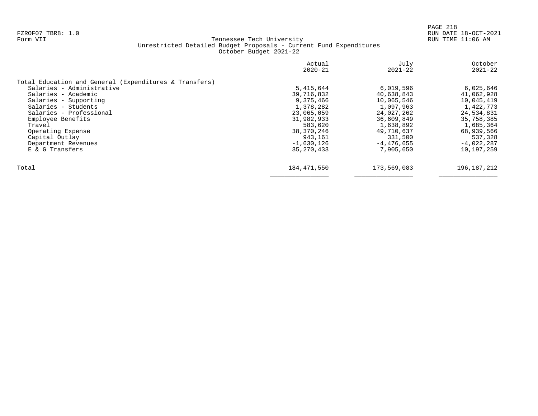|                                                        | Actual<br>$2020 - 21$ | July<br>$2021 - 22$ | October<br>$2021 - 22$ |
|--------------------------------------------------------|-----------------------|---------------------|------------------------|
| Total Education and General (Expenditures & Transfers) |                       |                     |                        |
| Salaries - Administrative                              | 5,415,644             | 6,019,596           | 6,025,646              |
| Salaries - Academic                                    | 39,716,832            | 40,638,843          | 41,062,928             |
| Salaries - Supporting                                  | 9,375,466             | 10,065,546          | 10,045,419             |
| Salaries - Students                                    | 1,378,282             | 1,097,963           | 1,422,773              |
| Salaries - Professional                                | 23,065,059            | 24,027,262          | 24,534,831             |
| Employee Benefits                                      | 31,982,933            | 36,609,849          | 35,758,385             |
| Travel                                                 | 583,620               | 1,638,892           | 1,685,364              |
| Operating Expense                                      | 38,370,246            | 49,710,637          | 68,939,566             |
| Capital Outlay                                         | 943,161               | 331,500             | 537,328                |
| Department Revenues                                    | $-1,630,126$          | $-4,476,655$        | $-4,022,287$           |
| E & G Transfers                                        | 35, 270, 433          | 7,905,650           | 10,197,259             |
| Total                                                  | 184,471,550           | 173,569,083         | 196, 187, 212          |
|                                                        |                       |                     |                        |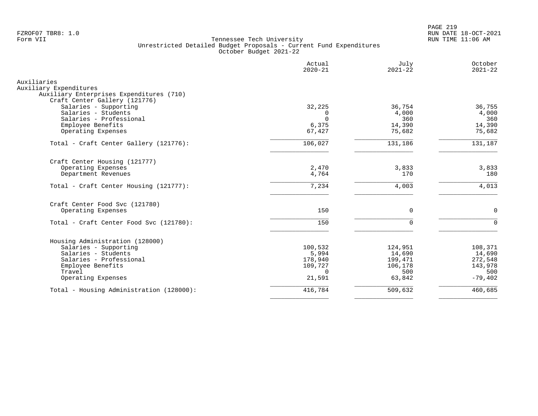PAGE 219 FZROF07 TBR8: 1.0 RUN DATE 18-OCT-2021

| Actual<br>$2020 - 21$ | July<br>$2021 - 22$                                                                              | October<br>$2021 - 22$                                                              |
|-----------------------|--------------------------------------------------------------------------------------------------|-------------------------------------------------------------------------------------|
|                       |                                                                                                  |                                                                                     |
|                       |                                                                                                  |                                                                                     |
| 32,225                | 36,754                                                                                           | 36,755                                                                              |
| <sup>0</sup>          | 4,000                                                                                            | 4,000                                                                               |
|                       |                                                                                                  | 360                                                                                 |
|                       |                                                                                                  | 14,390                                                                              |
|                       |                                                                                                  | 75,682                                                                              |
| 106,027               | 131,186                                                                                          | 131,187                                                                             |
|                       |                                                                                                  |                                                                                     |
|                       |                                                                                                  | 3,833                                                                               |
|                       |                                                                                                  | 180                                                                                 |
| 7,234                 | 4,003                                                                                            | 4,013                                                                               |
|                       |                                                                                                  |                                                                                     |
|                       |                                                                                                  | $\mathbf 0$                                                                         |
| 150                   | $\Omega$                                                                                         | $\Omega$                                                                            |
|                       |                                                                                                  |                                                                                     |
| 100,532               | 124,951                                                                                          | 108,371                                                                             |
| 5,994                 | 14,690                                                                                           | 14,690                                                                              |
|                       |                                                                                                  | 272,548                                                                             |
|                       |                                                                                                  | 143,978                                                                             |
|                       |                                                                                                  | 500<br>$-79,402$                                                                    |
|                       |                                                                                                  |                                                                                     |
| 416,784               | 509,632                                                                                          | 460,685                                                                             |
|                       | $\Omega$<br>6,375<br>67,427<br>2,470<br>4,764<br>150<br>178,940<br>109,727<br>$\Omega$<br>21,591 | 360<br>14,390<br>75,682<br>3,833<br>170<br>0<br>199,471<br>106,178<br>500<br>63,842 |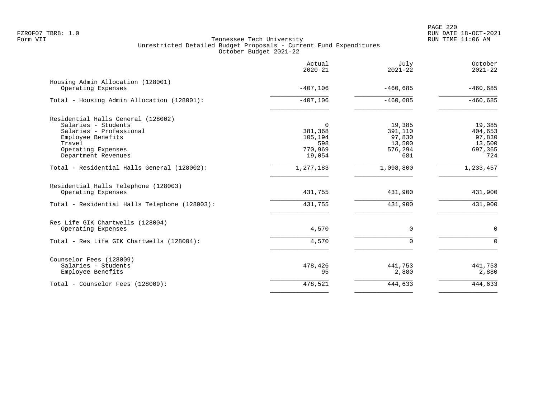|                                                            | Actual<br>$2020 - 21$ | July<br>$2021 - 22$ | October<br>$2021 - 22$ |
|------------------------------------------------------------|-----------------------|---------------------|------------------------|
| Housing Admin Allocation (128001)<br>Operating Expenses    | $-407,106$            | $-460,685$          | $-460,685$             |
| Total - Housing Admin Allocation (128001):                 | $-407,106$            | $-460,685$          | $-460,685$             |
| Residential Halls General (128002)                         |                       |                     |                        |
| Salaries - Students                                        | $\Omega$              | 19,385              | 19,385                 |
| Salaries - Professional                                    | 381,368               | 391,110             | 404,653                |
| Employee Benefits                                          | 105,194               | 97,830              | 97,830                 |
| Travel                                                     | 598                   | 13,500              | 13,500                 |
| Operating Expenses                                         | 770,969               | 576,294             | 697,365                |
| Department Revenues                                        | 19,054                | 681                 | 724                    |
| Total - Residential Halls General (128002):                | 1,277,183             | 1,098,800           | 1,233,457              |
| Residential Halls Telephone (128003)<br>Operating Expenses | 431,755               | 431,900             | 431,900                |
|                                                            |                       |                     |                        |
| Total - Residential Halls Telephone (128003):              | 431,755               | 431,900             | 431,900                |
| Res Life GIK Chartwells (128004)                           |                       |                     |                        |
| Operating Expenses                                         | 4,570                 | 0                   | $\mathbf 0$            |
| Total - Res Life GIK Chartwells (128004):                  | 4,570                 | $\Omega$            | $\Omega$               |
| Counselor Fees (128009)                                    |                       |                     |                        |
| Salaries - Students                                        | 478,426               | 441,753             | 441,753                |
| Employee Benefits                                          | 95                    | 2,880               | 2,880                  |
| Total - Counselor Fees (128009):                           | 478,521               | 444,633             | 444,633                |
|                                                            |                       |                     |                        |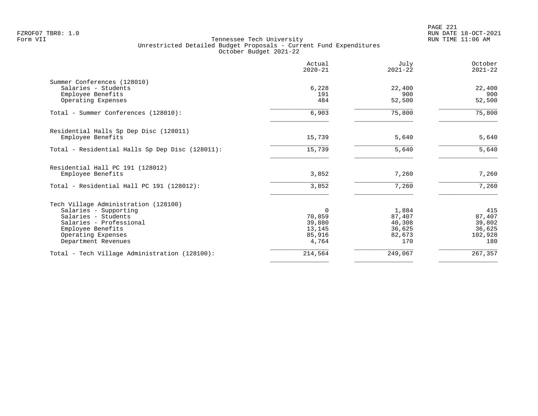PAGE 221 FZROF07 TBR8: 1.0 RUN DATE 18-OCT-2021

|                                                 | Actual<br>$2020 - 21$ | July<br>$2021 - 22$ | October<br>$2021 - 22$ |
|-------------------------------------------------|-----------------------|---------------------|------------------------|
| Summer Conferences (128010)                     |                       |                     |                        |
| Salaries - Students                             | 6,228                 | 22,400              | 22,400                 |
| Employee Benefits                               | 191                   | 900                 | 900                    |
| Operating Expenses                              | 484                   | 52,500              | 52,500                 |
| Total - Summer Conferences (128010):            | 6,903                 | 75,800              | 75,800                 |
| Residential Halls Sp Dep Disc (128011)          |                       |                     |                        |
| Employee Benefits                               | 15,739                | 5,640               | 5,640                  |
| Total - Residential Halls Sp Dep Disc (128011): | 15,739                | 5,640               | 5,640                  |
| Residential Hall PC 191 (128012)                |                       |                     |                        |
| Employee Benefits                               | 3,852                 | 7,260               | 7,260                  |
| Total - Residential Hall PC 191 (128012):       | 3,852                 | 7,260               | 7,260                  |
| Tech Village Administration (128100)            |                       |                     |                        |
| Salaries - Supporting                           | $\Omega$              | 1,884               | 415                    |
| Salaries - Students                             | 70,859                | 87,407              | 87,407                 |
| Salaries - Professional                         | 39,880                | 40,308              | 39,802                 |
| Employee Benefits                               | 13,145                | 36,625              | 36,625                 |
| Operating Expenses                              | 85,916                | 82,673              | 102,928                |
| Department Revenues                             | 4,764                 | 170                 | 180                    |
| Total - Tech Village Administration (128100):   | 214,564               | 249,067             | 267,357                |
|                                                 |                       |                     |                        |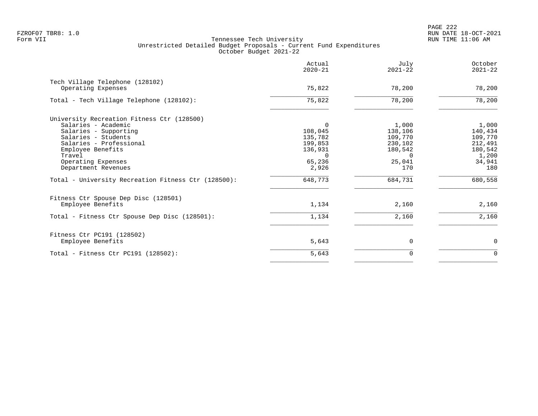|                                                     | Actual<br>$2020 - 21$ | July<br>$2021 - 22$ | October<br>$2021 - 22$ |
|-----------------------------------------------------|-----------------------|---------------------|------------------------|
| Tech Village Telephone (128102)                     |                       |                     |                        |
| Operating Expenses                                  | 75,822                | 78,200              | 78,200                 |
| Total - Tech Village Telephone (128102):            | 75,822                | 78,200              | 78,200                 |
| University Recreation Fitness Ctr (128500)          |                       |                     |                        |
| Salaries - Academic                                 | $\Omega$              | 1,000               | 1,000                  |
| Salaries - Supporting                               | 108,045               | 138,106             | 140,434                |
| Salaries - Students                                 | 135,782               | 109,770             | 109,770                |
| Salaries - Professional                             | 199,853               | 230,102             | 212,491                |
| Employee Benefits                                   | 136,931               | 180,542             | 180,542                |
| Travel                                              | $\Omega$              | $\Omega$            | 1,200                  |
| Operating Expenses                                  | 65,236                | 25,041              | 34,941                 |
| Department Revenues                                 | 2,926                 | 170                 | 180                    |
| Total - University Recreation Fitness Ctr (128500): | 648,773               | 684,731             | 680,558                |
| Fitness Ctr Spouse Dep Disc (128501)                |                       |                     |                        |
| Employee Benefits                                   | 1,134                 | 2,160               | 2,160                  |
| Total - Fitness Ctr Spouse Dep Disc (128501):       | 1,134                 | 2,160               | 2,160                  |
| Fitness Ctr PC191 (128502)                          |                       |                     |                        |
| Employee Benefits                                   | 5,643                 | $\mathbf 0$         | $\mathbf 0$            |
| Total - Fitness Ctr PC191 $(128502)$ :              | 5,643                 | 0                   | $\mathbf 0$            |
|                                                     |                       |                     |                        |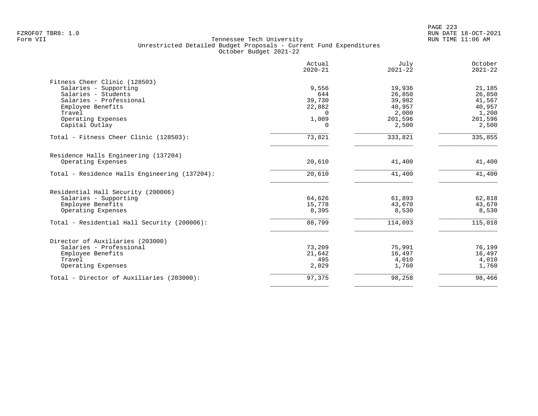|                                               | Actual<br>$2020 - 21$ | July<br>$2021 - 22$ | October<br>$2021 - 22$ |
|-----------------------------------------------|-----------------------|---------------------|------------------------|
| Fitness Cheer Clinic (128503)                 |                       |                     |                        |
| Salaries - Supporting                         | 9,556                 | 19,936              | 21,185                 |
| Salaries - Students                           | 644                   | 26,850              | 26,850                 |
| Salaries - Professional                       | 39,730                | 39,982              | 41,567                 |
| Employee Benefits                             | 22,882                | 40,957              | 40,957                 |
| Travel                                        | $\Omega$              | 2,000               | 1,200                  |
| Operating Expenses                            | 1,009                 | 201,596             | 201,596                |
| Capital Outlay                                | 0                     | 2,500               | 2,500                  |
| Total - Fitness Cheer Clinic (128503):        | 73,821                | 333,821             | 335,855                |
| Residence Halls Engineering (137204)          |                       |                     |                        |
| Operating Expenses                            | 20,610                | 41,400              | 41,400                 |
| Total - Residence Halls Engineering (137204): | 20,610                | 41,400              | 41,400                 |
| Residential Hall Security (200006)            |                       |                     |                        |
| Salaries - Supporting                         | 64,626                | 61,893              | 62,818                 |
| Employee Benefits                             | 15,778                | 43,670              | 43,670                 |
| Operating Expenses                            | 8,395                 | 8,530               | 8,530                  |
| Total - Residential Hall Security (200006):   | 88,799                | 114,093             | 115,018                |
| Director of Auxiliaries (203000)              |                       |                     |                        |
| Salaries - Professional                       | 73,209                | 75,991              | 76,199                 |
| Employee Benefits                             | 21,642                | 16,497              | 16,497                 |
| Travel                                        | 495                   | 4,010               | 4,010                  |
| Operating Expenses                            | 2,029                 | 1,760               | 1,760                  |
| Total - Director of Auxiliaries (203000):     | 97,375                | 98,258              | 98,466                 |
|                                               |                       |                     |                        |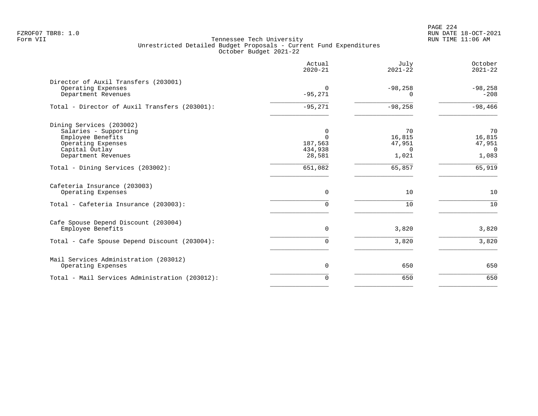|                                                                                                                                       | Actual<br>$2020 - 21$                         | July<br>$2021 - 22$                         | October<br>$2021 - 22$                            |
|---------------------------------------------------------------------------------------------------------------------------------------|-----------------------------------------------|---------------------------------------------|---------------------------------------------------|
| Director of Auxil Transfers (203001)<br>Operating Expenses<br>Department Revenues                                                     | $\Omega$<br>$-95,271$                         | $-98,258$<br>$\Omega$                       | $-98,258$<br>$-208$                               |
| Total - Director of Auxil Transfers (203001):                                                                                         | $-95,271$                                     | $-98,258$                                   | $-98,466$                                         |
| Dining Services (203002)<br>Salaries - Supporting<br>Employee Benefits<br>Operating Expenses<br>Capital Outlay<br>Department Revenues | 0<br>$\Omega$<br>187,563<br>434,938<br>28,581 | 70<br>16,815<br>47,951<br>$\Omega$<br>1,021 | 70<br>16,815<br>47,951<br>$\overline{0}$<br>1,083 |
| Total - Dining Services (203002):                                                                                                     | 651,082                                       | 65,857                                      | 65,919                                            |
| Cafeteria Insurance (203003)<br>Operating Expenses<br>Total - Cafeteria Insurance (203003):                                           | $\mathbf 0$<br>0                              | 10<br>10                                    | 10<br>10                                          |
| Cafe Spouse Depend Discount (203004)<br>Employee Benefits<br>Total - Cafe Spouse Depend Discount (203004):                            | $\mathbf 0$<br>0                              | 3,820<br>3,820                              | 3,820<br>3,820                                    |
| Mail Services Administration (203012)<br>Operating Expenses                                                                           | $\mathbf 0$                                   | 650                                         | 650                                               |
| Total - Mail Services Administration (203012):                                                                                        | $\mathbf 0$                                   | 650                                         | 650                                               |
|                                                                                                                                       |                                               |                                             |                                                   |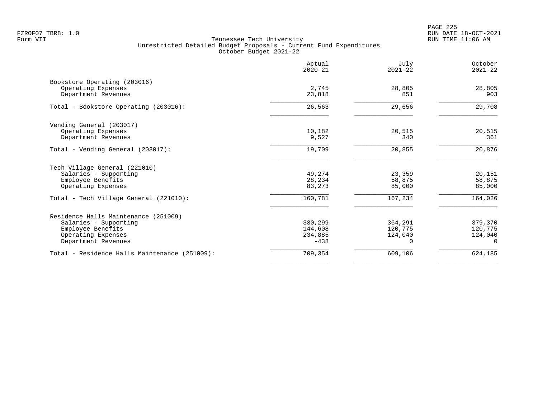PAGE 225 FZROF07 TBR8: 1.0 RUN DATE 18-OCT-2021

|                                                    | Actual<br>$2020 - 21$ | July<br>$2021 - 22$ | October<br>$2021 - 22$ |
|----------------------------------------------------|-----------------------|---------------------|------------------------|
| Bookstore Operating (203016)<br>Operating Expenses | 2,745                 | 28,805              | 28,805                 |
| Department Revenues                                | 23,818                | 851                 | 903                    |
| Total - Bookstore Operating (203016):              | 26,563                | 29,656              | 29,708                 |
| Vending General (203017)                           |                       |                     |                        |
| Operating Expenses<br>Department Revenues          | 10,182<br>9,527       | 20,515<br>340       | 20,515<br>361          |
| Total - Vending General (203017):                  | 19,709                | 20,855              | 20,876                 |
| Tech Village General (221010)                      |                       |                     |                        |
| Salaries - Supporting                              | 49,274                | 23,359              | 20,151                 |
| Employee Benefits<br>Operating Expenses            | 28,234<br>83,273      | 58,875<br>85,000    | 58,875<br>85,000       |
| Total - Tech Village General (221010):             | 160,781               | 167,234             | 164,026                |
| Residence Halls Maintenance (251009)               |                       |                     |                        |
| Salaries - Supporting                              | 330,299               | 364,291             | 379,370                |
| Employee Benefits                                  | 144,608               | 120,775             | 120,775                |
| Operating Expenses<br>Department Revenues          | 234,885<br>$-438$     | 124,040<br>$\Omega$ | 124,040<br>$\Omega$    |
| Total - Residence Halls Maintenance (251009):      | 709,354               | 609,106             | 624,185                |
|                                                    |                       |                     |                        |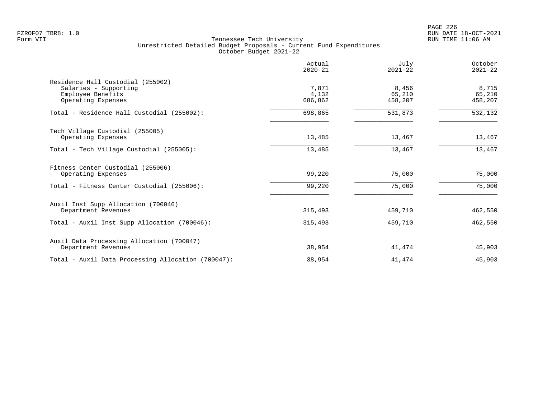PAGE 226 FZROF07 TBR8: 1.0 RUN DATE 18-OCT-2021

|                                                    | Actual<br>$2020 - 21$ | July<br>$2021 - 22$ | October<br>$2021 - 22$ |
|----------------------------------------------------|-----------------------|---------------------|------------------------|
| Residence Hall Custodial (255002)                  |                       |                     |                        |
| Salaries - Supporting                              | 7,871                 | 8,456               | 8,715                  |
| Employee Benefits<br>Operating Expenses            | 4,132<br>686,862      | 65,210<br>458,207   | 65,210<br>458,207      |
|                                                    |                       |                     |                        |
| Total - Residence Hall Custodial (255002):         | 698,865               | 531,873             | 532,132                |
| Tech Village Custodial (255005)                    |                       |                     |                        |
| Operating Expenses                                 | 13,485                | 13,467              | 13,467                 |
| Total - Tech Village Custodial (255005):           | 13,485                | 13,467              | 13,467                 |
| Fitness Center Custodial (255006)                  |                       |                     |                        |
| Operating Expenses                                 | 99,220                | 75,000              | 75,000                 |
| Total - Fitness Center Custodial (255006):         | 99,220                | 75,000              | 75,000                 |
| Auxil Inst Supp Allocation (700046)                |                       |                     |                        |
| Department Revenues                                | 315,493               | 459,710             | 462,550                |
| Total - Auxil Inst Supp Allocation (700046):       | 315,493               | 459,710             | 462,550                |
| Auxil Data Processing Allocation (700047)          |                       |                     |                        |
| Department Revenues                                | 38,954                | 41,474              | 45,903                 |
| Total - Auxil Data Processing Allocation (700047): | 38,954                | 41,474              | 45,903                 |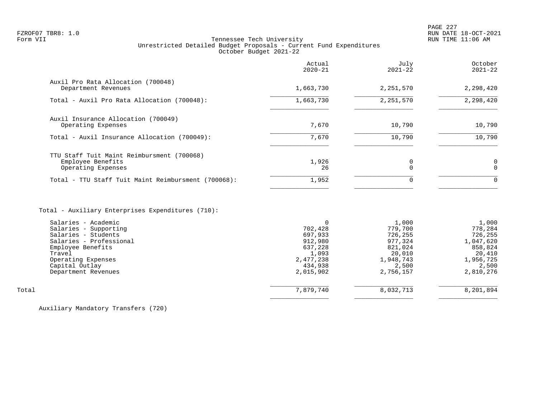# FZROF07 TBR8: 1.0 RUN DATE 18-OCT-2021 Form VII Tennessee Tech University RUN TIME 11:06 AM Unrestricted Detailed Budget Proposals - Current Fund Expenditures October Budget 2021-22

|                                                                                       | Actual<br>$2020 - 21$ | July<br>$2021 - 22$ | October<br>$2021 - 22$ |
|---------------------------------------------------------------------------------------|-----------------------|---------------------|------------------------|
| Auxil Pro Rata Allocation (700048)<br>Department Revenues                             | 1,663,730             | 2,251,570           | 2,298,420              |
| Total - Auxil Pro Rata Allocation (700048):                                           | 1,663,730             | 2,251,570           | 2,298,420              |
| Auxil Insurance Allocation (700049)<br>Operating Expenses                             | 7,670                 | 10,790              | 10,790                 |
| Total - Auxil Insurance Allocation (700049):                                          | 7,670                 | 10,790              | 10,790                 |
| TTU Staff Tuit Maint Reimbursment (700068)<br>Employee Benefits<br>Operating Expenses | 1,926<br>26           |                     | $\Omega$               |
| Total - TTU Staff Tuit Maint Reimbursment (700068):                                   | 1,952                 | $\Omega$            | $\Omega$               |
|                                                                                       |                       |                     |                        |

# Total - Auxiliary Enterprises Expenditures (710):

|       | Salaries - Academic     |           | 1,000     | 1,000     |
|-------|-------------------------|-----------|-----------|-----------|
|       | Salaries - Supporting   | 702,428   | 779,700   | 778,284   |
|       | Salaries - Students     | 697,933   | 726,255   | 726,255   |
|       | Salaries - Professional | 912,980   | 977,324   | 1,047,620 |
|       | Employee Benefits       | 637,228   | 821,024   | 858,824   |
|       | Travel                  | 1,093     | 20,010    | 20,410    |
|       | Operating Expenses      | 2,477,238 | 1,948,743 | 1,956,725 |
|       | Capital Outlay          | 434,938   | 2,500     | 2,500     |
|       | Department Revenues     | 2,015,902 | 2,756,157 | 2,810,276 |
|       |                         |           |           |           |
| Total |                         | 7,879,740 | 8,032,713 | 8,201,894 |
|       |                         |           |           |           |

Auxiliary Mandatory Transfers (720)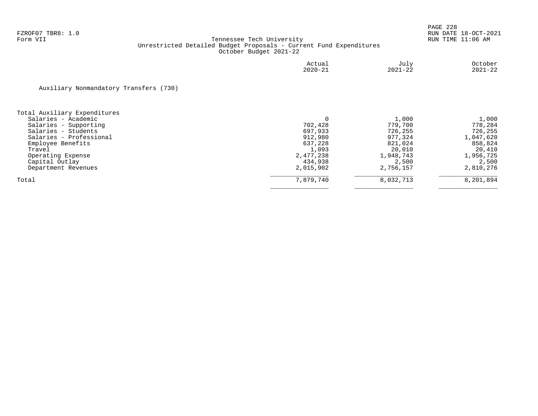|                                        | Actual<br>$2020 - 21$ | July<br>$2021 - 22$ | October<br>$2021 - 22$ |
|----------------------------------------|-----------------------|---------------------|------------------------|
| Auxiliary Nonmandatory Transfers (730) |                       |                     |                        |
| Total Auxiliary Expenditures           |                       |                     |                        |
| Salaries - Academic                    |                       | 1,000               | 1,000                  |
| Salaries - Supporting                  | 702,428               | 779,700             | 778,284                |
| Salaries - Students                    | 697,933               | 726,255             | 726,255                |
| Salaries - Professional                | 912,980               | 977,324             | 1,047,620              |
| Employee Benefits                      | 637,228               | 821,024             | 858,824                |
| Travel                                 | 1,093                 | 20,010              | 20,410                 |
| Operating Expense                      | 2,477,238             | 1,948,743           | 1,956,725              |
| Capital Outlay                         | 434,938               | 2,500               | 2,500                  |
| Department Revenues                    | 2,015,902             | 2,756,157           | 2,810,276              |
| Total                                  | 7,879,740             | 8,032,713           | 8,201,894              |
|                                        |                       |                     |                        |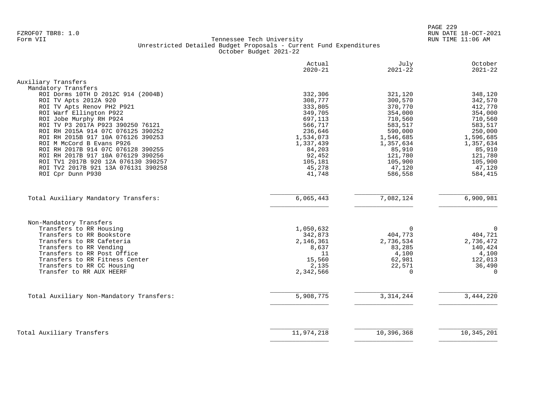|                                                        | Actual<br>$2020 - 21$ | July<br>$2021 - 22$ | October<br>$2021 - 22$ |
|--------------------------------------------------------|-----------------------|---------------------|------------------------|
| Auxiliary Transfers                                    |                       |                     |                        |
| Mandatory Transfers                                    |                       |                     |                        |
| ROI Dorms 10TH D 2012C 914 (2004B)                     | 332,306               | 321,120             | 348,120                |
| ROI TV Apts 2012A 920                                  | 308,777               | 300,570             | 342,570                |
| ROI TV Apts Renov PH2 P921                             | 333,805               | 370,770             | 412,770                |
| ROI Warf Ellington P922                                | 349,705               | 354,000             | 354,000                |
| ROI Jobe Murphy RH P924                                | 697,113               | 710,560             | 710,560                |
| ROI TV P3 2017A P923 390250 76121                      | 566,717               | 583,517             | 583,517                |
| ROI RH 2015A 914 07C 076125 390252                     | 236,646               | 590,000             | 250,000                |
| ROI RH 2015B 917 10A 076126 390253                     | 1,534,073             | 1,546,685           | 1,596,685              |
| ROI M McCord B Evans P926                              | 1,337,439             | 1,357,634           | 1,357,634              |
| ROI RH 2017B 914 07C 076128 390255                     | 84,203                | 85,910              | 85,910                 |
| ROI RH 2017B 917 10A 076129 390256                     | 92,452                | 121,780             | 121,780                |
| ROI TV1 2017B 920 12A 076130 390257                    | 105,181               | 105,900             | 105,900                |
| ROI TV2 2017B 921 13A 076131 390258                    | 45,278                | 47,120              | 47,120                 |
| ROI Cpr Dunn P930                                      | 41,748                | 586,558             | 584,415                |
|                                                        |                       |                     |                        |
| Total Auxiliary Mandatory Transfers:                   | 6,065,443             | 7,082,124           | 6,900,981              |
|                                                        |                       |                     |                        |
| Non-Mandatory Transfers                                |                       |                     |                        |
| Transfers to RR Housing                                | 1,050,632             | $\mathbf 0$         | $\mathbf 0$            |
| Transfers to RR Bookstore<br>Transfers to RR Cafeteria | 342,873               | 404,773             | 404,721                |
| Transfers to RR Vending                                | 2,146,361<br>8,637    | 2,736,534<br>83,285 | 2,736,472<br>140,424   |
| Transfers to RR Post Office                            | 11                    | 4,100               | 4,100                  |
| Transfers to RR Fitness Center                         | 15,560                | 62,981              | 122,013                |
| Transfers to RR CC Housing                             | 2,135                 | 22,571              | 36,490                 |
| Transfer to RR AUX HEERF                               | 2,342,566             | $\Omega$            | $\Omega$               |
|                                                        |                       |                     |                        |
| Total Auxiliary Non-Mandatory Transfers:               | 5,908,775             | 3, 314, 244         | 3,444,220              |
|                                                        |                       |                     |                        |
| Total Auxiliary Transfers                              | 11,974,218            | 10,396,368          | 10, 345, 201           |
|                                                        |                       |                     |                        |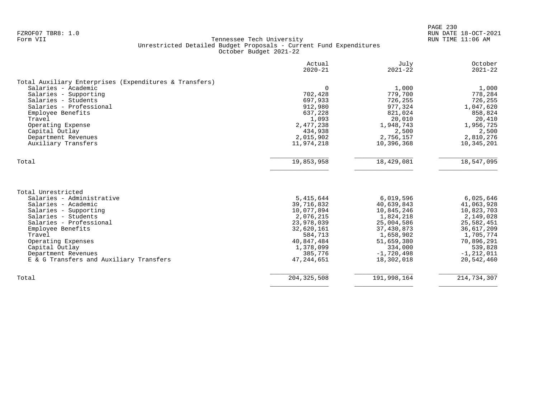|                                                        | Actual<br>$2020 - 21$ | July<br>$2021 - 22$ | October<br>$2021 - 22$ |
|--------------------------------------------------------|-----------------------|---------------------|------------------------|
| Total Auxiliary Enterprises (Expenditures & Transfers) |                       |                     |                        |
| Salaries - Academic                                    | $\Omega$              | 1,000               | 1,000                  |
| Salaries - Supporting                                  | 702,428               | 779,700             | 778,284                |
| Salaries - Students                                    | 697,933               | 726,255             | 726,255                |
| Salaries - Professional                                | 912,980               | 977,324             | 1,047,620              |
| Employee Benefits                                      | 637,228               | 821,024             | 858,824                |
| Travel                                                 | 1,093                 | 20,010              | 20,410                 |
| Operating Expense                                      | 2,477,238             | 1,948,743           | 1,956,725              |
| Capital Outlay                                         | 434,938               | 2,500               | 2,500                  |
| Department Revenues                                    | 2,015,902             | 2,756,157           | 2,810,276              |
| Auxiliary Transfers                                    | 11,974,218            | 10,396,368          | 10,345,201             |
| Total                                                  | 19,853,958            | 18,429,081          | 18,547,095             |
|                                                        |                       |                     |                        |
| Total Unrestricted                                     |                       |                     |                        |
| Salaries - Administrative                              | 5,415,644             | 6,019,596           | 6,025,646              |
| Salaries - Academic                                    | 39,716,832            | 40,639,843          | 41,063,928             |
| Salaries - Supporting                                  | 10,077,894            | 10,845,246          | 10,823,703             |
| Salaries - Students                                    | 2,076,215             | 1,824,218           | 2,149,028              |
| Salaries - Professional                                | 23,978,039            | 25,004,586          | 25,582,451             |
| Employee Benefits                                      | 32,620,161            | 37, 430, 873        | 36,617,209             |
| Travel                                                 | 584,713               | 1,658,902           | 1,705,774              |
| Operating Expenses                                     | 40,847,484            | 51,659,380          | 70,896,291             |
| Capital Outlay                                         | 1,378,099             | 334,000             | 539,828                |
| Department Revenues                                    | 385,776               | $-1,720,498$        | $-1, 212, 011$         |
| E & G Transfers and Auxiliary Transfers                | 47, 244, 651          | 18,302,018          | 20,542,460             |
| Total                                                  | 204, 325, 508         | 191,998,164         | 214,734,307            |
|                                                        |                       |                     |                        |